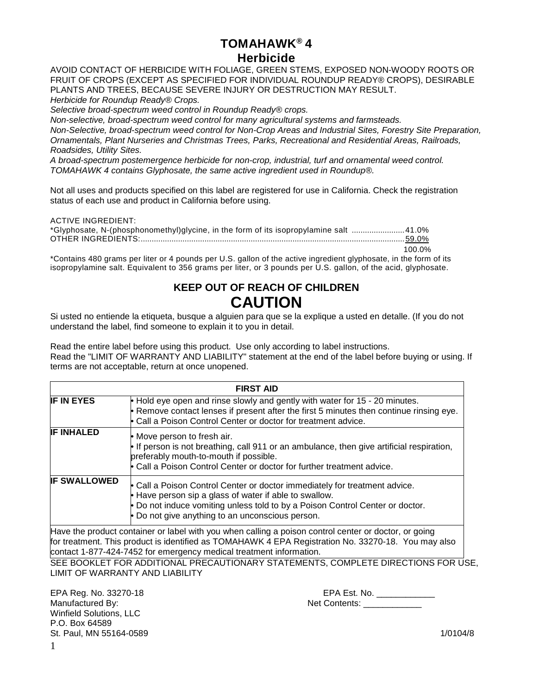# **TOMAHAWK® 4 Herbicide**

AVOID CONTACT OF HERBICIDE WITH FOLIAGE, GREEN STEMS, EXPOSED NON-WOODY ROOTS OR FRUIT OF CROPS (EXCEPT AS SPECIFIED FOR INDIVIDUAL ROUNDUP READY® CROPS), DESIRABLE PLANTS AND TREES, BECAUSE SEVERE INJURY OR DESTRUCTION MAY RESULT.

*Herbicide for Roundup Ready® Crops.*

*Selective broad-spectrum weed control in Roundup Ready® crops.* 

*Non-selective, broad-spectrum weed control for many agricultural systems and farmsteads. Non-Selective, broad-spectrum weed control for Non-Crop Areas and Industrial Sites, Forestry Site Preparation, Ornamentals, Plant Nurseries and Christmas Trees, Parks, Recreational and Residential Areas, Railroads, Roadsides, Utility Sites.*

*A broad-spectrum postemergence herbicide for non-crop, industrial, turf and ornamental weed control. TOMAHAWK 4 contains Glyphosate, the same active ingredient used in Roundup®.*

Not all uses and products specified on this label are registered for use in California. Check the registration status of each use and product in California before using.

| ACTIVE INGREDIENT:                                                                    |  |
|---------------------------------------------------------------------------------------|--|
| *Glyphosate, N-(phosphonomethyl)glycine, in the form of its isopropylamine salt 41.0% |  |
|                                                                                       |  |
| 100.0%                                                                                |  |

\*Contains 480 grams per liter or 4 pounds per U.S. gallon of the active ingredient glyphosate, in the form of its isopropylamine salt. Equivalent to 356 grams per liter, or 3 pounds per U.S. gallon, of the acid, glyphosate.

# **KEEP OUT OF REACH OF CHILDREN CAUTION**

Si usted no entiende la etiqueta, busque a alguien para que se la explique a usted en detalle. (If you do not understand the label, find someone to explain it to you in detail.

Read the entire label before using this product. Use only according to label instructions. Read the "LIMIT OF WARRANTY AND LIABILITY" statement at the end of the label before buying or using. If terms are not acceptable, return at once unopened.

|                                                                                                                                                                                                                                                                                                                                                                                                                                                                                                                                  | <b>FIRST AID</b> |  |  |  |  |
|----------------------------------------------------------------------------------------------------------------------------------------------------------------------------------------------------------------------------------------------------------------------------------------------------------------------------------------------------------------------------------------------------------------------------------------------------------------------------------------------------------------------------------|------------------|--|--|--|--|
| <b>IF IN EYES</b><br>• Hold eye open and rinse slowly and gently with water for 15 - 20 minutes.<br>Remove contact lenses if present after the first 5 minutes then continue rinsing eye.<br>• Call a Poison Control Center or doctor for treatment advice.<br><b>IF INHALED</b><br>• Move person to fresh air.<br>• If person is not breathing, call 911 or an ambulance, then give artificial respiration,<br>preferably mouth-to-mouth if possible.<br>• Call a Poison Control Center or doctor for further treatment advice. |                  |  |  |  |  |
|                                                                                                                                                                                                                                                                                                                                                                                                                                                                                                                                  |                  |  |  |  |  |

Have the product container or label with you when calling a poison control center or doctor, or going for treatment. This product is identified as TOMAHAWK 4 EPA Registration No. 33270-18. You may also contact 1-877-424-7452 for emergency medical treatment information.

SEE BOOKLET FOR ADDITIONAL PRECAUTIONARY STATEMENTS, COMPLETE DIRECTIONS FOR USE, LIMIT OF WARRANTY AND LIABILITY

Winfield Solutions, LLC P.O. Box 64589 St. Paul, MN 55164-0589 1/0104/8

EPA Reg. No. 33270-18 EPA Est. No. \_\_\_\_\_\_\_\_\_\_\_\_ Net Contents: \_\_\_\_\_\_\_\_\_\_\_\_\_\_\_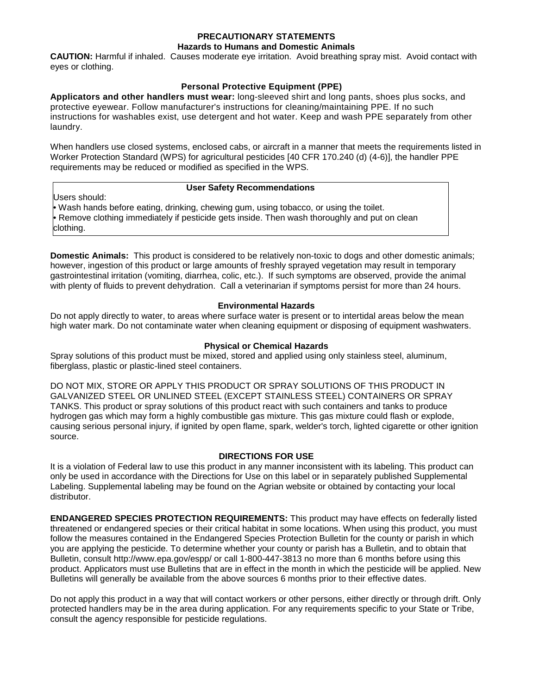#### **PRECAUTIONARY STATEMENTS**

#### **Hazards to Humans and Domestic Animals**

**CAUTION:** Harmful if inhaled. Causes moderate eye irritation. Avoid breathing spray mist. Avoid contact with eyes or clothing.

# **Personal Protective Equipment (PPE)**

**Applicators and other handlers must wear:** long-sleeved shirt and long pants, shoes plus socks, and protective eyewear. Follow manufacturer's instructions for cleaning/maintaining PPE. If no such instructions for washables exist, use detergent and hot water. Keep and wash PPE separately from other laundry.

When handlers use closed systems, enclosed cabs, or aircraft in a manner that meets the requirements listed in Worker Protection Standard (WPS) for agricultural pesticides [40 CFR 170.240 (d) (4-6)], the handler PPE requirements may be reduced or modified as specified in the WPS.

# **User Safety Recommendations**

Users should:

• Wash hands before eating, drinking, chewing gum, using tobacco, or using the toilet. • Remove clothing immediately if pesticide gets inside. Then wash thoroughly and put on clean clothing.

**Domestic Animals:** This product is considered to be relatively non-toxic to dogs and other domestic animals; however, ingestion of this product or large amounts of freshly sprayed vegetation may result in temporary gastrointestinal irritation (vomiting, diarrhea, colic, etc.). If such symptoms are observed, provide the animal with plenty of fluids to prevent dehydration. Call a veterinarian if symptoms persist for more than 24 hours.

# **Environmental Hazards**

Do not apply directly to water, to areas where surface water is present or to intertidal areas below the mean high water mark. Do not contaminate water when cleaning equipment or disposing of equipment washwaters.

# **Physical or Chemical Hazards**

Spray solutions of this product must be mixed, stored and applied using only stainless steel, aluminum, fiberglass, plastic or plastic-lined steel containers.

DO NOT MIX, STORE OR APPLY THIS PRODUCT OR SPRAY SOLUTIONS OF THIS PRODUCT IN GALVANIZED STEEL OR UNLINED STEEL (EXCEPT STAINLESS STEEL) CONTAINERS OR SPRAY TANKS. This product or spray solutions of this product react with such containers and tanks to produce hydrogen gas which may form a highly combustible gas mixture. This gas mixture could flash or explode, causing serious personal injury, if ignited by open flame, spark, welder's torch, lighted cigarette or other ignition source.

#### **DIRECTIONS FOR USE**

It is a violation of Federal law to use this product in any manner inconsistent with its labeling. This product can only be used in accordance with the Directions for Use on this label or in separately published Supplemental Labeling. Supplemental labeling may be found on the Agrian website or obtained by contacting your local distributor.

**ENDANGERED SPECIES PROTECTION REQUIREMENTS:** This product may have effects on federally listed threatened or endangered species or their critical habitat in some locations. When using this product, you must follow the measures contained in the Endangered Species Protection Bulletin for the county or parish in which you are applying the pesticide. To determine whether your county or parish has a Bulletin, and to obtain that Bulletin, consult http://www.epa.gov/espp/ or call 1-800-447-3813 no more than 6 months before using this product. Applicators must use Bulletins that are in effect in the month in which the pesticide will be applied. New Bulletins will generally be available from the above sources 6 months prior to their effective dates.

Do not apply this product in a way that will contact workers or other persons, either directly or through drift. Only protected handlers may be in the area during application. For any requirements specific to your State or Tribe, consult the agency responsible for pesticide regulations.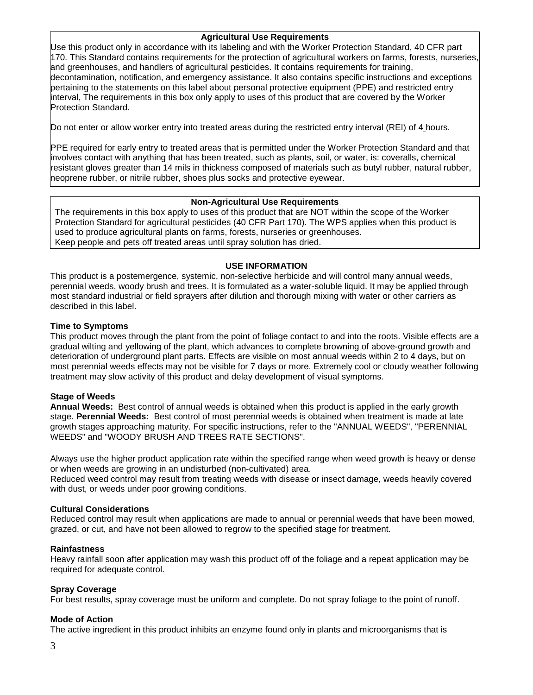# **Agricultural Use Requirements**

Use this product only in accordance with its labeling and with the Worker Protection Standard, 40 CFR part 170. This Standard contains requirements for the protection of agricultural workers on farms, forests, nurseries, and greenhouses, and handlers of agricultural pesticides. It contains requirements for training, decontamination, notification, and emergency assistance. It also contains specific instructions and exceptions pertaining to the statements on this label about personal protective equipment (PPE) and restricted entry interval, The requirements in this box only apply to uses of this product that are covered by the Worker Protection Standard.

Do not enter or allow worker entry into treated areas during the restricted entry interval (REI) of 4 hours.

PPE required for early entry to treated areas that is permitted under the Worker Protection Standard and that involves contact with anything that has been treated, such as plants, soil, or water, is: coveralls, chemical resistant gloves greater than 14 mils in thickness composed of materials such as butyl rubber, natural rubber, neoprene rubber, or nitrile rubber, shoes plus socks and protective eyewear.

# **Non-Agricultural Use Requirements**

The requirements in this box apply to uses of this product that are NOT within the scope of the Worker Protection Standard for agricultural pesticides (40 CFR Part 170). The WPS applies when this product is used to produce agricultural plants on farms, forests, nurseries or greenhouses. Keep people and pets off treated areas until spray solution has dried.

# **USE INFORMATION**

This product is a postemergence, systemic, non-selective herbicide and will control many annual weeds, perennial weeds, woody brush and trees. It is formulated as a water-soluble liquid. It may be applied through most standard industrial or field sprayers after dilution and thorough mixing with water or other carriers as described in this label.

# **Time to Symptoms**

This product moves through the plant from the point of foliage contact to and into the roots. Visible effects are a gradual wilting and yellowing of the plant, which advances to complete browning of above-ground growth and deterioration of underground plant parts. Effects are visible on most annual weeds within 2 to 4 days, but on most perennial weeds effects may not be visible for 7 days or more. Extremely cool or cloudy weather following treatment may slow activity of this product and delay development of visual symptoms.

# **Stage of Weeds**

**Annual Weeds:** Best control of annual weeds is obtained when this product is applied in the early growth stage. **Perennial Weeds:** Best control of most perennial weeds is obtained when treatment is made at late growth stages approaching maturity. For specific instructions, refer to the "ANNUAL WEEDS", "PERENNIAL WEEDS" and "WOODY BRUSH AND TREES RATE SECTIONS".

Always use the higher product application rate within the specified range when weed growth is heavy or dense or when weeds are growing in an undisturbed (non-cultivated) area.

Reduced weed control may result from treating weeds with disease or insect damage, weeds heavily covered with dust, or weeds under poor growing conditions.

# **Cultural Considerations**

Reduced control may result when applications are made to annual or perennial weeds that have been mowed, grazed, or cut, and have not been allowed to regrow to the specified stage for treatment.

#### **Rainfastness**

Heavy rainfall soon after application may wash this product off of the foliage and a repeat application may be required for adequate control.

#### **Spray Coverage**

For best results, spray coverage must be uniform and complete. Do not spray foliage to the point of runoff.

# **Mode of Action**

The active ingredient in this product inhibits an enzyme found only in plants and microorganisms that is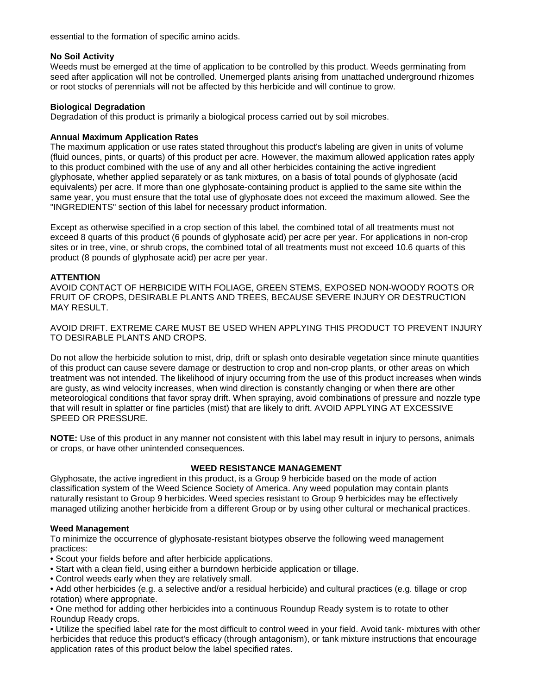essential to the formation of specific amino acids.

# **No Soil Activity**

Weeds must be emerged at the time of application to be controlled by this product. Weeds germinating from seed after application will not be controlled. Unemerged plants arising from unattached underground rhizomes or root stocks of perennials will not be affected by this herbicide and will continue to grow.

# **Biological Degradation**

Degradation of this product is primarily a biological process carried out by soil microbes.

# **Annual Maximum Application Rates**

The maximum application or use rates stated throughout this product's labeling are given in units of volume (fluid ounces, pints, or quarts) of this product per acre. However, the maximum allowed application rates apply to this product combined with the use of any and all other herbicides containing the active ingredient glyphosate, whether applied separately or as tank mixtures, on a basis of total pounds of glyphosate (acid equivalents) per acre. If more than one glyphosate-containing product is applied to the same site within the same year, you must ensure that the total use of glyphosate does not exceed the maximum allowed. See the "INGREDIENTS" section of this label for necessary product information.

Except as otherwise specified in a crop section of this label, the combined total of all treatments must not exceed 8 quarts of this product (6 pounds of glyphosate acid) per acre per year. For applications in non-crop sites or in tree, vine, or shrub crops, the combined total of all treatments must not exceed 10.6 quarts of this product (8 pounds of glyphosate acid) per acre per year.

# **ATTENTION**

AVOID CONTACT OF HERBICIDE WITH FOLIAGE, GREEN STEMS, EXPOSED NON-WOODY ROOTS OR FRUIT OF CROPS, DESIRABLE PLANTS AND TREES, BECAUSE SEVERE INJURY OR DESTRUCTION MAY RESULT.

AVOID DRIFT. EXTREME CARE MUST BE USED WHEN APPLYING THIS PRODUCT TO PREVENT INJURY TO DESIRABLE PLANTS AND CROPS.

Do not allow the herbicide solution to mist, drip, drift or splash onto desirable vegetation since minute quantities of this product can cause severe damage or destruction to crop and non-crop plants, or other areas on which treatment was not intended. The likelihood of injury occurring from the use of this product increases when winds are gusty, as wind velocity increases, when wind direction is constantly changing or when there are other meteorological conditions that favor spray drift. When spraying, avoid combinations of pressure and nozzle type that will result in splatter or fine particles (mist) that are likely to drift. AVOID APPLYING AT EXCESSIVE SPEED OR PRESSURE.

**NOTE:** Use of this product in any manner not consistent with this label may result in injury to persons, animals or crops, or have other unintended consequences.

# **WEED RESISTANCE MANAGEMENT**

Glyphosate, the active ingredient in this product, is a Group 9 herbicide based on the mode of action classification system of the Weed Science Society of America. Any weed population may contain plants naturally resistant to Group 9 herbicides. Weed species resistant to Group 9 herbicides may be effectively managed utilizing another herbicide from a different Group or by using other cultural or mechanical practices.

# **Weed Management**

To minimize the occurrence of glyphosate-resistant biotypes observe the following weed management practices:

• Scout your fields before and after herbicide applications.

- Start with a clean field, using either a burndown herbicide application or tillage.
- Control weeds early when they are relatively small.

• Add other herbicides (e.g. a selective and/or a residual herbicide) and cultural practices (e.g. tillage or crop rotation) where appropriate.

• One method for adding other herbicides into a continuous Roundup Ready system is to rotate to other Roundup Ready crops.

• Utilize the specified label rate for the most difficult to control weed in your field. Avoid tank- mixtures with other herbicides that reduce this product's efficacy (through antagonism), or tank mixture instructions that encourage application rates of this product below the label specified rates.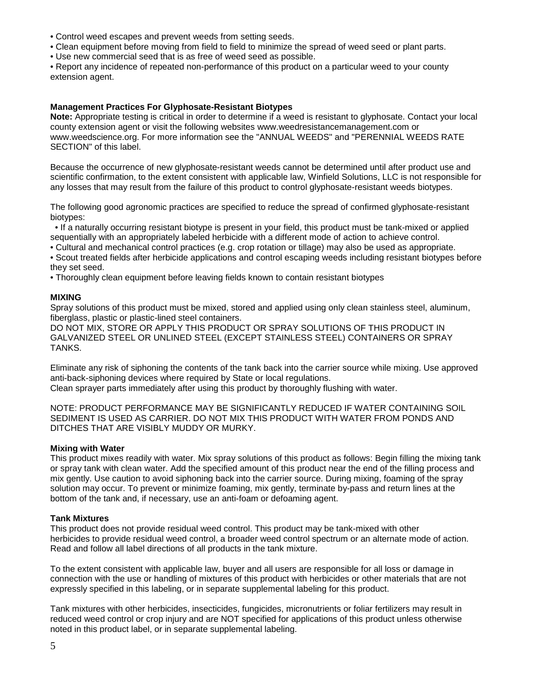- Control weed escapes and prevent weeds from setting seeds.
- Clean equipment before moving from field to field to minimize the spread of weed seed or plant parts.
- Use new commercial seed that is as free of weed seed as possible.

• Report any incidence of repeated non-performance of this product on a particular weed to your county extension agent.

# **Management Practices For Glyphosate-Resistant Biotypes**

**Note:** Appropriate testing is critical in order to determine if a weed is resistant to glyphosate. Contact your local county extension agent or visit the following websites [www.weedresistancemanagement.com](http://www.weedresistancemanagement.com/) or [www.weedscience.org.](http://www.weedscience.org/) For more information see the "ANNUAL WEEDS" and "PERENNIAL WEEDS RATE SECTION" of this label.

Because the occurrence of new glyphosate-resistant weeds cannot be determined until after product use and scientific confirmation, to the extent consistent with applicable law, Winfield Solutions, LLC is not responsible for any losses that may result from the failure of this product to control glyphosate-resistant weeds biotypes.

The following good agronomic practices are specified to reduce the spread of confirmed glyphosate-resistant biotypes:

 • If a naturally occurring resistant biotype is present in your field, this product must be tank-mixed or applied sequentially with an appropriately labeled herbicide with a different mode of action to achieve control.

- Cultural and mechanical control practices (e.g. crop rotation or tillage) may also be used as appropriate.
- Scout treated fields after herbicide applications and control escaping weeds including resistant biotypes before they set seed.
- Thoroughly clean equipment before leaving fields known to contain resistant biotypes

#### **MIXING**

Spray solutions of this product must be mixed, stored and applied using only clean stainless steel, aluminum, fiberglass, plastic or plastic-lined steel containers.

DO NOT MIX, STORE OR APPLY THIS PRODUCT OR SPRAY SOLUTIONS OF THIS PRODUCT IN GALVANIZED STEEL OR UNLINED STEEL (EXCEPT STAINLESS STEEL) CONTAINERS OR SPRAY TANKS.

Eliminate any risk of siphoning the contents of the tank back into the carrier source while mixing. Use approved anti-back-siphoning devices where required by State or local regulations.

Clean sprayer parts immediately after using this product by thoroughly flushing with water.

NOTE: PRODUCT PERFORMANCE MAY BE SIGNIFICANTLY REDUCED IF WATER CONTAINING SOIL SEDIMENT IS USED AS CARRIER. DO NOT MIX THIS PRODUCT WITH WATER FROM PONDS AND DITCHES THAT ARE VISIBLY MUDDY OR MURKY.

#### **Mixing with Water**

This product mixes readily with water. Mix spray solutions of this product as follows: Begin filling the mixing tank or spray tank with clean water. Add the specified amount of this product near the end of the filling process and mix gently. Use caution to avoid siphoning back into the carrier source. During mixing, foaming of the spray solution may occur. To prevent or minimize foaming, mix gently, terminate by-pass and return lines at the bottom of the tank and, if necessary, use an anti-foam or defoaming agent.

#### **Tank Mixtures**

This product does not provide residual weed control. This product may be tank-mixed with other herbicides to provide residual weed control, a broader weed control spectrum or an alternate mode of action. Read and follow all label directions of all products in the tank mixture.

To the extent consistent with applicable law, buyer and all users are responsible for all loss or damage in connection with the use or handling of mixtures of this product with herbicides or other materials that are not expressly specified in this labeling, or in separate supplemental labeling for this product.

Tank mixtures with other herbicides, insecticides, fungicides, micronutrients or foliar fertilizers may result in reduced weed control or crop injury and are NOT specified for applications of this product unless otherwise noted in this product label, or in separate supplemental labeling.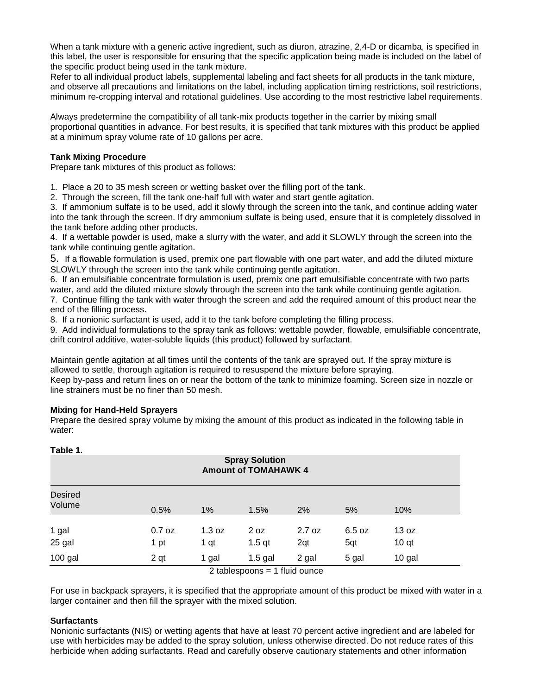When a tank mixture with a generic active ingredient, such as diuron, atrazine, 2.4-D or dicamba, is specified in this label, the user is responsible for ensuring that the specific application being made is included on the label of the specific product being used in the tank mixture.

Refer to all individual product labels, supplemental labeling and fact sheets for all products in the tank mixture, and observe all precautions and limitations on the label, including application timing restrictions, soil restrictions, minimum re-cropping interval and rotational guidelines. Use according to the most restrictive label requirements.

Always predetermine the compatibility of all tank-mix products together in the carrier by mixing small proportional quantities in advance. For best results, it is specified that tank mixtures with this product be applied at a minimum spray volume rate of 10 gallons per acre.

# **Tank Mixing Procedure**

Prepare tank mixtures of this product as follows:

1. Place a 20 to 35 mesh screen or wetting basket over the filling port of the tank.

2. Through the screen, fill the tank one-half full with water and start gentle agitation.

3. If ammonium sulfate is to be used, add it slowly through the screen into the tank, and continue adding water into the tank through the screen. If dry ammonium sulfate is being used, ensure that it is completely dissolved in the tank before adding other products.

4. If a wettable powder is used, make a slurry with the water, and add it SLOWLY through the screen into the tank while continuing gentle agitation.

5. If a flowable formulation is used, premix one part flowable with one part water, and add the diluted mixture SLOWLY through the screen into the tank while continuing gentle agitation.

6. If an emulsifiable concentrate formulation is used, premix one part emulsifiable concentrate with two parts water, and add the diluted mixture slowly through the screen into the tank while continuing gentle agitation. 7. Continue filling the tank with water through the screen and add the required amount of this product near the end of the filling process.

8. If a nonionic surfactant is used, add it to the tank before completing the filling process.

9. Add individual formulations to the spray tank as follows: wettable powder, flowable, emulsifiable concentrate, drift control additive, water-soluble liquids (this product) followed by surfactant.

Maintain gentle agitation at all times until the contents of the tank are sprayed out. If the spray mixture is allowed to settle, thorough agitation is required to resuspend the mixture before spraying.

Keep by-pass and return lines on or near the bottom of the tank to minimize foaming. Screen size in nozzle or line strainers must be no finer than 50 mesh.

# **Mixing for Hand-Held Sprayers**

Prepare the desired spray volume by mixing the amount of this product as indicated in the following table in water:

| Table 1.<br><b>Spray Solution</b><br><b>Amount of TOMAHAWK 4</b> |                  |                |                                               |               |               |                           |  |
|------------------------------------------------------------------|------------------|----------------|-----------------------------------------------|---------------|---------------|---------------------------|--|
| <b>Desired</b><br>Volume                                         | 0.5%             | 1%             | 1.5%                                          | 2%            | 5%            | 10%                       |  |
| 1 gal<br>25 gal                                                  | $0.7$ oz<br>1 pt | 1.3 oz<br>1 qt | 2 oz<br>$1.5$ qt                              | 2.7 oz<br>2qt | 6.5 oz<br>5qt | 13 oz<br>10 <sub>qt</sub> |  |
| $100$ gal                                                        | 2 <sub>qt</sub>  | 1 gal          | $1.5$ gal<br>$2$ tobloongong $-4$ fluid quago | 2 gal         | 5 gal         | 10 gal                    |  |

2 tablespoons = 1 fluid ounce

For use in backpack sprayers, it is specified that the appropriate amount of this product be mixed with water in a larger container and then fill the sprayer with the mixed solution.

#### **Surfactants**

Nonionic surfactants (NIS) or wetting agents that have at least 70 percent active ingredient and are labeled for use with herbicides may be added to the spray solution, unless otherwise directed. Do not reduce rates of this herbicide when adding surfactants. Read and carefully observe cautionary statements and other information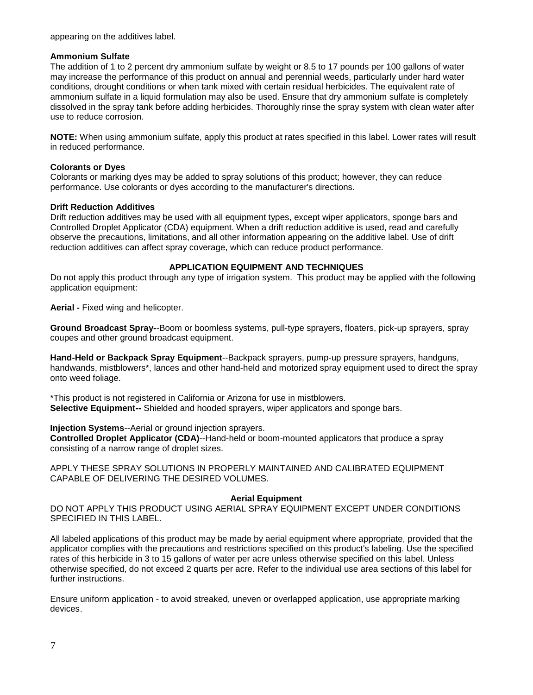#### appearing on the additives label.

#### **Ammonium Sulfate**

The addition of 1 to 2 percent dry ammonium sulfate by weight or 8.5 to 17 pounds per 100 gallons of water may increase the performance of this product on annual and perennial weeds, particularly under hard water conditions, drought conditions or when tank mixed with certain residual herbicides. The equivalent rate of ammonium sulfate in a liquid formulation may also be used. Ensure that dry ammonium sulfate is completely dissolved in the spray tank before adding herbicides. Thoroughly rinse the spray system with clean water after use to reduce corrosion.

**NOTE:** When using ammonium sulfate, apply this product at rates specified in this label. Lower rates will result in reduced performance.

# **Colorants or Dyes**

Colorants or marking dyes may be added to spray solutions of this product; however, they can reduce performance. Use colorants or dyes according to the manufacturer's directions.

#### **Drift Reduction Additives**

Drift reduction additives may be used with all equipment types, except wiper applicators, sponge bars and Controlled Droplet Applicator (CDA) equipment. When a drift reduction additive is used, read and carefully observe the precautions, limitations, and all other information appearing on the additive label. Use of drift reduction additives can affect spray coverage, which can reduce product performance.

# **APPLICATION EQUIPMENT AND TECHNIQUES**

Do not apply this product through any type of irrigation system. This product may be applied with the following application equipment:

**Aerial -** Fixed wing and helicopter.

**Ground Broadcast Spray-**-Boom or boomless systems, pull-type sprayers, floaters, pick-up sprayers, spray coupes and other ground broadcast equipment.

**Hand-Held or Backpack Spray Equipment**--Backpack sprayers, pump-up pressure sprayers, handguns, handwands, mistblowers\*, lances and other hand-held and motorized spray equipment used to direct the spray onto weed foliage.

\*This product is not registered in California or Arizona for use in mistblowers. **Selective Equipment--** Shielded and hooded sprayers, wiper applicators and sponge bars.

#### **Injection Systems**--Aerial or ground injection sprayers.

**Controlled Droplet Applicator (CDA)**--Hand-held or boom-mounted applicators that produce a spray consisting of a narrow range of droplet sizes.

APPLY THESE SPRAY SOLUTIONS IN PROPERLY MAINTAINED AND CALIBRATED EQUIPMENT CAPABLE OF DELIVERING THE DESIRED VOLUMES.

#### **Aerial Equipment**

DO NOT APPLY THIS PRODUCT USING AERIAL SPRAY EQUIPMENT EXCEPT UNDER CONDITIONS SPECIFIED IN THIS LABEL.

All labeled applications of this product may be made by aerial equipment where appropriate, provided that the applicator complies with the precautions and restrictions specified on this product's labeling. Use the specified rates of this herbicide in 3 to 15 gallons of water per acre unless otherwise specified on this label. Unless otherwise specified, do not exceed 2 quarts per acre. Refer to the individual use area sections of this label for further instructions.

Ensure uniform application - to avoid streaked, uneven or overlapped application, use appropriate marking devices.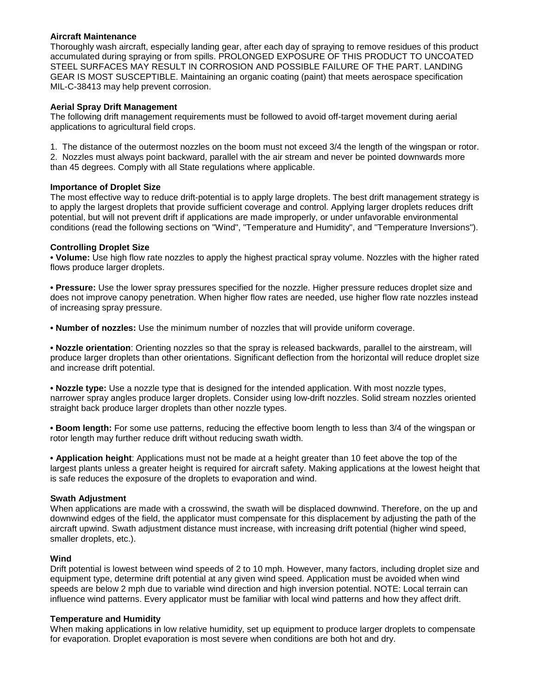## **Aircraft Maintenance**

Thoroughly wash aircraft, especially landing gear, after each day of spraying to remove residues of this product accumulated during spraying or from spills. PROLONGED EXPOSURE OF THIS PRODUCT TO UNCOATED STEEL SURFACES MAY RESULT IN CORROSION AND POSSIBLE FAILURE OF THE PART. LANDING GEAR IS MOST SUSCEPTIBLE. Maintaining an organic coating (paint) that meets aerospace specification MIL-C-38413 may help prevent corrosion.

# **Aerial Spray Drift Management**

The following drift management requirements must be followed to avoid off-target movement during aerial applications to agricultural field crops.

1. The distance of the outermost nozzles on the boom must not exceed 3/4 the length of the wingspan or rotor. 2. Nozzles must always point backward, parallel with the air stream and never be pointed downwards more than 45 degrees. Comply with all State regulations where applicable.

# **Importance of Droplet Size**

The most effective way to reduce drift-potential is to apply large droplets. The best drift management strategy is to apply the largest droplets that provide sufficient coverage and control. Applying larger droplets reduces drift potential, but will not prevent drift if applications are made improperly, or under unfavorable environmental conditions (read the following sections on "Wind", "Temperature and Humidity", and "Temperature Inversions").

# **Controlling Droplet Size**

**• Volume:** Use high flow rate nozzles to apply the highest practical spray volume. Nozzles with the higher rated flows produce larger droplets.

**• Pressure:** Use the lower spray pressures specified for the nozzle. Higher pressure reduces droplet size and does not improve canopy penetration. When higher flow rates are needed, use higher flow rate nozzles instead of increasing spray pressure.

**• Number of nozzles:** Use the minimum number of nozzles that will provide uniform coverage.

**• Nozzle orientation**: Orienting nozzles so that the spray is released backwards, parallel to the airstream, will produce larger droplets than other orientations. Significant deflection from the horizontal will reduce droplet size and increase drift potential.

**• Nozzle type:** Use a nozzle type that is designed for the intended application. With most nozzle types, narrower spray angles produce larger droplets. Consider using low-drift nozzles. Solid stream nozzles oriented straight back produce larger droplets than other nozzle types.

**• Boom length:** For some use patterns, reducing the effective boom length to less than 3/4 of the wingspan or rotor length may further reduce drift without reducing swath width.

**• Application height**: Applications must not be made at a height greater than 10 feet above the top of the largest plants unless a greater height is required for aircraft safety. Making applications at the lowest height that is safe reduces the exposure of the droplets to evaporation and wind.

# **Swath Adjustment**

When applications are made with a crosswind, the swath will be displaced downwind. Therefore, on the up and downwind edges of the field, the applicator must compensate for this displacement by adjusting the path of the aircraft upwind. Swath adjustment distance must increase, with increasing drift potential (higher wind speed, smaller droplets, etc.).

# **Wind**

Drift potential is lowest between wind speeds of 2 to 10 mph. However, many factors, including droplet size and equipment type, determine drift potential at any given wind speed. Application must be avoided when wind speeds are below 2 mph due to variable wind direction and high inversion potential. NOTE: Local terrain can influence wind patterns. Every applicator must be familiar with local wind patterns and how they affect drift.

# **Temperature and Humidity**

When making applications in low relative humidity, set up equipment to produce larger droplets to compensate for evaporation. Droplet evaporation is most severe when conditions are both hot and dry.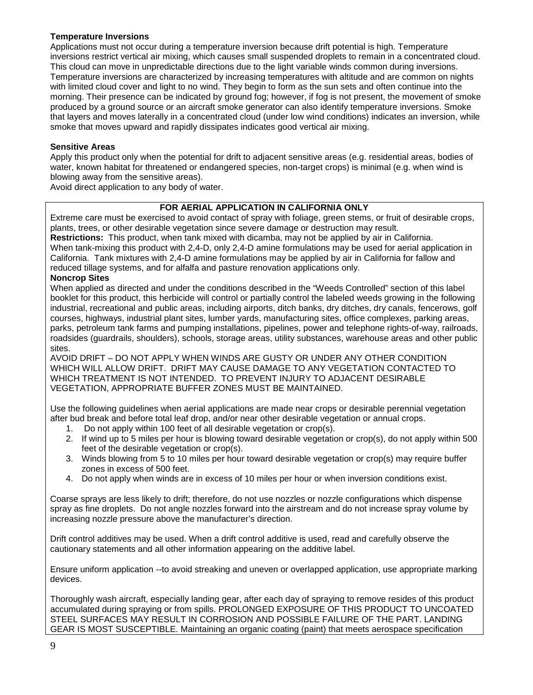# **Temperature Inversions**

Applications must not occur during a temperature inversion because drift potential is high. Temperature inversions restrict vertical air mixing, which causes small suspended droplets to remain in a concentrated cloud. This cloud can move in unpredictable directions due to the light variable winds common during inversions. Temperature inversions are characterized by increasing temperatures with altitude and are common on nights with limited cloud cover and light to no wind. They begin to form as the sun sets and often continue into the morning. Their presence can be indicated by ground fog; however, if fog is not present, the movement of smoke produced by a ground source or an aircraft smoke generator can also identify temperature inversions. Smoke that layers and moves laterally in a concentrated cloud (under low wind conditions) indicates an inversion, while smoke that moves upward and rapidly dissipates indicates good vertical air mixing.

# **Sensitive Areas**

Apply this product only when the potential for drift to adjacent sensitive areas (e.g. residential areas, bodies of water, known habitat for threatened or endangered species, non-target crops) is minimal (e.g. when wind is blowing away from the sensitive areas).

Avoid direct application to any body of water.

# **FOR AERIAL APPLICATION IN CALIFORNIA ONLY**

Extreme care must be exercised to avoid contact of spray with foliage, green stems, or fruit of desirable crops, plants, trees, or other desirable vegetation since severe damage or destruction may result. **Restrictions:** This product, when tank mixed with dicamba, may not be applied by air in California. When tank-mixing this product with 2,4-D, only 2,4-D amine formulations may be used for aerial application in

California. Tank mixtures with 2,4-D amine formulations may be applied by air in California for fallow and reduced tillage systems, and for alfalfa and pasture renovation applications only.

# **Noncrop Sites**

When applied as directed and under the conditions described in the "Weeds Controlled" section of this label booklet for this product, this herbicide will control or partially control the labeled weeds growing in the following industrial, recreational and public areas, including airports, ditch banks, dry ditches, dry canals, fencerows, golf courses, highways, industrial plant sites, lumber yards, manufacturing sites, office complexes, parking areas, parks, petroleum tank farms and pumping installations, pipelines, power and telephone rights-of-way, railroads, roadsides (guardrails, shoulders), schools, storage areas, utility substances, warehouse areas and other public sites.

AVOID DRIFT – DO NOT APPLY WHEN WINDS ARE GUSTY OR UNDER ANY OTHER CONDITION WHICH WILL ALLOW DRIFT. DRIFT MAY CAUSE DAMAGE TO ANY VEGETATION CONTACTED TO WHICH TREATMENT IS NOT INTENDED. TO PREVENT INJURY TO ADJACENT DESIRABLE VEGETATION, APPROPRIATE BUFFER ZONES MUST BE MAINTAINED.

Use the following guidelines when aerial applications are made near crops or desirable perennial vegetation after bud break and before total leaf drop, and/or near other desirable vegetation or annual crops.

- 1. Do not apply within 100 feet of all desirable vegetation or crop(s).
- 2. If wind up to 5 miles per hour is blowing toward desirable vegetation or crop(s), do not apply within 500 feet of the desirable vegetation or crop(s).
- 3. Winds blowing from 5 to 10 miles per hour toward desirable vegetation or crop(s) may require buffer zones in excess of 500 feet.
- 4. Do not apply when winds are in excess of 10 miles per hour or when inversion conditions exist.

Coarse sprays are less likely to drift; therefore, do not use nozzles or nozzle configurations which dispense spray as fine droplets. Do not angle nozzles forward into the airstream and do not increase spray volume by increasing nozzle pressure above the manufacturer's direction.

Drift control additives may be used. When a drift control additive is used, read and carefully observe the cautionary statements and all other information appearing on the additive label.

Ensure uniform application --to avoid streaking and uneven or overlapped application, use appropriate marking devices.

Thoroughly wash aircraft, especially landing gear, after each day of spraying to remove resides of this product accumulated during spraying or from spills. PROLONGED EXPOSURE OF THIS PRODUCT TO UNCOATED STEEL SURFACES MAY RESULT IN CORROSION AND POSSIBLE FAILURE OF THE PART. LANDING GEAR IS MOST SUSCEPTIBLE. Maintaining an organic coating (paint) that meets aerospace specification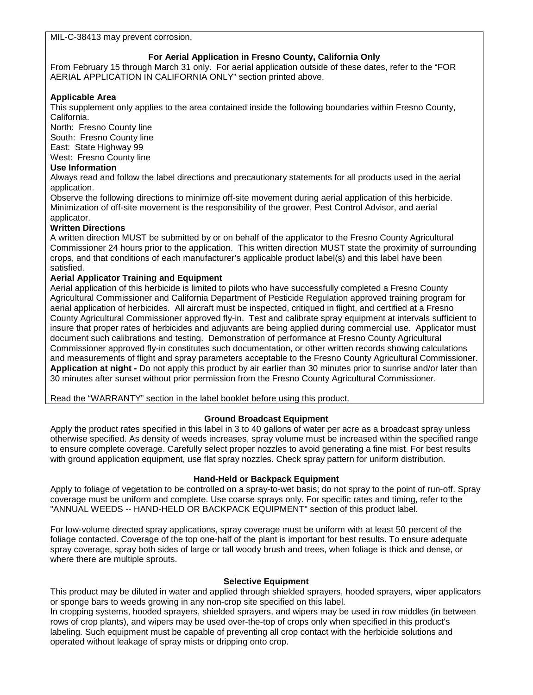MIL-C-38413 may prevent corrosion.

# **For Aerial Application in Fresno County, California Only**

From February 15 through March 31 only. For aerial application outside of these dates, refer to the "FOR AERIAL APPLICATION IN CALIFORNIA ONLY" section printed above.

# **Applicable Area**

This supplement only applies to the area contained inside the following boundaries within Fresno County, California.

North: Fresno County line South: Fresno County line

East: State Highway 99

West: Fresno County line

# **Use Information**

Always read and follow the label directions and precautionary statements for all products used in the aerial application.

Observe the following directions to minimize off-site movement during aerial application of this herbicide. Minimization of off-site movement is the responsibility of the grower, Pest Control Advisor, and aerial applicator.

# **Written Directions**

A written direction MUST be submitted by or on behalf of the applicator to the Fresno County Agricultural Commissioner 24 hours prior to the application. This written direction MUST state the proximity of surrounding crops, and that conditions of each manufacturer's applicable product label(s) and this label have been satisfied.

# **Aerial Applicator Training and Equipment**

Aerial application of this herbicide is limited to pilots who have successfully completed a Fresno County Agricultural Commissioner and California Department of Pesticide Regulation approved training program for aerial application of herbicides. All aircraft must be inspected, critiqued in flight, and certified at a Fresno County Agricultural Commissioner approved fly-in. Test and calibrate spray equipment at intervals sufficient to insure that proper rates of herbicides and adjuvants are being applied during commercial use. Applicator must document such calibrations and testing. Demonstration of performance at Fresno County Agricultural Commissioner approved fly-in constitutes such documentation, or other written records showing calculations and measurements of flight and spray parameters acceptable to the Fresno County Agricultural Commissioner. **Application at night -** Do not apply this product by air earlier than 30 minutes prior to sunrise and/or later than 30 minutes after sunset without prior permission from the Fresno County Agricultural Commissioner.

Read the "WARRANTY" section in the label booklet before using this product.

# **Ground Broadcast Equipment**

Apply the product rates specified in this label in 3 to 40 gallons of water per acre as a broadcast spray unless otherwise specified. As density of weeds increases, spray volume must be increased within the specified range to ensure complete coverage. Carefully select proper nozzles to avoid generating a fine mist. For best results with ground application equipment, use flat spray nozzles. Check spray pattern for uniform distribution.

# **Hand-Held or Backpack Equipment**

Apply to foliage of vegetation to be controlled on a spray-to-wet basis; do not spray to the point of run-off. Spray coverage must be uniform and complete. Use coarse sprays only. For specific rates and timing, refer to the "ANNUAL WEEDS -- HAND-HELD OR BACKPACK EQUIPMENT" section of this product label.

For low-volume directed spray applications, spray coverage must be uniform with at least 50 percent of the foliage contacted. Coverage of the top one-half of the plant is important for best results. To ensure adequate spray coverage, spray both sides of large or tall woody brush and trees, when foliage is thick and dense, or where there are multiple sprouts.

# **Selective Equipment**

This product may be diluted in water and applied through shielded sprayers, hooded sprayers, wiper applicators or sponge bars to weeds growing in any non-crop site specified on this label.

In cropping systems, hooded sprayers, shielded sprayers, and wipers may be used in row middles (in between rows of crop plants), and wipers may be used over-the-top of crops only when specified in this product's labeling. Such equipment must be capable of preventing all crop contact with the herbicide solutions and operated without leakage of spray mists or dripping onto crop.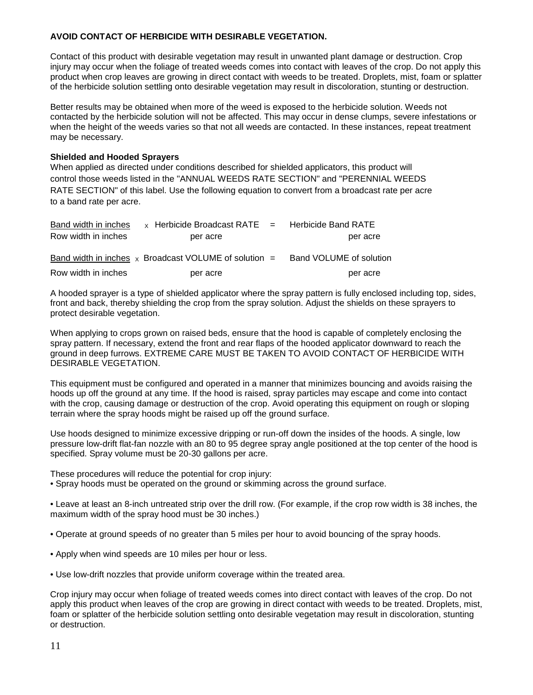# **AVOID CONTACT OF HERBICIDE WITH DESIRABLE VEGETATION.**

Contact of this product with desirable vegetation may result in unwanted plant damage or destruction. Crop injury may occur when the foliage of treated weeds comes into contact with leaves of the crop. Do not apply this product when crop leaves are growing in direct contact with weeds to be treated. Droplets, mist, foam or splatter of the herbicide solution settling onto desirable vegetation may result in discoloration, stunting or destruction.

Better results may be obtained when more of the weed is exposed to the herbicide solution. Weeds not contacted by the herbicide solution will not be affected. This may occur in dense clumps, severe infestations or when the height of the weeds varies so that not all weeds are contacted. In these instances, repeat treatment may be necessary.

# **Shielded and Hooded Sprayers**

When applied as directed under conditions described for shielded applicators, this product will control those weeds listed in the "ANNUAL WEEDS RATE SECTION" and "PERENNIAL WEEDS RATE SECTION" of this label. Use the following equation to convert from a broadcast rate per acre to a band rate per acre.

| Band width in inches | $\times$ Herbicide Broadcast RATE $=$ Herbicide Band RATE  |                         |
|----------------------|------------------------------------------------------------|-------------------------|
| Row width in inches  | per acre                                                   | per acre                |
|                      | Band width in inches $\chi$ Broadcast VOLUME of solution = | Band VOLUME of solution |
| Row width in inches  | per acre                                                   | per acre                |

A hooded sprayer is a type of shielded applicator where the spray pattern is fully enclosed including top, sides, front and back, thereby shielding the crop from the spray solution. Adjust the shields on these sprayers to protect desirable vegetation.

When applying to crops grown on raised beds, ensure that the hood is capable of completely enclosing the spray pattern. If necessary, extend the front and rear flaps of the hooded applicator downward to reach the ground in deep furrows. EXTREME CARE MUST BE TAKEN TO AVOID CONTACT OF HERBICIDE WITH DESIRABLE VEGETATION.

This equipment must be configured and operated in a manner that minimizes bouncing and avoids raising the hoods up off the ground at any time. If the hood is raised, spray particles may escape and come into contact with the crop, causing damage or destruction of the crop. Avoid operating this equipment on rough or sloping terrain where the spray hoods might be raised up off the ground surface.

Use hoods designed to minimize excessive dripping or run-off down the insides of the hoods. A single, low pressure low-drift flat-fan nozzle with an 80 to 95 degree spray angle positioned at the top center of the hood is specified. Spray volume must be 20-30 gallons per acre.

These procedures will reduce the potential for crop injury:

• Spray hoods must be operated on the ground or skimming across the ground surface.

• Leave at least an 8-inch untreated strip over the drill row. (For example, if the crop row width is 38 inches, the maximum width of the spray hood must be 30 inches.)

- Operate at ground speeds of no greater than 5 miles per hour to avoid bouncing of the spray hoods.
- Apply when wind speeds are 10 miles per hour or less.
- Use low-drift nozzles that provide uniform coverage within the treated area.

Crop injury may occur when foliage of treated weeds comes into direct contact with leaves of the crop. Do not apply this product when leaves of the crop are growing in direct contact with weeds to be treated. Droplets, mist, foam or splatter of the herbicide solution settling onto desirable vegetation may result in discoloration, stunting or destruction.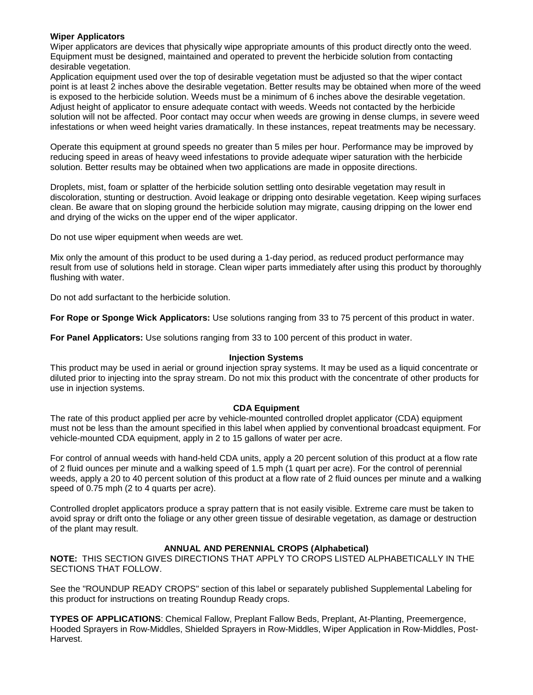### **Wiper Applicators**

Wiper applicators are devices that physically wipe appropriate amounts of this product directly onto the weed. Equipment must be designed, maintained and operated to prevent the herbicide solution from contacting desirable vegetation.

Application equipment used over the top of desirable vegetation must be adjusted so that the wiper contact point is at least 2 inches above the desirable vegetation. Better results may be obtained when more of the weed is exposed to the herbicide solution. Weeds must be a minimum of 6 inches above the desirable vegetation. Adjust height of applicator to ensure adequate contact with weeds. Weeds not contacted by the herbicide solution will not be affected. Poor contact may occur when weeds are growing in dense clumps, in severe weed infestations or when weed height varies dramatically. In these instances, repeat treatments may be necessary.

Operate this equipment at ground speeds no greater than 5 miles per hour. Performance may be improved by reducing speed in areas of heavy weed infestations to provide adequate wiper saturation with the herbicide solution. Better results may be obtained when two applications are made in opposite directions.

Droplets, mist, foam or splatter of the herbicide solution settling onto desirable vegetation may result in discoloration, stunting or destruction. Avoid leakage or dripping onto desirable vegetation. Keep wiping surfaces clean. Be aware that on sloping ground the herbicide solution may migrate, causing dripping on the lower end and drying of the wicks on the upper end of the wiper applicator.

Do not use wiper equipment when weeds are wet.

Mix only the amount of this product to be used during a 1-day period, as reduced product performance may result from use of solutions held in storage. Clean wiper parts immediately after using this product by thoroughly flushing with water.

Do not add surfactant to the herbicide solution.

**For Rope or Sponge Wick Applicators:** Use solutions ranging from 33 to 75 percent of this product in water.

**For Panel Applicators:** Use solutions ranging from 33 to 100 percent of this product in water.

#### **Injection Systems**

This product may be used in aerial or ground injection spray systems. It may be used as a liquid concentrate or diluted prior to injecting into the spray stream. Do not mix this product with the concentrate of other products for use in injection systems.

# **CDA Equipment**

The rate of this product applied per acre by vehicle-mounted controlled droplet applicator (CDA) equipment must not be less than the amount specified in this label when applied by conventional broadcast equipment. For vehicle-mounted CDA equipment, apply in 2 to 15 gallons of water per acre.

For control of annual weeds with hand-held CDA units, apply a 20 percent solution of this product at a flow rate of 2 fluid ounces per minute and a walking speed of 1.5 mph (1 quart per acre). For the control of perennial weeds, apply a 20 to 40 percent solution of this product at a flow rate of 2 fluid ounces per minute and a walking speed of 0.75 mph (2 to 4 quarts per acre).

Controlled droplet applicators produce a spray pattern that is not easily visible. Extreme care must be taken to avoid spray or drift onto the foliage or any other green tissue of desirable vegetation, as damage or destruction of the plant may result.

# **ANNUAL AND PERENNIAL CROPS (Alphabetical)**

**NOTE:** THIS SECTION GIVES DIRECTIONS THAT APPLY TO CROPS LISTED ALPHABETICALLY IN THE SECTIONS THAT FOLLOW.

See the "ROUNDUP READY CROPS" section of this label or separately published Supplemental Labeling for this product for instructions on treating Roundup Ready crops.

**TYPES OF APPLICATIONS**: Chemical Fallow, Preplant Fallow Beds, Preplant, At-Planting, Preemergence, Hooded Sprayers in Row-Middles, Shielded Sprayers in Row-Middles, Wiper Application in Row-Middles, Post-Harvest.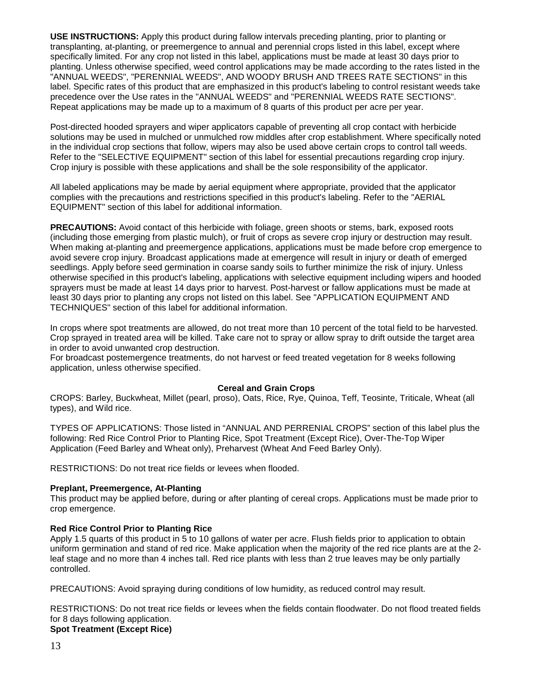**USE INSTRUCTIONS:** Apply this product during fallow intervals preceding planting, prior to planting or transplanting, at-planting, or preemergence to annual and perennial crops listed in this label, except where specifically limited. For any crop not listed in this label, applications must be made at least 30 days prior to planting. Unless otherwise specified, weed control applications may be made according to the rates listed in the "ANNUAL WEEDS", "PERENNIAL WEEDS", AND WOODY BRUSH AND TREES RATE SECTIONS" in this label. Specific rates of this product that are emphasized in this product's labeling to control resistant weeds take precedence over the Use rates in the "ANNUAL WEEDS" and "PERENNIAL WEEDS RATE SECTIONS". Repeat applications may be made up to a maximum of 8 quarts of this product per acre per year.

Post-directed hooded sprayers and wiper applicators capable of preventing all crop contact with herbicide solutions may be used in mulched or unmulched row middles after crop establishment. Where specifically noted in the individual crop sections that follow, wipers may also be used above certain crops to control tall weeds. Refer to the "SELECTIVE EQUIPMENT" section of this label for essential precautions regarding crop injury. Crop injury is possible with these applications and shall be the sole responsibility of the applicator.

All labeled applications may be made by aerial equipment where appropriate, provided that the applicator complies with the precautions and restrictions specified in this product's labeling. Refer to the "AERIAL EQUIPMENT" section of this label for additional information.

**PRECAUTIONS:** Avoid contact of this herbicide with foliage, green shoots or stems, bark, exposed roots (including those emerging from plastic mulch), or fruit of crops as severe crop injury or destruction may result. When making at-planting and preemergence applications, applications must be made before crop emergence to avoid severe crop injury. Broadcast applications made at emergence will result in injury or death of emerged seedlings. Apply before seed germination in coarse sandy soils to further minimize the risk of injury. Unless otherwise specified in this product's labeling, applications with selective equipment including wipers and hooded sprayers must be made at least 14 days prior to harvest. Post-harvest or fallow applications must be made at least 30 days prior to planting any crops not listed on this label. See "APPLICATION EQUIPMENT AND TECHNIQUES" section of this label for additional information.

In crops where spot treatments are allowed, do not treat more than 10 percent of the total field to be harvested. Crop sprayed in treated area will be killed. Take care not to spray or allow spray to drift outside the target area in order to avoid unwanted crop destruction.

For broadcast postemergence treatments, do not harvest or feed treated vegetation for 8 weeks following application, unless otherwise specified.

#### **Cereal and Grain Crops**

CROPS: Barley, Buckwheat, Millet (pearl, proso), Oats, Rice, Rye, Quinoa, Teff, Teosinte, Triticale, Wheat (all types), and Wild rice.

TYPES OF APPLICATIONS: Those listed in "ANNUAL AND PERRENIAL CROPS" section of this label plus the following: Red Rice Control Prior to Planting Rice, Spot Treatment (Except Rice), Over-The-Top Wiper Application (Feed Barley and Wheat only), Preharvest (Wheat And Feed Barley Only).

RESTRICTIONS: Do not treat rice fields or levees when flooded.

#### **Preplant, Preemergence, At-Planting**

This product may be applied before, during or after planting of cereal crops. Applications must be made prior to crop emergence.

#### **Red Rice Control Prior to Planting Rice**

Apply 1.5 quarts of this product in 5 to 10 gallons of water per acre. Flush fields prior to application to obtain uniform germination and stand of red rice. Make application when the majority of the red rice plants are at the 2 leaf stage and no more than 4 inches tall. Red rice plants with less than 2 true leaves may be only partially controlled.

PRECAUTIONS: Avoid spraying during conditions of low humidity, as reduced control may result.

RESTRICTIONS: Do not treat rice fields or levees when the fields contain floodwater. Do not flood treated fields for 8 days following application.

# **Spot Treatment (Except Rice)**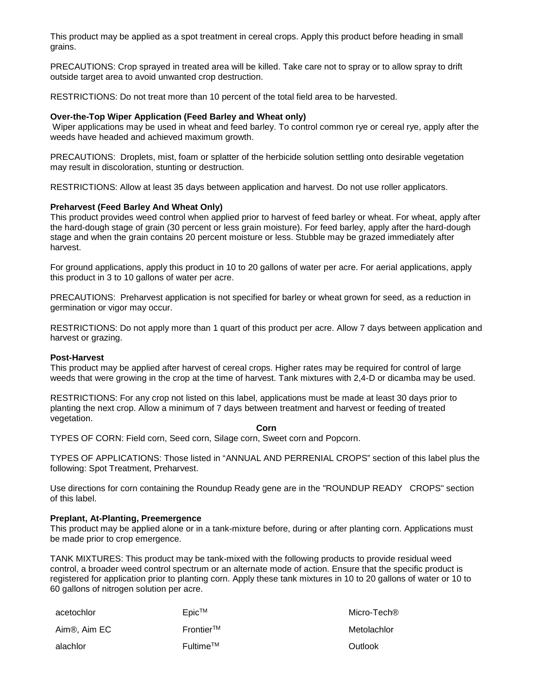This product may be applied as a spot treatment in cereal crops. Apply this product before heading in small grains.

PRECAUTIONS: Crop sprayed in treated area will be killed. Take care not to spray or to allow spray to drift outside target area to avoid unwanted crop destruction.

RESTRICTIONS: Do not treat more than 10 percent of the total field area to be harvested.

#### **Over-the-Top Wiper Application (Feed Barley and Wheat only)**

Wiper applications may be used in wheat and feed barley. To control common rye or cereal rye, apply after the weeds have headed and achieved maximum growth.

PRECAUTIONS: Droplets, mist, foam or splatter of the herbicide solution settling onto desirable vegetation may result in discoloration, stunting or destruction.

RESTRICTIONS: Allow at least 35 days between application and harvest. Do not use roller applicators.

#### **Preharvest (Feed Barley And Wheat Only)**

This product provides weed control when applied prior to harvest of feed barley or wheat. For wheat, apply after the hard-dough stage of grain (30 percent or less grain moisture). For feed barley, apply after the hard-dough stage and when the grain contains 20 percent moisture or less. Stubble may be grazed immediately after harvest.

For ground applications, apply this product in 10 to 20 gallons of water per acre. For aerial applications, apply this product in 3 to 10 gallons of water per acre.

PRECAUTIONS: Preharvest application is not specified for barley or wheat grown for seed, as a reduction in germination or vigor may occur.

RESTRICTIONS: Do not apply more than 1 quart of this product per acre. Allow 7 days between application and harvest or grazing.

#### **Post-Harvest**

This product may be applied after harvest of cereal crops. Higher rates may be required for control of large weeds that were growing in the crop at the time of harvest. Tank mixtures with 2,4-D or dicamba may be used.

RESTRICTIONS: For any crop not listed on this label, applications must be made at least 30 days prior to planting the next crop. Allow a minimum of 7 days between treatment and harvest or feeding of treated vegetation.

**Corn**

TYPES OF CORN: Field corn, Seed corn, Silage corn, Sweet corn and Popcorn.

TYPES OF APPLICATIONS: Those listed in "ANNUAL AND PERRENIAL CROPS" section of this label plus the following: Spot Treatment, Preharvest.

Use directions for corn containing the Roundup Ready gene are in the "ROUNDUP READY CROPS" section of this label.

#### **Preplant, At-Planting, Preemergence**

This product may be applied alone or in a tank-mixture before, during or after planting corn. Applications must be made prior to crop emergence.

TANK MIXTURES: This product may be tank-mixed with the following products to provide residual weed control, a broader weed control spectrum or an alternate mode of action. Ensure that the specific product is registered for application prior to planting corn. Apply these tank mixtures in 10 to 20 gallons of water or 10 to 60 gallons of nitrogen solution per acre.

| acetochlor   | Epic <sup>™</sup>        | Micro-Tech® |
|--------------|--------------------------|-------------|
| Aim®, Aim EC | $Frontier^{TM}$          | Metolachlor |
| alachlor     | $F$ ultime <sup>TM</sup> | Outlook     |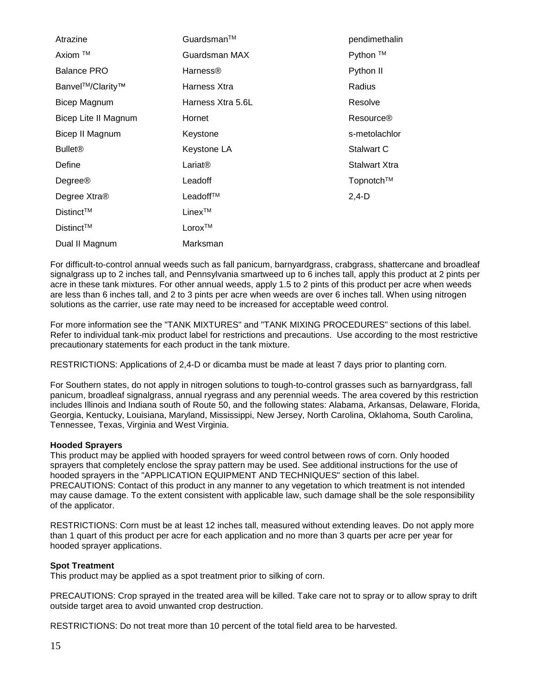| Atrazine                  | Guardsman™           | pendimethalin    |
|---------------------------|----------------------|------------------|
| Axiom ™                   | Guardsman MAX        | Python ™         |
| <b>Balance PRO</b>        | Harness <sup>®</sup> | Python II        |
| Banvel™/Clarity™          | Harness Xtra         | Radius           |
| Bicep Magnum              | Harness Xtra 5.6L    | Resolve          |
| Bicep Lite II Magnum      | Hornet               | <b>Resource®</b> |
| Bicep II Magnum           | Keystone             | s-metolachlor    |
| <b>Bullet<sup>®</sup></b> | Keystone LA          | Stalwart C       |
| Define                    | $Lariat\otimes$      | Stalwart Xtra    |
| Degree®                   | Leadoff              | Topnotch™        |
| Degree Xtra®              | Leadoff™             | $2,4-D$          |
| Distinct™                 | $Linex^{TM}$         |                  |
| $Distinct^{TM}$           | Lorox™               |                  |
| Dual II Magnum            | Marksman             |                  |

For difficult-to-control annual weeds such as fall panicum, barnyardgrass, crabgrass, shattercane and broadleaf signalgrass up to 2 inches tall, and Pennsylvania smartweed up to 6 inches tall, apply this product at 2 pints per acre in these tank mixtures. For other annual weeds, apply 1.5 to 2 pints of this product per acre when weeds are less than 6 inches tall, and 2 to 3 pints per acre when weeds are over 6 inches tall. When using nitrogen solutions as the carrier, use rate may need to be increased for acceptable weed control.

For more information see the "TANK MIXTURES" and "TANK MIXING PROCEDURES" sections of this label. Refer to individual tank-mix product label for restrictions and precautions. Use according to the most restrictive precautionary statements for each product in the tank mixture.

RESTRICTIONS: Applications of 2,4-D or dicamba must be made at least 7 days prior to planting corn.

For Southern states, do not apply in nitrogen solutions to tough-to-control grasses such as barnyardgrass, fall panicum, broadleaf signalgrass, annual ryegrass and any perennial weeds. The area covered by this restriction includes Illinois and Indiana south of Route 50, and the following states: Alabama, Arkansas, Delaware, Florida, Georgia, Kentucky, Louisiana, Maryland, Mississippi, New Jersey, North Carolina, Oklahoma, South Carolina, Tennessee, Texas, Virginia and West Virginia.

#### **Hooded Sprayers**

This product may be applied with hooded sprayers for weed control between rows of corn. Only hooded sprayers that completely enclose the spray pattern may be used. See additional instructions for the use of hooded sprayers in the "APPLICATION EQUIPMENT AND TECHNIQUES" section of this label. PRECAUTIONS: Contact of this product in any manner to any vegetation to which treatment is not intended may cause damage. To the extent consistent with applicable law, such damage shall be the sole responsibility of the applicator.

RESTRICTIONS: Corn must be at least 12 inches tall, measured without extending leaves. Do not apply more than 1 quart of this product per acre for each application and no more than 3 quarts per acre per year for hooded sprayer applications.

# **Spot Treatment**

This product may be applied as a spot treatment prior to silking of corn.

PRECAUTIONS: Crop sprayed in the treated area will be killed. Take care not to spray or to allow spray to drift outside target area to avoid unwanted crop destruction.

RESTRICTIONS: Do not treat more than 10 percent of the total field area to be harvested.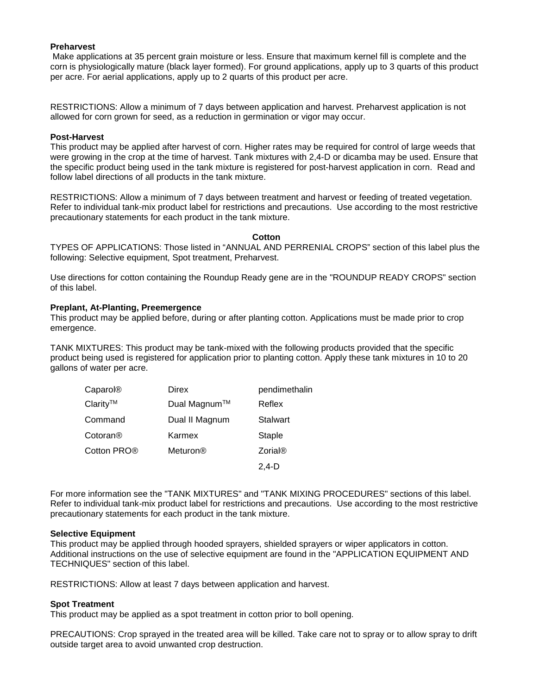#### **Preharvest**

Make applications at 35 percent grain moisture or less. Ensure that maximum kernel fill is complete and the corn is physiologically mature (black layer formed). For ground applications, apply up to 3 quarts of this product per acre. For aerial applications, apply up to 2 quarts of this product per acre.

RESTRICTIONS: Allow a minimum of 7 days between application and harvest. Preharvest application is not allowed for corn grown for seed, as a reduction in germination or vigor may occur.

#### **Post-Harvest**

This product may be applied after harvest of corn. Higher rates may be required for control of large weeds that were growing in the crop at the time of harvest. Tank mixtures with 2,4-D or dicamba may be used. Ensure that the specific product being used in the tank mixture is registered for post-harvest application in corn. Read and follow label directions of all products in the tank mixture.

RESTRICTIONS: Allow a minimum of 7 days between treatment and harvest or feeding of treated vegetation. Refer to individual tank-mix product label for restrictions and precautions. Use according to the most restrictive precautionary statements for each product in the tank mixture.

#### **Cotton**

TYPES OF APPLICATIONS: Those listed in "ANNUAL AND PERRENIAL CROPS" section of this label plus the following: Selective equipment, Spot treatment, Preharvest.

Use directions for cotton containing the Roundup Ready gene are in the "ROUNDUP READY CROPS" section of this label.

#### **Preplant, At-Planting, Preemergence**

This product may be applied before, during or after planting cotton. Applications must be made prior to crop emergence.

TANK MIXTURES: This product may be tank-mixed with the following products provided that the specific product being used is registered for application prior to planting cotton. Apply these tank mixtures in 10 to 20 gallons of water per acre.

| Caparol®                | Direx          | pendimethalin   |
|-------------------------|----------------|-----------------|
| Clarity™                | Dual Magnum™   | Reflex          |
| Command                 | Dual II Magnum | <b>Stalwart</b> |
| Cotoran <sup>®</sup>    | Karmex         | Staple          |
| Cotton PRO <sup>®</sup> | Meturon®       | <b>Zorial®</b>  |
|                         |                | 2.4-D           |

For more information see the "TANK MIXTURES" and "TANK MIXING PROCEDURES" sections of this label. Refer to individual tank-mix product label for restrictions and precautions. Use according to the most restrictive precautionary statements for each product in the tank mixture.

#### **Selective Equipment**

This product may be applied through hooded sprayers, shielded sprayers or wiper applicators in cotton. Additional instructions on the use of selective equipment are found in the "APPLICATION EQUIPMENT AND TECHNIQUES" section of this label.

RESTRICTIONS: Allow at least 7 days between application and harvest.

#### **Spot Treatment**

This product may be applied as a spot treatment in cotton prior to boll opening.

PRECAUTIONS: Crop sprayed in the treated area will be killed. Take care not to spray or to allow spray to drift outside target area to avoid unwanted crop destruction.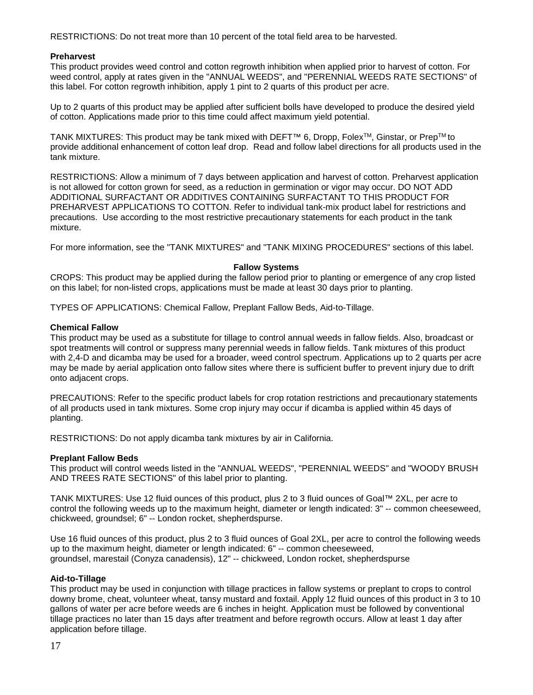RESTRICTIONS: Do not treat more than 10 percent of the total field area to be harvested.

# **Preharvest**

This product provides weed control and cotton regrowth inhibition when applied prior to harvest of cotton. For weed control, apply at rates given in the "ANNUAL WEEDS", and "PERENNIAL WEEDS RATE SECTIONS" of this label. For cotton regrowth inhibition, apply 1 pint to 2 quarts of this product per acre.

Up to 2 quarts of this product may be applied after sufficient bolls have developed to produce the desired yield of cotton. Applications made prior to this time could affect maximum yield potential.

TANK MIXTURES: This product may be tank mixed with DEFT™ 6, Dropp, FolexTM, Ginstar, or PrepTM to provide additional enhancement of cotton leaf drop. Read and follow label directions for all products used in the tank mixture.

RESTRICTIONS: Allow a minimum of 7 days between application and harvest of cotton. Preharvest application is not allowed for cotton grown for seed, as a reduction in germination or vigor may occur. DO NOT ADD ADDITIONAL SURFACTANT OR ADDITIVES CONTAINING SURFACTANT TO THIS PRODUCT FOR PREHARVEST APPLICATIONS TO COTTON. Refer to individual tank-mix product label for restrictions and precautions. Use according to the most restrictive precautionary statements for each product in the tank mixture.

For more information, see the "TANK MIXTURES" and "TANK MIXING PROCEDURES" sections of this label.

# **Fallow Systems**

CROPS: This product may be applied during the fallow period prior to planting or emergence of any crop listed on this label; for non-listed crops, applications must be made at least 30 days prior to planting.

TYPES OF APPLICATIONS: Chemical Fallow, Preplant Fallow Beds, Aid-to-Tillage.

#### **Chemical Fallow**

This product may be used as a substitute for tillage to control annual weeds in fallow fields. Also, broadcast or spot treatments will control or suppress many perennial weeds in fallow fields. Tank mixtures of this product with 2,4-D and dicamba may be used for a broader, weed control spectrum. Applications up to 2 quarts per acre may be made by aerial application onto fallow sites where there is sufficient buffer to prevent injury due to drift onto adjacent crops.

PRECAUTIONS: Refer to the specific product labels for crop rotation restrictions and precautionary statements of all products used in tank mixtures. Some crop injury may occur if dicamba is applied within 45 days of planting.

RESTRICTIONS: Do not apply dicamba tank mixtures by air in California.

#### **Preplant Fallow Beds**

This product will control weeds listed in the "ANNUAL WEEDS", "PERENNIAL WEEDS" and "WOODY BRUSH AND TREES RATE SECTIONS" of this label prior to planting.

TANK MIXTURES: Use 12 fluid ounces of this product, plus 2 to 3 fluid ounces of Goal™ 2XL, per acre to control the following weeds up to the maximum height, diameter or length indicated: 3" -- common cheeseweed, chickweed, groundsel; 6" -- London rocket, shepherdspurse.

Use 16 fluid ounces of this product, plus 2 to 3 fluid ounces of Goal 2XL, per acre to control the following weeds up to the maximum height, diameter or length indicated: 6" -- common cheeseweed, groundsel, marestail (Conyza canadensis), 12" -- chickweed, London rocket, shepherdspurse

# **Aid-to-Tillage**

This product may be used in conjunction with tillage practices in fallow systems or preplant to crops to control downy brome, cheat, volunteer wheat, tansy mustard and foxtail. Apply 12 fluid ounces of this product in 3 to 10 gallons of water per acre before weeds are 6 inches in height. Application must be followed by conventional tillage practices no later than 15 days after treatment and before regrowth occurs. Allow at least 1 day after application before tillage.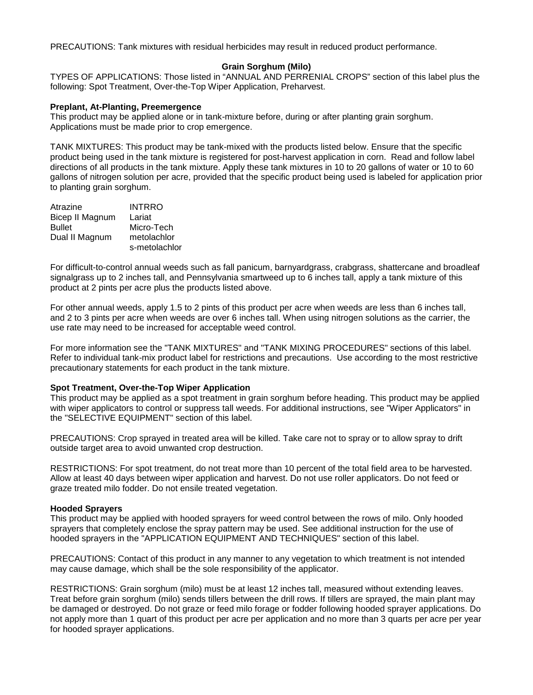PRECAUTIONS: Tank mixtures with residual herbicides may result in reduced product performance.

#### **Grain Sorghum (Milo)**

TYPES OF APPLICATIONS: Those listed in "ANNUAL AND PERRENIAL CROPS" section of this label plus the following: Spot Treatment, Over-the-Top Wiper Application, Preharvest.

#### **Preplant, At-Planting, Preemergence**

This product may be applied alone or in tank-mixture before, during or after planting grain sorghum. Applications must be made prior to crop emergence.

TANK MIXTURES: This product may be tank-mixed with the products listed below. Ensure that the specific product being used in the tank mixture is registered for post-harvest application in corn. Read and follow label directions of all products in the tank mixture. Apply these tank mixtures in 10 to 20 gallons of water or 10 to 60 gallons of nitrogen solution per acre, provided that the specific product being used is labeled for application prior to planting grain sorghum.

| metolachlor   |
|---------------|
| s-metolachlor |
|               |

For difficult-to-control annual weeds such as fall panicum, barnyardgrass, crabgrass, shattercane and broadleaf signalgrass up to 2 inches tall, and Pennsylvania smartweed up to 6 inches tall, apply a tank mixture of this product at 2 pints per acre plus the products listed above.

For other annual weeds, apply 1.5 to 2 pints of this product per acre when weeds are less than 6 inches tall, and 2 to 3 pints per acre when weeds are over 6 inches tall. When using nitrogen solutions as the carrier, the use rate may need to be increased for acceptable weed control.

For more information see the "TANK MIXTURES" and "TANK MIXING PROCEDURES" sections of this label. Refer to individual tank-mix product label for restrictions and precautions. Use according to the most restrictive precautionary statements for each product in the tank mixture.

#### **Spot Treatment, Over-the-Top Wiper Application**

This product may be applied as a spot treatment in grain sorghum before heading. This product may be applied with wiper applicators to control or suppress tall weeds. For additional instructions, see "Wiper Applicators" in the "SELECTIVE EQUIPMENT" section of this label.

PRECAUTIONS: Crop sprayed in treated area will be killed. Take care not to spray or to allow spray to drift outside target area to avoid unwanted crop destruction.

RESTRICTIONS: For spot treatment, do not treat more than 10 percent of the total field area to be harvested. Allow at least 40 days between wiper application and harvest. Do not use roller applicators. Do not feed or graze treated milo fodder. Do not ensile treated vegetation.

#### **Hooded Sprayers**

This product may be applied with hooded sprayers for weed control between the rows of milo. Only hooded sprayers that completely enclose the spray pattern may be used. See additional instruction for the use of hooded sprayers in the "APPLICATION EQUIPMENT AND TECHNIQUES" section of this label.

PRECAUTIONS: Contact of this product in any manner to any vegetation to which treatment is not intended may cause damage, which shall be the sole responsibility of the applicator.

RESTRICTIONS: Grain sorghum (milo) must be at least 12 inches tall, measured without extending leaves. Treat before grain sorghum (milo) sends tillers between the drill rows. If tillers are sprayed, the main plant may be damaged or destroyed. Do not graze or feed milo forage or fodder following hooded sprayer applications. Do not apply more than 1 quart of this product per acre per application and no more than 3 quarts per acre per year for hooded sprayer applications.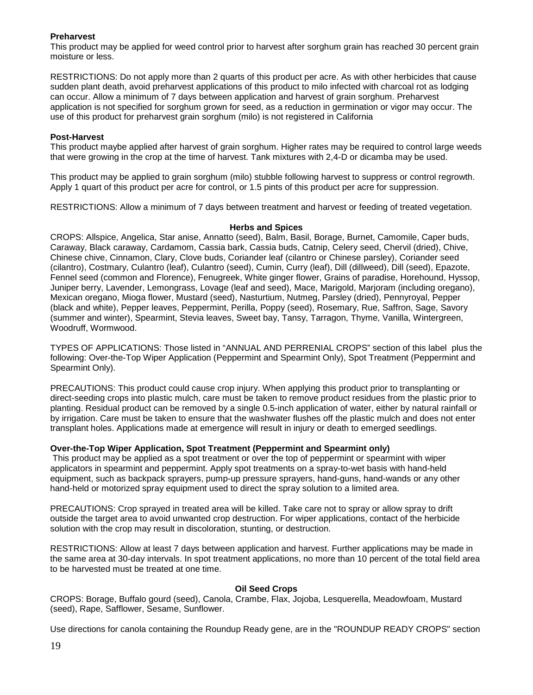# **Preharvest**

This product may be applied for weed control prior to harvest after sorghum grain has reached 30 percent grain moisture or less.

RESTRICTIONS: Do not apply more than 2 quarts of this product per acre. As with other herbicides that cause sudden plant death, avoid preharvest applications of this product to milo infected with charcoal rot as lodging can occur. Allow a minimum of 7 days between application and harvest of grain sorghum. Preharvest application is not specified for sorghum grown for seed, as a reduction in germination or vigor may occur. The use of this product for preharvest grain sorghum (milo) is not registered in California

# **Post-Harvest**

This product maybe applied after harvest of grain sorghum. Higher rates may be required to control large weeds that were growing in the crop at the time of harvest. Tank mixtures with 2,4-D or dicamba may be used.

This product may be applied to grain sorghum (milo) stubble following harvest to suppress or control regrowth. Apply 1 quart of this product per acre for control, or 1.5 pints of this product per acre for suppression.

RESTRICTIONS: Allow a minimum of 7 days between treatment and harvest or feeding of treated vegetation.

#### **Herbs and Spices**

CROPS: Allspice, Angelica, Star anise, Annatto (seed), Balm, Basil, Borage, Burnet, Camomile, Caper buds, Caraway, Black caraway, Cardamom, Cassia bark, Cassia buds, Catnip, Celery seed, Chervil (dried), Chive, Chinese chive, Cinnamon, Clary, Clove buds, Coriander leaf (cilantro or Chinese parsley), Coriander seed (cilantro), Costmary, Culantro (leaf), Culantro (seed), Cumin, Curry (leaf), Dill (dillweed), Dill (seed), Epazote, Fennel seed (common and Florence), Fenugreek, White ginger flower, Grains of paradise, Horehound, Hyssop, Juniper berry, Lavender, Lemongrass, Lovage (leaf and seed), Mace, Marigold, Marjoram (including oregano), Mexican oregano, Mioga flower, Mustard (seed), Nasturtium, Nutmeg, Parsley (dried), Pennyroyal, Pepper (black and white), Pepper leaves, Peppermint, Perilla, Poppy (seed), Rosemary, Rue, Saffron, Sage, Savory (summer and winter), Spearmint, Stevia leaves, Sweet bay, Tansy, Tarragon, Thyme, Vanilla, Wintergreen, Woodruff, Wormwood.

TYPES OF APPLICATIONS: Those listed in "ANNUAL AND PERRENIAL CROPS" section of this label plus the following: Over-the-Top Wiper Application (Peppermint and Spearmint Only), Spot Treatment (Peppermint and Spearmint Only).

PRECAUTIONS: This product could cause crop injury. When applying this product prior to transplanting or direct-seeding crops into plastic mulch, care must be taken to remove product residues from the plastic prior to planting. Residual product can be removed by a single 0.5-inch application of water, either by natural rainfall or by irrigation. Care must be taken to ensure that the washwater flushes off the plastic mulch and does not enter transplant holes. Applications made at emergence will result in injury or death to emerged seedlings.

# **Over-the-Top Wiper Application, Spot Treatment (Peppermint and Spearmint only)**

This product may be applied as a spot treatment or over the top of peppermint or spearmint with wiper applicators in spearmint and peppermint. Apply spot treatments on a spray-to-wet basis with hand-held equipment, such as backpack sprayers, pump-up pressure sprayers, hand-guns, hand-wands or any other hand-held or motorized spray equipment used to direct the spray solution to a limited area.

PRECAUTIONS: Crop sprayed in treated area will be killed. Take care not to spray or allow spray to drift outside the target area to avoid unwanted crop destruction. For wiper applications, contact of the herbicide solution with the crop may result in discoloration, stunting, or destruction.

RESTRICTIONS: Allow at least 7 days between application and harvest. Further applications may be made in the same area at 30-day intervals. In spot treatment applications, no more than 10 percent of the total field area to be harvested must be treated at one time.

#### **Oil Seed Crops**

CROPS: Borage, Buffalo gourd (seed), Canola, Crambe, Flax, Jojoba, Lesquerella, Meadowfoam, Mustard (seed), Rape, Safflower, Sesame, Sunflower.

Use directions for canola containing the Roundup Ready gene, are in the "ROUNDUP READY CROPS" section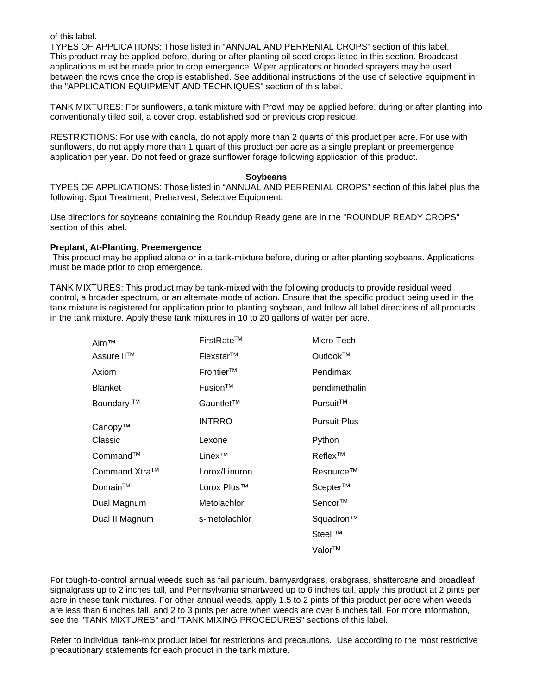of this label.

TYPES OF APPLICATIONS: Those listed in "ANNUAL AND PERRENIAL CROPS" section of this label. This product may be applied before, during or after planting oil seed crops listed in this section. Broadcast applications must be made prior to crop emergence. Wiper applicators or hooded sprayers may be used between the rows once the crop is established. See additional instructions of the use of selective equipment in the "APPLICATION EQUIPMENT AND TECHNIQUES" section of this label.

TANK MIXTURES: For sunflowers, a tank mixture with Prowl may be applied before, during or after planting into conventionally tilled soil, a cover crop, established sod or previous crop residue.

RESTRICTIONS: For use with canola, do not apply more than 2 quarts of this product per acre. For use with sunflowers, do not apply more than 1 quart of this product per acre as a single preplant or preemergence application per year. Do not feed or graze sunflower forage following application of this product.

#### **Soybeans**

TYPES OF APPLICATIONS: Those listed in "ANNUAL AND PERRENIAL CROPS" section of this label plus the following: Spot Treatment, Preharvest, Selective Equipment.

Use directions for soybeans containing the Roundup Ready gene are in the "ROUNDUP READY CROPS" section of this label.

#### **Preplant, At-Planting, Preemergence**

This product may be applied alone or in a tank-mixture before, during or after planting soybeans. Applications must be made prior to crop emergence.

TANK MIXTURES: This product may be tank-mixed with the following products to provide residual weed control, a broader spectrum, or an alternate mode of action. Ensure that the specific product being used in the tank mixture is registered for application prior to planting soybean, and follow all label directions of all products in the tank mixture. Apply these tank mixtures in 10 to 20 gallons of water per acre.

| Aim™                  | FirstRate™              | Micro-Tech          |
|-----------------------|-------------------------|---------------------|
| Assure II™            | Flexstar™               | Outlook™            |
| Axiom                 | $Frontier^{TM}$         | Pendimax            |
| <b>Blanket</b>        | Fusion™                 | pendimethalin       |
| Boundary <sup>™</sup> | Gauntlet™               | Pursuit™            |
| Canopy™               | <b>INTRRO</b>           | <b>Pursuit Plus</b> |
| Classic               | Lexone                  | Python              |
| Command™              | Linex™                  | Reflex™             |
| Command Xtra™         | Lorox/Linuron           | Resource™           |
| Domain™               | Lorox Plus <sup>™</sup> | Scepter™            |
| Dual Magnum           | Metolachlor             | Sencor™             |
| Dual II Magnum        | s-metolachlor           | Squadron™           |
|                       |                         | Steel ™             |
|                       |                         | Valor™              |

For tough-to-control annual weeds such as fail panicum, barnyardgrass, crabgrass, shattercane and broadleaf signalgrass up to 2 inches tall, and Pennsylvania smartweed up to 6 inches tail, apply this product at 2 pints per acre in these tank mixtures. For other annual weeds, apply 1.5 to 2 pints of this product per acre when weeds are less than 6 inches tall, and 2 to 3 pints per acre when weeds are over 6 inches tall. For more information, see the "TANK MIXTURES" and "TANK MIXING PROCEDURES" sections of this label.

Refer to individual tank-mix product label for restrictions and precautions. Use according to the most restrictive precautionary statements for each product in the tank mixture.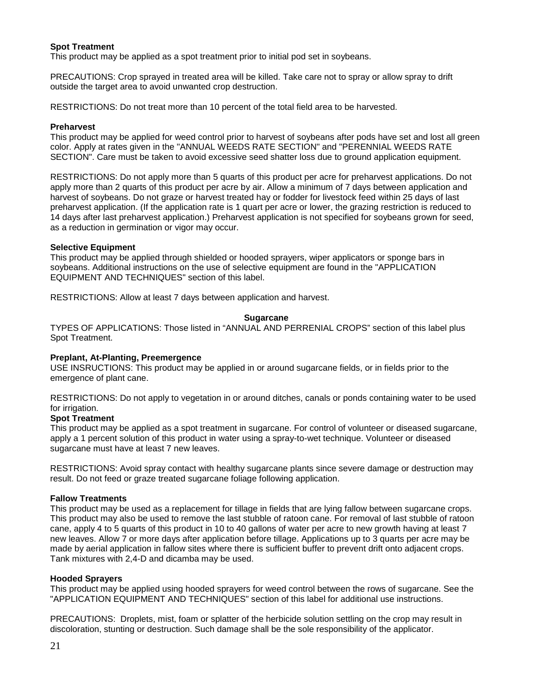# **Spot Treatment**

This product may be applied as a spot treatment prior to initial pod set in soybeans.

PRECAUTIONS: Crop sprayed in treated area will be killed. Take care not to spray or allow spray to drift outside the target area to avoid unwanted crop destruction.

RESTRICTIONS: Do not treat more than 10 percent of the total field area to be harvested.

#### **Preharvest**

This product may be applied for weed control prior to harvest of soybeans after pods have set and lost all green color. Apply at rates given in the "ANNUAL WEEDS RATE SECTION" and "PERENNIAL WEEDS RATE SECTION". Care must be taken to avoid excessive seed shatter loss due to ground application equipment.

RESTRICTIONS: Do not apply more than 5 quarts of this product per acre for preharvest applications. Do not apply more than 2 quarts of this product per acre by air. Allow a minimum of 7 days between application and harvest of soybeans. Do not graze or harvest treated hay or fodder for livestock feed within 25 days of last preharvest application. (If the application rate is 1 quart per acre or lower, the grazing restriction is reduced to 14 days after last preharvest application.) Preharvest application is not specified for soybeans grown for seed, as a reduction in germination or vigor may occur.

#### **Selective Equipment**

This product may be applied through shielded or hooded sprayers, wiper applicators or sponge bars in soybeans. Additional instructions on the use of selective equipment are found in the "APPLICATION EQUIPMENT AND TECHNIQUES" section of this label.

RESTRICTIONS: Allow at least 7 days between application and harvest.

#### **Sugarcane**

TYPES OF APPLICATIONS: Those listed in "ANNUAL AND PERRENIAL CROPS" section of this label plus Spot Treatment.

#### **Preplant, At-Planting, Preemergence**

USE INSRUCTIONS: This product may be applied in or around sugarcane fields, or in fields prior to the emergence of plant cane.

RESTRICTIONS: Do not apply to vegetation in or around ditches, canals or ponds containing water to be used for irrigation.

#### **Spot Treatment**

This product may be applied as a spot treatment in sugarcane. For control of volunteer or diseased sugarcane, apply a 1 percent solution of this product in water using a spray-to-wet technique. Volunteer or diseased sugarcane must have at least 7 new leaves.

RESTRICTIONS: Avoid spray contact with healthy sugarcane plants since severe damage or destruction may result. Do not feed or graze treated sugarcane foliage following application.

#### **Fallow Treatments**

This product may be used as a replacement for tillage in fields that are lying fallow between sugarcane crops. This product may also be used to remove the last stubble of ratoon cane. For removal of last stubble of ratoon cane, apply 4 to 5 quarts of this product in 10 to 40 gallons of water per acre to new growth having at least 7 new leaves. Allow 7 or more days after application before tillage. Applications up to 3 quarts per acre may be made by aerial application in fallow sites where there is sufficient buffer to prevent drift onto adjacent crops. Tank mixtures with 2,4-D and dicamba may be used.

#### **Hooded Sprayers**

This product may be applied using hooded sprayers for weed control between the rows of sugarcane. See the "APPLICATION EQUIPMENT AND TECHNIQUES" section of this label for additional use instructions.

PRECAUTIONS: Droplets, mist, foam or splatter of the herbicide solution settling on the crop may result in discoloration, stunting or destruction. Such damage shall be the sole responsibility of the applicator.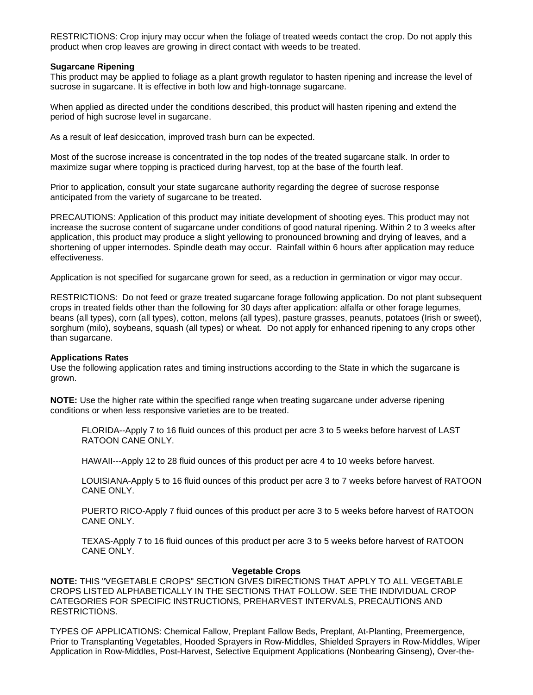RESTRICTIONS: Crop injury may occur when the foliage of treated weeds contact the crop. Do not apply this product when crop leaves are growing in direct contact with weeds to be treated.

#### **Sugarcane Ripening**

This product may be applied to foliage as a plant growth regulator to hasten ripening and increase the level of sucrose in sugarcane. It is effective in both low and high-tonnage sugarcane.

When applied as directed under the conditions described, this product will hasten ripening and extend the period of high sucrose level in sugarcane.

As a result of leaf desiccation, improved trash burn can be expected.

Most of the sucrose increase is concentrated in the top nodes of the treated sugarcane stalk. In order to maximize sugar where topping is practiced during harvest, top at the base of the fourth leaf.

Prior to application, consult your state sugarcane authority regarding the degree of sucrose response anticipated from the variety of sugarcane to be treated.

PRECAUTIONS: Application of this product may initiate development of shooting eyes. This product may not increase the sucrose content of sugarcane under conditions of good natural ripening. Within 2 to 3 weeks after application, this product may produce a slight yellowing to pronounced browning and drying of leaves, and a shortening of upper internodes. Spindle death may occur. Rainfall within 6 hours after application may reduce effectiveness.

Application is not specified for sugarcane grown for seed, as a reduction in germination or vigor may occur.

RESTRICTIONS: Do not feed or graze treated sugarcane forage following application. Do not plant subsequent crops in treated fields other than the following for 30 days after application: alfalfa or other forage legumes, beans (all types), corn (all types), cotton, melons (all types), pasture grasses, peanuts, potatoes (Irish or sweet), sorghum (milo), soybeans, squash (all types) or wheat. Do not apply for enhanced ripening to any crops other than sugarcane.

#### **Applications Rates**

Use the following application rates and timing instructions according to the State in which the sugarcane is grown.

**NOTE:** Use the higher rate within the specified range when treating sugarcane under adverse ripening conditions or when less responsive varieties are to be treated.

FLORIDA--Apply 7 to 16 fluid ounces of this product per acre 3 to 5 weeks before harvest of LAST RATOON CANE ONLY.

HAWAII---Apply 12 to 28 fluid ounces of this product per acre 4 to 10 weeks before harvest.

LOUISIANA-Apply 5 to 16 fluid ounces of this product per acre 3 to 7 weeks before harvest of RATOON CANE ONLY.

PUERTO RICO-Apply 7 fluid ounces of this product per acre 3 to 5 weeks before harvest of RATOON CANE ONLY.

TEXAS-Apply 7 to 16 fluid ounces of this product per acre 3 to 5 weeks before harvest of RATOON CANE ONLY.

#### **Vegetable Crops**

**NOTE:** THIS "VEGETABLE CROPS" SECTION GIVES DIRECTIONS THAT APPLY TO ALL VEGETABLE CROPS LISTED ALPHABETICALLY IN THE SECTIONS THAT FOLLOW. SEE THE INDIVIDUAL CROP CATEGORIES FOR SPECIFIC INSTRUCTIONS, PREHARVEST INTERVALS, PRECAUTIONS AND RESTRICTIONS.

TYPES OF APPLICATIONS: Chemical Fallow, Preplant Fallow Beds, Preplant, At-Planting, Preemergence, Prior to Transplanting Vegetables, Hooded Sprayers in Row-Middles, Shielded Sprayers in Row-Middles, Wiper Application in Row-Middles, Post-Harvest, Selective Equipment Applications (Nonbearing Ginseng), Over-the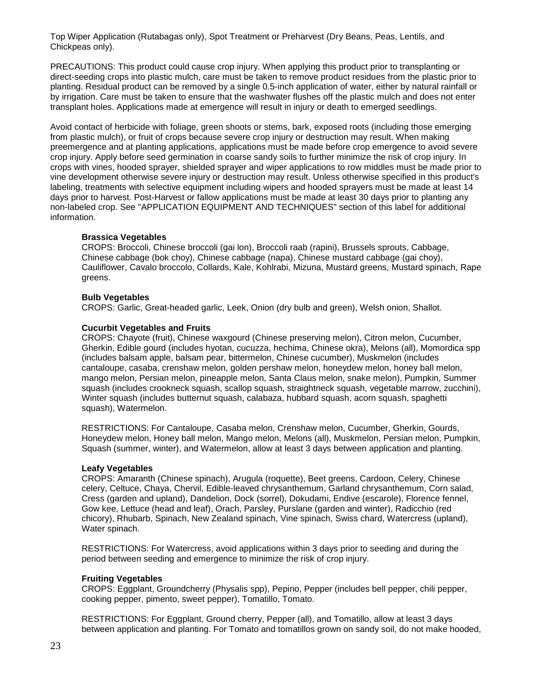Top Wiper Application (Rutabagas only), Spot Treatment or Preharvest (Dry Beans, Peas, Lentils, and Chickpeas only).

PRECAUTIONS: This product could cause crop injury. When applying this product prior to transplanting or direct-seeding crops into plastic mulch, care must be taken to remove product residues from the plastic prior to planting. Residual product can be removed by a single 0.5-inch application of water, either by natural rainfall or by irrigation. Care must be taken to ensure that the washwater flushes off the plastic mulch and does not enter transplant holes. Applications made at emergence will result in injury or death to emerged seedlings.

Avoid contact of herbicide with foliage, green shoots or stems, bark, exposed roots (including those emerging from plastic mulch), or fruit of crops because severe crop injury or destruction may result. When making preemergence and at planting applications, applications must be made before crop emergence to avoid severe crop injury. Apply before seed germination in coarse sandy soils to further minimize the risk of crop injury. In crops with vines, hooded sprayer, shielded sprayer and wiper applications to row middles must be made prior to vine development otherwise severe injury or destruction may result. Unless otherwise specified in this product's labeling, treatments with selective equipment including wipers and hooded sprayers must be made at least 14 days prior to harvest. Post-Harvest or fallow applications must be made at least 30 days prior to planting any non-labeled crop. See "APPLICATION EQUIPMENT AND TECHNIQUES" section of this label for additional information.

# **Brassica Vegetables**

CROPS: Broccoli, Chinese broccoli (gai lon), Broccoli raab (rapini), Brussels sprouts, Cabbage, Chinese cabbage (bok choy), Chinese cabbage (napa), Chinese mustard cabbage (gai choy), Cauliflower, Cavalo broccolo, Collards, Kale, Kohlrabi, Mizuna, Mustard greens, Mustard spinach, Rape greens.

# **Bulb Vegetables**

CROPS: Garlic, Great-headed garlic, Leek, Onion (dry bulb and green), Welsh onion, Shallot.

# **Cucurbit Vegetables and Fruits**

CROPS: Chayote (fruit), Chinese waxgourd (Chinese preserving melon), Citron melon, Cucumber, Gherkin, Edible gourd (includes hyotan, cucuzza, hechima, Chinese okra), Melons (all), Momordica spp (includes balsam apple, balsam pear, bittermelon, Chinese cucumber), Muskmelon (includes cantaloupe, casaba, crenshaw melon, golden pershaw melon, honeydew melon, honey ball melon, mango melon, Persian melon, pineapple melon, Santa Claus melon, snake melon), Pumpkin, Summer squash (includes crookneck squash, scallop squash, straightneck squash, vegetable marrow, zucchini), Winter squash (includes butternut squash, calabaza, hubbard squash, acorn squash, spaghetti squash), Watermelon.

RESTRICTIONS: For Cantaloupe, Casaba melon, Crenshaw melon, Cucumber, Gherkin, Gourds, Honeydew melon, Honey ball melon, Mango melon, Melons (all), Muskmelon, Persian melon, Pumpkin, Squash (summer, winter), and Watermelon, allow at least 3 days between application and planting.

#### **Leafy Vegetables**

CROPS: Amaranth (Chinese spinach), Arugula (roquette), Beet greens, Cardoon, Celery, Chinese celery, Celtuce, Chaya, Chervil, Edible-leaved chrysanthemum, Garland chrysanthemum, Corn salad, Cress (garden and upland), Dandelion, Dock (sorrel), Dokudami, Endive (escarole), Florence fennel, Gow kee, Lettuce (head and leaf), Orach, Parsley, Purslane (garden and winter), Radicchio (red chicory), Rhubarb, Spinach, New Zealand spinach, Vine spinach, Swiss chard, Watercress (upland), Water spinach.

RESTRICTIONS: For Watercress, avoid applications within 3 days prior to seeding and during the period between seeding and emergence to minimize the risk of crop injury.

# **Fruiting Vegetables**

CROPS: Eggplant, Groundcherry (Physalis spp), Pepino, Pepper (includes bell pepper, chili pepper, cooking pepper, pimento, sweet pepper), Tomatillo, Tomato.

RESTRICTIONS: For Eggplant, Ground cherry, Pepper (all), and Tomatillo, allow at least 3 days between application and planting. For Tomato and tomatillos grown on sandy soil, do not make hooded,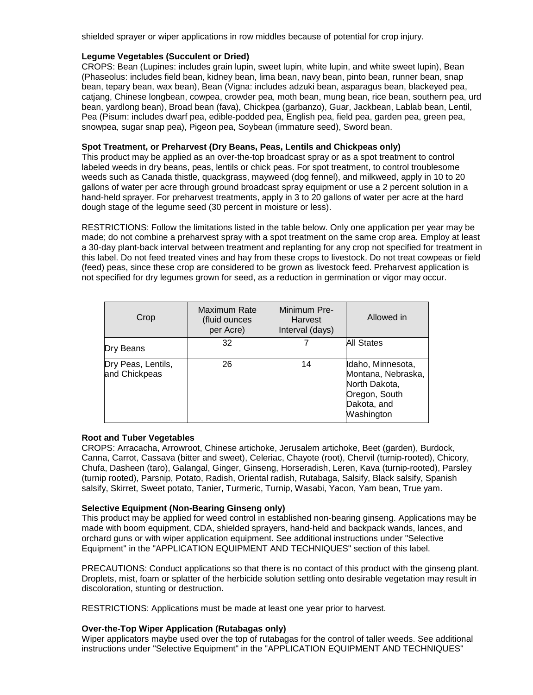shielded sprayer or wiper applications in row middles because of potential for crop injury.

#### **Legume Vegetables (Succulent or Dried)**

CROPS: Bean (Lupines: includes grain lupin, sweet lupin, white lupin, and white sweet lupin), Bean (Phaseolus: includes field bean, kidney bean, lima bean, navy bean, pinto bean, runner bean, snap bean, tepary bean, wax bean), Bean (Vigna: includes adzuki bean, asparagus bean, blackeyed pea, catjang, Chinese longbean, cowpea, crowder pea, moth bean, mung bean, rice bean, southern pea, urd bean, yardlong bean), Broad bean (fava), Chickpea (garbanzo), Guar, Jackbean, Lablab bean, Lentil, Pea (Pisum: includes dwarf pea, edible-podded pea, English pea, field pea, garden pea, green pea, snowpea, sugar snap pea), Pigeon pea, Soybean (immature seed), Sword bean.

#### **Spot Treatment, or Preharvest (Dry Beans, Peas, Lentils and Chickpeas only)**

This product may be applied as an over-the-top broadcast spray or as a spot treatment to control labeled weeds in dry beans, peas, lentils or chick peas. For spot treatment, to control troublesome weeds such as Canada thistle, quackgrass, mayweed (dog fennel), and milkweed, apply in 10 to 20 gallons of water per acre through ground broadcast spray equipment or use a 2 percent solution in a hand-held sprayer. For preharvest treatments, apply in 3 to 20 gallons of water per acre at the hard dough stage of the legume seed (30 percent in moisture or less).

RESTRICTIONS: Follow the limitations listed in the table below. Only one application per year may be made; do not combine a preharvest spray with a spot treatment on the same crop area. Employ at least a 30-day plant-back interval between treatment and replanting for any crop not specified for treatment in this label. Do not feed treated vines and hay from these crops to livestock. Do not treat cowpeas or field (feed) peas, since these crop are considered to be grown as livestock feed. Preharvest application is not specified for dry legumes grown for seed, as a reduction in germination or vigor may occur.

| Crop                                | Maximum Rate<br>(fluid ounces<br>per Acre) | Minimum Pre-<br><b>Harvest</b><br>Interval (days) | Allowed in                                                                                             |
|-------------------------------------|--------------------------------------------|---------------------------------------------------|--------------------------------------------------------------------------------------------------------|
| Dry Beans                           | 32                                         |                                                   | All States                                                                                             |
| Dry Peas, Lentils,<br>and Chickpeas | 26                                         | 14                                                | Idaho, Minnesota,<br>Montana, Nebraska,<br>North Dakota,<br>Oregon, South<br>Dakota, and<br>Washington |

#### **Root and Tuber Vegetables**

CROPS: Arracacha, Arrowroot, Chinese artichoke, Jerusalem artichoke, Beet (garden), Burdock, Canna, Carrot, Cassava (bitter and sweet), Celeriac, Chayote (root), Chervil (turnip-rooted), Chicory, Chufa, Dasheen (taro), Galangal, Ginger, Ginseng, Horseradish, Leren, Kava (turnip-rooted), Parsley (turnip rooted), Parsnip, Potato, Radish, Oriental radish, Rutabaga, Salsify, Black salsify, Spanish salsify, Skirret, Sweet potato, Tanier, Turmeric, Turnip, Wasabi, Yacon, Yam bean, True yam.

#### **Selective Equipment (Non-Bearing Ginseng only)**

This product may be applied for weed control in established non-bearing ginseng. Applications may be made with boom equipment, CDA, shielded sprayers, hand-held and backpack wands, lances, and orchard guns or with wiper application equipment. See additional instructions under "Selective Equipment" in the "APPLICATION EQUIPMENT AND TECHNIQUES" section of this label.

PRECAUTIONS: Conduct applications so that there is no contact of this product with the ginseng plant. Droplets, mist, foam or splatter of the herbicide solution settling onto desirable vegetation may result in discoloration, stunting or destruction.

RESTRICTIONS: Applications must be made at least one year prior to harvest.

#### **Over-the-Top Wiper Application (Rutabagas only)**

Wiper applicators maybe used over the top of rutabagas for the control of taller weeds. See additional instructions under "Selective Equipment" in the "APPLICATION EQUIPMENT AND TECHNIQUES"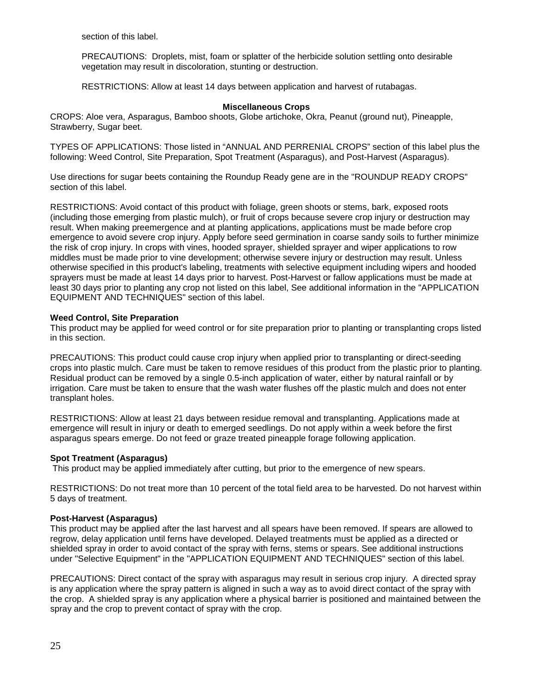section of this label.

PRECAUTIONS: Droplets, mist, foam or splatter of the herbicide solution settling onto desirable vegetation may result in discoloration, stunting or destruction.

RESTRICTIONS: Allow at least 14 days between application and harvest of rutabagas.

#### **Miscellaneous Crops**

CROPS: Aloe vera, Asparagus, Bamboo shoots, Globe artichoke, Okra, Peanut (ground nut), Pineapple, Strawberry, Sugar beet.

TYPES OF APPLICATIONS: Those listed in "ANNUAL AND PERRENIAL CROPS" section of this label plus the following: Weed Control, Site Preparation, Spot Treatment (Asparagus), and Post-Harvest (Asparagus).

Use directions for sugar beets containing the Roundup Ready gene are in the "ROUNDUP READY CROPS" section of this label.

RESTRICTIONS: Avoid contact of this product with foliage, green shoots or stems, bark, exposed roots (including those emerging from plastic mulch), or fruit of crops because severe crop injury or destruction may result. When making preemergence and at planting applications, applications must be made before crop emergence to avoid severe crop injury. Apply before seed germination in coarse sandy soils to further minimize the risk of crop injury. In crops with vines, hooded sprayer, shielded sprayer and wiper applications to row middles must be made prior to vine development; otherwise severe injury or destruction may result. Unless otherwise specified in this product's labeling, treatments with selective equipment including wipers and hooded sprayers must be made at least 14 days prior to harvest. Post-Harvest or fallow applications must be made at least 30 days prior to planting any crop not listed on this label, See additional information in the "APPLICATION EQUIPMENT AND TECHNIQUES" section of this label.

#### **Weed Control, Site Preparation**

This product may be applied for weed control or for site preparation prior to planting or transplanting crops listed in this section.

PRECAUTIONS: This product could cause crop injury when applied prior to transplanting or direct-seeding crops into plastic mulch. Care must be taken to remove residues of this product from the plastic prior to planting. Residual product can be removed by a single 0.5-inch application of water, either by natural rainfall or by irrigation. Care must be taken to ensure that the wash water flushes off the plastic mulch and does not enter transplant holes.

RESTRICTIONS: Allow at least 21 days between residue removal and transplanting. Applications made at emergence will result in injury or death to emerged seedlings. Do not apply within a week before the first asparagus spears emerge. Do not feed or graze treated pineapple forage following application.

#### **Spot Treatment (Asparagus)**

This product may be applied immediately after cutting, but prior to the emergence of new spears.

RESTRICTIONS: Do not treat more than 10 percent of the total field area to be harvested. Do not harvest within 5 days of treatment.

#### **Post-Harvest (Asparagus)**

This product may be applied after the last harvest and all spears have been removed. If spears are allowed to regrow, delay application until ferns have developed. Delayed treatments must be applied as a directed or shielded spray in order to avoid contact of the spray with ferns, stems or spears. See additional instructions under "Selective Equipment" in the "APPLICATION EQUIPMENT AND TECHNIQUES" section of this label.

PRECAUTIONS: Direct contact of the spray with asparagus may result in serious crop injury. A directed spray is any application where the spray pattern is aligned in such a way as to avoid direct contact of the spray with the crop. A shielded spray is any application where a physical barrier is positioned and maintained between the spray and the crop to prevent contact of spray with the crop.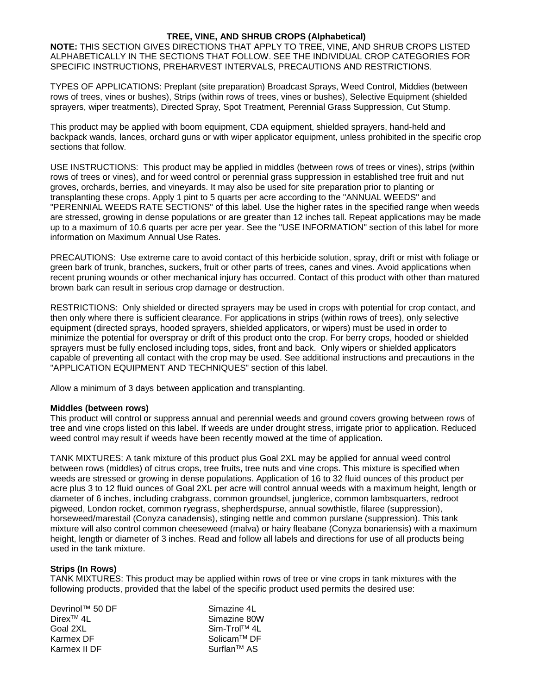# **TREE, VINE, AND SHRUB CROPS (Alphabetical)**

**NOTE:** THIS SECTION GIVES DIRECTIONS THAT APPLY TO TREE, VINE, AND SHRUB CROPS LISTED ALPHABETICALLY IN THE SECTIONS THAT FOLLOW. SEE THE INDIVIDUAL CROP CATEGORIES FOR SPECIFIC INSTRUCTIONS, PREHARVEST INTERVALS, PRECAUTIONS AND RESTRICTIONS.

TYPES OF APPLICATIONS: Preplant (site preparation) Broadcast Sprays, Weed Control, Middies (between rows of trees, vines or bushes), Strips (within rows of trees, vines or bushes), Selective Equipment (shielded sprayers, wiper treatments), Directed Spray, Spot Treatment, Perennial Grass Suppression, Cut Stump.

This product may be applied with boom equipment, CDA equipment, shielded sprayers, hand-held and backpack wands, lances, orchard guns or with wiper applicator equipment, unless prohibited in the specific crop sections that follow.

USE INSTRUCTIONS: This product may be applied in middles (between rows of trees or vines), strips (within rows of trees or vines), and for weed control or perennial grass suppression in established tree fruit and nut groves, orchards, berries, and vineyards. It may also be used for site preparation prior to planting or transplanting these crops. Apply 1 pint to 5 quarts per acre according to the "ANNUAL WEEDS" and "PERENNIAL WEEDS RATE SECTIONS" of this label. Use the higher rates in the specified range when weeds are stressed, growing in dense populations or are greater than 12 inches tall. Repeat applications may be made up to a maximum of 10.6 quarts per acre per year. See the "USE INFORMATION" section of this label for more information on Maximum Annual Use Rates.

PRECAUTIONS: Use extreme care to avoid contact of this herbicide solution, spray, drift or mist with foliage or green bark of trunk, branches, suckers, fruit or other parts of trees, canes and vines. Avoid applications when recent pruning wounds or other mechanical injury has occurred. Contact of this product with other than matured brown bark can result in serious crop damage or destruction.

RESTRICTIONS: Only shielded or directed sprayers may be used in crops with potential for crop contact, and then only where there is sufficient clearance. For applications in strips (within rows of trees), only selective equipment (directed sprays, hooded sprayers, shielded applicators, or wipers) must be used in order to minimize the potential for overspray or drift of this product onto the crop. For berry crops, hooded or shielded sprayers must be fully enclosed including tops, sides, front and back. Only wipers or shielded applicators capable of preventing all contact with the crop may be used. See additional instructions and precautions in the "APPLICATION EQUIPMENT AND TECHNIQUES" section of this label.

Allow a minimum of 3 days between application and transplanting.

#### **Middles (between rows)**

This product will control or suppress annual and perennial weeds and ground covers growing between rows of tree and vine crops listed on this label. If weeds are under drought stress, irrigate prior to application. Reduced weed control may result if weeds have been recently mowed at the time of application.

TANK MIXTURES: A tank mixture of this product plus Goal 2XL may be applied for annual weed control between rows (middles) of citrus crops, tree fruits, tree nuts and vine crops. This mixture is specified when weeds are stressed or growing in dense populations. Application of 16 to 32 fluid ounces of this product per acre plus 3 to 12 fluid ounces of Goal 2XL per acre will control annual weeds with a maximum height, length or diameter of 6 inches, including crabgrass, common groundsel, junglerice, common lambsquarters, redroot pigweed, London rocket, common ryegrass, shepherdspurse, annual sowthistle, filaree (suppression), horseweed/marestail (Conyza canadensis), stinging nettle and common purslane (suppression). This tank mixture will also control common cheeseweed (malva) or hairy fleabane (Conyza bonariensis) with a maximum height, length or diameter of 3 inches. Read and follow all labels and directions for use of all products being used in the tank mixture.

#### **Strips (In Rows)**

TANK MIXTURES: This product may be applied within rows of tree or vine crops in tank mixtures with the following products, provided that the label of the specific product used permits the desired use:

| Devrinol™ 50 DF        | Simazine 4L             |
|------------------------|-------------------------|
| Direx <sup>TM</sup> 4L | Simazine 80W            |
| Goal 2XL               | Sim-Trol™ 4L            |
| Karmex DF              | Solicam <sup>™</sup> DF |
| Karmex II DF           | Surflan <sup>™</sup> AS |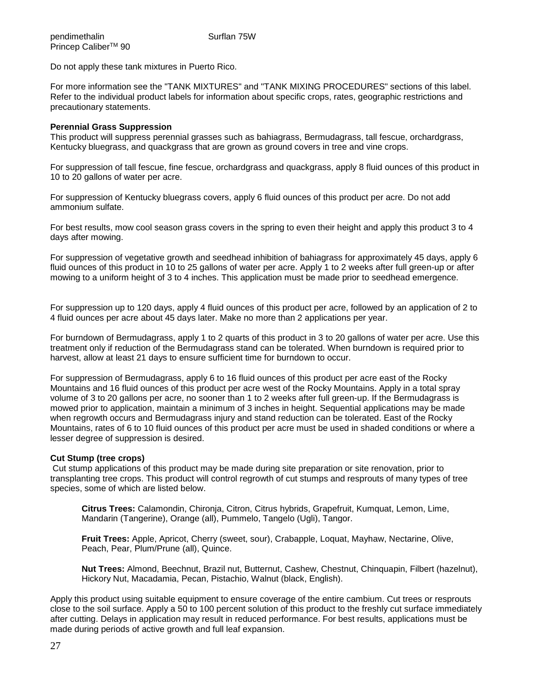Do not apply these tank mixtures in Puerto Rico.

For more information see the "TANK MIXTURES" and "TANK MIXING PROCEDURES" sections of this label. Refer to the individual product labels for information about specific crops, rates, geographic restrictions and precautionary statements.

#### **Perennial Grass Suppression**

This product will suppress perennial grasses such as bahiagrass, Bermudagrass, tall fescue, orchardgrass, Kentucky bluegrass, and quackgrass that are grown as ground covers in tree and vine crops.

For suppression of tall fescue, fine fescue, orchardgrass and quackgrass, apply 8 fluid ounces of this product in 10 to 20 gallons of water per acre.

For suppression of Kentucky bluegrass covers, apply 6 fluid ounces of this product per acre. Do not add ammonium sulfate.

For best results, mow cool season grass covers in the spring to even their height and apply this product 3 to 4 days after mowing.

For suppression of vegetative growth and seedhead inhibition of bahiagrass for approximately 45 days, apply 6 fluid ounces of this product in 10 to 25 gallons of water per acre. Apply 1 to 2 weeks after full green-up or after mowing to a uniform height of 3 to 4 inches. This application must be made prior to seedhead emergence.

For suppression up to 120 days, apply 4 fluid ounces of this product per acre, followed by an application of 2 to 4 fluid ounces per acre about 45 days later. Make no more than 2 applications per year.

For burndown of Bermudagrass, apply 1 to 2 quarts of this product in 3 to 20 gallons of water per acre. Use this treatment only if reduction of the Bermudagrass stand can be tolerated. When burndown is required prior to harvest, allow at least 21 days to ensure sufficient time for burndown to occur.

For suppression of Bermudagrass, apply 6 to 16 fluid ounces of this product per acre east of the Rocky Mountains and 16 fluid ounces of this product per acre west of the Rocky Mountains. Apply in a total spray volume of 3 to 20 gallons per acre, no sooner than 1 to 2 weeks after full green-up. If the Bermudagrass is mowed prior to application, maintain a minimum of 3 inches in height. Sequential applications may be made when regrowth occurs and Bermudagrass injury and stand reduction can be tolerated. East of the Rocky Mountains, rates of 6 to 10 fluid ounces of this product per acre must be used in shaded conditions or where a lesser degree of suppression is desired.

#### **Cut Stump (tree crops)**

Cut stump applications of this product may be made during site preparation or site renovation, prior to transplanting tree crops. This product will control regrowth of cut stumps and resprouts of many types of tree species, some of which are listed below.

**Citrus Trees:** Calamondin, Chironja, Citron, Citrus hybrids, Grapefruit, Kumquat, Lemon, Lime, Mandarin (Tangerine), Orange (all), Pummelo, Tangelo (Ugli), Tangor.

**Fruit Trees:** Apple, Apricot, Cherry (sweet, sour), Crabapple, Loquat, Mayhaw, Nectarine, Olive, Peach, Pear, Plum/Prune (all), Quince.

**Nut Trees:** Almond, Beechnut, Brazil nut, Butternut, Cashew, Chestnut, Chinquapin, Filbert (hazelnut), Hickory Nut, Macadamia, Pecan, Pistachio, Walnut (black, English).

Apply this product using suitable equipment to ensure coverage of the entire cambium. Cut trees or resprouts close to the soil surface. Apply a 50 to 100 percent solution of this product to the freshly cut surface immediately after cutting. Delays in application may result in reduced performance. For best results, applications must be made during periods of active growth and full leaf expansion.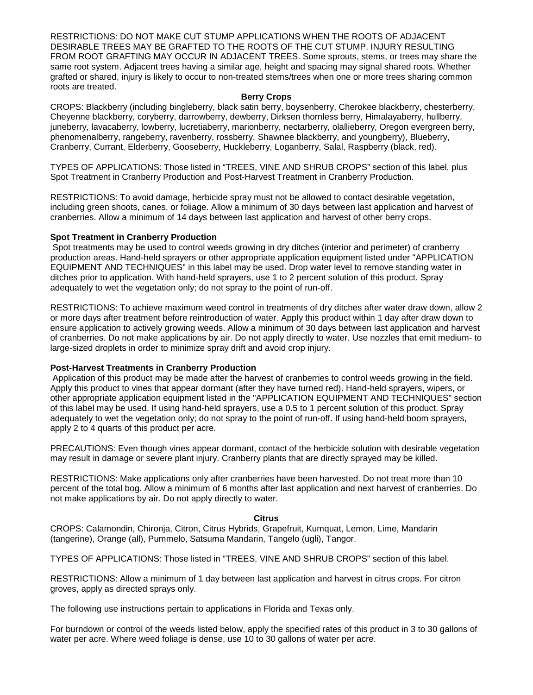RESTRICTIONS: DO NOT MAKE CUT STUMP APPLICATIONS WHEN THE ROOTS OF ADJACENT DESIRABLE TREES MAY BE GRAFTED TO THE ROOTS OF THE CUT STUMP. INJURY RESULTING FROM ROOT GRAFTING MAY OCCUR IN ADJACENT TREES. Some sprouts, stems, or trees may share the same root system. Adjacent trees having a similar age, height and spacing may signal shared roots. Whether grafted or shared, injury is likely to occur to non-treated stems/trees when one or more trees sharing common roots are treated.

#### **Berry Crops**

CROPS: Blackberry (including bingleberry, black satin berry, boysenberry, Cherokee blackberry, chesterberry, Cheyenne blackberry, coryberry, darrowberry, dewberry, Dirksen thornless berry, Himalayaberry, hullberry, juneberry, lavacaberry, lowberry, lucretiaberry, marionberry, nectarberry, olallieberry, Oregon evergreen berry, phenomenalberry, rangeberry, ravenberry, rossberry, Shawnee blackberry, and youngberry), Blueberry, Cranberry, Currant, Elderberry, Gooseberry, Huckleberry, Loganberry, Salal, Raspberry (black, red).

TYPES OF APPLICATIONS: Those listed in "TREES, VINE AND SHRUB CROPS" section of this label, plus Spot Treatment in Cranberry Production and Post-Harvest Treatment in Cranberry Production.

RESTRICTIONS: To avoid damage, herbicide spray must not be allowed to contact desirable vegetation, including green shoots, canes, or foliage. Allow a minimum of 30 days between last application and harvest of cranberries. Allow a minimum of 14 days between last application and harvest of other berry crops.

#### **Spot Treatment in Cranberry Production**

Spot treatments may be used to control weeds growing in dry ditches (interior and perimeter) of cranberry production areas. Hand-held sprayers or other appropriate application equipment listed under "APPLICATION EQUIPMENT AND TECHNIQUES" in this label may be used. Drop water level to remove standing water in ditches prior to application. With hand-held sprayers, use 1 to 2 percent solution of this product. Spray adequately to wet the vegetation only; do not spray to the point of run-off.

RESTRICTIONS: To achieve maximum weed control in treatments of dry ditches after water draw down, allow 2 or more days after treatment before reintroduction of water. Apply this product within 1 day after draw down to ensure application to actively growing weeds. Allow a minimum of 30 days between last application and harvest of cranberries. Do not make applications by air. Do not apply directly to water. Use nozzles that emit medium- to large-sized droplets in order to minimize spray drift and avoid crop injury.

#### **Post-Harvest Treatments in Cranberry Production**

Application of this product may be made after the harvest of cranberries to control weeds growing in the field. Apply this product to vines that appear dormant (after they have turned red). Hand-held sprayers, wipers, or other appropriate application equipment listed in the "APPLICATION EQUIPMENT AND TECHNIQUES" section of this label may be used. If using hand-held sprayers, use a 0.5 to 1 percent solution of this product. Spray adequately to wet the vegetation only; do not spray to the point of run-off. If using hand-held boom sprayers, apply 2 to 4 quarts of this product per acre.

PRECAUTIONS: Even though vines appear dormant, contact of the herbicide solution with desirable vegetation may result in damage or severe plant injury. Cranberry plants that are directly sprayed may be killed.

RESTRICTIONS: Make applications only after cranberries have been harvested. Do not treat more than 10 percent of the total bog. Allow a minimum of 6 months after last application and next harvest of cranberries. Do not make applications by air. Do not apply directly to water.

#### **Citrus**

CROPS: Calamondin, Chironja, Citron, Citrus Hybrids, Grapefruit, Kumquat, Lemon, Lime, Mandarin (tangerine), Orange (all), Pummelo, Satsuma Mandarin, Tangelo (ugli), Tangor.

TYPES OF APPLICATIONS: Those listed in "TREES, VINE AND SHRUB CROPS" section of this label.

RESTRICTIONS: Allow a minimum of 1 day between last application and harvest in citrus crops. For citron groves, apply as directed sprays only.

The following use instructions pertain to applications in Florida and Texas only.

For burndown or control of the weeds listed below, apply the specified rates of this product in 3 to 30 gallons of water per acre. Where weed foliage is dense, use 10 to 30 gallons of water per acre.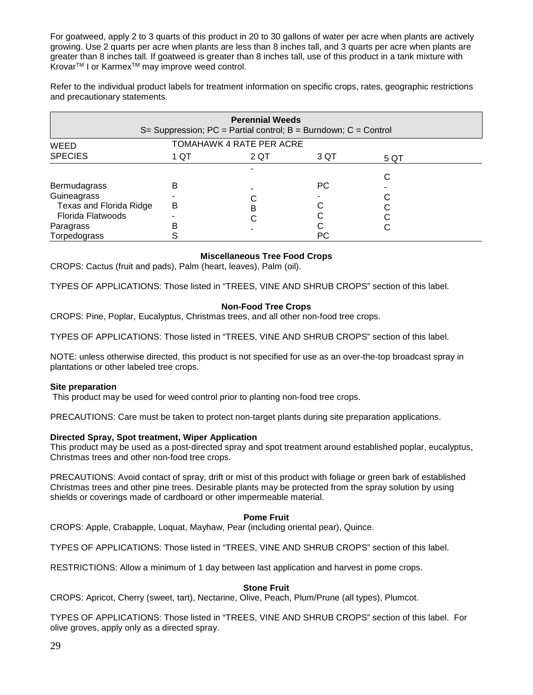For goatweed, apply 2 to 3 quarts of this product in 20 to 30 gallons of water per acre when plants are actively growing. Use 2 quarts per acre when plants are less than 8 inches tall, and 3 quarts per acre when plants are greater than 8 inches tall. If goatweed is greater than 8 inches tall, use of this product in a tank mixture with Krovar<sup>™</sup> I or Karmex<sup>™</sup> may improve weed control.

Refer to the individual product labels for treatment information on specific crops, rates, geographic restrictions and precautionary statements.

| <b>Perennial Weeds</b><br>S= Suppression; $PC =$ Partial control; $B =$ Burndown; $C =$ Control |      |                          |      |      |  |  |
|-------------------------------------------------------------------------------------------------|------|--------------------------|------|------|--|--|
| WEED                                                                                            |      | TOMAHAWK 4 RATE PER ACRE |      |      |  |  |
| <b>SPECIES</b>                                                                                  | 1 QT | 2 QT                     | 3 QT | 5 QT |  |  |
| <b>Bermudagrass</b>                                                                             | в    |                          | PС   | С    |  |  |
| Guineagrass                                                                                     |      |                          |      |      |  |  |
| Texas and Florida Ridge<br><b>Florida Flatwoods</b>                                             | В    | в                        |      |      |  |  |
| Paragrass<br>Torpedograss                                                                       | в    |                          | PС   | С    |  |  |

# **Miscellaneous Tree Food Crops**

CROPS: Cactus (fruit and pads), Palm (heart, leaves), Palm (oil).

TYPES OF APPLICATIONS: Those listed in "TREES, VINE AND SHRUB CROPS" section of this label.

# **Non-Food Tree Crops**

CROPS: Pine, Poplar, Eucalyptus, Christmas trees, and all other non-food tree crops.

TYPES OF APPLICATIONS: Those listed in "TREES, VINE AND SHRUB CROPS" section of this label.

NOTE: unless otherwise directed, this product is not specified for use as an over-the-top broadcast spray in plantations or other labeled tree crops.

#### **Site preparation**

This product may be used for weed control prior to planting non-food tree crops.

PRECAUTIONS: Care must be taken to protect non-target plants during site preparation applications.

#### **Directed Spray, Spot treatment, Wiper Application**

This product may be used as a post-directed spray and spot treatment around established poplar, eucalyptus, Christmas trees and other non-food tree crops.

PRECAUTIONS: Avoid contact of spray, drift or mist of this product with foliage or green bark of established Christmas trees and other pine trees. Desirable plants may be protected from the spray solution by using shields or coverings made of cardboard or other impermeable material.

#### **Pome Fruit**

CROPS: Apple, Crabapple, Loquat, Mayhaw, Pear (including oriental pear), Quince.

TYPES OF APPLICATIONS: Those listed in "TREES, VINE AND SHRUB CROPS" section of this label.

RESTRICTIONS: Allow a minimum of 1 day between last application and harvest in pome crops.

#### **Stone Fruit**

CROPS: Apricot, Cherry (sweet, tart), Nectarine, Olive, Peach, Plum/Prune (all types), Plumcot.

TYPES OF APPLICATIONS: Those listed in "TREES, VINE AND SHRUB CROPS" section of this label. For olive groves, apply only as a directed spray.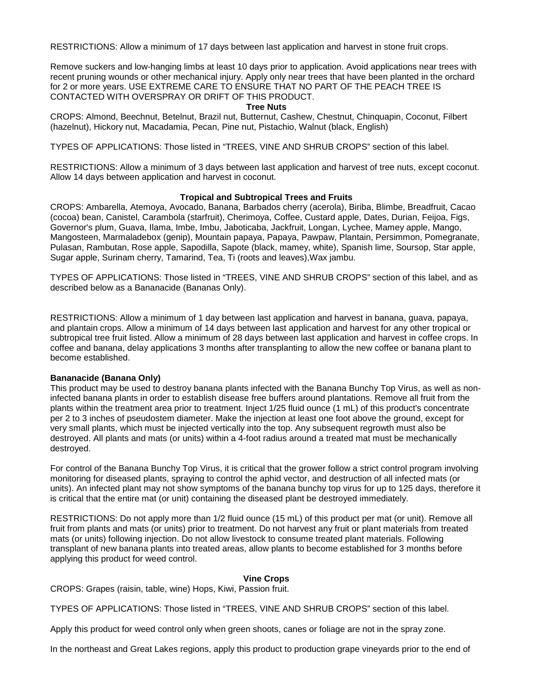RESTRICTIONS: Allow a minimum of 17 days between last application and harvest in stone fruit crops.

Remove suckers and low-hanging limbs at least 10 days prior to application. Avoid applications near trees with recent pruning wounds or other mechanical injury. Apply only near trees that have been planted in the orchard for 2 or more years. USE EXTREME CARE TO ENSURE THAT NO PART OF THE PEACH TREE IS CONTACTED WITH OVERSPRAY OR DRIFT OF THIS PRODUCT.

#### **Tree Nuts**

CROPS: Almond, Beechnut, Betelnut, Brazil nut, Butternut, Cashew, Chestnut, Chinquapin, Coconut, Filbert (hazelnut), Hickory nut, Macadamia, Pecan, Pine nut, Pistachio, Walnut (black, English)

TYPES OF APPLICATIONS: Those listed in "TREES, VINE AND SHRUB CROPS" section of this label.

RESTRICTIONS: Allow a minimum of 3 days between last application and harvest of tree nuts, except coconut. Allow 14 days between application and harvest in coconut.

#### **Tropical and Subtropical Trees and Fruits**

CROPS: Ambarella, Atemoya, Avocado, Banana, Barbados cherry (acerola), Biriba, Blimbe, Breadfruit, Cacao (cocoa) bean, Canistel, Carambola (starfruit), Cherimoya, Coffee, Custard apple, Dates, Durian, Feijoa, Figs, Governor's plum, Guava, Ilama, Imbe, Imbu, Jaboticaba, Jackfruit, Longan, Lychee, Mamey apple, Mango, Mangosteen, Marmaladebox (genip), Mountain papaya, Papaya, Pawpaw, Plantain, Persimmon, Pomegranate, Pulasan, Rambutan, Rose apple, Sapodilla, Sapote (black, mamey, white), Spanish lime, Soursop, Star apple, Sugar apple, Surinam cherry, Tamarind, Tea, Ti (roots and leaves),Wax jambu.

TYPES OF APPLICATIONS: Those listed in "TREES, VINE AND SHRUB CROPS" section of this label, and as described below as a Bananacide (Bananas Only).

RESTRICTIONS: Allow a minimum of 1 day between last application and harvest in banana, guava, papaya, and plantain crops. Allow a minimum of 14 days between last application and harvest for any other tropical or subtropical tree fruit listed. Allow a minimum of 28 days between last application and harvest in coffee crops. In coffee and banana, delay applications 3 months after transplanting to allow the new coffee or banana plant to become established.

#### **Bananacide (Banana Only)**

This product may be used to destroy banana plants infected with the Banana Bunchy Top Virus, as well as noninfected banana plants in order to establish disease free buffers around plantations. Remove all fruit from the plants within the treatment area prior to treatment. Inject 1/25 fluid ounce (1 mL) of this product's concentrate per 2 to 3 inches of pseudostem diameter. Make the injection at least one foot above the ground, except for very small plants, which must be injected vertically into the top. Any subsequent regrowth must also be destroyed. All plants and mats (or units) within a 4-foot radius around a treated mat must be mechanically destroyed.

For control of the Banana Bunchy Top Virus, it is critical that the grower follow a strict control program involving monitoring for diseased plants, spraying to control the aphid vector, and destruction of all infected mats (or units). An infected plant may not show symptoms of the banana bunchy top virus for up to 125 days, therefore it is critical that the entire mat (or unit) containing the diseased plant be destroyed immediately.

RESTRICTIONS: Do not apply more than 1/2 fluid ounce (15 mL) of this product per mat (or unit). Remove all fruit from plants and mats (or units) prior to treatment. Do not harvest any fruit or plant materials from treated mats (or units) following injection. Do not allow livestock to consume treated plant materials. Following transplant of new banana plants into treated areas, allow plants to become established for 3 months before applying this product for weed control.

#### **Vine Crops**

CROPS: Grapes (raisin, table, wine) Hops, Kiwi, Passion fruit.

TYPES OF APPLICATIONS: Those listed in "TREES, VINE AND SHRUB CROPS" section of this label.

Apply this product for weed control only when green shoots, canes or foliage are not in the spray zone.

In the northeast and Great Lakes regions, apply this product to production grape vineyards prior to the end of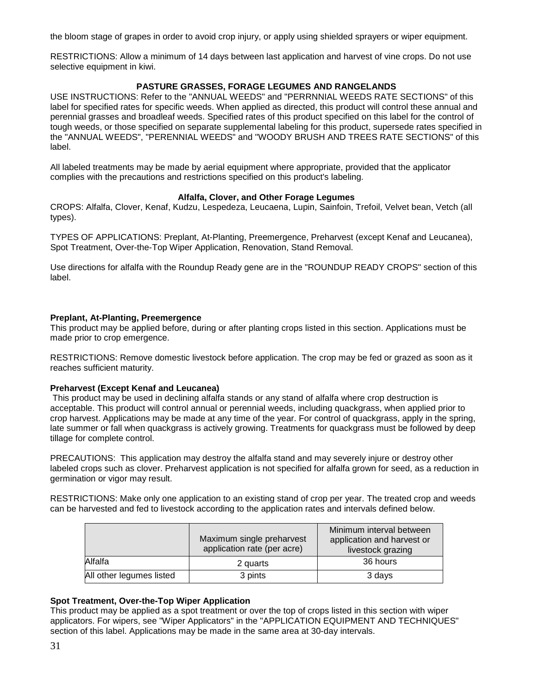the bloom stage of grapes in order to avoid crop injury, or apply using shielded sprayers or wiper equipment.

RESTRICTIONS: Allow a minimum of 14 days between last application and harvest of vine crops. Do not use selective equipment in kiwi.

# **PASTURE GRASSES, FORAGE LEGUMES AND RANGELANDS**

USE INSTRUCTIONS: Refer to the "ANNUAL WEEDS" and "PERRNNIAL WEEDS RATE SECTIONS" of this label for specified rates for specific weeds. When applied as directed, this product will control these annual and perennial grasses and broadleaf weeds. Specified rates of this product specified on this label for the control of tough weeds, or those specified on separate supplemental labeling for this product, supersede rates specified in the "ANNUAL WEEDS", "PERENNIAL WEEDS" and "WOODY BRUSH AND TREES RATE SECTIONS" of this label.

All labeled treatments may be made by aerial equipment where appropriate, provided that the applicator complies with the precautions and restrictions specified on this product's labeling.

#### **Alfalfa, Clover, and Other Forage Legumes**

CROPS: Alfalfa, Clover, Kenaf, Kudzu, Lespedeza, Leucaena, Lupin, Sainfoin, Trefoil, Velvet bean, Vetch (all types).

TYPES OF APPLICATIONS: Preplant, At-Planting, Preemergence, Preharvest (except Kenaf and Leucanea), Spot Treatment, Over-the-Top Wiper Application, Renovation, Stand Removal.

Use directions for alfalfa with the Roundup Ready gene are in the "ROUNDUP READY CROPS" section of this label.

#### **Preplant, At-Planting, Preemergence**

This product may be applied before, during or after planting crops listed in this section. Applications must be made prior to crop emergence.

RESTRICTIONS: Remove domestic livestock before application. The crop may be fed or grazed as soon as it reaches sufficient maturity.

# **Preharvest (Except Kenaf and Leucanea)**

This product may be used in declining alfalfa stands or any stand of alfalfa where crop destruction is acceptable. This product will control annual or perennial weeds, including quackgrass, when applied prior to crop harvest. Applications may be made at any time of the year. For control of quackgrass, apply in the spring, late summer or fall when quackgrass is actively growing. Treatments for quackgrass must be followed by deep tillage for complete control.

PRECAUTIONS: This application may destroy the alfalfa stand and may severely injure or destroy other labeled crops such as clover. Preharvest application is not specified for alfalfa grown for seed, as a reduction in germination or vigor may result.

RESTRICTIONS: Make only one application to an existing stand of crop per year. The treated crop and weeds can be harvested and fed to livestock according to the application rates and intervals defined below.

|                          | Maximum single preharvest<br>application rate (per acre) | Minimum interval between<br>application and harvest or<br>livestock grazing |
|--------------------------|----------------------------------------------------------|-----------------------------------------------------------------------------|
| Alfalfa                  | 2 quarts                                                 | 36 hours                                                                    |
| All other legumes listed | 3 pints                                                  | 3 days                                                                      |

# **Spot Treatment, Over-the-Top Wiper Application**

This product may be applied as a spot treatment or over the top of crops listed in this section with wiper applicators. For wipers, see "Wiper Applicators" in the "APPLICATION EQUIPMENT AND TECHNIQUES" section of this label. Applications may be made in the same area at 30-day intervals.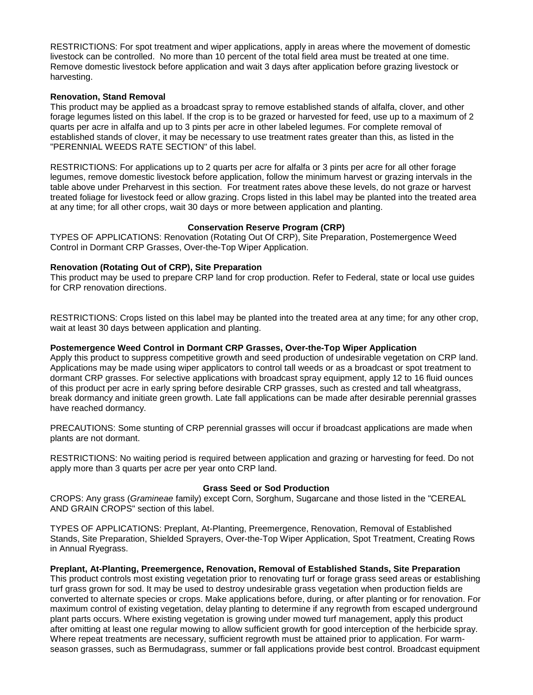RESTRICTIONS: For spot treatment and wiper applications, apply in areas where the movement of domestic livestock can be controlled. No more than 10 percent of the total field area must be treated at one time. Remove domestic livestock before application and wait 3 days after application before grazing livestock or harvesting.

# **Renovation, Stand Removal**

This product may be applied as a broadcast spray to remove established stands of alfalfa, clover, and other forage legumes listed on this label. If the crop is to be grazed or harvested for feed, use up to a maximum of 2 quarts per acre in alfalfa and up to 3 pints per acre in other labeled legumes. For complete removal of established stands of clover, it may be necessary to use treatment rates greater than this, as listed in the "PERENNIAL WEEDS RATE SECTION" of this label.

RESTRICTIONS: For applications up to 2 quarts per acre for alfalfa or 3 pints per acre for all other forage legumes, remove domestic livestock before application, follow the minimum harvest or grazing intervals in the table above under Preharvest in this section. For treatment rates above these levels, do not graze or harvest treated foliage for livestock feed or allow grazing. Crops listed in this label may be planted into the treated area at any time; for all other crops, wait 30 days or more between application and planting.

# **Conservation Reserve Program (CRP)**

TYPES OF APPLICATIONS: Renovation (Rotating Out Of CRP), Site Preparation, Postemergence Weed Control in Dormant CRP Grasses, Over-the-Top Wiper Application.

# **Renovation (Rotating Out of CRP), Site Preparation**

This product may be used to prepare CRP land for crop production. Refer to Federal, state or local use guides for CRP renovation directions.

RESTRICTIONS: Crops listed on this label may be planted into the treated area at any time; for any other crop, wait at least 30 days between application and planting.

# **Postemergence Weed Control in Dormant CRP Grasses, Over-the-Top Wiper Application**

Apply this product to suppress competitive growth and seed production of undesirable vegetation on CRP land. Applications may be made using wiper applicators to control tall weeds or as a broadcast or spot treatment to dormant CRP grasses. For selective applications with broadcast spray equipment, apply 12 to 16 fluid ounces of this product per acre in early spring before desirable CRP grasses, such as crested and tall wheatgrass, break dormancy and initiate green growth. Late fall applications can be made after desirable perennial grasses have reached dormancy.

PRECAUTIONS: Some stunting of CRP perennial grasses will occur if broadcast applications are made when plants are not dormant.

RESTRICTIONS: No waiting period is required between application and grazing or harvesting for feed. Do not apply more than 3 quarts per acre per year onto CRP land.

#### **Grass Seed or Sod Production**

CROPS: Any grass (*Gramineae* family) except Corn, Sorghum, Sugarcane and those listed in the "CEREAL AND GRAIN CROPS" section of this label.

TYPES OF APPLICATIONS: Preplant, At-Planting, Preemergence, Renovation, Removal of Established Stands, Site Preparation, Shielded Sprayers, Over-the-Top Wiper Application, Spot Treatment, Creating Rows in Annual Ryegrass.

# **Preplant, At-Planting, Preemergence, Renovation, Removal of Established Stands, Site Preparation**

This product controls most existing vegetation prior to renovating turf or forage grass seed areas or establishing turf grass grown for sod. It may be used to destroy undesirable grass vegetation when production fields are converted to alternate species or crops. Make applications before, during, or after planting or for renovation. For maximum control of existing vegetation, delay planting to determine if any regrowth from escaped underground plant parts occurs. Where existing vegetation is growing under mowed turf management, apply this product after omitting at least one regular mowing to allow sufficient growth for good interception of the herbicide spray. Where repeat treatments are necessary, sufficient regrowth must be attained prior to application. For warmseason grasses, such as Bermudagrass, summer or fall applications provide best control. Broadcast equipment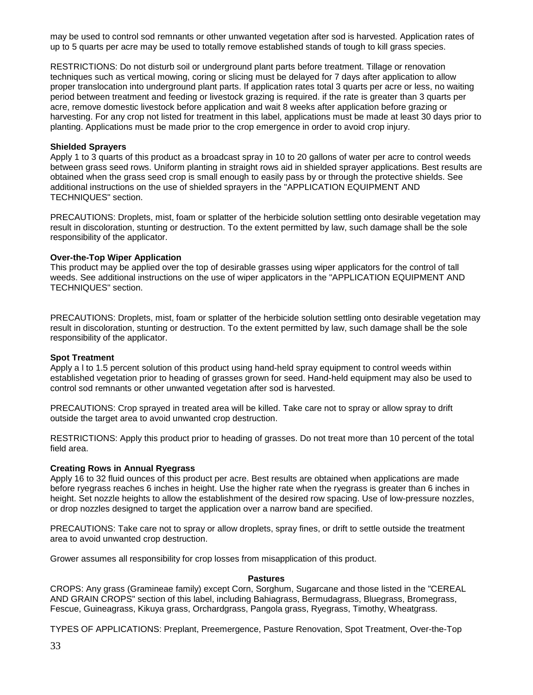may be used to control sod remnants or other unwanted vegetation after sod is harvested. Application rates of up to 5 quarts per acre may be used to totally remove established stands of tough to kill grass species.

RESTRICTIONS: Do not disturb soil or underground plant parts before treatment. Tillage or renovation techniques such as vertical mowing, coring or slicing must be delayed for 7 days after application to allow proper translocation into underground plant parts. If application rates total 3 quarts per acre or less, no waiting period between treatment and feeding or livestock grazing is required. if the rate is greater than 3 quarts per acre, remove domestic livestock before application and wait 8 weeks after application before grazing or harvesting. For any crop not listed for treatment in this label, applications must be made at least 30 days prior to planting. Applications must be made prior to the crop emergence in order to avoid crop injury.

#### **Shielded Sprayers**

Apply 1 to 3 quarts of this product as a broadcast spray in 10 to 20 gallons of water per acre to control weeds between grass seed rows. Uniform planting in straight rows aid in shielded sprayer applications. Best results are obtained when the grass seed crop is small enough to easily pass by or through the protective shields. See additional instructions on the use of shielded sprayers in the "APPLICATION EQUIPMENT AND TECHNIQUES" section.

PRECAUTIONS: Droplets, mist, foam or splatter of the herbicide solution settling onto desirable vegetation may result in discoloration, stunting or destruction. To the extent permitted by law, such damage shall be the sole responsibility of the applicator.

#### **Over-the-Top Wiper Application**

This product may be applied over the top of desirable grasses using wiper applicators for the control of tall weeds. See additional instructions on the use of wiper applicators in the "APPLICATION EQUIPMENT AND TECHNIQUES" section.

PRECAUTIONS: Droplets, mist, foam or splatter of the herbicide solution settling onto desirable vegetation may result in discoloration, stunting or destruction. To the extent permitted by law, such damage shall be the sole responsibility of the applicator.

#### **Spot Treatment**

Apply a l to 1.5 percent solution of this product using hand-held spray equipment to control weeds within established vegetation prior to heading of grasses grown for seed. Hand-held equipment may also be used to control sod remnants or other unwanted vegetation after sod is harvested.

PRECAUTIONS: Crop sprayed in treated area will be killed. Take care not to spray or allow spray to drift outside the target area to avoid unwanted crop destruction.

RESTRICTIONS: Apply this product prior to heading of grasses. Do not treat more than 10 percent of the total field area.

#### **Creating Rows in Annual Ryegrass**

Apply 16 to 32 fluid ounces of this product per acre. Best results are obtained when applications are made before ryegrass reaches 6 inches in height. Use the higher rate when the ryegrass is greater than 6 inches in height. Set nozzle heights to allow the establishment of the desired row spacing. Use of low-pressure nozzles, or drop nozzles designed to target the application over a narrow band are specified.

PRECAUTIONS: Take care not to spray or allow droplets, spray fines, or drift to settle outside the treatment area to avoid unwanted crop destruction.

Grower assumes all responsibility for crop losses from misapplication of this product.

#### **Pastures**

CROPS: Any grass (Gramineae family) except Corn, Sorghum, Sugarcane and those listed in the "CEREAL AND GRAIN CROPS" section of this label, including Bahiagrass, Bermudagrass, Bluegrass, Bromegrass, Fescue, Guineagrass, Kikuya grass, Orchardgrass, Pangola grass, Ryegrass, Timothy, Wheatgrass.

TYPES OF APPLICATIONS: Preplant, Preemergence, Pasture Renovation, Spot Treatment, Over-the-Top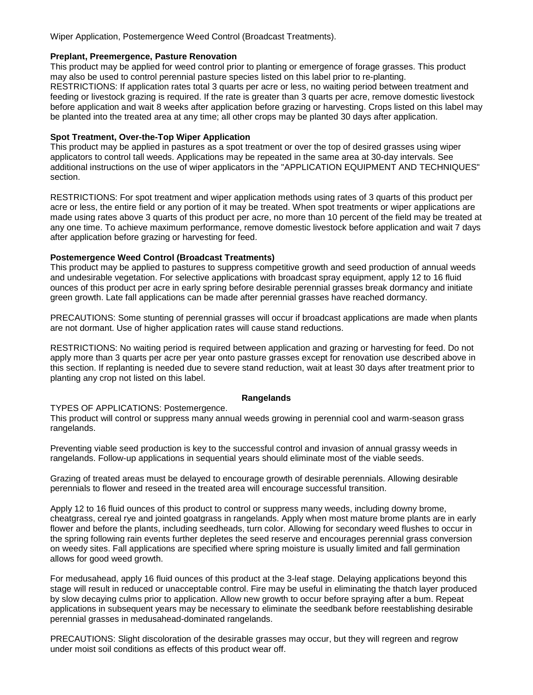Wiper Application, Postemergence Weed Control (Broadcast Treatments).

# **Preplant, Preemergence, Pasture Renovation**

This product may be applied for weed control prior to planting or emergence of forage grasses. This product may also be used to control perennial pasture species listed on this label prior to re-planting. RESTRICTIONS: If application rates total 3 quarts per acre or less, no waiting period between treatment and feeding or livestock grazing is required. If the rate is greater than 3 quarts per acre, remove domestic livestock before application and wait 8 weeks after application before grazing or harvesting. Crops listed on this label may be planted into the treated area at any time; all other crops may be planted 30 days after application.

# **Spot Treatment, Over-the-Top Wiper Application**

This product may be applied in pastures as a spot treatment or over the top of desired grasses using wiper applicators to control tall weeds. Applications may be repeated in the same area at 30-day intervals. See additional instructions on the use of wiper applicators in the "APPLICATION EQUIPMENT AND TECHNIQUES" section.

RESTRICTIONS: For spot treatment and wiper application methods using rates of 3 quarts of this product per acre or less, the entire field or any portion of it may be treated. When spot treatments or wiper applications are made using rates above 3 quarts of this product per acre, no more than 10 percent of the field may be treated at any one time. To achieve maximum performance, remove domestic livestock before application and wait 7 days after application before grazing or harvesting for feed.

# **Postemergence Weed Control (Broadcast Treatments)**

This product may be applied to pastures to suppress competitive growth and seed production of annual weeds and undesirable vegetation. For selective applications with broadcast spray equipment, apply 12 to 16 fluid ounces of this product per acre in early spring before desirable perennial grasses break dormancy and initiate green growth. Late fall applications can be made after perennial grasses have reached dormancy.

PRECAUTIONS: Some stunting of perennial grasses will occur if broadcast applications are made when plants are not dormant. Use of higher application rates will cause stand reductions.

RESTRICTIONS: No waiting period is required between application and grazing or harvesting for feed. Do not apply more than 3 quarts per acre per year onto pasture grasses except for renovation use described above in this section. If replanting is needed due to severe stand reduction, wait at least 30 days after treatment prior to planting any crop not listed on this label.

#### **Rangelands**

#### TYPES OF APPLICATIONS: Postemergence.

This product will control or suppress many annual weeds growing in perennial cool and warm-season grass rangelands.

Preventing viable seed production is key to the successful control and invasion of annual grassy weeds in rangelands. Follow-up applications in sequential years should eliminate most of the viable seeds.

Grazing of treated areas must be delayed to encourage growth of desirable perennials. Allowing desirable perennials to flower and reseed in the treated area will encourage successful transition.

Apply 12 to 16 fluid ounces of this product to control or suppress many weeds, including downy brome, cheatgrass, cereal rye and jointed goatgrass in rangelands. Apply when most mature brome plants are in early flower and before the plants, including seedheads, turn color. Allowing for secondary weed flushes to occur in the spring following rain events further depletes the seed reserve and encourages perennial grass conversion on weedy sites. Fall applications are specified where spring moisture is usually limited and fall germination allows for good weed growth.

For medusahead, apply 16 fluid ounces of this product at the 3-leaf stage. Delaying applications beyond this stage will result in reduced or unacceptable control. Fire may be useful in eliminating the thatch layer produced by slow decaying culms prior to application. Allow new growth to occur before spraying after a bum. Repeat applications in subsequent years may be necessary to eliminate the seedbank before reestablishing desirable perennial grasses in medusahead-dominated rangelands.

PRECAUTIONS: Slight discoloration of the desirable grasses may occur, but they will regreen and regrow under moist soil conditions as effects of this product wear off.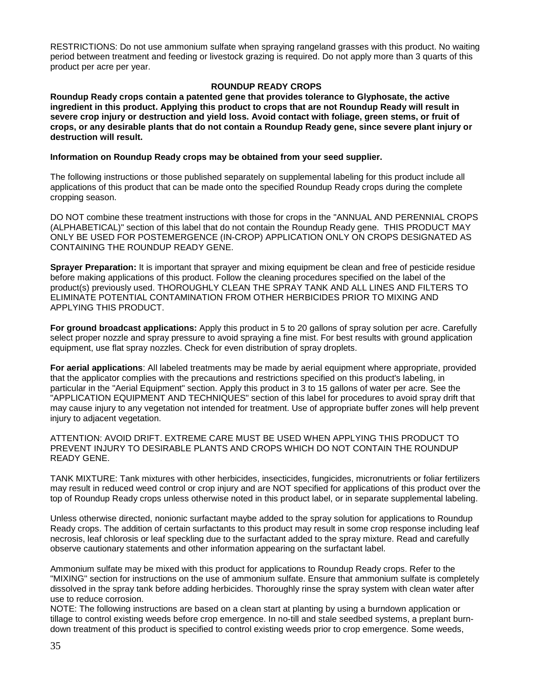RESTRICTIONS: Do not use ammonium sulfate when spraying rangeland grasses with this product. No waiting period between treatment and feeding or livestock grazing is required. Do not apply more than 3 quarts of this product per acre per year.

# **ROUNDUP READY CROPS**

**Roundup Ready crops contain a patented gene that provides tolerance to Glyphosate, the active ingredient in this product. Applying this product to crops that are not Roundup Ready will result in severe crop injury or destruction and yield loss. Avoid contact with foliage, green stems, or fruit of crops, or any desirable plants that do not contain a Roundup Ready gene, since severe plant injury or destruction will result.** 

#### **Information on Roundup Ready crops may be obtained from your seed supplier.**

The following instructions or those published separately on supplemental labeling for this product include all applications of this product that can be made onto the specified Roundup Ready crops during the complete cropping season.

DO NOT combine these treatment instructions with those for crops in the "ANNUAL AND PERENNIAL CROPS (ALPHABETICAL)" section of this label that do not contain the Roundup Ready gene. THIS PRODUCT MAY ONLY BE USED FOR POSTEMERGENCE (IN-CROP) APPLICATION ONLY ON CROPS DESIGNATED AS CONTAINING THE ROUNDUP READY GENE.

**Sprayer Preparation:** It is important that sprayer and mixing equipment be clean and free of pesticide residue before making applications of this product. Follow the cleaning procedures specified on the label of the product(s) previously used. THOROUGHLY CLEAN THE SPRAY TANK AND ALL LINES AND FILTERS TO ELIMINATE POTENTIAL CONTAMINATION FROM OTHER HERBICIDES PRIOR TO MIXING AND APPLYING THIS PRODUCT.

**For ground broadcast applications:** Apply this product in 5 to 20 gallons of spray solution per acre. Carefully select proper nozzle and spray pressure to avoid spraying a fine mist. For best results with ground application equipment, use flat spray nozzles. Check for even distribution of spray droplets.

**For aerial applications**: All labeled treatments may be made by aerial equipment where appropriate, provided that the applicator complies with the precautions and restrictions specified on this product's labeling, in particular in the "Aerial Equipment" section. Apply this product in 3 to 15 gallons of water per acre. See the "APPLICATION EQUIPMENT AND TECHNIQUES" section of this label for procedures to avoid spray drift that may cause injury to any vegetation not intended for treatment. Use of appropriate buffer zones will help prevent injury to adjacent vegetation.

ATTENTION: AVOID DRIFT. EXTREME CARE MUST BE USED WHEN APPLYING THIS PRODUCT TO PREVENT INJURY TO DESIRABLE PLANTS AND CROPS WHICH DO NOT CONTAIN THE ROUNDUP READY GENE.

TANK MIXTURE: Tank mixtures with other herbicides, insecticides, fungicides, micronutrients or foliar fertilizers may result in reduced weed control or crop injury and are NOT specified for applications of this product over the top of Roundup Ready crops unless otherwise noted in this product label, or in separate supplemental labeling.

Unless otherwise directed, nonionic surfactant maybe added to the spray solution for applications to Roundup Ready crops. The addition of certain surfactants to this product may result in some crop response including leaf necrosis, leaf chlorosis or leaf speckling due to the surfactant added to the spray mixture. Read and carefully observe cautionary statements and other information appearing on the surfactant label.

Ammonium sulfate may be mixed with this product for applications to Roundup Ready crops. Refer to the "MIXING" section for instructions on the use of ammonium sulfate. Ensure that ammonium sulfate is completely dissolved in the spray tank before adding herbicides. Thoroughly rinse the spray system with clean water after use to reduce corrosion.

NOTE: The following instructions are based on a clean start at planting by using a burndown application or tillage to control existing weeds before crop emergence. In no-till and stale seedbed systems, a preplant burndown treatment of this product is specified to control existing weeds prior to crop emergence. Some weeds,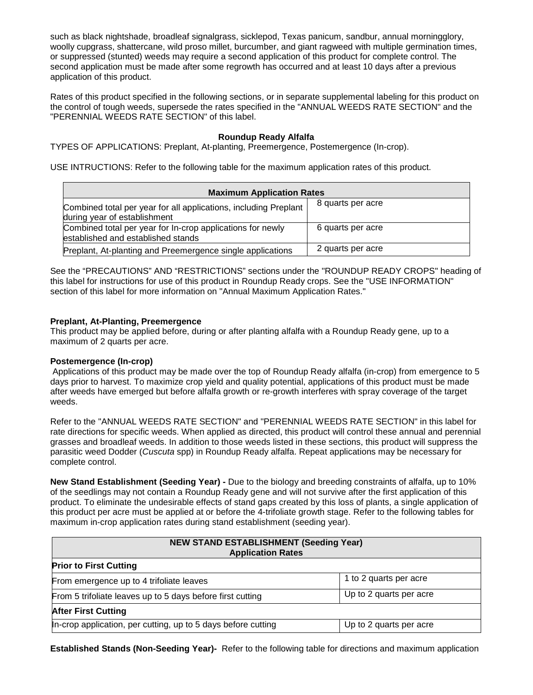such as black nightshade, broadleaf signalgrass, sicklepod, Texas panicum, sandbur, annual morningglory, woolly cupgrass, shattercane, wild proso millet, burcumber, and giant ragweed with multiple germination times, or suppressed (stunted) weeds may require a second application of this product for complete control. The second application must be made after some regrowth has occurred and at least 10 days after a previous application of this product.

Rates of this product specified in the following sections, or in separate supplemental labeling for this product on the control of tough weeds, supersede the rates specified in the "ANNUAL WEEDS RATE SECTION" and the "PERENNIAL WEEDS RATE SECTION" of this label.

# **Roundup Ready Alfalfa**

TYPES OF APPLICATIONS: Preplant, At-planting, Preemergence, Postemergence (In-crop).

USE INTRUCTIONS: Refer to the following table for the maximum application rates of this product.

| <b>Maximum Application Rates</b>                                                                 |                   |  |
|--------------------------------------------------------------------------------------------------|-------------------|--|
| Combined total per year for all applications, including Preplant<br>during year of establishment | 8 quarts per acre |  |
| Combined total per year for In-crop applications for newly<br>established and established stands | 6 quarts per acre |  |
| Preplant, At-planting and Preemergence single applications                                       | 2 quarts per acre |  |

See the "PRECAUTIONS" AND "RESTRICTIONS" sections under the "ROUNDUP READY CROPS" heading of this label for instructions for use of this product in Roundup Ready crops. See the "USE INFORMATION" section of this label for more information on "Annual Maximum Application Rates."

# **Preplant, At-Planting, Preemergence**

This product may be applied before, during or after planting alfalfa with a Roundup Ready gene, up to a maximum of 2 quarts per acre.

#### **Postemergence (In-crop)**

Applications of this product may be made over the top of Roundup Ready alfalfa (in-crop) from emergence to 5 days prior to harvest. To maximize crop yield and quality potential, applications of this product must be made after weeds have emerged but before alfalfa growth or re-growth interferes with spray coverage of the target weeds.

Refer to the "ANNUAL WEEDS RATE SECTION" and "PERENNIAL WEEDS RATE SECTION" in this label for rate directions for specific weeds. When applied as directed, this product will control these annual and perennial grasses and broadleaf weeds. In addition to those weeds listed in these sections, this product will suppress the parasitic weed Dodder (*Cuscuta* spp) in Roundup Ready alfalfa. Repeat applications may be necessary for complete control.

**New Stand Establishment (Seeding Year) -** Due to the biology and breeding constraints of alfalfa, up to 10% of the seedlings may not contain a Roundup Ready gene and will not survive after the first application of this product. To eliminate the undesirable effects of stand gaps created by this loss of plants, a single application of this product per acre must be applied at or before the 4-trifoliate growth stage. Refer to the following tables for maximum in-crop application rates during stand establishment (seeding year).

| <b>NEW STAND ESTABLISHMENT (Seeding Year)</b><br><b>Application Rates</b> |                         |  |  |
|---------------------------------------------------------------------------|-------------------------|--|--|
| <b>Prior to First Cutting</b>                                             |                         |  |  |
| From emergence up to 4 trifoliate leaves                                  | 1 to 2 quarts per acre  |  |  |
| From 5 trifoliate leaves up to 5 days before first cutting                | Up to 2 quarts per acre |  |  |
| <b>After First Cutting</b>                                                |                         |  |  |
| In-crop application, per cutting, up to 5 days before cutting             | Up to 2 quarts per acre |  |  |

**Established Stands (Non-Seeding Year)-** Refer to the following table for directions and maximum application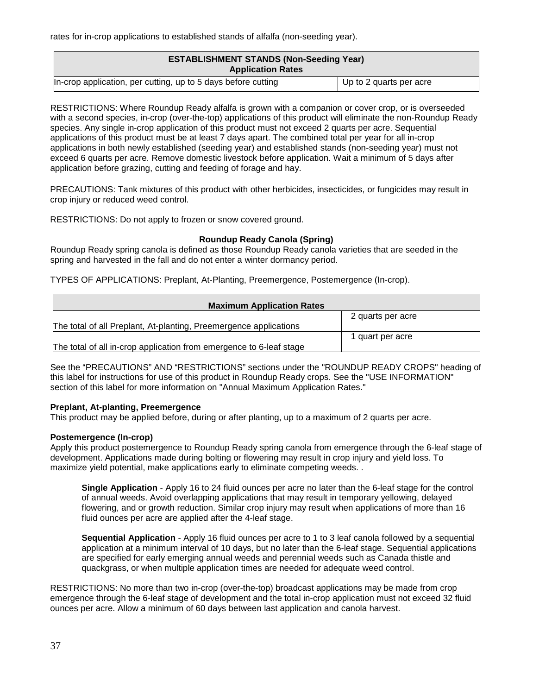rates for in-crop applications to established stands of alfalfa (non-seeding year).

| <b>ESTABLISHMENT STANDS (Non-Seeding Year)</b><br><b>Application Rates</b> |                         |
|----------------------------------------------------------------------------|-------------------------|
| In-crop application, per cutting, up to 5 days before cutting              | Up to 2 quarts per acre |

RESTRICTIONS: Where Roundup Ready alfalfa is grown with a companion or cover crop, or is overseeded with a second species, in-crop (over-the-top) applications of this product will eliminate the non-Roundup Ready species. Any single in-crop application of this product must not exceed 2 quarts per acre. Sequential applications of this product must be at least 7 days apart. The combined total per year for all in-crop applications in both newly established (seeding year) and established stands (non-seeding year) must not exceed 6 quarts per acre. Remove domestic livestock before application. Wait a minimum of 5 days after application before grazing, cutting and feeding of forage and hay.

PRECAUTIONS: Tank mixtures of this product with other herbicides, insecticides, or fungicides may result in crop injury or reduced weed control.

RESTRICTIONS: Do not apply to frozen or snow covered ground.

# **Roundup Ready Canola (Spring)**

Roundup Ready spring canola is defined as those Roundup Ready canola varieties that are seeded in the spring and harvested in the fall and do not enter a winter dormancy period.

TYPES OF APPLICATIONS: Preplant, At-Planting, Preemergence, Postemergence (In-crop).

| <b>Maximum Application Rates</b>                                    |                   |
|---------------------------------------------------------------------|-------------------|
|                                                                     | 2 quarts per acre |
| The total of all Preplant, At-planting, Preemergence applications   |                   |
|                                                                     | 1 quart per acre  |
| The total of all in-crop application from emergence to 6-leaf stage |                   |

See the "PRECAUTIONS" AND "RESTRICTIONS" sections under the "ROUNDUP READY CROPS" heading of this label for instructions for use of this product in Roundup Ready crops. See the "USE INFORMATION" section of this label for more information on "Annual Maximum Application Rates."

# **Preplant, At-planting, Preemergence**

This product may be applied before, during or after planting, up to a maximum of 2 quarts per acre.

# **Postemergence (In-crop)**

Apply this product postemergence to Roundup Ready spring canola from emergence through the 6-leaf stage of development. Applications made during bolting or flowering may result in crop injury and yield loss. To maximize yield potential, make applications early to eliminate competing weeds. .

**Single Application** - Apply 16 to 24 fluid ounces per acre no later than the 6-leaf stage for the control of annual weeds. Avoid overlapping applications that may result in temporary yellowing, delayed flowering, and or growth reduction. Similar crop injury may result when applications of more than 16 fluid ounces per acre are applied after the 4-leaf stage.

**Sequential Application** - Apply 16 fluid ounces per acre to 1 to 3 leaf canola followed by a sequential application at a minimum interval of 10 days, but no later than the 6-leaf stage. Sequential applications are specified for early emerging annual weeds and perennial weeds such as Canada thistle and quackgrass, or when multiple application times are needed for adequate weed control.

RESTRICTIONS: No more than two in-crop (over-the-top) broadcast applications may be made from crop emergence through the 6-leaf stage of development and the total in-crop application must not exceed 32 fluid ounces per acre. Allow a minimum of 60 days between last application and canola harvest.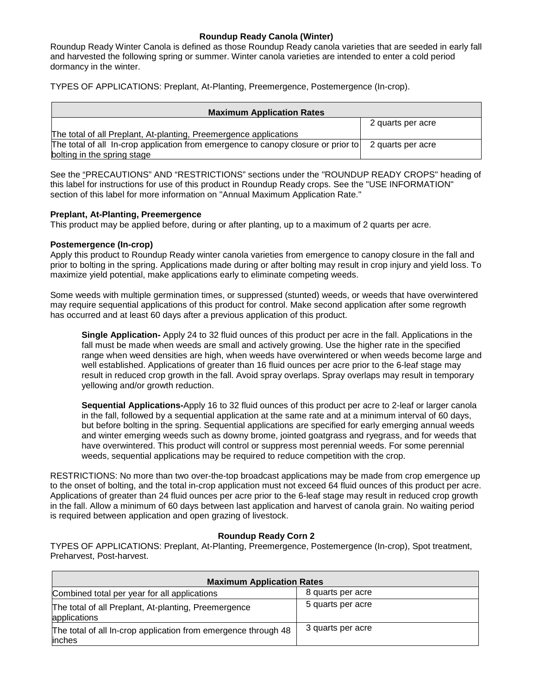# **Roundup Ready Canola (Winter)**

Roundup Ready Winter Canola is defined as those Roundup Ready canola varieties that are seeded in early fall and harvested the following spring or summer. Winter canola varieties are intended to enter a cold period dormancy in the winter.

TYPES OF APPLICATIONS: Preplant, At-Planting, Preemergence, Postemergence (In-crop).

| <b>Maximum Application Rates</b>                                                  |                   |
|-----------------------------------------------------------------------------------|-------------------|
|                                                                                   | 2 quarts per acre |
| The total of all Preplant, At-planting, Preemergence applications                 |                   |
| The total of all In-crop application from emergence to canopy closure or prior to | 2 quarts per acre |
| bolting in the spring stage                                                       |                   |

See the "PRECAUTIONS" AND "RESTRICTIONS" sections under the "ROUNDUP READY CROPS" heading of this label for instructions for use of this product in Roundup Ready crops. See the "USE INFORMATION" section of this label for more information on "Annual Maximum Application Rate."

# **Preplant, At-Planting, Preemergence**

This product may be applied before, during or after planting, up to a maximum of 2 quarts per acre.

# **Postemergence (In-crop)**

Apply this product to Roundup Ready winter canola varieties from emergence to canopy closure in the fall and prior to bolting in the spring. Applications made during or after bolting may result in crop injury and yield loss. To maximize yield potential, make applications early to eliminate competing weeds.

Some weeds with multiple germination times, or suppressed (stunted) weeds, or weeds that have overwintered may require sequential applications of this product for control. Make second application after some regrowth has occurred and at least 60 days after a previous application of this product.

**Single Application-** Apply 24 to 32 fluid ounces of this product per acre in the fall. Applications in the fall must be made when weeds are small and actively growing. Use the higher rate in the specified range when weed densities are high, when weeds have overwintered or when weeds become large and well established. Applications of greater than 16 fluid ounces per acre prior to the 6-leaf stage may result in reduced crop growth in the fall. Avoid spray overlaps. Spray overlaps may result in temporary yellowing and/or growth reduction.

**Sequential Applications-**Apply 16 to 32 fluid ounces of this product per acre to 2-leaf or larger canola in the fall, followed by a sequential application at the same rate and at a minimum interval of 60 days, but before bolting in the spring. Sequential applications are specified for early emerging annual weeds and winter emerging weeds such as downy brome, jointed goatgrass and ryegrass, and for weeds that have overwintered. This product will control or suppress most perennial weeds. For some perennial weeds, sequential applications may be required to reduce competition with the crop.

RESTRICTIONS: No more than two over-the-top broadcast applications may be made from crop emergence up to the onset of bolting, and the total in-crop application must not exceed 64 fluid ounces of this product per acre. Applications of greater than 24 fluid ounces per acre prior to the 6-leaf stage may result in reduced crop growth in the fall. Allow a minimum of 60 days between last application and harvest of canola grain. No waiting period is required between application and open grazing of livestock.

# **Roundup Ready Corn 2**

TYPES OF APPLICATIONS: Preplant, At-Planting, Preemergence, Postemergence (In-crop), Spot treatment, Preharvest, Post-harvest.

| <b>Maximum Application Rates</b>                                         |                   |
|--------------------------------------------------------------------------|-------------------|
| Combined total per year for all applications                             | 8 quarts per acre |
| The total of all Preplant, At-planting, Preemergence<br>applications     | 5 quarts per acre |
| The total of all In-crop application from emergence through 48<br>inches | 3 quarts per acre |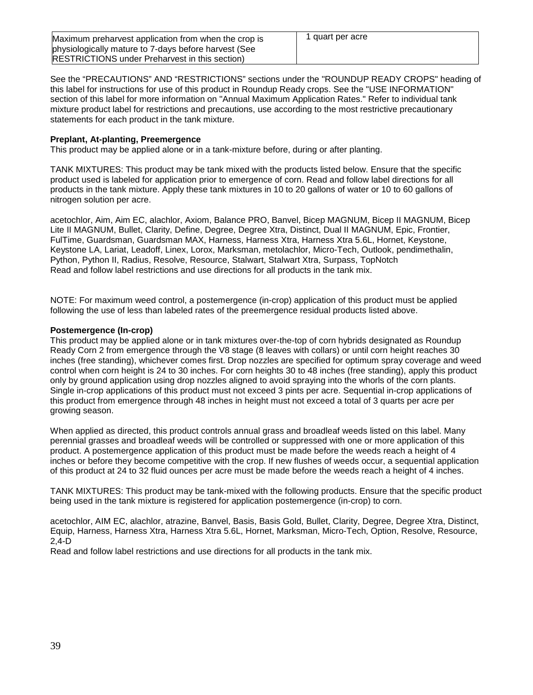| Maximum preharvest application from when the crop is  | 1 quart per acre |
|-------------------------------------------------------|------------------|
| physiologically mature to 7-days before harvest (See  |                  |
| <b>RESTRICTIONS</b> under Preharvest in this section) |                  |

See the "PRECAUTIONS" AND "RESTRICTIONS" sections under the "ROUNDUP READY CROPS" heading of this label for instructions for use of this product in Roundup Ready crops. See the "USE INFORMATION" section of this label for more information on "Annual Maximum Application Rates." Refer to individual tank mixture product label for restrictions and precautions, use according to the most restrictive precautionary statements for each product in the tank mixture.

# **Preplant, At-planting, Preemergence**

This product may be applied alone or in a tank-mixture before, during or after planting.

TANK MIXTURES: This product may be tank mixed with the products listed below. Ensure that the specific product used is labeled for application prior to emergence of corn. Read and follow label directions for all products in the tank mixture. Apply these tank mixtures in 10 to 20 gallons of water or 10 to 60 gallons of nitrogen solution per acre.

acetochlor, Aim, Aim EC, alachlor, Axiom, Balance PRO, Banvel, Bicep MAGNUM, Bicep II MAGNUM, Bicep Lite II MAGNUM, Bullet, Clarity, Define, Degree, Degree Xtra, Distinct, Dual II MAGNUM, Epic, Frontier, FulTime, Guardsman, Guardsman MAX, Harness, Harness Xtra, Harness Xtra 5.6L, Hornet, Keystone, Keystone LA, Lariat, Leadoff, Linex, Lorox, Marksman, metolachlor, Micro-Tech, Outlook, pendimethalin, Python, Python II, Radius, Resolve, Resource, Stalwart, Stalwart Xtra, Surpass, TopNotch Read and follow label restrictions and use directions for all products in the tank mix.

NOTE: For maximum weed control, a postemergence (in-crop) application of this product must be applied following the use of less than labeled rates of the preemergence residual products listed above.

# **Postemergence (In-crop)**

This product may be applied alone or in tank mixtures over-the-top of corn hybrids designated as Roundup Ready Corn 2 from emergence through the V8 stage (8 leaves with collars) or until corn height reaches 30 inches (free standing), whichever comes first. Drop nozzles are specified for optimum spray coverage and weed control when corn height is 24 to 30 inches. For corn heights 30 to 48 inches (free standing), apply this product only by ground application using drop nozzles aligned to avoid spraying into the whorls of the corn plants. Single in-crop applications of this product must not exceed 3 pints per acre. Sequential in-crop applications of this product from emergence through 48 inches in height must not exceed a total of 3 quarts per acre per growing season.

When applied as directed, this product controls annual grass and broadleaf weeds listed on this label. Many perennial grasses and broadleaf weeds will be controlled or suppressed with one or more application of this product. A postemergence application of this product must be made before the weeds reach a height of 4 inches or before they become competitive with the crop. If new flushes of weeds occur, a sequential application of this product at 24 to 32 fluid ounces per acre must be made before the weeds reach a height of 4 inches.

TANK MIXTURES: This product may be tank-mixed with the following products. Ensure that the specific product being used in the tank mixture is registered for application postemergence (in-crop) to corn.

acetochlor, AIM EC, alachlor, atrazine, Banvel, Basis, Basis Gold, Bullet, Clarity, Degree, Degree Xtra, Distinct, Equip, Harness, Harness Xtra, Harness Xtra 5.6L, Hornet, Marksman, Micro-Tech, Option, Resolve, Resource, 2,4-D

Read and follow label restrictions and use directions for all products in the tank mix.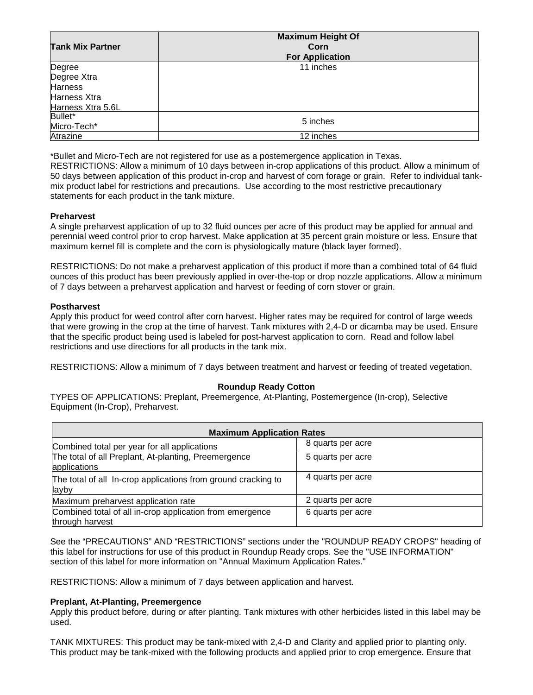| <b>Tank Mix Partner</b> | <b>Maximum Height Of</b><br>Corn<br><b>For Application</b> |
|-------------------------|------------------------------------------------------------|
| Degree                  | 11 inches                                                  |
| Degree Xtra             |                                                            |
| <b>Harness</b>          |                                                            |
| Harness Xtra            |                                                            |
| Harness Xtra 5.6L       |                                                            |
| Bullet*                 | 5 inches                                                   |
| Micro-Tech*             |                                                            |
| Atrazine                | 12 inches                                                  |

\*Bullet and Micro-Tech are not registered for use as a postemergence application in Texas.

RESTRICTIONS: Allow a minimum of 10 days between in-crop applications of this product. Allow a minimum of 50 days between application of this product in-crop and harvest of corn forage or grain. Refer to individual tankmix product label for restrictions and precautions. Use according to the most restrictive precautionary statements for each product in the tank mixture.

# **Preharvest**

A single preharvest application of up to 32 fluid ounces per acre of this product may be applied for annual and perennial weed control prior to crop harvest. Make application at 35 percent grain moisture or less. Ensure that maximum kernel fill is complete and the corn is physiologically mature (black layer formed).

RESTRICTIONS: Do not make a preharvest application of this product if more than a combined total of 64 fluid ounces of this product has been previously applied in over-the-top or drop nozzle applications. Allow a minimum of 7 days between a preharvest application and harvest or feeding of corn stover or grain.

#### **Postharvest**

Apply this product for weed control after corn harvest. Higher rates may be required for control of large weeds that were growing in the crop at the time of harvest. Tank mixtures with 2,4-D or dicamba may be used. Ensure that the specific product being used is labeled for post-harvest application to corn. Read and follow label restrictions and use directions for all products in the tank mix.

RESTRICTIONS: Allow a minimum of 7 days between treatment and harvest or feeding of treated vegetation.

# **Roundup Ready Cotton**

TYPES OF APPLICATIONS: Preplant, Preemergence, At-Planting, Postemergence (In-crop), Selective Equipment (In-Crop), Preharvest.

| <b>Maximum Application Rates</b>                                               |                   |  |
|--------------------------------------------------------------------------------|-------------------|--|
| Combined total per year for all applications                                   | 8 quarts per acre |  |
| The total of all Preplant, At-planting, Preemergence<br>applications           | 5 quarts per acre |  |
| The total of all In-crop applications from ground cracking to<br><b>l</b> ayby | 4 quarts per acre |  |
| Maximum preharvest application rate                                            | 2 quarts per acre |  |
| Combined total of all in-crop application from emergence<br>through harvest    | 6 quarts per acre |  |

See the "PRECAUTIONS" AND "RESTRICTIONS" sections under the "ROUNDUP READY CROPS" heading of this label for instructions for use of this product in Roundup Ready crops. See the "USE INFORMATION" section of this label for more information on "Annual Maximum Application Rates."

RESTRICTIONS: Allow a minimum of 7 days between application and harvest.

# **Preplant, At-Planting, Preemergence**

Apply this product before, during or after planting. Tank mixtures with other herbicides listed in this label may be used.

TANK MIXTURES: This product may be tank-mixed with 2,4-D and Clarity and applied prior to planting only. This product may be tank-mixed with the following products and applied prior to crop emergence. Ensure that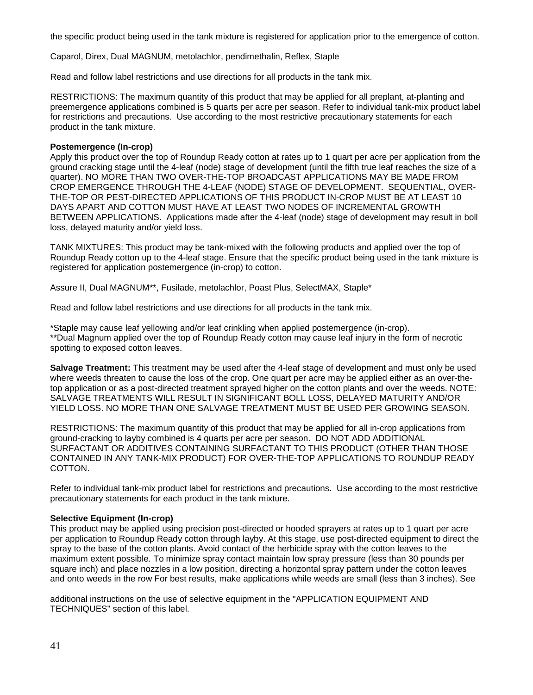the specific product being used in the tank mixture is registered for application prior to the emergence of cotton.

Caparol, Direx, Dual MAGNUM, metolachlor, pendimethalin, Reflex, Staple

Read and follow label restrictions and use directions for all products in the tank mix.

RESTRICTIONS: The maximum quantity of this product that may be applied for all preplant, at-planting and preemergence applications combined is 5 quarts per acre per season. Refer to individual tank-mix product label for restrictions and precautions. Use according to the most restrictive precautionary statements for each product in the tank mixture.

### **Postemergence (In-crop)**

Apply this product over the top of Roundup Ready cotton at rates up to 1 quart per acre per application from the ground cracking stage until the 4-leaf (node) stage of development (until the fifth true leaf reaches the size of a quarter). NO MORE THAN TWO OVER-THE-TOP BROADCAST APPLICATIONS MAY BE MADE FROM CROP EMERGENCE THROUGH THE 4-LEAF (NODE) STAGE OF DEVELOPMENT. SEQUENTIAL, OVER-THE-TOP OR PEST-DIRECTED APPLICATIONS OF THIS PRODUCT IN-CROP MUST BE AT LEAST 10 DAYS APART AND COTTON MUST HAVE AT LEAST TWO NODES OF INCREMENTAL GROWTH BETWEEN APPLICATIONS. Applications made after the 4-leaf (node) stage of development may result in boll loss, delayed maturity and/or yield loss.

TANK MIXTURES: This product may be tank-mixed with the following products and applied over the top of Roundup Ready cotton up to the 4-leaf stage. Ensure that the specific product being used in the tank mixture is registered for application postemergence (in-crop) to cotton.

Assure II, Dual MAGNUM\*\*, Fusilade, metolachlor, Poast Plus, SelectMAX, Staple\*

Read and follow label restrictions and use directions for all products in the tank mix.

\*Staple may cause leaf yellowing and/or leaf crinkling when applied postemergence (in-crop). \*\*Dual Magnum applied over the top of Roundup Ready cotton may cause leaf injury in the form of necrotic spotting to exposed cotton leaves.

**Salvage Treatment:** This treatment may be used after the 4-leaf stage of development and must only be used where weeds threaten to cause the loss of the crop. One quart per acre may be applied either as an over-thetop application or as a post-directed treatment sprayed higher on the cotton plants and over the weeds. NOTE: SALVAGE TREATMENTS WILL RESULT IN SIGNIFICANT BOLL LOSS, DELAYED MATURITY AND/OR YIELD LOSS. NO MORE THAN ONE SALVAGE TREATMENT MUST BE USED PER GROWING SEASON.

RESTRICTIONS: The maximum quantity of this product that may be applied for all in-crop applications from ground-cracking to layby combined is 4 quarts per acre per season. DO NOT ADD ADDITIONAL SURFACTANT OR ADDITIVES CONTAINING SURFACTANT TO THIS PRODUCT (OTHER THAN THOSE CONTAINED IN ANY TANK-MIX PRODUCT) FOR OVER-THE-TOP APPLICATIONS TO ROUNDUP READY COTTON.

Refer to individual tank-mix product label for restrictions and precautions. Use according to the most restrictive precautionary statements for each product in the tank mixture.

#### **Selective Equipment (In-crop)**

This product may be applied using precision post-directed or hooded sprayers at rates up to 1 quart per acre per application to Roundup Ready cotton through layby. At this stage, use post-directed equipment to direct the spray to the base of the cotton plants. Avoid contact of the herbicide spray with the cotton leaves to the maximum extent possible. To minimize spray contact maintain low spray pressure (less than 30 pounds per square inch) and place nozzles in a low position, directing a horizontal spray pattern under the cotton leaves and onto weeds in the row For best results, make applications while weeds are small (less than 3 inches). See

additional instructions on the use of selective equipment in the "APPLICATION EQUIPMENT AND TECHNIQUES" section of this label.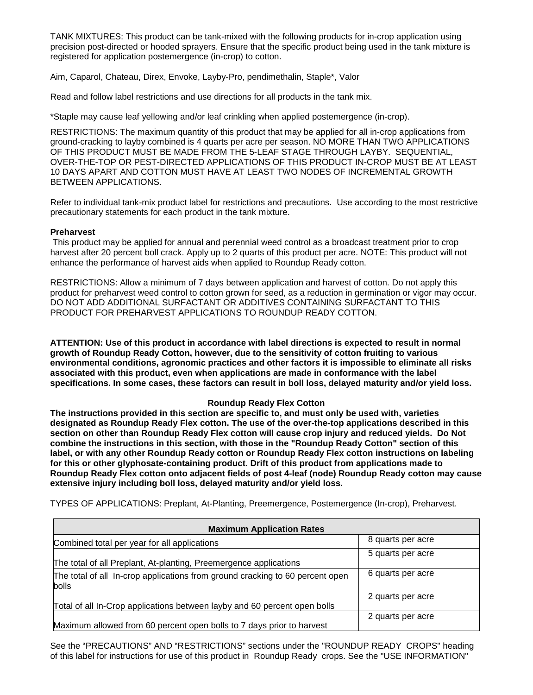TANK MIXTURES: This product can be tank-mixed with the following products for in-crop application using precision post-directed or hooded sprayers. Ensure that the specific product being used in the tank mixture is registered for application postemergence (in-crop) to cotton.

Aim, Caparol, Chateau, Direx, Envoke, Layby-Pro, pendimethalin, Staple\*, Valor

Read and follow label restrictions and use directions for all products in the tank mix.

\*Staple may cause leaf yellowing and/or leaf crinkling when applied postemergence (in-crop).

RESTRICTIONS: The maximum quantity of this product that may be applied for all in-crop applications from ground-cracking to layby combined is 4 quarts per acre per season. NO MORE THAN TWO APPLICATIONS OF THIS PRODUCT MUST BE MADE FROM THE 5-LEAF STAGE THROUGH LAYBY. SEQUENTIAL, OVER-THE-TOP OR PEST-DIRECTED APPLICATIONS OF THIS PRODUCT IN-CROP MUST BE AT LEAST 10 DAYS APART AND COTTON MUST HAVE AT LEAST TWO NODES OF INCREMENTAL GROWTH BETWEEN APPLICATIONS.

Refer to individual tank-mix product label for restrictions and precautions. Use according to the most restrictive precautionary statements for each product in the tank mixture.

# **Preharvest**

This product may be applied for annual and perennial weed control as a broadcast treatment prior to crop harvest after 20 percent boll crack. Apply up to 2 quarts of this product per acre. NOTE: This product will not enhance the performance of harvest aids when applied to Roundup Ready cotton.

RESTRICTIONS: Allow a minimum of 7 days between application and harvest of cotton. Do not apply this product for preharvest weed control to cotton grown for seed, as a reduction in germination or vigor may occur. DO NOT ADD ADDITIONAL SURFACTANT OR ADDITIVES CONTAINING SURFACTANT TO THIS PRODUCT FOR PREHARVEST APPLICATIONS TO ROUNDUP READY COTTON.

**ATTENTION: Use of this product in accordance with label directions is expected to result in normal growth of Roundup Ready Cotton, however, due to the sensitivity of cotton fruiting to various environmental conditions, agronomic practices and other factors it is impossible to eliminate all risks associated with this product, even when applications are made in conformance with the label specifications. In some cases, these factors can result in boll loss, delayed maturity and/or yield loss.**

# **Roundup Ready Flex Cotton**

**The instructions provided in this section are specific to, and must only be used with, varieties designated as Roundup Ready Flex cotton. The use of the over-the-top applications described in this section on other than Roundup Ready Flex cotton will cause crop injury and reduced yields. Do Not combine the instructions in this section, with those in the "Roundup Ready Cotton" section of this label, or with any other Roundup Ready cotton or Roundup Ready Flex cotton instructions on labeling for this or other glyphosate-containing product. Drift of this product from applications made to Roundup Ready Flex cotton onto adjacent fields of post 4-leaf (node) Roundup Ready cotton may cause extensive injury including boll loss, delayed maturity and/or yield loss.**

| <b>Maximum Application Rates</b>                                                       |                   |
|----------------------------------------------------------------------------------------|-------------------|
| Combined total per year for all applications                                           | 8 quarts per acre |
|                                                                                        | 5 quarts per acre |
| The total of all Preplant, At-planting, Preemergence applications                      |                   |
| The total of all In-crop applications from ground cracking to 60 percent open<br>bolls | 6 quarts per acre |
|                                                                                        | 2 quarts per acre |
| Total of all In-Crop applications between layby and 60 percent open bolls              |                   |
|                                                                                        | 2 quarts per acre |
| Maximum allowed from 60 percent open bolls to 7 days prior to harvest                  |                   |

TYPES OF APPLICATIONS: Preplant, At-Planting, Preemergence, Postemergence (In-crop), Preharvest.

See the "PRECAUTIONS" AND "RESTRICTIONS" sections under the "ROUNDUP READY CROPS" heading of this label for instructions for use of this product in Roundup Ready crops. See the "USE INFORMATION"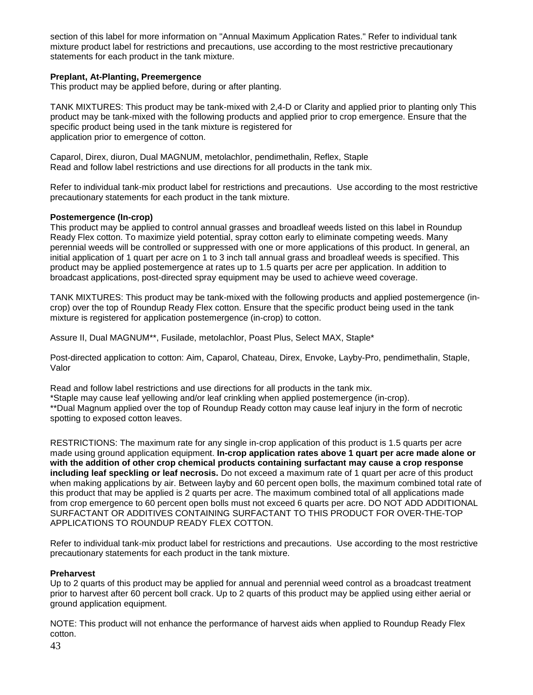section of this label for more information on "Annual Maximum Application Rates." Refer to individual tank mixture product label for restrictions and precautions, use according to the most restrictive precautionary statements for each product in the tank mixture.

# **Preplant, At-Planting, Preemergence**

This product may be applied before, during or after planting.

TANK MIXTURES: This product may be tank-mixed with 2,4-D or Clarity and applied prior to planting only This product may be tank-mixed with the following products and applied prior to crop emergence. Ensure that the specific product being used in the tank mixture is registered for application prior to emergence of cotton.

Caparol, Direx, diuron, Dual MAGNUM, metolachlor, pendimethalin, Reflex, Staple Read and follow label restrictions and use directions for all products in the tank mix.

Refer to individual tank-mix product label for restrictions and precautions. Use according to the most restrictive precautionary statements for each product in the tank mixture.

# **Postemergence (In-crop)**

This product may be applied to control annual grasses and broadleaf weeds listed on this label in Roundup Ready Flex cotton. To maximize yield potential, spray cotton early to eliminate competing weeds. Many perennial weeds will be controlled or suppressed with one or more applications of this product. In general, an initial application of 1 quart per acre on 1 to 3 inch tall annual grass and broadleaf weeds is specified. This product may be applied postemergence at rates up to 1.5 quarts per acre per application. In addition to broadcast applications, post-directed spray equipment may be used to achieve weed coverage.

TANK MIXTURES: This product may be tank-mixed with the following products and applied postemergence (incrop) over the top of Roundup Ready Flex cotton. Ensure that the specific product being used in the tank mixture is registered for application postemergence (in-crop) to cotton.

Assure II, Dual MAGNUM\*\*, Fusilade, metolachlor, Poast Plus, Select MAX, Staple\*

Post-directed application to cotton: Aim, Caparol, Chateau, Direx, Envoke, Layby-Pro, pendimethalin, Staple, Valor

Read and follow label restrictions and use directions for all products in the tank mix. \*Staple may cause leaf yellowing and/or leaf crinkling when applied postemergence (in-crop). \*\*Dual Magnum applied over the top of Roundup Ready cotton may cause leaf injury in the form of necrotic spotting to exposed cotton leaves.

RESTRICTIONS: The maximum rate for any single in-crop application of this product is 1.5 quarts per acre made using ground application equipment. **In-crop application rates above 1 quart per acre made alone or with the addition of other crop chemical products containing surfactant may cause a crop response including leaf speckling or leaf necrosis.** Do not exceed a maximum rate of 1 quart per acre of this product when making applications by air. Between layby and 60 percent open bolls, the maximum combined total rate of this product that may be applied is 2 quarts per acre. The maximum combined total of all applications made from crop emergence to 60 percent open bolls must not exceed 6 quarts per acre. DO NOT ADD ADDITIONAL SURFACTANT OR ADDITIVES CONTAINING SURFACTANT TO THIS PRODUCT FOR OVER-THE-TOP APPLICATIONS TO ROUNDUP READY FLEX COTTON.

Refer to individual tank-mix product label for restrictions and precautions. Use according to the most restrictive precautionary statements for each product in the tank mixture.

# **Preharvest**

Up to 2 quarts of this product may be applied for annual and perennial weed control as a broadcast treatment prior to harvest after 60 percent boll crack. Up to 2 quarts of this product may be applied using either aerial or ground application equipment.

NOTE: This product will not enhance the performance of harvest aids when applied to Roundup Ready Flex cotton.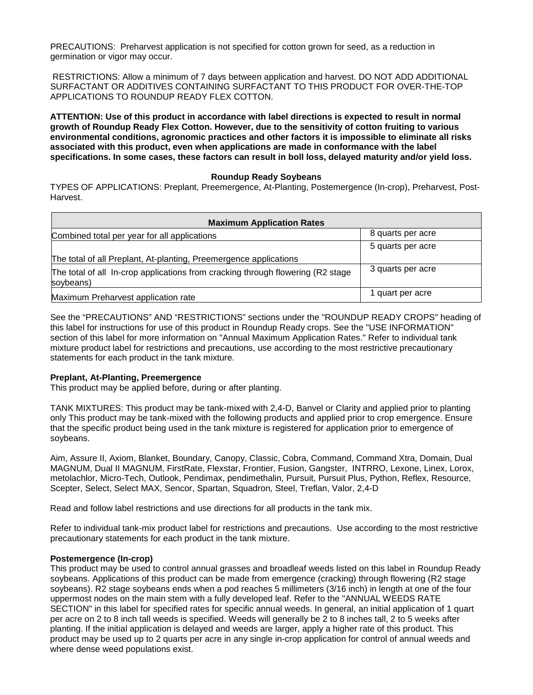PRECAUTIONS: Preharvest application is not specified for cotton grown for seed, as a reduction in germination or vigor may occur.

RESTRICTIONS: Allow a minimum of 7 days between application and harvest. DO NOT ADD ADDITIONAL SURFACTANT OR ADDITIVES CONTAINING SURFACTANT TO THIS PRODUCT FOR OVER-THE-TOP APPLICATIONS TO ROUNDUP READY FLEX COTTON.

**ATTENTION: Use of this product in accordance with label directions is expected to result in normal growth of Roundup Ready Flex Cotton. However, due to the sensitivity of cotton fruiting to various environmental conditions, agronomic practices and other factors it is impossible to eliminate all risks associated with this product, even when applications are made in conformance with the label specifications. In some cases, these factors can result in boll loss, delayed maturity and/or yield loss.**

# **Roundup Ready Soybeans**

TYPES OF APPLICATIONS: Preplant, Preemergence, At-Planting, Postemergence (In-crop), Preharvest, Post-Harvest.

| <b>Maximum Application Rates</b>                                                              |                   |
|-----------------------------------------------------------------------------------------------|-------------------|
| Combined total per year for all applications                                                  | 8 quarts per acre |
|                                                                                               | 5 quarts per acre |
| The total of all Preplant, At-planting, Preemergence applications                             |                   |
| The total of all In-crop applications from cracking through flowering (R2 stage)<br>soybeans) | 3 quarts per acre |
| Maximum Preharvest application rate                                                           | 1 quart per acre  |

See the "PRECAUTIONS" AND "RESTRICTIONS" sections under the "ROUNDUP READY CROPS" heading of this label for instructions for use of this product in Roundup Ready crops. See the "USE INFORMATION" section of this label for more information on "Annual Maximum Application Rates." Refer to individual tank mixture product label for restrictions and precautions, use according to the most restrictive precautionary statements for each product in the tank mixture.

# **Preplant, At-Planting, Preemergence**

This product may be applied before, during or after planting.

TANK MIXTURES: This product may be tank-mixed with 2,4-D, Banvel or Clarity and applied prior to planting only This product may be tank-mixed with the following products and applied prior to crop emergence. Ensure that the specific product being used in the tank mixture is registered for application prior to emergence of soybeans.

Aim, Assure II, Axiom, Blanket, Boundary, Canopy, Classic, Cobra, Command, Command Xtra, Domain, Dual MAGNUM, Dual II MAGNUM, FirstRate, Flexstar, Frontier, Fusion, Gangster, INTRRO, Lexone, Linex, Lorox, metolachlor, Micro-Tech, Outlook, Pendimax, pendimethalin, Pursuit, Pursuit Plus, Python, Reflex, Resource, Scepter, Select, Select MAX, Sencor, Spartan, Squadron, Steel, Treflan, Valor, 2,4-D

Read and follow label restrictions and use directions for all products in the tank mix.

Refer to individual tank-mix product label for restrictions and precautions. Use according to the most restrictive precautionary statements for each product in the tank mixture.

# **Postemergence (In-crop)**

This product may be used to control annual grasses and broadleaf weeds listed on this label in Roundup Ready soybeans. Applications of this product can be made from emergence (cracking) through flowering (R2 stage soybeans). R2 stage soybeans ends when a pod reaches 5 millimeters (3/16 inch) in length at one of the four uppermost nodes on the main stem with a fully developed leaf. Refer to the "ANNUAL WEEDS RATE SECTION" in this label for specified rates for specific annual weeds. In general, an initial application of 1 quart per acre on 2 to 8 inch tall weeds is specified. Weeds will generally be 2 to 8 inches tall, 2 to 5 weeks after planting. If the initial application is delayed and weeds are larger, apply a higher rate of this product. This product may be used up to 2 quarts per acre in any single in-crop application for control of annual weeds and where dense weed populations exist.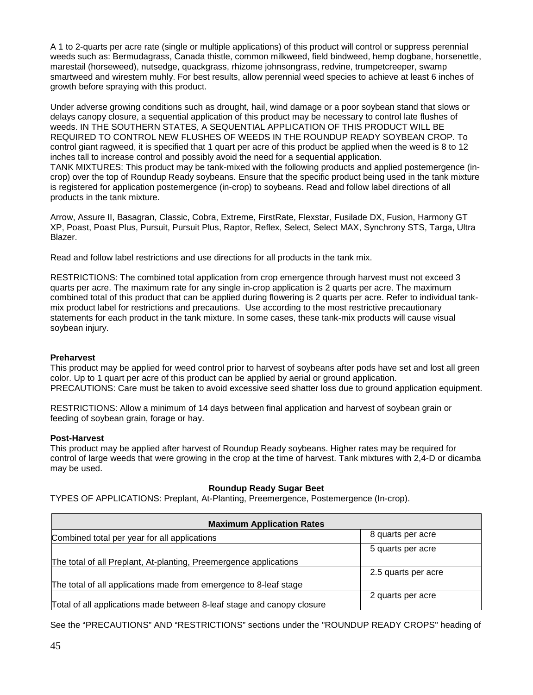A 1 to 2-quarts per acre rate (single or multiple applications) of this product will control or suppress perennial weeds such as: Bermudagrass, Canada thistle, common milkweed, field bindweed, hemp dogbane, horsenettle, marestail (horseweed), nutsedge, quackgrass, rhizome johnsongrass, redvine, trumpetcreeper, swamp smartweed and wirestem muhly. For best results, allow perennial weed species to achieve at least 6 inches of growth before spraying with this product.

Under adverse growing conditions such as drought, hail, wind damage or a poor soybean stand that slows or delays canopy closure, a sequential application of this product may be necessary to control late flushes of weeds. IN THE SOUTHERN STATES, A SEQUENTIAL APPLICATION OF THIS PRODUCT WILL BE REQUIRED TO CONTROL NEW FLUSHES OF WEEDS IN THE ROUNDUP READY SOYBEAN CROP. To control giant ragweed, it is specified that 1 quart per acre of this product be applied when the weed is 8 to 12 inches tall to increase control and possibly avoid the need for a sequential application. TANK MIXTURES: This product may be tank-mixed with the following products and applied postemergence (incrop) over the top of Roundup Ready soybeans. Ensure that the specific product being used in the tank mixture is registered for application postemergence (in-crop) to soybeans. Read and follow label directions of all products in the tank mixture.

Arrow, Assure II, Basagran, Classic, Cobra, Extreme, FirstRate, Flexstar, Fusilade DX, Fusion, Harmony GT XP, Poast, Poast Plus, Pursuit, Pursuit Plus, Raptor, Reflex, Select, Select MAX, Synchrony STS, Targa, Ultra Blazer.

Read and follow label restrictions and use directions for all products in the tank mix.

RESTRICTIONS: The combined total application from crop emergence through harvest must not exceed 3 quarts per acre. The maximum rate for any single in-crop application is 2 quarts per acre. The maximum combined total of this product that can be applied during flowering is 2 quarts per acre. Refer to individual tankmix product label for restrictions and precautions. Use according to the most restrictive precautionary statements for each product in the tank mixture. In some cases, these tank-mix products will cause visual soybean injury.

# **Preharvest**

This product may be applied for weed control prior to harvest of soybeans after pods have set and lost all green color. Up to 1 quart per acre of this product can be applied by aerial or ground application. PRECAUTIONS: Care must be taken to avoid excessive seed shatter loss due to ground application equipment.

RESTRICTIONS: Allow a minimum of 14 days between final application and harvest of soybean grain or feeding of soybean grain, forage or hay.

# **Post-Harvest**

This product may be applied after harvest of Roundup Ready soybeans. Higher rates may be required for control of large weeds that were growing in the crop at the time of harvest. Tank mixtures with 2,4-D or dicamba may be used.

# **Roundup Ready Sugar Beet**

TYPES OF APPLICATIONS: Preplant, At-Planting, Preemergence, Postemergence (In-crop).

| <b>Maximum Application Rates</b>                                       |                     |
|------------------------------------------------------------------------|---------------------|
| Combined total per year for all applications                           | 8 quarts per acre   |
|                                                                        | 5 quarts per acre   |
| The total of all Preplant, At-planting, Preemergence applications      |                     |
|                                                                        | 2.5 quarts per acre |
| The total of all applications made from emergence to 8-leaf stage      |                     |
|                                                                        | 2 quarts per acre   |
| Total of all applications made between 8-leaf stage and canopy closure |                     |

See the "PRECAUTIONS" AND "RESTRICTIONS" sections under the "ROUNDUP READY CROPS" heading of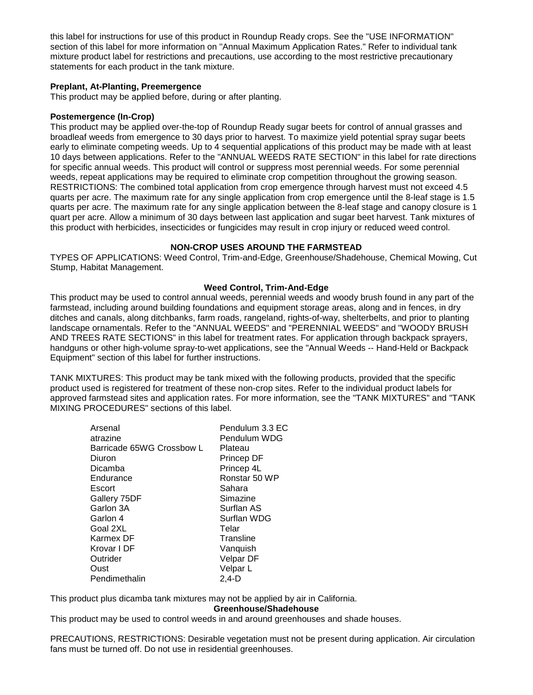this label for instructions for use of this product in Roundup Ready crops. See the "USE INFORMATION" section of this label for more information on "Annual Maximum Application Rates." Refer to individual tank mixture product label for restrictions and precautions, use according to the most restrictive precautionary statements for each product in the tank mixture.

# **Preplant, At-Planting, Preemergence**

This product may be applied before, during or after planting.

### **Postemergence (In-Crop)**

This product may be applied over-the-top of Roundup Ready sugar beets for control of annual grasses and broadleaf weeds from emergence to 30 days prior to harvest. To maximize yield potential spray sugar beets early to eliminate competing weeds. Up to 4 sequential applications of this product may be made with at least 10 days between applications. Refer to the "ANNUAL WEEDS RATE SECTION" in this label for rate directions for specific annual weeds. This product will control or suppress most perennial weeds. For some perennial weeds, repeat applications may be required to eliminate crop competition throughout the growing season. RESTRICTIONS: The combined total application from crop emergence through harvest must not exceed 4.5 quarts per acre. The maximum rate for any single application from crop emergence until the 8-leaf stage is 1.5 quarts per acre. The maximum rate for any single application between the 8-leaf stage and canopy closure is 1 quart per acre. Allow a minimum of 30 days between last application and sugar beet harvest. Tank mixtures of this product with herbicides, insecticides or fungicides may result in crop injury or reduced weed control.

# **NON-CROP USES AROUND THE FARMSTEAD**

TYPES OF APPLICATIONS: Weed Control, Trim-and-Edge, Greenhouse/Shadehouse, Chemical Mowing, Cut Stump, Habitat Management.

#### **Weed Control, Trim-And-Edge**

This product may be used to control annual weeds, perennial weeds and woody brush found in any part of the farmstead, including around building foundations and equipment storage areas, along and in fences, in dry ditches and canals, along ditchbanks, farm roads, rangeland, rights-of-way, shelterbelts, and prior to planting landscape ornamentals. Refer to the "ANNUAL WEEDS" and "PERENNIAL WEEDS" and "WOODY BRUSH AND TREES RATE SECTIONS" in this label for treatment rates. For application through backpack sprayers, handguns or other high-volume spray-to-wet applications, see the "Annual Weeds -- Hand-Held or Backpack Equipment" section of this label for further instructions.

TANK MIXTURES: This product may be tank mixed with the following products, provided that the specific product used is registered for treatment of these non-crop sites. Refer to the individual product labels for approved farmstead sites and application rates. For more information, see the "TANK MIXTURES" and "TANK MIXING PROCEDURES" sections of this label.

| Arsenal                   | Pendulum 3.3 EC |
|---------------------------|-----------------|
| atrazine                  | Pendulum WDG    |
| Barricade 65WG Crossbow L | Plateau         |
| Diuron                    | Princep DF      |
| Dicamba                   | Princep 4L      |
| Endurance                 | Ronstar 50 WP   |
| Escort                    | Sahara          |
| Gallery 75DF              | Simazine        |
| Garlon 3A                 | Surflan AS      |
| Garlon 4                  | Surflan WDG     |
| Goal 2XL                  | Telar           |
| Karmex DF                 | Transline       |
| Krovar I DF               | Vanquish        |
| Outrider                  | Velpar DF       |
| Oust                      | Velpar L        |
| Pendimethalin             | 2.4-D           |

This product plus dicamba tank mixtures may not be applied by air in California.

**Greenhouse/Shadehouse**

This product may be used to control weeds in and around greenhouses and shade houses.

PRECAUTIONS, RESTRICTIONS: Desirable vegetation must not be present during application. Air circulation fans must be turned off. Do not use in residential greenhouses.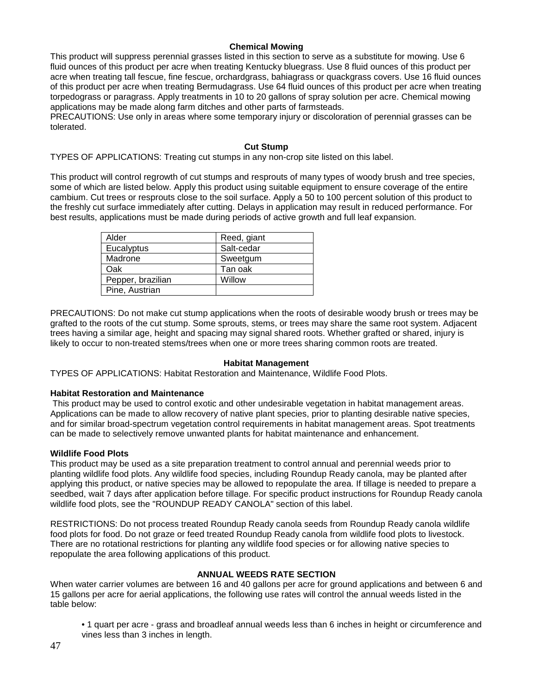# **Chemical Mowing**

This product will suppress perennial grasses listed in this section to serve as a substitute for mowing. Use 6 fluid ounces of this product per acre when treating Kentucky bluegrass. Use 8 fluid ounces of this product per acre when treating tall fescue, fine fescue, orchardgrass, bahiagrass or quackgrass covers. Use 16 fluid ounces of this product per acre when treating Bermudagrass. Use 64 fluid ounces of this product per acre when treating torpedograss or paragrass. Apply treatments in 10 to 20 gallons of spray solution per acre. Chemical mowing applications may be made along farm ditches and other parts of farmsteads.

PRECAUTIONS: Use only in areas where some temporary injury or discoloration of perennial grasses can be tolerated.

# **Cut Stump**

TYPES OF APPLICATIONS: Treating cut stumps in any non-crop site listed on this label.

This product will control regrowth of cut stumps and resprouts of many types of woody brush and tree species, some of which are listed below. Apply this product using suitable equipment to ensure coverage of the entire cambium. Cut trees or resprouts close to the soil surface. Apply a 50 to 100 percent solution of this product to the freshly cut surface immediately after cutting. Delays in application may result in reduced performance. For best results, applications must be made during periods of active growth and full leaf expansion.

| Alder             | Reed, giant |
|-------------------|-------------|
| Eucalyptus        | Salt-cedar  |
| Madrone           | Sweetgum    |
| Oak               | Tan oak     |
| Pepper, brazilian | Willow      |
| Pine, Austrian    |             |

PRECAUTIONS: Do not make cut stump applications when the roots of desirable woody brush or trees may be grafted to the roots of the cut stump. Some sprouts, stems, or trees may share the same root system. Adjacent trees having a similar age, height and spacing may signal shared roots. Whether grafted or shared, injury is likely to occur to non-treated stems/trees when one or more trees sharing common roots are treated.

# **Habitat Management**

TYPES OF APPLICATIONS: Habitat Restoration and Maintenance, Wildlife Food Plots.

# **Habitat Restoration and Maintenance**

This product may be used to control exotic and other undesirable vegetation in habitat management areas. Applications can be made to allow recovery of native plant species, prior to planting desirable native species, and for similar broad-spectrum vegetation control requirements in habitat management areas. Spot treatments can be made to selectively remove unwanted plants for habitat maintenance and enhancement.

# **Wildlife Food Plots**

This product may be used as a site preparation treatment to control annual and perennial weeds prior to planting wildlife food plots. Any wildlife food species, including Roundup Ready canola, may be planted after applying this product, or native species may be allowed to repopulate the area. If tillage is needed to prepare a seedbed, wait 7 days after application before tillage. For specific product instructions for Roundup Ready canola wildlife food plots, see the "ROUNDUP READY CANOLA" section of this label.

RESTRICTIONS: Do not process treated Roundup Ready canola seeds from Roundup Ready canola wildlife food plots for food. Do not graze or feed treated Roundup Ready canola from wildlife food plots to livestock. There are no rotational restrictions for planting any wildlife food species or for allowing native species to repopulate the area following applications of this product.

# **ANNUAL WEEDS RATE SECTION**

When water carrier volumes are between 16 and 40 gallons per acre for ground applications and between 6 and 15 gallons per acre for aerial applications, the following use rates will control the annual weeds listed in the table below:

• 1 quart per acre - grass and broadleaf annual weeds less than 6 inches in height or circumference and vines less than 3 inches in length.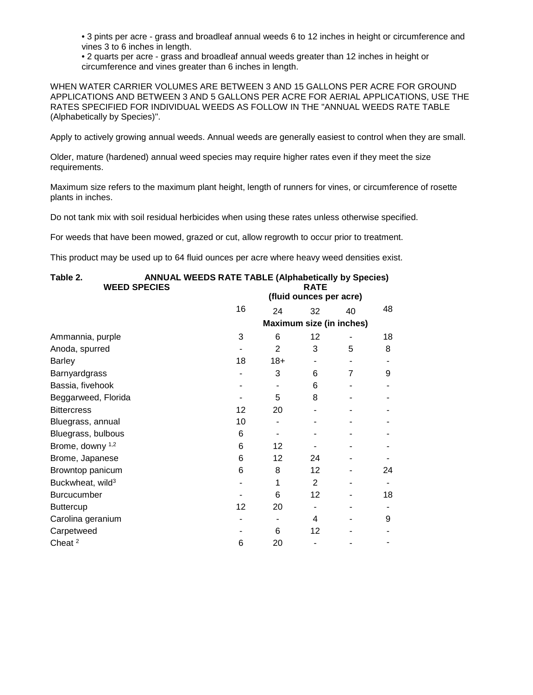• 3 pints per acre - grass and broadleaf annual weeds 6 to 12 inches in height or circumference and vines 3 to 6 inches in length.

• 2 quarts per acre - grass and broadleaf annual weeds greater than 12 inches in height or circumference and vines greater than 6 inches in length.

WHEN WATER CARRIER VOLUMES ARE BETWEEN 3 AND 15 GALLONS PER ACRE FOR GROUND APPLICATIONS AND BETWEEN 3 AND 5 GALLONS PER ACRE FOR AERIAL APPLICATIONS, USE THE RATES SPECIFIED FOR INDIVIDUAL WEEDS AS FOLLOW IN THE "ANNUAL WEEDS RATE TABLE (Alphabetically by Species)".

Apply to actively growing annual weeds. Annual weeds are generally easiest to control when they are small.

Older, mature (hardened) annual weed species may require higher rates even if they meet the size requirements.

Maximum size refers to the maximum plant height, length of runners for vines, or circumference of rosette plants in inches.

Do not tank mix with soil residual herbicides when using these rates unless otherwise specified.

For weeds that have been mowed, grazed or cut, allow regrowth to occur prior to treatment.

This product may be used up to 64 fluid ounces per acre where heavy weed densities exist.

| Table 2.<br><b>WEED SPECIES</b> | <b>ANNUAL WEEDS RATE TABLE (Alphabetically by Species)</b><br><b>RATE</b> |       |                          |    |    |  |  |
|---------------------------------|---------------------------------------------------------------------------|-------|--------------------------|----|----|--|--|
|                                 |                                                                           |       | (fluid ounces per acre)  |    |    |  |  |
|                                 | 16                                                                        | 24    | 32                       | 40 | 48 |  |  |
|                                 |                                                                           |       | Maximum size (in inches) |    |    |  |  |
| Ammannia, purple                | 3                                                                         | 6     | 12                       |    | 18 |  |  |
| Anoda, spurred                  |                                                                           | 2     | 3                        | 5  | 8  |  |  |
| <b>Barley</b>                   | 18                                                                        | $18+$ |                          |    |    |  |  |
| Barnyardgrass                   |                                                                           | 3     | 6                        | 7  | 9  |  |  |
| Bassia, fivehook                |                                                                           |       | 6                        |    |    |  |  |
| Beggarweed, Florida             |                                                                           | 5     | 8                        |    |    |  |  |
| <b>Bittercress</b>              | 12 <sup>2</sup>                                                           | 20    |                          |    |    |  |  |
| Bluegrass, annual               | 10                                                                        |       |                          |    |    |  |  |
| Bluegrass, bulbous              | 6                                                                         |       |                          |    |    |  |  |
| Brome, downy 1,2                | 6                                                                         | 12    |                          |    |    |  |  |
| Brome, Japanese                 | 6                                                                         | 12    | 24                       |    |    |  |  |
| Browntop panicum                | 6                                                                         | 8     | 12                       |    | 24 |  |  |
| Buckwheat, wild <sup>3</sup>    |                                                                           | 1     | 2                        |    |    |  |  |
| Burcucumber                     |                                                                           | 6     | 12                       |    | 18 |  |  |
| <b>Buttercup</b>                | 12                                                                        | 20    |                          |    |    |  |  |
| Carolina geranium               |                                                                           |       | 4                        |    | 9  |  |  |
| Carpetweed                      |                                                                           | 6     | 12                       |    |    |  |  |
| Cheat <sup>2</sup>              | 6                                                                         | 20    |                          |    |    |  |  |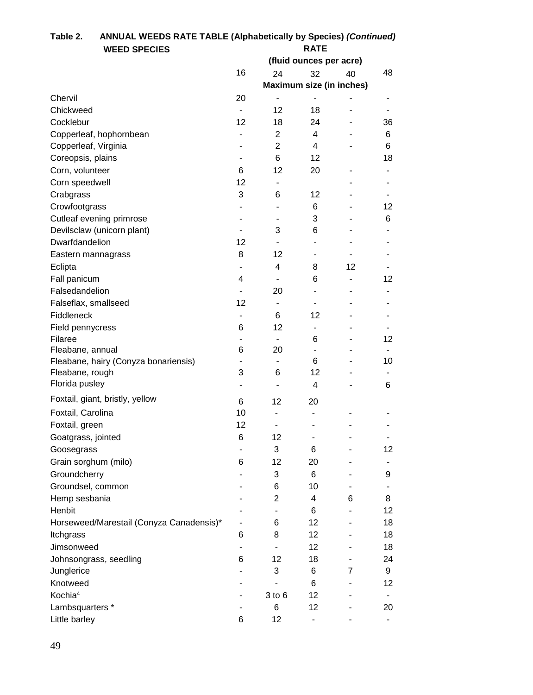| <b>WEED SPECIES</b><br>(fluid ounces per acre)<br>16<br>32<br>48<br>24<br>40<br>Maximum size (in inches)<br>Chervil<br>20<br>Chickweed<br>12<br>18<br>$\overline{\phantom{a}}$<br>12<br>Cocklebur<br>18<br>24<br>36<br>Copperleaf, hophornbean<br>2<br>4<br>6<br>$\overline{2}$<br>Copperleaf, Virginia<br>4<br>6<br>Coreopsis, plains<br>6<br>12<br>18<br>Corn, volunteer<br>12<br>6<br>20<br>12<br>Corn speedwell<br>$\overline{\phantom{a}}$<br>3<br>Crabgrass<br>6<br>12<br>Crowfootgrass<br>6<br>12<br>Cutleaf evening primrose<br>3<br>6<br>-<br>Devilsclaw (unicorn plant)<br>3<br>6<br>Dwarfdandelion<br>12<br>$\blacksquare$<br>8<br>12<br>Eastern mannagrass<br>$\qquad \qquad \blacksquare$<br>Eclipta<br>4<br>8<br>12<br>$\overline{\phantom{a}}$<br>Fall panicum<br>6<br>12<br>4<br>$\overline{a}$<br>Falsedandelion<br>20<br>$\overline{\phantom{0}}$<br>12<br>Falseflax, smallseed<br>$\overline{\phantom{a}}$<br>٠<br>Fiddleneck<br>6<br>12<br>Field pennycress<br>6<br>12<br>$\overline{\phantom{a}}$<br>Filaree<br>6<br>12<br>$\overline{\phantom{a}}$<br>Fleabane, annual<br>20<br>6<br>$\overline{\phantom{a}}$<br>6<br>Fleabane, hairy (Conyza bonariensis)<br>10<br>$\blacksquare$<br>$\overline{\phantom{a}}$<br>Fleabane, rough<br>3<br>12<br>6<br>Florida pusley<br>4<br>6<br>Foxtail, giant, bristly, yellow<br>6<br>12<br>20<br>Foxtail, Carolina<br>10<br>$\blacksquare$<br>12<br>Foxtail, green<br>Goatgrass, jointed<br>6<br>12<br>3<br>Goosegrass<br>6<br>12<br>$\qquad \qquad \blacksquare$<br>Grain sorghum (milo)<br>12<br>6<br>20<br>Groundcherry<br>3<br>6<br>9<br>Groundsel, common<br>6<br>10<br>Hemp sesbania<br>$\overline{2}$<br>4<br>6<br>8 | Table 2.<br>ANNUAL WEEDS RATE TABLE (Alphabetically by Species) (Continued) |             |  |  |  |  |  |  |
|---------------------------------------------------------------------------------------------------------------------------------------------------------------------------------------------------------------------------------------------------------------------------------------------------------------------------------------------------------------------------------------------------------------------------------------------------------------------------------------------------------------------------------------------------------------------------------------------------------------------------------------------------------------------------------------------------------------------------------------------------------------------------------------------------------------------------------------------------------------------------------------------------------------------------------------------------------------------------------------------------------------------------------------------------------------------------------------------------------------------------------------------------------------------------------------------------------------------------------------------------------------------------------------------------------------------------------------------------------------------------------------------------------------------------------------------------------------------------------------------------------------------------------------------------------------------------------------------------------------------------------------------------------------------------------------|-----------------------------------------------------------------------------|-------------|--|--|--|--|--|--|
|                                                                                                                                                                                                                                                                                                                                                                                                                                                                                                                                                                                                                                                                                                                                                                                                                                                                                                                                                                                                                                                                                                                                                                                                                                                                                                                                                                                                                                                                                                                                                                                                                                                                                       |                                                                             | <b>RATE</b> |  |  |  |  |  |  |
|                                                                                                                                                                                                                                                                                                                                                                                                                                                                                                                                                                                                                                                                                                                                                                                                                                                                                                                                                                                                                                                                                                                                                                                                                                                                                                                                                                                                                                                                                                                                                                                                                                                                                       |                                                                             |             |  |  |  |  |  |  |
|                                                                                                                                                                                                                                                                                                                                                                                                                                                                                                                                                                                                                                                                                                                                                                                                                                                                                                                                                                                                                                                                                                                                                                                                                                                                                                                                                                                                                                                                                                                                                                                                                                                                                       |                                                                             |             |  |  |  |  |  |  |
|                                                                                                                                                                                                                                                                                                                                                                                                                                                                                                                                                                                                                                                                                                                                                                                                                                                                                                                                                                                                                                                                                                                                                                                                                                                                                                                                                                                                                                                                                                                                                                                                                                                                                       |                                                                             |             |  |  |  |  |  |  |
|                                                                                                                                                                                                                                                                                                                                                                                                                                                                                                                                                                                                                                                                                                                                                                                                                                                                                                                                                                                                                                                                                                                                                                                                                                                                                                                                                                                                                                                                                                                                                                                                                                                                                       |                                                                             |             |  |  |  |  |  |  |
|                                                                                                                                                                                                                                                                                                                                                                                                                                                                                                                                                                                                                                                                                                                                                                                                                                                                                                                                                                                                                                                                                                                                                                                                                                                                                                                                                                                                                                                                                                                                                                                                                                                                                       |                                                                             |             |  |  |  |  |  |  |
|                                                                                                                                                                                                                                                                                                                                                                                                                                                                                                                                                                                                                                                                                                                                                                                                                                                                                                                                                                                                                                                                                                                                                                                                                                                                                                                                                                                                                                                                                                                                                                                                                                                                                       |                                                                             |             |  |  |  |  |  |  |
|                                                                                                                                                                                                                                                                                                                                                                                                                                                                                                                                                                                                                                                                                                                                                                                                                                                                                                                                                                                                                                                                                                                                                                                                                                                                                                                                                                                                                                                                                                                                                                                                                                                                                       |                                                                             |             |  |  |  |  |  |  |
|                                                                                                                                                                                                                                                                                                                                                                                                                                                                                                                                                                                                                                                                                                                                                                                                                                                                                                                                                                                                                                                                                                                                                                                                                                                                                                                                                                                                                                                                                                                                                                                                                                                                                       |                                                                             |             |  |  |  |  |  |  |
|                                                                                                                                                                                                                                                                                                                                                                                                                                                                                                                                                                                                                                                                                                                                                                                                                                                                                                                                                                                                                                                                                                                                                                                                                                                                                                                                                                                                                                                                                                                                                                                                                                                                                       |                                                                             |             |  |  |  |  |  |  |
|                                                                                                                                                                                                                                                                                                                                                                                                                                                                                                                                                                                                                                                                                                                                                                                                                                                                                                                                                                                                                                                                                                                                                                                                                                                                                                                                                                                                                                                                                                                                                                                                                                                                                       |                                                                             |             |  |  |  |  |  |  |
|                                                                                                                                                                                                                                                                                                                                                                                                                                                                                                                                                                                                                                                                                                                                                                                                                                                                                                                                                                                                                                                                                                                                                                                                                                                                                                                                                                                                                                                                                                                                                                                                                                                                                       |                                                                             |             |  |  |  |  |  |  |
|                                                                                                                                                                                                                                                                                                                                                                                                                                                                                                                                                                                                                                                                                                                                                                                                                                                                                                                                                                                                                                                                                                                                                                                                                                                                                                                                                                                                                                                                                                                                                                                                                                                                                       |                                                                             |             |  |  |  |  |  |  |
|                                                                                                                                                                                                                                                                                                                                                                                                                                                                                                                                                                                                                                                                                                                                                                                                                                                                                                                                                                                                                                                                                                                                                                                                                                                                                                                                                                                                                                                                                                                                                                                                                                                                                       |                                                                             |             |  |  |  |  |  |  |
|                                                                                                                                                                                                                                                                                                                                                                                                                                                                                                                                                                                                                                                                                                                                                                                                                                                                                                                                                                                                                                                                                                                                                                                                                                                                                                                                                                                                                                                                                                                                                                                                                                                                                       |                                                                             |             |  |  |  |  |  |  |
|                                                                                                                                                                                                                                                                                                                                                                                                                                                                                                                                                                                                                                                                                                                                                                                                                                                                                                                                                                                                                                                                                                                                                                                                                                                                                                                                                                                                                                                                                                                                                                                                                                                                                       |                                                                             |             |  |  |  |  |  |  |
|                                                                                                                                                                                                                                                                                                                                                                                                                                                                                                                                                                                                                                                                                                                                                                                                                                                                                                                                                                                                                                                                                                                                                                                                                                                                                                                                                                                                                                                                                                                                                                                                                                                                                       |                                                                             |             |  |  |  |  |  |  |
|                                                                                                                                                                                                                                                                                                                                                                                                                                                                                                                                                                                                                                                                                                                                                                                                                                                                                                                                                                                                                                                                                                                                                                                                                                                                                                                                                                                                                                                                                                                                                                                                                                                                                       |                                                                             |             |  |  |  |  |  |  |
|                                                                                                                                                                                                                                                                                                                                                                                                                                                                                                                                                                                                                                                                                                                                                                                                                                                                                                                                                                                                                                                                                                                                                                                                                                                                                                                                                                                                                                                                                                                                                                                                                                                                                       |                                                                             |             |  |  |  |  |  |  |
|                                                                                                                                                                                                                                                                                                                                                                                                                                                                                                                                                                                                                                                                                                                                                                                                                                                                                                                                                                                                                                                                                                                                                                                                                                                                                                                                                                                                                                                                                                                                                                                                                                                                                       |                                                                             |             |  |  |  |  |  |  |
|                                                                                                                                                                                                                                                                                                                                                                                                                                                                                                                                                                                                                                                                                                                                                                                                                                                                                                                                                                                                                                                                                                                                                                                                                                                                                                                                                                                                                                                                                                                                                                                                                                                                                       |                                                                             |             |  |  |  |  |  |  |
|                                                                                                                                                                                                                                                                                                                                                                                                                                                                                                                                                                                                                                                                                                                                                                                                                                                                                                                                                                                                                                                                                                                                                                                                                                                                                                                                                                                                                                                                                                                                                                                                                                                                                       |                                                                             |             |  |  |  |  |  |  |
|                                                                                                                                                                                                                                                                                                                                                                                                                                                                                                                                                                                                                                                                                                                                                                                                                                                                                                                                                                                                                                                                                                                                                                                                                                                                                                                                                                                                                                                                                                                                                                                                                                                                                       |                                                                             |             |  |  |  |  |  |  |
|                                                                                                                                                                                                                                                                                                                                                                                                                                                                                                                                                                                                                                                                                                                                                                                                                                                                                                                                                                                                                                                                                                                                                                                                                                                                                                                                                                                                                                                                                                                                                                                                                                                                                       |                                                                             |             |  |  |  |  |  |  |
|                                                                                                                                                                                                                                                                                                                                                                                                                                                                                                                                                                                                                                                                                                                                                                                                                                                                                                                                                                                                                                                                                                                                                                                                                                                                                                                                                                                                                                                                                                                                                                                                                                                                                       |                                                                             |             |  |  |  |  |  |  |
|                                                                                                                                                                                                                                                                                                                                                                                                                                                                                                                                                                                                                                                                                                                                                                                                                                                                                                                                                                                                                                                                                                                                                                                                                                                                                                                                                                                                                                                                                                                                                                                                                                                                                       |                                                                             |             |  |  |  |  |  |  |
|                                                                                                                                                                                                                                                                                                                                                                                                                                                                                                                                                                                                                                                                                                                                                                                                                                                                                                                                                                                                                                                                                                                                                                                                                                                                                                                                                                                                                                                                                                                                                                                                                                                                                       |                                                                             |             |  |  |  |  |  |  |
|                                                                                                                                                                                                                                                                                                                                                                                                                                                                                                                                                                                                                                                                                                                                                                                                                                                                                                                                                                                                                                                                                                                                                                                                                                                                                                                                                                                                                                                                                                                                                                                                                                                                                       |                                                                             |             |  |  |  |  |  |  |
|                                                                                                                                                                                                                                                                                                                                                                                                                                                                                                                                                                                                                                                                                                                                                                                                                                                                                                                                                                                                                                                                                                                                                                                                                                                                                                                                                                                                                                                                                                                                                                                                                                                                                       |                                                                             |             |  |  |  |  |  |  |
|                                                                                                                                                                                                                                                                                                                                                                                                                                                                                                                                                                                                                                                                                                                                                                                                                                                                                                                                                                                                                                                                                                                                                                                                                                                                                                                                                                                                                                                                                                                                                                                                                                                                                       |                                                                             |             |  |  |  |  |  |  |
|                                                                                                                                                                                                                                                                                                                                                                                                                                                                                                                                                                                                                                                                                                                                                                                                                                                                                                                                                                                                                                                                                                                                                                                                                                                                                                                                                                                                                                                                                                                                                                                                                                                                                       |                                                                             |             |  |  |  |  |  |  |
|                                                                                                                                                                                                                                                                                                                                                                                                                                                                                                                                                                                                                                                                                                                                                                                                                                                                                                                                                                                                                                                                                                                                                                                                                                                                                                                                                                                                                                                                                                                                                                                                                                                                                       |                                                                             |             |  |  |  |  |  |  |
|                                                                                                                                                                                                                                                                                                                                                                                                                                                                                                                                                                                                                                                                                                                                                                                                                                                                                                                                                                                                                                                                                                                                                                                                                                                                                                                                                                                                                                                                                                                                                                                                                                                                                       |                                                                             |             |  |  |  |  |  |  |
|                                                                                                                                                                                                                                                                                                                                                                                                                                                                                                                                                                                                                                                                                                                                                                                                                                                                                                                                                                                                                                                                                                                                                                                                                                                                                                                                                                                                                                                                                                                                                                                                                                                                                       |                                                                             |             |  |  |  |  |  |  |
|                                                                                                                                                                                                                                                                                                                                                                                                                                                                                                                                                                                                                                                                                                                                                                                                                                                                                                                                                                                                                                                                                                                                                                                                                                                                                                                                                                                                                                                                                                                                                                                                                                                                                       |                                                                             |             |  |  |  |  |  |  |
|                                                                                                                                                                                                                                                                                                                                                                                                                                                                                                                                                                                                                                                                                                                                                                                                                                                                                                                                                                                                                                                                                                                                                                                                                                                                                                                                                                                                                                                                                                                                                                                                                                                                                       |                                                                             |             |  |  |  |  |  |  |
|                                                                                                                                                                                                                                                                                                                                                                                                                                                                                                                                                                                                                                                                                                                                                                                                                                                                                                                                                                                                                                                                                                                                                                                                                                                                                                                                                                                                                                                                                                                                                                                                                                                                                       |                                                                             |             |  |  |  |  |  |  |
|                                                                                                                                                                                                                                                                                                                                                                                                                                                                                                                                                                                                                                                                                                                                                                                                                                                                                                                                                                                                                                                                                                                                                                                                                                                                                                                                                                                                                                                                                                                                                                                                                                                                                       |                                                                             |             |  |  |  |  |  |  |
| Henbit<br>12<br>6                                                                                                                                                                                                                                                                                                                                                                                                                                                                                                                                                                                                                                                                                                                                                                                                                                                                                                                                                                                                                                                                                                                                                                                                                                                                                                                                                                                                                                                                                                                                                                                                                                                                     |                                                                             |             |  |  |  |  |  |  |
| Horseweed/Marestail (Conyza Canadensis)*<br>6<br>12<br>18<br>$\qquad \qquad \blacksquare$                                                                                                                                                                                                                                                                                                                                                                                                                                                                                                                                                                                                                                                                                                                                                                                                                                                                                                                                                                                                                                                                                                                                                                                                                                                                                                                                                                                                                                                                                                                                                                                             |                                                                             |             |  |  |  |  |  |  |
| 8<br>Itchgrass<br>6<br>12<br>18                                                                                                                                                                                                                                                                                                                                                                                                                                                                                                                                                                                                                                                                                                                                                                                                                                                                                                                                                                                                                                                                                                                                                                                                                                                                                                                                                                                                                                                                                                                                                                                                                                                       |                                                                             |             |  |  |  |  |  |  |
| Jimsonweed<br>12<br>18<br>$\overline{\phantom{a}}$                                                                                                                                                                                                                                                                                                                                                                                                                                                                                                                                                                                                                                                                                                                                                                                                                                                                                                                                                                                                                                                                                                                                                                                                                                                                                                                                                                                                                                                                                                                                                                                                                                    |                                                                             |             |  |  |  |  |  |  |
| 6<br>12<br>18<br>24<br>Johnsongrass, seedling                                                                                                                                                                                                                                                                                                                                                                                                                                                                                                                                                                                                                                                                                                                                                                                                                                                                                                                                                                                                                                                                                                                                                                                                                                                                                                                                                                                                                                                                                                                                                                                                                                         |                                                                             |             |  |  |  |  |  |  |
| 3<br>Junglerice<br>6<br>9<br>7                                                                                                                                                                                                                                                                                                                                                                                                                                                                                                                                                                                                                                                                                                                                                                                                                                                                                                                                                                                                                                                                                                                                                                                                                                                                                                                                                                                                                                                                                                                                                                                                                                                        |                                                                             |             |  |  |  |  |  |  |
| Knotweed<br>12<br>6                                                                                                                                                                                                                                                                                                                                                                                                                                                                                                                                                                                                                                                                                                                                                                                                                                                                                                                                                                                                                                                                                                                                                                                                                                                                                                                                                                                                                                                                                                                                                                                                                                                                   |                                                                             |             |  |  |  |  |  |  |
| Kochia <sup>4</sup><br>3 to 6<br>12                                                                                                                                                                                                                                                                                                                                                                                                                                                                                                                                                                                                                                                                                                                                                                                                                                                                                                                                                                                                                                                                                                                                                                                                                                                                                                                                                                                                                                                                                                                                                                                                                                                   |                                                                             |             |  |  |  |  |  |  |
| Lambsquarters *<br>6<br>12<br>20                                                                                                                                                                                                                                                                                                                                                                                                                                                                                                                                                                                                                                                                                                                                                                                                                                                                                                                                                                                                                                                                                                                                                                                                                                                                                                                                                                                                                                                                                                                                                                                                                                                      |                                                                             |             |  |  |  |  |  |  |
| Little barley<br>6<br>12                                                                                                                                                                                                                                                                                                                                                                                                                                                                                                                                                                                                                                                                                                                                                                                                                                                                                                                                                                                                                                                                                                                                                                                                                                                                                                                                                                                                                                                                                                                                                                                                                                                              |                                                                             |             |  |  |  |  |  |  |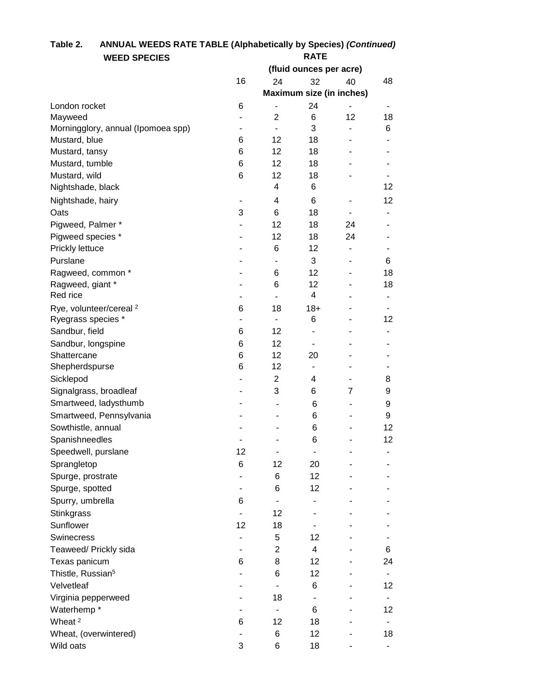# **Table 2. ANNUAL WEEDS RATE TABLE (Alphabetically by Species)** *(Continued)* **WEED SPECIES RATE**

|                                                          |                          |                          | (fluid ounces per acre)         |                          |    |
|----------------------------------------------------------|--------------------------|--------------------------|---------------------------------|--------------------------|----|
|                                                          | 16                       | 24                       | 32                              | 40                       | 48 |
|                                                          |                          |                          | <b>Maximum size (in inches)</b> |                          |    |
| London rocket                                            | 6                        |                          | 24                              |                          |    |
| Mayweed                                                  | $\overline{\phantom{0}}$ | $\overline{2}$           | 6                               | 12                       | 18 |
| Morningglory, annual (Ipomoea spp)                       |                          |                          | 3                               |                          | 6  |
| Mustard, blue                                            | 6                        | 12                       | 18                              |                          |    |
| Mustard, tansy                                           | 6                        | 12                       | 18                              |                          |    |
| Mustard, tumble                                          | 6                        | 12                       | 18                              |                          |    |
| Mustard, wild                                            | 6                        | 12                       | 18                              |                          |    |
| Nightshade, black                                        |                          | 4                        | 6                               |                          | 12 |
| Nightshade, hairy                                        | $\overline{a}$           | 4                        | 6                               |                          | 12 |
| Oats                                                     | 3                        | 6                        | 18                              |                          |    |
| Pigweed, Palmer *                                        |                          | 12                       | 18                              | 24                       |    |
| Pigweed species *                                        | ۰                        | 12                       | 18                              | 24                       |    |
| Prickly lettuce                                          |                          | 6                        | 12                              | $\overline{\phantom{a}}$ |    |
| Purslane                                                 |                          |                          | 3                               |                          | 6  |
| Ragweed, common *                                        |                          | 6                        | 12                              |                          | 18 |
| Ragweed, giant *                                         |                          | 6                        | 12                              |                          | 18 |
| Red rice                                                 |                          |                          | 4                               |                          |    |
|                                                          |                          |                          |                                 |                          |    |
| Rye, volunteer/cereal <sup>2</sup><br>Ryegrass species * | 6<br>$\blacksquare$      | 18<br>$\blacksquare$     | $18+$<br>6                      |                          | 12 |
|                                                          |                          |                          |                                 |                          |    |
| Sandbur, field                                           | 6                        | 12                       | ۰                               |                          |    |
| Sandbur, longspine                                       | 6                        | 12                       |                                 |                          |    |
| Shattercane                                              | 6                        | 12                       | 20                              |                          |    |
| Shepherdspurse                                           | 6                        | 12                       |                                 |                          |    |
| Sicklepod                                                |                          | $\overline{c}$           | 4                               |                          | 8  |
| Signalgrass, broadleaf                                   | ۰                        | 3                        | 6                               | $\overline{7}$           | 9  |
| Smartweed, ladysthumb                                    | ۰                        | $\blacksquare$           | 6                               | $\overline{a}$           | 9  |
| Smartweed, Pennsylvania                                  |                          | -                        | 6                               |                          | 9  |
| Sowthistle, annual                                       |                          |                          | 6                               |                          | 12 |
| Spanishneedles                                           |                          |                          | 6                               |                          | 12 |
| Speedwell, purslane                                      | 12                       | -                        | $\overline{\phantom{a}}$        | -                        | ۰  |
| Sprangletop                                              | 6                        | 12                       | 20                              |                          |    |
| Spurge, prostrate                                        |                          | 6                        | 12                              |                          |    |
| Spurge, spotted                                          |                          | 6                        | 12                              |                          |    |
| Spurry, umbrella                                         | 6                        |                          |                                 |                          |    |
| Stinkgrass                                               |                          | 12                       |                                 |                          |    |
| Sunflower                                                | 12                       | 18                       | $\overline{\phantom{a}}$        |                          |    |
| <b>Swinecress</b>                                        |                          | 5                        | 12                              |                          |    |
| Teaweed/ Prickly sida                                    |                          | 2                        | 4                               |                          | 6  |
| Texas panicum                                            | 6                        | 8                        | 12                              |                          | 24 |
| Thistle, Russian <sup>5</sup>                            |                          | 6                        | 12                              |                          |    |
|                                                          |                          |                          |                                 |                          |    |
| Velvetleaf                                               |                          |                          | 6                               |                          | 12 |
| Virginia pepperweed                                      |                          | 18                       | $\overline{\phantom{a}}$        |                          | ٠  |
| Waterhemp*                                               |                          | $\overline{\phantom{a}}$ | 6                               |                          | 12 |
| Wheat <sup>2</sup>                                       | 6                        | 12                       | 18                              |                          |    |
| Wheat, (overwintered)                                    |                          | 6                        | 12                              |                          | 18 |
| Wild oats                                                | 3                        | 6                        | 18                              |                          |    |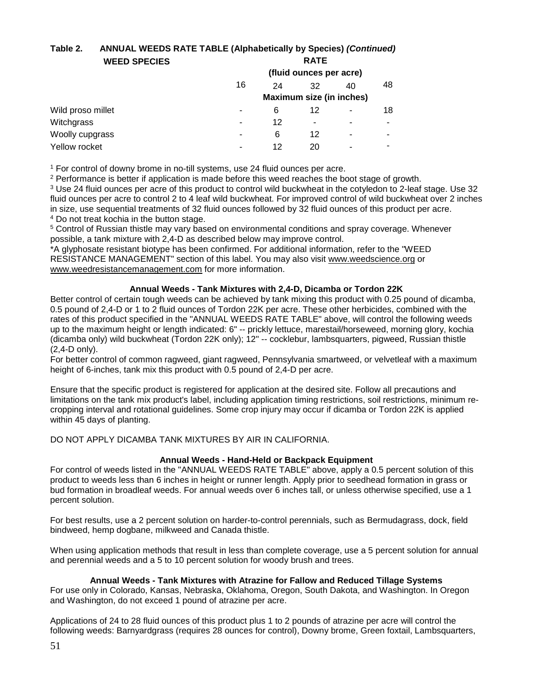# **Table 2. ANNUAL WEEDS RATE TABLE (Alphabetically by Species)** *(Continued)* **WEED SPECIES RATE**

|                   |    |    | (fluid ounces per acre)         |    |    |
|-------------------|----|----|---------------------------------|----|----|
|                   | 16 | 24 | 32                              | 40 | 48 |
|                   |    |    | <b>Maximum size (in inches)</b> |    |    |
| Wild proso millet | ۰  | 6  | 12                              |    | 18 |
| Witchgrass        | ۰  | 12 | ٠                               | ۰  |    |
| Woolly cupgrass   | -  | 6  | 12                              | ۰  | ۰  |
| Yellow rocket     | -  | 12 | 20                              | -  |    |
|                   |    |    |                                 |    |    |

<sup>1</sup> For control of downy brome in no-till systems, use 24 fluid ounces per acre.

<sup>2</sup> Performance is better if application is made before this weed reaches the boot stage of growth.

<sup>3</sup> Use 24 fluid ounces per acre of this product to control wild buckwheat in the cotyledon to 2-leaf stage. Use 32 fluid ounces per acre to control 2 to 4 leaf wild buckwheat. For improved control of wild buckwheat over 2 inches in size, use sequential treatments of 32 fluid ounces followed by 32 fluid ounces of this product per acre. <sup>4</sup> Do not treat kochia in the button stage.

<sup>5</sup> Control of Russian thistle may vary based on environmental conditions and spray coverage. Whenever possible, a tank mixture with 2,4-D as described below may improve control.

\*A glyphosate resistant biotype has been confirmed. For additional information, refer to the "WEED RESISTANCE MANAGEMENT" section of this label. You may also visit [www.weedscience.org](http://www.weedscience.org/) or [www.weedresistancemanagement.com](http://www.weedresistancemanagement.com/) for more information.

# **Annual Weeds - Tank Mixtures with 2,4-D, Dicamba or Tordon 22K**

Better control of certain tough weeds can be achieved by tank mixing this product with 0.25 pound of dicamba, 0.5 pound of 2,4-D or 1 to 2 fluid ounces of Tordon 22K per acre. These other herbicides, combined with the rates of this product specified in the "ANNUAL WEEDS RATE TABLE" above, will control the following weeds up to the maximum height or length indicated: 6" -- prickly lettuce, marestail/horseweed, morning glory, kochia (dicamba only) wild buckwheat (Tordon 22K only); 12" -- cocklebur, lambsquarters, pigweed, Russian thistle (2,4-D only).

For better control of common ragweed, giant ragweed, Pennsylvania smartweed, or velvetleaf with a maximum height of 6-inches, tank mix this product with 0.5 pound of 2,4-D per acre.

Ensure that the specific product is registered for application at the desired site. Follow all precautions and limitations on the tank mix product's label, including application timing restrictions, soil restrictions, minimum recropping interval and rotational guidelines. Some crop injury may occur if dicamba or Tordon 22K is applied within 45 days of planting.

DO NOT APPLY DICAMBA TANK MIXTURES BY AIR IN CALIFORNIA.

# **Annual Weeds - Hand-Held or Backpack Equipment**

For control of weeds listed in the "ANNUAL WEEDS RATE TABLE" above, apply a 0.5 percent solution of this product to weeds less than 6 inches in height or runner length. Apply prior to seedhead formation in grass or bud formation in broadleaf weeds. For annual weeds over 6 inches tall, or unless otherwise specified, use a 1 percent solution.

For best results, use a 2 percent solution on harder-to-control perennials, such as Bermudagrass, dock, field bindweed, hemp dogbane, milkweed and Canada thistle.

When using application methods that result in less than complete coverage, use a 5 percent solution for annual and perennial weeds and a 5 to 10 percent solution for woody brush and trees.

# **Annual Weeds - Tank Mixtures with Atrazine for Fallow and Reduced Tillage Systems**

For use only in Colorado, Kansas, Nebraska, Oklahoma, Oregon, South Dakota, and Washington. In Oregon and Washington, do not exceed 1 pound of atrazine per acre.

Applications of 24 to 28 fluid ounces of this product plus 1 to 2 pounds of atrazine per acre will control the following weeds: Barnyardgrass (requires 28 ounces for control), Downy brome, Green foxtail, Lambsquarters,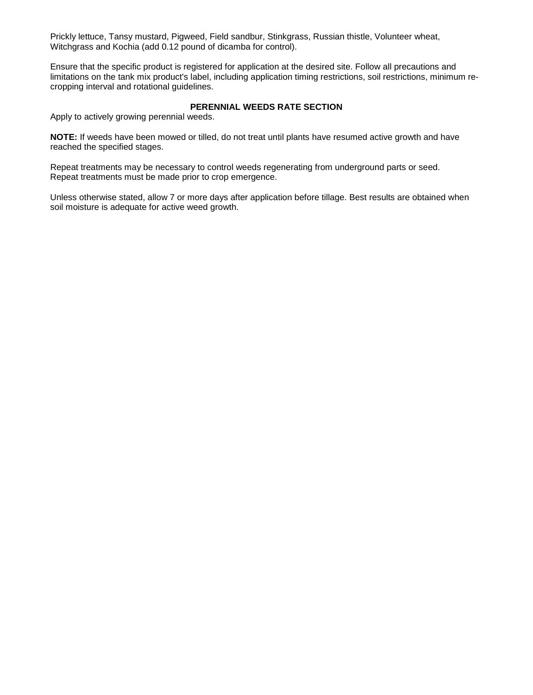Prickly lettuce, Tansy mustard, Pigweed, Field sandbur, Stinkgrass, Russian thistle, Volunteer wheat, Witchgrass and Kochia (add 0.12 pound of dicamba for control).

Ensure that the specific product is registered for application at the desired site. Follow all precautions and limitations on the tank mix product's label, including application timing restrictions, soil restrictions, minimum recropping interval and rotational guidelines.

# **PERENNIAL WEEDS RATE SECTION**

Apply to actively growing perennial weeds.

**NOTE:** If weeds have been mowed or tilled, do not treat until plants have resumed active growth and have reached the specified stages.

Repeat treatments may be necessary to control weeds regenerating from underground parts or seed. Repeat treatments must be made prior to crop emergence.

Unless otherwise stated, allow 7 or more days after application before tillage. Best results are obtained when soil moisture is adequate for active weed growth.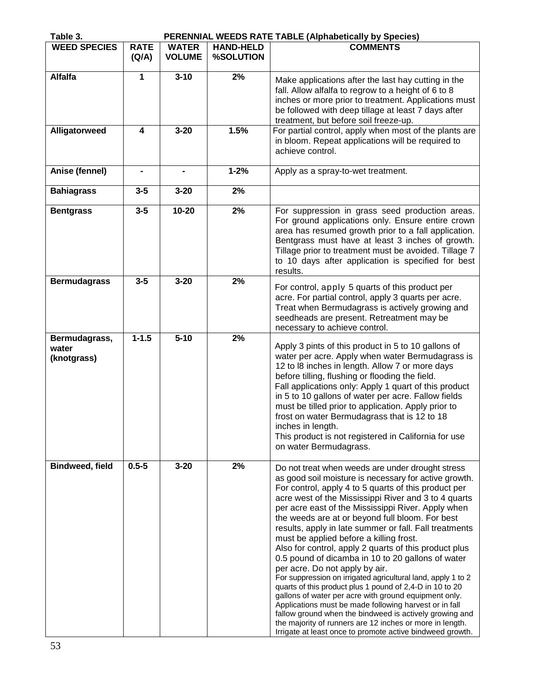| Table 3.                              |                      |                               |                               | PERENNIAL WEEDS RATE TABLE (Alphabetically by Species)                                                                                                                                                                                                                                                                                                                                                                                                                                                                                                                                                                                                                                                                                                                                                                                                                                                                                                                                                                     |
|---------------------------------------|----------------------|-------------------------------|-------------------------------|----------------------------------------------------------------------------------------------------------------------------------------------------------------------------------------------------------------------------------------------------------------------------------------------------------------------------------------------------------------------------------------------------------------------------------------------------------------------------------------------------------------------------------------------------------------------------------------------------------------------------------------------------------------------------------------------------------------------------------------------------------------------------------------------------------------------------------------------------------------------------------------------------------------------------------------------------------------------------------------------------------------------------|
| <b>WEED SPECIES</b>                   | <b>RATE</b><br>(Q/A) | <b>WATER</b><br><b>VOLUME</b> | <b>HAND-HELD</b><br>%SOLUTION | <b>COMMENTS</b>                                                                                                                                                                                                                                                                                                                                                                                                                                                                                                                                                                                                                                                                                                                                                                                                                                                                                                                                                                                                            |
| <b>Alfalfa</b>                        | 1                    | $3 - 10$                      | 2%                            | Make applications after the last hay cutting in the<br>fall. Allow alfalfa to regrow to a height of 6 to 8<br>inches or more prior to treatment. Applications must<br>be followed with deep tillage at least 7 days after<br>treatment, but before soil freeze-up.                                                                                                                                                                                                                                                                                                                                                                                                                                                                                                                                                                                                                                                                                                                                                         |
| Alligatorweed                         | 4                    | $3 - 20$                      | 1.5%                          | For partial control, apply when most of the plants are<br>in bloom. Repeat applications will be required to<br>achieve control.                                                                                                                                                                                                                                                                                                                                                                                                                                                                                                                                                                                                                                                                                                                                                                                                                                                                                            |
| Anise (fennel)                        | $\blacksquare$       | $\blacksquare$                | $1 - 2%$                      | Apply as a spray-to-wet treatment.                                                                                                                                                                                                                                                                                                                                                                                                                                                                                                                                                                                                                                                                                                                                                                                                                                                                                                                                                                                         |
| <b>Bahiagrass</b>                     | $3 - 5$              | $3 - 20$                      | 2%                            |                                                                                                                                                                                                                                                                                                                                                                                                                                                                                                                                                                                                                                                                                                                                                                                                                                                                                                                                                                                                                            |
| <b>Bentgrass</b>                      | $3-5$                | $10 - 20$                     | 2%                            | For suppression in grass seed production areas.<br>For ground applications only. Ensure entire crown<br>area has resumed growth prior to a fall application.<br>Bentgrass must have at least 3 inches of growth.<br>Tillage prior to treatment must be avoided. Tillage 7<br>to 10 days after application is specified for best<br>results.                                                                                                                                                                                                                                                                                                                                                                                                                                                                                                                                                                                                                                                                                |
| <b>Bermudagrass</b>                   | $3-5$                | $3 - 20$                      | 2%                            | For control, apply 5 quarts of this product per<br>acre. For partial control, apply 3 quarts per acre.<br>Treat when Bermudagrass is actively growing and<br>seedheads are present. Retreatment may be<br>necessary to achieve control.                                                                                                                                                                                                                                                                                                                                                                                                                                                                                                                                                                                                                                                                                                                                                                                    |
| Bermudagrass,<br>water<br>(knotgrass) | $1 - 1.5$            | $5 - 10$                      | 2%                            | Apply 3 pints of this product in 5 to 10 gallons of<br>water per acre. Apply when water Bermudagrass is<br>12 to l8 inches in length. Allow 7 or more days<br>before tilling, flushing or flooding the field.<br>Fall applications only: Apply 1 quart of this product<br>in 5 to 10 gallons of water per acre. Fallow fields<br>must be tilled prior to application. Apply prior to<br>frost on water Bermudagrass that is 12 to 18<br>inches in length.<br>This product is not registered in California for use<br>on water Bermudagrass.                                                                                                                                                                                                                                                                                                                                                                                                                                                                                |
| <b>Bindweed, field</b>                | $0.5 - 5$            | $3 - 20$                      | 2%                            | Do not treat when weeds are under drought stress<br>as good soil moisture is necessary for active growth.<br>For control, apply 4 to 5 quarts of this product per<br>acre west of the Mississippi River and 3 to 4 quarts<br>per acre east of the Mississippi River. Apply when<br>the weeds are at or beyond full bloom. For best<br>results, apply in late summer or fall. Fall treatments<br>must be applied before a killing frost.<br>Also for control, apply 2 quarts of this product plus<br>0.5 pound of dicamba in 10 to 20 gallons of water<br>per acre. Do not apply by air.<br>For suppression on irrigated agricultural land, apply 1 to 2<br>quarts of this product plus 1 pound of 2,4-D in 10 to 20<br>gallons of water per acre with ground equipment only.<br>Applications must be made following harvest or in fall<br>fallow ground when the bindweed is actively growing and<br>the majority of runners are 12 inches or more in length.<br>Irrigate at least once to promote active bindweed growth. |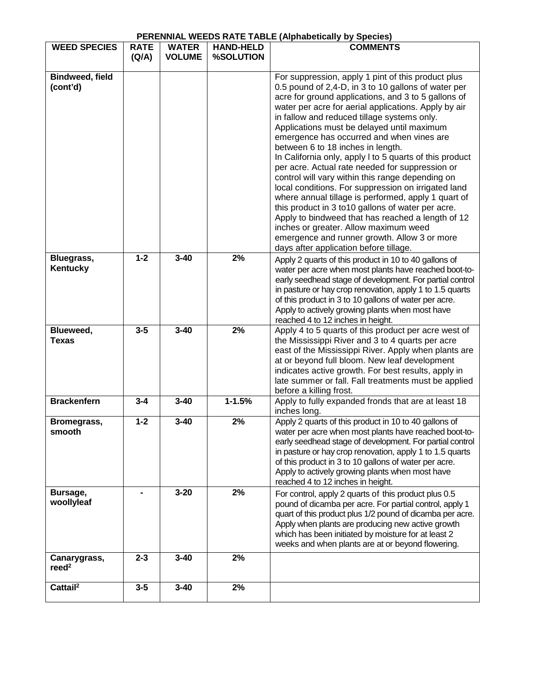# **PERENNIAL WEEDS RATE TABLE (Alphabetically by Species)**

| <b>WEED SPECIES</b>             | <b>RATE</b> | <b>WATER</b>  | <b>HAND-HELD</b> | <b>ENLIVERED WELDO</b> KATE TABLE (Alphabetically by opecies)<br><b>COMMENTS</b>                                                                                                                                                                                                                                                                                                                                                                                                                                                                                                                                                                                                                                                                                                                   |
|---------------------------------|-------------|---------------|------------------|----------------------------------------------------------------------------------------------------------------------------------------------------------------------------------------------------------------------------------------------------------------------------------------------------------------------------------------------------------------------------------------------------------------------------------------------------------------------------------------------------------------------------------------------------------------------------------------------------------------------------------------------------------------------------------------------------------------------------------------------------------------------------------------------------|
|                                 | (Q/A)       | <b>VOLUME</b> | %SOLUTION        |                                                                                                                                                                                                                                                                                                                                                                                                                                                                                                                                                                                                                                                                                                                                                                                                    |
|                                 |             |               |                  |                                                                                                                                                                                                                                                                                                                                                                                                                                                                                                                                                                                                                                                                                                                                                                                                    |
| Bindweed, field<br>(cont'd)     |             |               |                  | For suppression, apply 1 pint of this product plus<br>0.5 pound of 2,4-D, in 3 to 10 gallons of water per<br>acre for ground applications, and 3 to 5 gallons of<br>water per acre for aerial applications. Apply by air<br>in fallow and reduced tillage systems only.<br>Applications must be delayed until maximum<br>emergence has occurred and when vines are<br>between 6 to 18 inches in length.<br>In California only, apply I to 5 quarts of this product<br>per acre. Actual rate needed for suppression or<br>control will vary within this range depending on<br>local conditions. For suppression on irrigated land<br>where annual tillage is performed, apply 1 quart of<br>this product in 3 to 10 gallons of water per acre.<br>Apply to bindweed that has reached a length of 12 |
|                                 |             |               |                  | inches or greater. Allow maximum weed<br>emergence and runner growth. Allow 3 or more<br>days after application before tillage.                                                                                                                                                                                                                                                                                                                                                                                                                                                                                                                                                                                                                                                                    |
| Bluegrass,<br>Kentucky          | $1 - 2$     | $3 - 40$      | 2%               | Apply 2 quarts of this product in 10 to 40 gallons of<br>water per acre when most plants have reached boot-to-<br>early seedhead stage of development. For partial control<br>in pasture or hay crop renovation, apply 1 to 1.5 quarts<br>of this product in 3 to 10 gallons of water per acre.<br>Apply to actively growing plants when most have<br>reached 4 to 12 inches in height.                                                                                                                                                                                                                                                                                                                                                                                                            |
| Blueweed,<br><b>Texas</b>       | $3-5$       | $3 - 40$      | 2%               | Apply 4 to 5 quarts of this product per acre west of<br>the Mississippi River and 3 to 4 quarts per acre<br>east of the Mississippi River. Apply when plants are<br>at or beyond full bloom. New leaf development<br>indicates active growth. For best results, apply in<br>late summer or fall. Fall treatments must be applied<br>before a killing frost.                                                                                                                                                                                                                                                                                                                                                                                                                                        |
| <b>Brackenfern</b>              | $3 - 4$     | $3 - 40$      | $1 - 1.5%$       | Apply to fully expanded fronds that are at least 18<br>inches long.                                                                                                                                                                                                                                                                                                                                                                                                                                                                                                                                                                                                                                                                                                                                |
| Bromegrass,<br>smooth           | $1 - 2$     | $3 - 40$      | 2%               | Apply 2 quarts of this product in 10 to 40 gallons of<br>water per acre when most plants have reached boot-to-<br>early seedhead stage of development. For partial control<br>in pasture or hay crop renovation, apply 1 to 1.5 quarts<br>of this product in 3 to 10 gallons of water per acre.<br>Apply to actively growing plants when most have<br>reached 4 to 12 inches in height.                                                                                                                                                                                                                                                                                                                                                                                                            |
| Bursage,<br>woollyleaf          |             | $3 - 20$      | 2%               | For control, apply 2 quarts of this product plus 0.5<br>pound of dicamba per acre. For partial control, apply 1<br>quart of this product plus 1/2 pound of dicamba per acre.<br>Apply when plants are producing new active growth<br>which has been initiated by moisture for at least 2<br>weeks and when plants are at or beyond flowering.                                                                                                                                                                                                                                                                                                                                                                                                                                                      |
| Canarygrass,<br>$\text{read}^2$ | $2 - 3$     | $3 - 40$      | 2%               |                                                                                                                                                                                                                                                                                                                                                                                                                                                                                                                                                                                                                                                                                                                                                                                                    |
| Cattail <sup>2</sup>            | $3-5$       | $3 - 40$      | 2%               |                                                                                                                                                                                                                                                                                                                                                                                                                                                                                                                                                                                                                                                                                                                                                                                                    |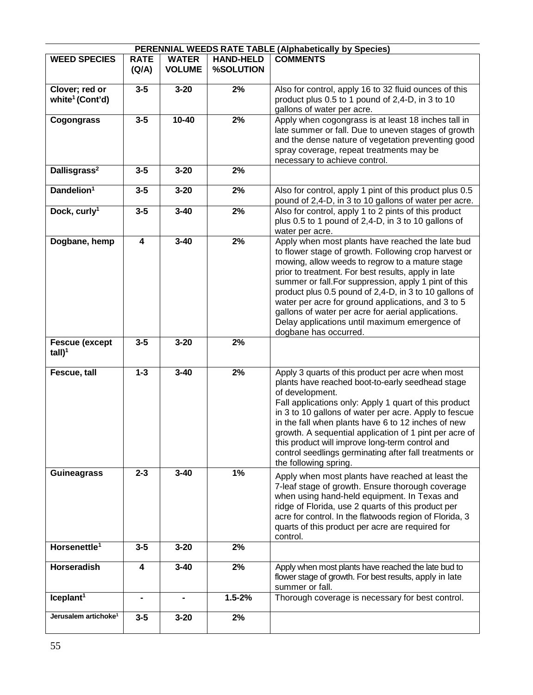| PERENNIAL WEEDS RATE TABLE (Alphabetically by Species) |                         |                               |                               |                                                                                                                                                                                                                                                                                                                                                                                                                                                                                                                             |  |  |
|--------------------------------------------------------|-------------------------|-------------------------------|-------------------------------|-----------------------------------------------------------------------------------------------------------------------------------------------------------------------------------------------------------------------------------------------------------------------------------------------------------------------------------------------------------------------------------------------------------------------------------------------------------------------------------------------------------------------------|--|--|
| <b>WEED SPECIES</b>                                    | <b>RATE</b><br>(Q/A)    | <b>WATER</b><br><b>VOLUME</b> | <b>HAND-HELD</b><br>%SOLUTION | <b>COMMENTS</b>                                                                                                                                                                                                                                                                                                                                                                                                                                                                                                             |  |  |
| Clover; red or<br>white <sup>1</sup> (Cont'd)          | $3-5$                   | $3 - 20$                      | 2%                            | Also for control, apply 16 to 32 fluid ounces of this<br>product plus 0.5 to 1 pound of 2,4-D, in 3 to 10<br>gallons of water per acre.                                                                                                                                                                                                                                                                                                                                                                                     |  |  |
| Cogongrass                                             | $3-5$                   | $10 - 40$                     | 2%                            | Apply when cogongrass is at least 18 inches tall in<br>late summer or fall. Due to uneven stages of growth<br>and the dense nature of vegetation preventing good<br>spray coverage, repeat treatments may be<br>necessary to achieve control.                                                                                                                                                                                                                                                                               |  |  |
| Dallisgrass <sup>2</sup>                               | $3 - 5$                 | $3 - 20$                      | 2%                            |                                                                                                                                                                                                                                                                                                                                                                                                                                                                                                                             |  |  |
| Dandelion <sup>1</sup>                                 | $3 - 5$                 | $3 - 20$                      | 2%                            | Also for control, apply 1 pint of this product plus 0.5<br>pound of 2,4-D, in 3 to 10 gallons of water per acre.                                                                                                                                                                                                                                                                                                                                                                                                            |  |  |
| Dock, curly <sup>1</sup>                               | $3-5$                   | $3 - 40$                      | 2%                            | Also for control, apply 1 to 2 pints of this product<br>plus 0.5 to 1 pound of 2,4-D, in 3 to 10 gallons of<br>water per acre.                                                                                                                                                                                                                                                                                                                                                                                              |  |  |
| Dogbane, hemp                                          | $\overline{\mathbf{4}}$ | $3 - 40$                      | 2%                            | Apply when most plants have reached the late bud<br>to flower stage of growth. Following crop harvest or<br>mowing, allow weeds to regrow to a mature stage<br>prior to treatment. For best results, apply in late<br>summer or fall. For suppression, apply 1 pint of this<br>product plus 0.5 pound of 2,4-D, in 3 to 10 gallons of<br>water per acre for ground applications, and 3 to 5<br>gallons of water per acre for aerial applications.<br>Delay applications until maximum emergence of<br>dogbane has occurred. |  |  |
| <b>Fescue (except</b><br>$tall)^1$                     | $3 - 5$                 | $3 - 20$                      | 2%                            |                                                                                                                                                                                                                                                                                                                                                                                                                                                                                                                             |  |  |
| Fescue, tall                                           | $1 - 3$                 | $3 - 40$                      | 2%                            | Apply 3 quarts of this product per acre when most<br>plants have reached boot-to-early seedhead stage<br>of development.<br>Fall applications only: Apply 1 quart of this product<br>in 3 to 10 gallons of water per acre. Apply to fescue<br>in the fall when plants have 6 to 12 inches of new<br>growth. A sequential application of 1 pint per acre of<br>this product will improve long-term control and<br>control seedlings germinating after fall treatments or<br>the following spring.                            |  |  |
| <b>Guineagrass</b>                                     | $2 - 3$                 | $3 - 40$                      | 1%                            | Apply when most plants have reached at least the<br>7-leaf stage of growth. Ensure thorough coverage<br>when using hand-held equipment. In Texas and<br>ridge of Florida, use 2 quarts of this product per<br>acre for control. In the flatwoods region of Florida, 3<br>quarts of this product per acre are required for<br>control.                                                                                                                                                                                       |  |  |
| Horsenettle <sup>1</sup>                               | $3-5$                   | $3 - 20$                      | 2%                            |                                                                                                                                                                                                                                                                                                                                                                                                                                                                                                                             |  |  |
| Horseradish                                            | 4                       | $3 - 40$                      | 2%                            | Apply when most plants have reached the late bud to<br>flower stage of growth. For best results, apply in late<br>summer or fall.                                                                                                                                                                                                                                                                                                                                                                                           |  |  |
| Iceplant <sup>1</sup>                                  |                         |                               | $1.5 - 2%$                    | Thorough coverage is necessary for best control.                                                                                                                                                                                                                                                                                                                                                                                                                                                                            |  |  |
| Jerusalem artichoke <sup>1</sup>                       | $3 - 5$                 | $3 - 20$                      | 2%                            |                                                                                                                                                                                                                                                                                                                                                                                                                                                                                                                             |  |  |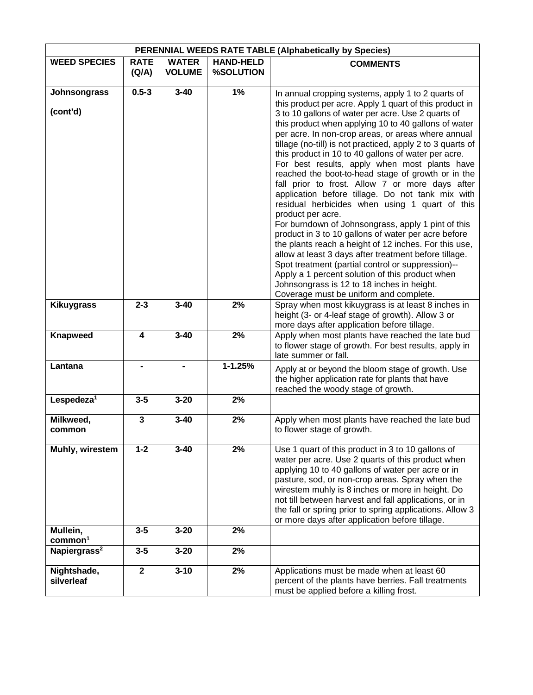| PERENNIAL WEEDS RATE TABLE (Alphabetically by Species) |                      |                               |                               |                                                                                                                                                                                                                                                                                                                                                                                                                                                                                                                                                                                                                                                                                                                                                                                                                                                                                                                                                                                                                                                                                                                            |  |
|--------------------------------------------------------|----------------------|-------------------------------|-------------------------------|----------------------------------------------------------------------------------------------------------------------------------------------------------------------------------------------------------------------------------------------------------------------------------------------------------------------------------------------------------------------------------------------------------------------------------------------------------------------------------------------------------------------------------------------------------------------------------------------------------------------------------------------------------------------------------------------------------------------------------------------------------------------------------------------------------------------------------------------------------------------------------------------------------------------------------------------------------------------------------------------------------------------------------------------------------------------------------------------------------------------------|--|
| <b>WEED SPECIES</b>                                    | <b>RATE</b><br>(Q/A) | <b>WATER</b><br><b>VOLUME</b> | <b>HAND-HELD</b><br>%SOLUTION | <b>COMMENTS</b>                                                                                                                                                                                                                                                                                                                                                                                                                                                                                                                                                                                                                                                                                                                                                                                                                                                                                                                                                                                                                                                                                                            |  |
| Johnsongrass<br>(cont'd)                               | $0.5 - 3$            | $3 - 40$                      | 1%                            | In annual cropping systems, apply 1 to 2 quarts of<br>this product per acre. Apply 1 quart of this product in<br>3 to 10 gallons of water per acre. Use 2 quarts of<br>this product when applying 10 to 40 gallons of water<br>per acre. In non-crop areas, or areas where annual<br>tillage (no-till) is not practiced, apply 2 to 3 quarts of<br>this product in 10 to 40 gallons of water per acre.<br>For best results, apply when most plants have<br>reached the boot-to-head stage of growth or in the<br>fall prior to frost. Allow 7 or more days after<br>application before tillage. Do not tank mix with<br>residual herbicides when using 1 quart of this<br>product per acre.<br>For burndown of Johnsongrass, apply 1 pint of this<br>product in 3 to 10 gallons of water per acre before<br>the plants reach a height of 12 inches. For this use,<br>allow at least 3 days after treatment before tillage.<br>Spot treatment (partial control or suppression)--<br>Apply a 1 percent solution of this product when<br>Johnsongrass is 12 to 18 inches in height.<br>Coverage must be uniform and complete. |  |
| <b>Kikuygrass</b>                                      | $2 - 3$              | $3 - 40$                      | 2%                            | Spray when most kikuygrass is at least 8 inches in<br>height (3- or 4-leaf stage of growth). Allow 3 or<br>more days after application before tillage.                                                                                                                                                                                                                                                                                                                                                                                                                                                                                                                                                                                                                                                                                                                                                                                                                                                                                                                                                                     |  |
| <b>Knapweed</b>                                        | 4                    | $3 - 40$                      | 2%                            | Apply when most plants have reached the late bud<br>to flower stage of growth. For best results, apply in<br>late summer or fall.                                                                                                                                                                                                                                                                                                                                                                                                                                                                                                                                                                                                                                                                                                                                                                                                                                                                                                                                                                                          |  |
| Lantana                                                |                      |                               | $1 - 1.25%$                   | Apply at or beyond the bloom stage of growth. Use<br>the higher application rate for plants that have<br>reached the woody stage of growth.                                                                                                                                                                                                                                                                                                                                                                                                                                                                                                                                                                                                                                                                                                                                                                                                                                                                                                                                                                                |  |
| Lespedeza <sup>1</sup>                                 | $3 - 5$              | $3 - 20$                      | 2%                            |                                                                                                                                                                                                                                                                                                                                                                                                                                                                                                                                                                                                                                                                                                                                                                                                                                                                                                                                                                                                                                                                                                                            |  |
| Milkweed,<br>common                                    | 3                    | $3 - 40$                      | 2%                            | Apply when most plants have reached the late bud<br>to flower stage of growth.                                                                                                                                                                                                                                                                                                                                                                                                                                                                                                                                                                                                                                                                                                                                                                                                                                                                                                                                                                                                                                             |  |
| Muhly, wirestem                                        | $1 - 2$              | $3 - 40$                      | 2%                            | Use 1 quart of this product in 3 to 10 gallons of<br>water per acre. Use 2 quarts of this product when<br>applying 10 to 40 gallons of water per acre or in<br>pasture, sod, or non-crop areas. Spray when the<br>wirestem muhly is 8 inches or more in height. Do<br>not till between harvest and fall applications, or in<br>the fall or spring prior to spring applications. Allow 3<br>or more days after application before tillage.                                                                                                                                                                                                                                                                                                                                                                                                                                                                                                                                                                                                                                                                                  |  |
| Mullein,<br>common <sup>1</sup>                        | $3 - 5$              | $3 - 20$                      | 2%                            |                                                                                                                                                                                                                                                                                                                                                                                                                                                                                                                                                                                                                                                                                                                                                                                                                                                                                                                                                                                                                                                                                                                            |  |
| Napiergrass <sup>2</sup>                               | $3 - 5$              | $3 - 20$                      | 2%                            |                                                                                                                                                                                                                                                                                                                                                                                                                                                                                                                                                                                                                                                                                                                                                                                                                                                                                                                                                                                                                                                                                                                            |  |
| Nightshade,<br>silverleaf                              | $\overline{2}$       | $3 - 10$                      | 2%                            | Applications must be made when at least 60<br>percent of the plants have berries. Fall treatments<br>must be applied before a killing frost.                                                                                                                                                                                                                                                                                                                                                                                                                                                                                                                                                                                                                                                                                                                                                                                                                                                                                                                                                                               |  |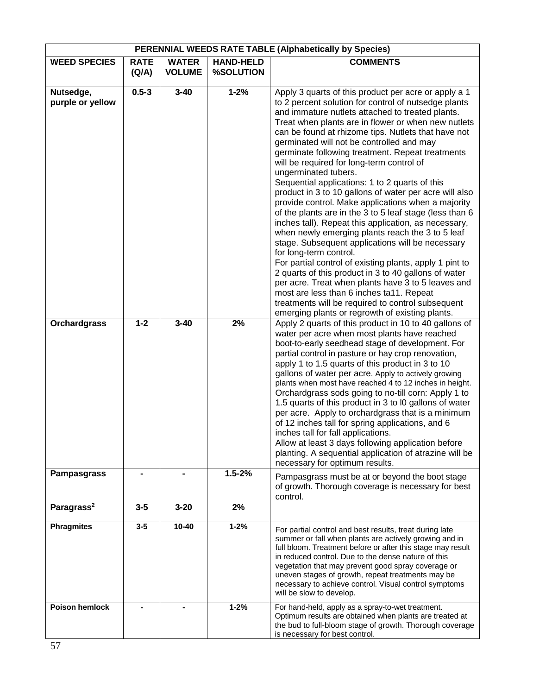| PERENNIAL WEEDS RATE TABLE (Alphabetically by Species) |                      |                               |                               |                                                                                                                                                                                                                                                                                                                                                                                                                                                                                                                                                                                                                                                                                                                                                                                                                                                                                                                                                                                                                                                                                                                                                                                                          |
|--------------------------------------------------------|----------------------|-------------------------------|-------------------------------|----------------------------------------------------------------------------------------------------------------------------------------------------------------------------------------------------------------------------------------------------------------------------------------------------------------------------------------------------------------------------------------------------------------------------------------------------------------------------------------------------------------------------------------------------------------------------------------------------------------------------------------------------------------------------------------------------------------------------------------------------------------------------------------------------------------------------------------------------------------------------------------------------------------------------------------------------------------------------------------------------------------------------------------------------------------------------------------------------------------------------------------------------------------------------------------------------------|
| <b>WEED SPECIES</b>                                    | <b>RATE</b><br>(Q/A) | <b>WATER</b><br><b>VOLUME</b> | <b>HAND-HELD</b><br>%SOLUTION | <b>COMMENTS</b>                                                                                                                                                                                                                                                                                                                                                                                                                                                                                                                                                                                                                                                                                                                                                                                                                                                                                                                                                                                                                                                                                                                                                                                          |
| Nutsedge,<br>purple or yellow                          | $0.5 - 3$            | $3 - 40$                      | $1 - 2%$                      | Apply 3 quarts of this product per acre or apply a 1<br>to 2 percent solution for control of nutsedge plants<br>and immature nutlets attached to treated plants.<br>Treat when plants are in flower or when new nutlets<br>can be found at rhizome tips. Nutlets that have not<br>germinated will not be controlled and may<br>germinate following treatment. Repeat treatments<br>will be required for long-term control of<br>ungerminated tubers.<br>Sequential applications: 1 to 2 quarts of this<br>product in 3 to 10 gallons of water per acre will also<br>provide control. Make applications when a majority<br>of the plants are in the 3 to 5 leaf stage (less than 6<br>inches tall). Repeat this application, as necessary,<br>when newly emerging plants reach the 3 to 5 leaf<br>stage. Subsequent applications will be necessary<br>for long-term control.<br>For partial control of existing plants, apply 1 pint to<br>2 quarts of this product in 3 to 40 gallons of water<br>per acre. Treat when plants have 3 to 5 leaves and<br>most are less than 6 inches ta11. Repeat<br>treatments will be required to control subsequent<br>emerging plants or regrowth of existing plants. |
| <b>Orchardgrass</b>                                    | $1 - 2$              | $3 - 40$                      | 2%                            | Apply 2 quarts of this product in 10 to 40 gallons of<br>water per acre when most plants have reached<br>boot-to-early seedhead stage of development. For<br>partial control in pasture or hay crop renovation,<br>apply 1 to 1.5 quarts of this product in 3 to 10<br>gallons of water per acre. Apply to actively growing<br>plants when most have reached 4 to 12 inches in height.<br>Orchardgrass sods going to no-till corn: Apply 1 to<br>1.5 quarts of this product in 3 to I0 gallons of water<br>per acre. Apply to orchardgrass that is a minimum<br>of 12 inches tall for spring applications, and 6<br>inches tall for fall applications.<br>Allow at least 3 days following application before<br>planting. A sequential application of atrazine will be<br>necessary for optimum results.                                                                                                                                                                                                                                                                                                                                                                                                 |
| <b>Pampasgrass</b>                                     |                      |                               | $1.5 - 2%$                    | Pampasgrass must be at or beyond the boot stage<br>of growth. Thorough coverage is necessary for best<br>control.                                                                                                                                                                                                                                                                                                                                                                                                                                                                                                                                                                                                                                                                                                                                                                                                                                                                                                                                                                                                                                                                                        |
| Paragrass <sup>2</sup>                                 | $3-5$                | $3 - 20$                      | 2%                            |                                                                                                                                                                                                                                                                                                                                                                                                                                                                                                                                                                                                                                                                                                                                                                                                                                                                                                                                                                                                                                                                                                                                                                                                          |
| <b>Phragmites</b>                                      | $3-5$                | $10 - 40$                     | $1 - 2%$                      | For partial control and best results, treat during late<br>summer or fall when plants are actively growing and in<br>full bloom. Treatment before or after this stage may result<br>in reduced control. Due to the dense nature of this<br>vegetation that may prevent good spray coverage or<br>uneven stages of growth, repeat treatments may be<br>necessary to achieve control. Visual control symptoms<br>will be slow to develop.                                                                                                                                                                                                                                                                                                                                                                                                                                                                                                                                                                                                                                                                                                                                                                  |
| <b>Poison hemlock</b>                                  |                      |                               | $1 - 2%$                      | For hand-held, apply as a spray-to-wet treatment.<br>Optimum results are obtained when plants are treated at<br>the bud to full-bloom stage of growth. Thorough coverage<br>is necessary for best control.                                                                                                                                                                                                                                                                                                                                                                                                                                                                                                                                                                                                                                                                                                                                                                                                                                                                                                                                                                                               |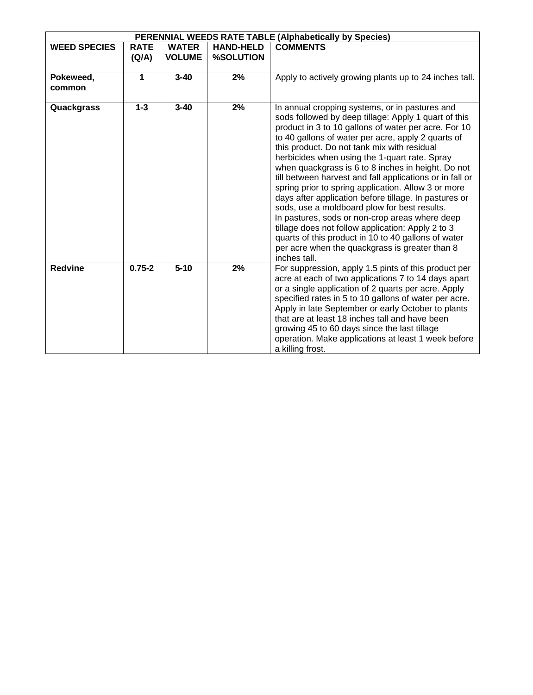| PERENNIAL WEEDS RATE TABLE (Alphabetically by Species) |             |               |                  |                                                                                                                                                                                                                                                                                                                                                                                                                                                                                                                                                                                                                                                                                                                                                                                                                                        |  |  |  |
|--------------------------------------------------------|-------------|---------------|------------------|----------------------------------------------------------------------------------------------------------------------------------------------------------------------------------------------------------------------------------------------------------------------------------------------------------------------------------------------------------------------------------------------------------------------------------------------------------------------------------------------------------------------------------------------------------------------------------------------------------------------------------------------------------------------------------------------------------------------------------------------------------------------------------------------------------------------------------------|--|--|--|
| <b>WEED SPECIES</b>                                    | <b>RATE</b> | <b>WATER</b>  | <b>HAND-HELD</b> | <b>COMMENTS</b>                                                                                                                                                                                                                                                                                                                                                                                                                                                                                                                                                                                                                                                                                                                                                                                                                        |  |  |  |
|                                                        | (Q/A)       | <b>VOLUME</b> | <b>%SOLUTION</b> |                                                                                                                                                                                                                                                                                                                                                                                                                                                                                                                                                                                                                                                                                                                                                                                                                                        |  |  |  |
| Pokeweed,<br>common                                    | 1           | $3 - 40$      | 2%               | Apply to actively growing plants up to 24 inches tall.                                                                                                                                                                                                                                                                                                                                                                                                                                                                                                                                                                                                                                                                                                                                                                                 |  |  |  |
| Quackgrass                                             | $1 - 3$     | $3 - 40$      | 2%               | In annual cropping systems, or in pastures and<br>sods followed by deep tillage: Apply 1 quart of this<br>product in 3 to 10 gallons of water per acre. For 10<br>to 40 gallons of water per acre, apply 2 quarts of<br>this product. Do not tank mix with residual<br>herbicides when using the 1-quart rate. Spray<br>when quackgrass is 6 to 8 inches in height. Do not<br>till between harvest and fall applications or in fall or<br>spring prior to spring application. Allow 3 or more<br>days after application before tillage. In pastures or<br>sods, use a moldboard plow for best results.<br>In pastures, sods or non-crop areas where deep<br>tillage does not follow application: Apply 2 to 3<br>quarts of this product in 10 to 40 gallons of water<br>per acre when the quackgrass is greater than 8<br>inches tall. |  |  |  |
| <b>Redvine</b>                                         | $0.75 - 2$  | $5 - 10$      | 2%               | For suppression, apply 1.5 pints of this product per<br>acre at each of two applications 7 to 14 days apart<br>or a single application of 2 quarts per acre. Apply<br>specified rates in 5 to 10 gallons of water per acre.<br>Apply in late September or early October to plants<br>that are at least 18 inches tall and have been<br>growing 45 to 60 days since the last tillage<br>operation. Make applications at least 1 week before<br>a killing frost.                                                                                                                                                                                                                                                                                                                                                                         |  |  |  |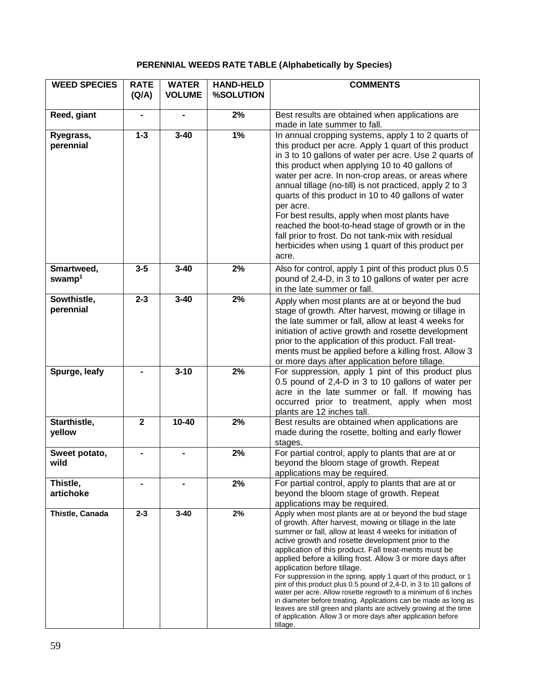# **PERENNIAL WEEDS RATE TABLE (Alphabetically by Species)**

| <b>WEED SPECIES</b>              | <b>RATE</b><br>(Q/A) | <b>WATER</b><br><b>VOLUME</b> | <b>HAND-HELD</b><br>%SOLUTION | <b>COMMENTS</b>                                                                                                                                                                                                                                                                                                                                                                                                                                                                                                                                                                                                                                                                                                                                                                                                                 |
|----------------------------------|----------------------|-------------------------------|-------------------------------|---------------------------------------------------------------------------------------------------------------------------------------------------------------------------------------------------------------------------------------------------------------------------------------------------------------------------------------------------------------------------------------------------------------------------------------------------------------------------------------------------------------------------------------------------------------------------------------------------------------------------------------------------------------------------------------------------------------------------------------------------------------------------------------------------------------------------------|
| Reed, giant                      | $\blacksquare$       |                               | 2%                            | Best results are obtained when applications are<br>made in late summer to fall.                                                                                                                                                                                                                                                                                                                                                                                                                                                                                                                                                                                                                                                                                                                                                 |
| Ryegrass,<br>perennial           | $1 - 3$              | $3 - 40$                      | 1%                            | In annual cropping systems, apply 1 to 2 quarts of<br>this product per acre. Apply 1 quart of this product<br>in 3 to 10 gallons of water per acre. Use 2 quarts of<br>this product when applying 10 to 40 gallons of<br>water per acre. In non-crop areas, or areas where<br>annual tillage (no-till) is not practiced, apply 2 to 3<br>quarts of this product in 10 to 40 gallons of water<br>per acre.<br>For best results, apply when most plants have<br>reached the boot-to-head stage of growth or in the<br>fall prior to frost. Do not tank-mix with residual<br>herbicides when using 1 quart of this product per<br>acre.                                                                                                                                                                                            |
| Smartweed,<br>swamp <sup>1</sup> | $3-5$                | $3 - 40$                      | 2%                            | Also for control, apply 1 pint of this product plus 0.5<br>pound of 2,4-D, in 3 to 10 gallons of water per acre<br>in the late summer or fall.                                                                                                                                                                                                                                                                                                                                                                                                                                                                                                                                                                                                                                                                                  |
| Sowthistle,<br>perennial         | $2 - 3$              | $3 - 40$                      | 2%                            | Apply when most plants are at or beyond the bud<br>stage of growth. After harvest, mowing or tillage in<br>the late summer or fall, allow at least 4 weeks for<br>initiation of active growth and rosette development<br>prior to the application of this product. Fall treat-<br>ments must be applied before a killing frost. Allow 3<br>or more days after application before tillage.                                                                                                                                                                                                                                                                                                                                                                                                                                       |
| Spurge, leafy                    |                      | $3 - 10$                      | 2%                            | For suppression, apply 1 pint of this product plus<br>0.5 pound of 2,4-D in 3 to 10 gallons of water per<br>acre in the late summer or fall. If mowing has<br>occurred prior to treatment, apply when most<br>plants are 12 inches tall.                                                                                                                                                                                                                                                                                                                                                                                                                                                                                                                                                                                        |
| Starthistle,<br>yellow           | $\overline{2}$       | $10 - 40$                     | 2%                            | Best results are obtained when applications are<br>made during the rosette, bolting and early flower<br>stages.                                                                                                                                                                                                                                                                                                                                                                                                                                                                                                                                                                                                                                                                                                                 |
| Sweet potato,<br>wild            |                      |                               | 2%                            | For partial control, apply to plants that are at or<br>beyond the bloom stage of growth. Repeat<br>applications may be required.                                                                                                                                                                                                                                                                                                                                                                                                                                                                                                                                                                                                                                                                                                |
| Thistle,<br>artichoke            |                      |                               | 2%                            | For partial control, apply to plants that are at or<br>beyond the bloom stage of growth. Repeat<br>applications may be required.                                                                                                                                                                                                                                                                                                                                                                                                                                                                                                                                                                                                                                                                                                |
| Thistle, Canada                  | $2 - 3$              | $3 - 40$                      | 2%                            | Apply when most plants are at or beyond the bud stage<br>of growth. After harvest, mowing or tillage in the late<br>summer or fall, allow at least 4 weeks for initiation of<br>active growth and rosette development prior to the<br>application of this product. Fall treat-ments must be<br>applied before a killing frost. Allow 3 or more days after<br>application before tillage.<br>For suppression in the spring, apply 1 quart of this product, or 1<br>pint of this product plus 0.5 pound of 2,4-D, in 3 to 10 gallons of<br>water per acre. Allow rosette regrowth to a minimum of 6 inches<br>in diameter before treating. Applications can be made as long as<br>leaves are still green and plants are actively growing at the time<br>of application. Allow 3 or more days after application before<br>tillage. |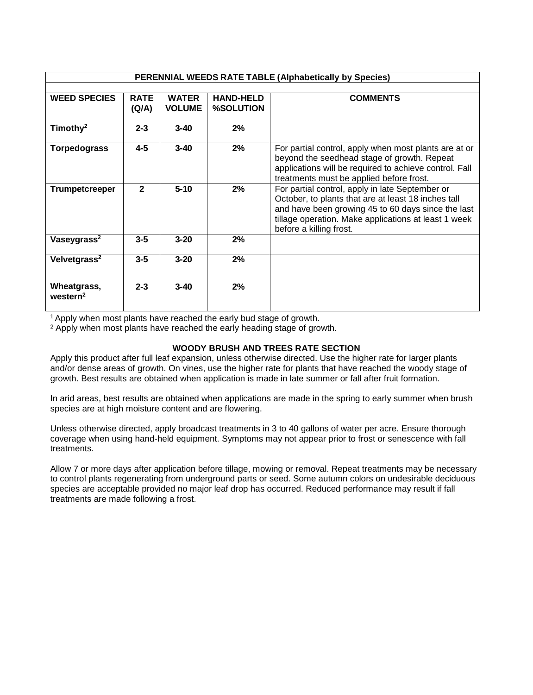| <b>PERENNIAL WEEDS RATE TABLE (Alphabetically by Species)</b> |                      |                               |                                      |                                                                                                                                                                                                                                                 |  |  |
|---------------------------------------------------------------|----------------------|-------------------------------|--------------------------------------|-------------------------------------------------------------------------------------------------------------------------------------------------------------------------------------------------------------------------------------------------|--|--|
|                                                               |                      |                               |                                      |                                                                                                                                                                                                                                                 |  |  |
| <b>WEED SPECIES</b>                                           | <b>RATE</b><br>(Q/A) | <b>WATER</b><br><b>VOLUME</b> | <b>HAND-HELD</b><br><b>%SOLUTION</b> | <b>COMMENTS</b>                                                                                                                                                                                                                                 |  |  |
| Timothy <sup>2</sup>                                          | $2 - 3$              | $3 - 40$                      | 2%                                   |                                                                                                                                                                                                                                                 |  |  |
| <b>Torpedograss</b>                                           | $4 - 5$              | $3 - 40$                      | 2%                                   | For partial control, apply when most plants are at or<br>beyond the seedhead stage of growth. Repeat<br>applications will be required to achieve control. Fall<br>treatments must be applied before frost.                                      |  |  |
| <b>Trumpetcreeper</b>                                         | $\overline{2}$       | $5 - 10$                      | 2%                                   | For partial control, apply in late September or<br>October, to plants that are at least 18 inches tall<br>and have been growing 45 to 60 days since the last<br>tillage operation. Make applications at least 1 week<br>before a killing frost. |  |  |
| Vaseygrass <sup>2</sup>                                       | $3 - 5$              | $3 - 20$                      | 2%                                   |                                                                                                                                                                                                                                                 |  |  |
| Velvetgrass <sup>2</sup>                                      | $3 - 5$              | $3 - 20$                      | 2%                                   |                                                                                                                                                                                                                                                 |  |  |
| Wheatgrass,<br>western <sup>2</sup>                           | $2 - 3$              | $3 - 40$                      | 2%                                   |                                                                                                                                                                                                                                                 |  |  |

<sup>1</sup> Apply when most plants have reached the early bud stage of growth.

<sup>2</sup> Apply when most plants have reached the early heading stage of growth.

# **WOODY BRUSH AND TREES RATE SECTION**

Apply this product after full leaf expansion, unless otherwise directed. Use the higher rate for larger plants and/or dense areas of growth. On vines, use the higher rate for plants that have reached the woody stage of growth. Best results are obtained when application is made in late summer or fall after fruit formation.

In arid areas, best results are obtained when applications are made in the spring to early summer when brush species are at high moisture content and are flowering.

Unless otherwise directed, apply broadcast treatments in 3 to 40 gallons of water per acre. Ensure thorough coverage when using hand-held equipment. Symptoms may not appear prior to frost or senescence with fall treatments.

Allow 7 or more days after application before tillage, mowing or removal. Repeat treatments may be necessary to control plants regenerating from underground parts or seed. Some autumn colors on undesirable deciduous species are acceptable provided no major leaf drop has occurred. Reduced performance may result if fall treatments are made following a frost.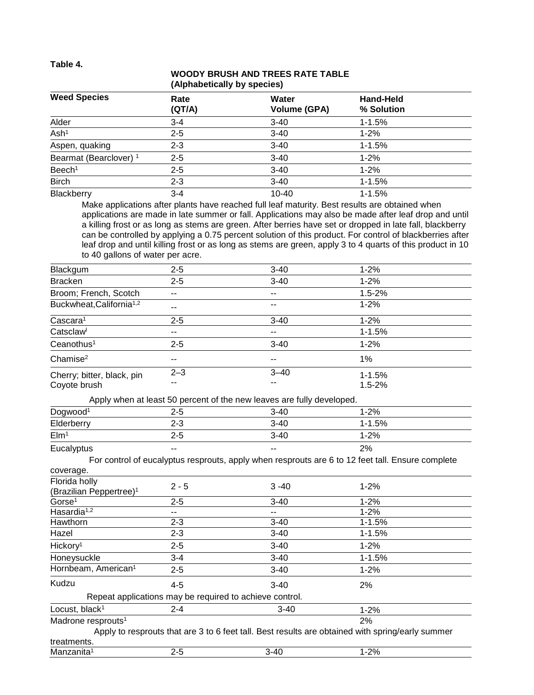**Table 4.**

# **WOODY BRUSH AND TREES RATE TABLE (Alphabetically by species)**

| <b>Weed Species</b>               | Rate<br>(QT/A) | Water<br><b>Volume (GPA)</b> | <b>Hand-Held</b><br>% Solution |  |
|-----------------------------------|----------------|------------------------------|--------------------------------|--|
| Alder                             | $3 - 4$        | $3-40$                       | $1 - 1.5%$                     |  |
| Ash <sup>1</sup>                  | $2 - 5$        | $3-40$                       | $1 - 2%$                       |  |
| Aspen, quaking                    | $2 - 3$        | $3-40$                       | $1 - 1.5%$                     |  |
| Bearmat (Bearclover) <sup>1</sup> | $2 - 5$        | $3 - 40$                     | $1 - 2%$                       |  |
| Beech <sup>1</sup>                | $2 - 5$        | $3 - 40$                     | $1 - 2%$                       |  |
| <b>Birch</b>                      | $2 - 3$        | $3 - 40$                     | $1 - 1.5%$                     |  |
| Blackberry                        | $3 - 4$        | $10 - 40$                    | $1 - 1.5%$                     |  |

Make applications after plants have reached full leaf maturity. Best results are obtained when applications are made in late summer or fall. Applications may also be made after leaf drop and until a killing frost or as long as stems are green. After berries have set or dropped in late fall, blackberry can be controlled by applying a 0.75 percent solution of this product. For control of blackberries after leaf drop and until killing frost or as long as stems are green, apply 3 to 4 quarts of this product in 10 to 40 gallons of water per acre.

| Blackgum                             | $2 - 5$ | $3 - 40$ | $1 - 2%$   |
|--------------------------------------|---------|----------|------------|
| <b>Bracken</b>                       | $2 - 5$ | $3 - 40$ | $1 - 2%$   |
| Broom; French, Scotch                | $- -$   | $- -$    | $1.5 - 2%$ |
| Buckwheat, California <sup>1,2</sup> | $- -$   | $- -$    | $1 - 2%$   |
| Cascara <sup>1</sup>                 | $2 - 5$ | $3 - 40$ | $1 - 2%$   |
| Catsclaw                             | --      | --       | $1 - 1.5%$ |
| Ceanothus <sup>1</sup>               | $2 - 5$ | $3 - 40$ | $1 - 2%$   |
| Change <sup>2</sup>                  | $- -$   | $- -$    | 1%         |
| Cherry; bitter, black, pin           | $2 - 3$ | $3 - 40$ | $1 - 1.5%$ |
| Coyote brush                         | --      | $- -$    | $1.5 - 2%$ |

Apply when at least 50 percent of the new leaves are fully developed.

| .                    |       |                          |          |  |
|----------------------|-------|--------------------------|----------|--|
| Dogwood <sup>1</sup> | 2-5   | $3 - 40$                 | $-2%$    |  |
| Elderberry           | 2-3   | $3 - 40$                 | 1-1.5%   |  |
| EIm <sup>1</sup>     | 2-5   | $3 - 40$                 | $1 - 2%$ |  |
| Eucalyptus           | $- -$ | $\overline{\phantom{a}}$ | 2%       |  |

For control of eucalyptus resprouts, apply when resprouts are 6 to 12 feet tall. Ensure complete

| coverage.                            |         |                                                         |                                                                                                  |
|--------------------------------------|---------|---------------------------------------------------------|--------------------------------------------------------------------------------------------------|
| Florida holly                        | $2 - 5$ | $3 - 40$                                                | $1 - 2%$                                                                                         |
| (Brazilian Peppertree) <sup>1</sup>  |         |                                                         |                                                                                                  |
| Gorse <sup>1</sup>                   | $2 - 5$ | $3 - 40$                                                | $1 - 2%$                                                                                         |
| Hasardia <sup><math>1,2</math></sup> | --      | --                                                      | $1 - 2%$                                                                                         |
| Hawthorn                             | $2 - 3$ | $3 - 40$                                                | $1 - 1.5%$                                                                                       |
| Hazel                                | $2 - 3$ | $3 - 40$                                                | $1 - 1.5%$                                                                                       |
| Hickory <sup>1</sup>                 | $2 - 5$ | $3 - 40$                                                | $1 - 2%$                                                                                         |
| Honeysuckle                          | $3 - 4$ | $3 - 40$                                                | $1 - 1.5%$                                                                                       |
| Hornbeam, American <sup>1</sup>      | $2 - 5$ | $3 - 40$                                                | $1 - 2%$                                                                                         |
| Kudzu                                | $4 - 5$ | $3-40$                                                  | 2%                                                                                               |
|                                      |         | Repeat applications may be required to achieve control. |                                                                                                  |
| Locust, black <sup>1</sup>           | $2 - 4$ | $3 - 40$                                                | $1 - 2%$                                                                                         |
| Madrone resprouts <sup>1</sup>       |         |                                                         | 2%                                                                                               |
|                                      |         |                                                         | Apply to resprouts that are 3 to 6 feet tall. Best results are obtained with spring/early summer |
| treatments.                          |         |                                                         |                                                                                                  |
| Manzanita <sup>1</sup>               | $2 - 5$ | $3 - 40$                                                | $1 - 2%$                                                                                         |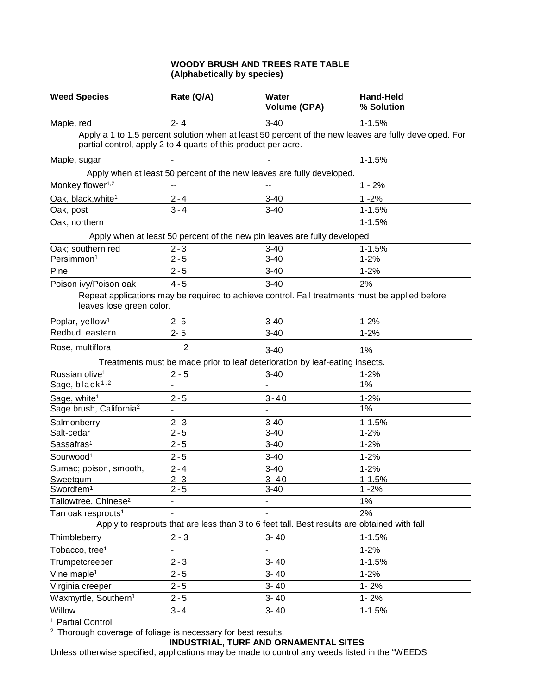# **WOODY BRUSH AND TREES RATE TABLE (Alphabetically by species)**

| <b>Weed Species</b>                 | Rate (Q/A)                                                     | Water<br><b>Volume (GPA)</b>                                                                | <b>Hand-Held</b><br>% Solution                                                                        |
|-------------------------------------|----------------------------------------------------------------|---------------------------------------------------------------------------------------------|-------------------------------------------------------------------------------------------------------|
| Maple, red                          | $2 - 4$                                                        | $3 - 40$                                                                                    | $1 - 1.5%$                                                                                            |
|                                     | partial control, apply 2 to 4 quarts of this product per acre. |                                                                                             | Apply a 1 to 1.5 percent solution when at least 50 percent of the new leaves are fully developed. For |
| Maple, sugar                        |                                                                |                                                                                             | $1 - 1.5%$                                                                                            |
|                                     |                                                                | Apply when at least 50 percent of the new leaves are fully developed.                       |                                                                                                       |
| Monkey flower <sup>1,2</sup>        | --                                                             | --                                                                                          | $1 - 2%$                                                                                              |
| Oak, black, white <sup>1</sup>      | $2 - 4$                                                        | $3 - 40$                                                                                    | $1 - 2%$                                                                                              |
| Oak, post                           | $3 - 4$                                                        | $3 - 40$                                                                                    | $1 - 1.5%$                                                                                            |
| Oak, northern                       |                                                                |                                                                                             | $1 - 1.5%$                                                                                            |
|                                     |                                                                | Apply when at least 50 percent of the new pin leaves are fully developed                    |                                                                                                       |
| Oak; southern red                   | $2 - 3$                                                        | $3 - 40$                                                                                    | $1 - 1.5%$                                                                                            |
| Persimmon <sup>1</sup>              | $2 - 5$                                                        | $3 - 40$                                                                                    | $1 - 2%$                                                                                              |
| Pine                                | $2 - 5$                                                        | $3 - 40$                                                                                    | $1 - 2%$                                                                                              |
| Poison ivy/Poison oak               | $4 - 5$                                                        | $3 - 40$                                                                                    | 2%                                                                                                    |
| leaves lose green color.            |                                                                |                                                                                             | Repeat applications may be required to achieve control. Fall treatments must be applied before        |
| Poplar, yellow <sup>1</sup>         | $2 - 5$                                                        | $3 - 40$                                                                                    | $1 - 2%$                                                                                              |
| Redbud, eastern                     | $2 - 5$                                                        | $3 - 40$                                                                                    | $1 - 2%$                                                                                              |
| Rose, multiflora                    | $\overline{2}$                                                 | $3 - 40$                                                                                    | 1%                                                                                                    |
|                                     |                                                                | Treatments must be made prior to leaf deterioration by leaf-eating insects.                 |                                                                                                       |
| Russian olive <sup>1</sup>          | $2 - 5$                                                        | $3 - 40$                                                                                    | $1 - 2%$                                                                                              |
| Sage, black <sup>1,2</sup>          |                                                                | ۰                                                                                           | 1%                                                                                                    |
| Sage, white <sup>1</sup>            | $2 - 5$                                                        | $3 - 40$                                                                                    | $1 - 2%$                                                                                              |
| Sage brush, California <sup>2</sup> |                                                                |                                                                                             | 1%                                                                                                    |
| Salmonberry                         | $2 - 3$                                                        | $3 - 40$                                                                                    | $1 - 1.5%$                                                                                            |
| Salt-cedar                          | $2 - 5$                                                        | $3 - 40$                                                                                    | $1 - 2%$                                                                                              |
| Sassafras <sup>1</sup>              | $2 - 5$                                                        | $3 - 40$                                                                                    | $1 - 2%$                                                                                              |
| Sourwood <sup>1</sup>               | $2 - 5$                                                        | $3 - 40$                                                                                    | $1 - 2%$                                                                                              |
| Sumac; poison, smooth,              | $2 - 4$                                                        | $3 - 40$                                                                                    | $1 - 2%$                                                                                              |
| <b>Sweetgum</b>                     | $2 - 3$                                                        | $3 - 40$                                                                                    | $1 - 1.5%$                                                                                            |
| Swordfem <sup>1</sup>               | $2 - 5$                                                        | $3-40$                                                                                      | $1 - 2%$                                                                                              |
| Tallowtree, Chinese <sup>2</sup>    |                                                                |                                                                                             | 1%                                                                                                    |
| Tan oak resprouts <sup>1</sup>      |                                                                |                                                                                             | 2%                                                                                                    |
|                                     |                                                                | Apply to resprouts that are less than 3 to 6 feet tall. Best results are obtained with fall |                                                                                                       |
| Thimbleberry                        | $2 - 3$                                                        | $3 - 40$                                                                                    | $1 - 1.5%$                                                                                            |
| Tobacco, tree <sup>1</sup>          |                                                                | ٠                                                                                           | $1 - 2%$                                                                                              |
| Trumpetcreeper                      | $2 - 3$                                                        | $3 - 40$                                                                                    | $1 - 1.5%$                                                                                            |
| Vine maple <sup>1</sup>             | $2 - 5$                                                        | $3 - 40$                                                                                    | $1 - 2%$                                                                                              |
| Virginia creeper                    | $2 - 5$                                                        | $3 - 40$                                                                                    | $1 - 2%$                                                                                              |
| Waxmyrtle, Southern <sup>1</sup>    | $2 - 5$                                                        | $3 - 40$                                                                                    | $1 - 2%$                                                                                              |
| Willow                              | $3 - 4$                                                        | $3 - 40$                                                                                    | $1 - 1.5%$                                                                                            |

<sup>1</sup> Partial Control

 $2$  Thorough coverage of foliage is necessary for best results.

# **INDUSTRIAL, TURF AND ORNAMENTAL SITES**

Unless otherwise specified, applications may be made to control any weeds listed in the "WEEDS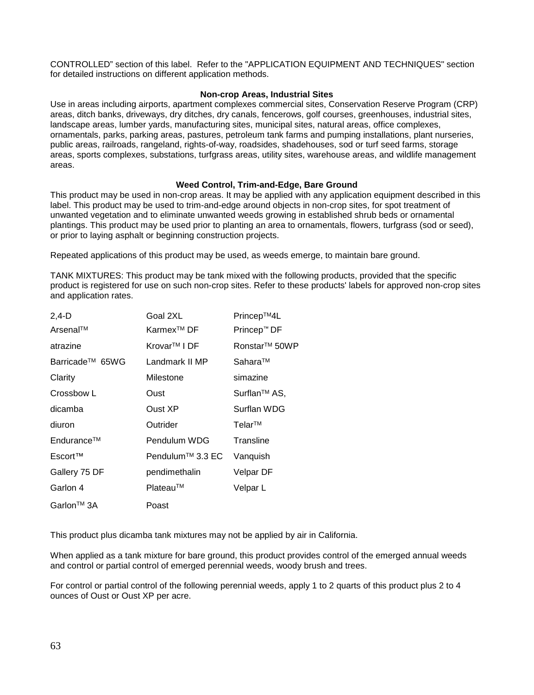CONTROLLED" section of this label. Refer to the "APPLICATION EQUIPMENT AND TECHNIQUES" section for detailed instructions on different application methods.

# **Non-crop Areas, Industrial Sites**

Use in areas including airports, apartment complexes commercial sites, Conservation Reserve Program (CRP) areas, ditch banks, driveways, dry ditches, dry canals, fencerows, golf courses, greenhouses, industrial sites, landscape areas, lumber yards, manufacturing sites, municipal sites, natural areas, office complexes, ornamentals, parks, parking areas, pastures, petroleum tank farms and pumping installations, plant nurseries, public areas, railroads, rangeland, rights-of-way, roadsides, shadehouses, sod or turf seed farms, storage areas, sports complexes, substations, turfgrass areas, utility sites, warehouse areas, and wildlife management areas.

# **Weed Control, Trim-and-Edge, Bare Ground**

This product may be used in non-crop areas. It may be applied with any application equipment described in this label. This product may be used to trim-and-edge around objects in non-crop sites, for spot treatment of unwanted vegetation and to eliminate unwanted weeds growing in established shrub beds or ornamental plantings. This product may be used prior to planting an area to ornamentals, flowers, turfgrass (sod or seed), or prior to laying asphalt or beginning construction projects.

Repeated applications of this product may be used, as weeds emerge, to maintain bare ground.

TANK MIXTURES: This product may be tank mixed with the following products, provided that the specific product is registered for use on such non-crop sites. Refer to these products' labels for approved non-crop sites and application rates.

| $2,4-D$                     | Goal 2XL                 | Princep™4L                |
|-----------------------------|--------------------------|---------------------------|
| Arsenal™                    | Karmex <sup>™</sup> DF   | Princep™ DF               |
| atrazine                    | Krovar <sup>™</sup> I DF | Ronstar <sup>™</sup> 50WP |
| Barricade <sup>™</sup> 65WG | Landmark II MP           | Sahara™                   |
| Clarity                     | Milestone                | simazine                  |
| Crossbow L                  | Oust                     | Surflan <sup>™</sup> AS,  |
| dicamba                     | Oust XP                  | Surflan WDG               |
| diuron                      | Outrider                 | Telar™                    |
| Endurance™                  | Pendulum WDG             | Transline                 |
| Escort™                     | Pendulum™ 3.3 EC         | Vanquish                  |
| Gallery 75 DF               | pendimethalin            | Velpar DF                 |
| Garlon 4                    | Plateau™                 | Velpar L                  |
| Garlon <sup>™</sup> 3A      | Poast                    |                           |

This product plus dicamba tank mixtures may not be applied by air in California.

When applied as a tank mixture for bare ground, this product provides control of the emerged annual weeds and control or partial control of emerged perennial weeds, woody brush and trees.

For control or partial control of the following perennial weeds, apply 1 to 2 quarts of this product plus 2 to 4 ounces of Oust or Oust XP per acre.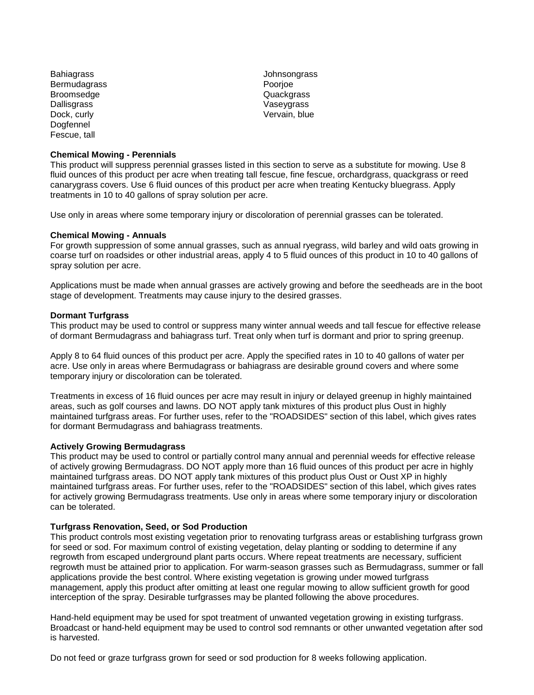Bahiagrass Johnsongrass Bermudagrass Bermudagrass Poorjoe<br>Broomsedge Broomsedge Broomsedge Broomsedge<br>Dallisgrass Dallisgrass Vaseygrass Vaseygrass Vaseygrass Vaseygrass Vaseygrass Vaseygrass Vaseygrass Vaseygrass Vaseygrass Vaseygrass Vaseygrass Vaseygrass Vaseygrass Vaseygrass Vaseygrass Vaseygrass Vaseygrass Vaseygrass Vaseygrass V Dogfennel Fescue, tall

#### **Chemical Mowing - Perennials**

Vervain, blue

This product will suppress perennial grasses listed in this section to serve as a substitute for mowing. Use 8 fluid ounces of this product per acre when treating tall fescue, fine fescue, orchardgrass, quackgrass or reed canarygrass covers. Use 6 fluid ounces of this product per acre when treating Kentucky bluegrass. Apply treatments in 10 to 40 gallons of spray solution per acre.

Use only in areas where some temporary injury or discoloration of perennial grasses can be tolerated.

#### **Chemical Mowing - Annuals**

For growth suppression of some annual grasses, such as annual ryegrass, wild barley and wild oats growing in coarse turf on roadsides or other industrial areas, apply 4 to 5 fluid ounces of this product in 10 to 40 gallons of spray solution per acre.

Applications must be made when annual grasses are actively growing and before the seedheads are in the boot stage of development. Treatments may cause injury to the desired grasses.

#### **Dormant Turfgrass**

This product may be used to control or suppress many winter annual weeds and tall fescue for effective release of dormant Bermudagrass and bahiagrass turf. Treat only when turf is dormant and prior to spring greenup.

Apply 8 to 64 fluid ounces of this product per acre. Apply the specified rates in 10 to 40 gallons of water per acre. Use only in areas where Bermudagrass or bahiagrass are desirable ground covers and where some temporary injury or discoloration can be tolerated.

Treatments in excess of 16 fluid ounces per acre may result in injury or delayed greenup in highly maintained areas, such as golf courses and lawns. DO NOT apply tank mixtures of this product plus Oust in highly maintained turfgrass areas. For further uses, refer to the "ROADSIDES" section of this label, which gives rates for dormant Bermudagrass and bahiagrass treatments.

#### **Actively Growing Bermudagrass**

This product may be used to control or partially control many annual and perennial weeds for effective release of actively growing Bermudagrass. DO NOT apply more than 16 fluid ounces of this product per acre in highly maintained turfgrass areas. DO NOT apply tank mixtures of this product plus Oust or Oust XP in highly maintained turfgrass areas. For further uses, refer to the "ROADSIDES" section of this label, which gives rates for actively growing Bermudagrass treatments. Use only in areas where some temporary injury or discoloration can be tolerated.

# **Turfgrass Renovation, Seed, or Sod Production**

This product controls most existing vegetation prior to renovating turfgrass areas or establishing turfgrass grown for seed or sod. For maximum control of existing vegetation, delay planting or sodding to determine if any regrowth from escaped underground plant parts occurs. Where repeat treatments are necessary, sufficient regrowth must be attained prior to application. For warm-season grasses such as Bermudagrass, summer or fall applications provide the best control. Where existing vegetation is growing under mowed turfgrass management, apply this product after omitting at least one regular mowing to allow sufficient growth for good interception of the spray. Desirable turfgrasses may be planted following the above procedures.

Hand-held equipment may be used for spot treatment of unwanted vegetation growing in existing turfgrass. Broadcast or hand-held equipment may be used to control sod remnants or other unwanted vegetation after sod is harvested.

Do not feed or graze turfgrass grown for seed or sod production for 8 weeks following application.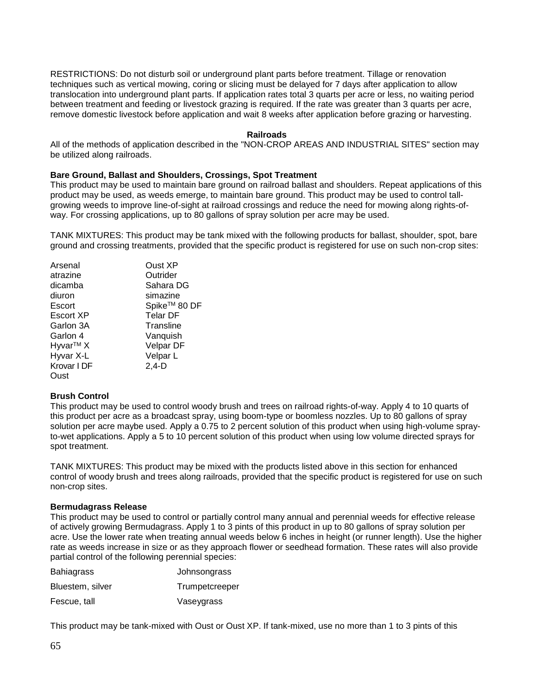RESTRICTIONS: Do not disturb soil or underground plant parts before treatment. Tillage or renovation techniques such as vertical mowing, coring or slicing must be delayed for 7 days after application to allow translocation into underground plant parts. If application rates total 3 quarts per acre or less, no waiting period between treatment and feeding or livestock grazing is required. If the rate was greater than 3 quarts per acre, remove domestic livestock before application and wait 8 weeks after application before grazing or harvesting.

#### **Railroads**

All of the methods of application described in the "NON-CROP AREAS AND INDUSTRIAL SITES" section may be utilized along railroads.

#### **Bare Ground, Ballast and Shoulders, Crossings, Spot Treatment**

This product may be used to maintain bare ground on railroad ballast and shoulders. Repeat applications of this product may be used, as weeds emerge, to maintain bare ground. This product may be used to control tallgrowing weeds to improve line-of-sight at railroad crossings and reduce the need for mowing along rights-ofway. For crossing applications, up to 80 gallons of spray solution per acre may be used.

TANK MIXTURES: This product may be tank mixed with the following products for ballast, shoulder, spot, bare ground and crossing treatments, provided that the specific product is registered for use on such non-crop sites:

| Arsenal              | Oust XP                  |
|----------------------|--------------------------|
| atrazine             | Outrider                 |
| dicamba              | Sahara DG                |
| diuron               | simazine                 |
| Escort               | Spike <sup>™</sup> 80 DF |
| Escort XP            | <b>Telar DF</b>          |
| Garlon 3A            | Transline                |
| Garlon 4             | Vanquish                 |
| Hyvar <sup>™</sup> X | Velpar DF                |
| Hyvar X-L            | Velpar L                 |
| Krovar I DF          | $2,4-D$                  |
| Oust                 |                          |

# **Brush Control**

This product may be used to control woody brush and trees on railroad rights-of-way. Apply 4 to 10 quarts of this product per acre as a broadcast spray, using boom-type or boomless nozzles. Up to 80 gallons of spray solution per acre maybe used. Apply a 0.75 to 2 percent solution of this product when using high-volume sprayto-wet applications. Apply a 5 to 10 percent solution of this product when using low volume directed sprays for spot treatment.

TANK MIXTURES: This product may be mixed with the products listed above in this section for enhanced control of woody brush and trees along railroads, provided that the specific product is registered for use on such non-crop sites.

#### **Bermudagrass Release**

This product may be used to control or partially control many annual and perennial weeds for effective release of actively growing Bermudagrass. Apply 1 to 3 pints of this product in up to 80 gallons of spray solution per acre. Use the lower rate when treating annual weeds below 6 inches in height (or runner length). Use the higher rate as weeds increase in size or as they approach flower or seedhead formation. These rates will also provide partial control of the following perennial species:

| <b>Bahiagrass</b> | Johnsongrass   |
|-------------------|----------------|
| Bluestem, silver  | Trumpetcreeper |
| Fescue, tall      | Vaseygrass     |

This product may be tank-mixed with Oust or Oust XP. If tank-mixed, use no more than 1 to 3 pints of this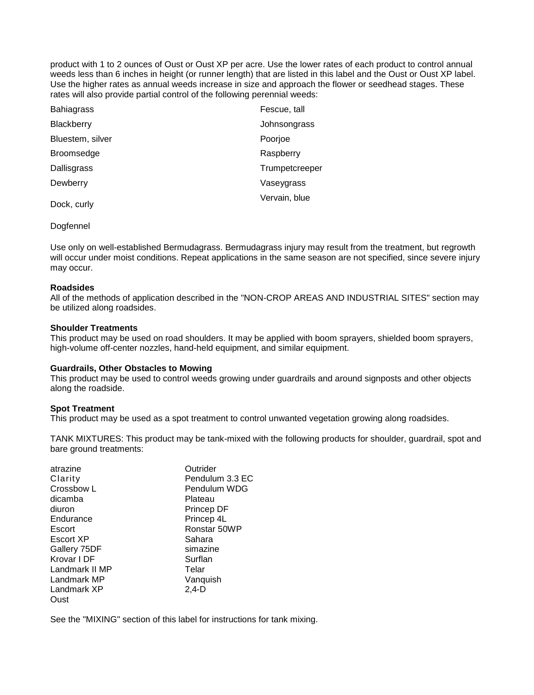product with 1 to 2 ounces of Oust or Oust XP per acre. Use the lower rates of each product to control annual weeds less than 6 inches in height (or runner length) that are listed in this label and the Oust or Oust XP label. Use the higher rates as annual weeds increase in size and approach the flower or seedhead stages. These rates will also provide partial control of the following perennial weeds:

| <b>Bahiagrass</b> | Fescue, tall   |
|-------------------|----------------|
| Blackberry        | Johnsongrass   |
| Bluestem, silver  | Poorjoe        |
| <b>Broomsedge</b> | Raspberry      |
| Dallisgrass       | Trumpetcreeper |
| Dewberry          | Vaseygrass     |
| Dock, curly       | Vervain, blue  |

#### Dogfennel

Use only on well-established Bermudagrass. Bermudagrass injury may result from the treatment, but regrowth will occur under moist conditions. Repeat applications in the same season are not specified, since severe injury may occur.

#### **Roadsides**

All of the methods of application described in the "NON-CROP AREAS AND INDUSTRIAL SITES" section may be utilized along roadsides.

#### **Shoulder Treatments**

This product may be used on road shoulders. It may be applied with boom sprayers, shielded boom sprayers, high-volume off-center nozzles, hand-held equipment, and similar equipment.

#### **Guardrails, Other Obstacles to Mowing**

This product may be used to control weeds growing under guardrails and around signposts and other objects along the roadside.

#### **Spot Treatment**

This product may be used as a spot treatment to control unwanted vegetation growing along roadsides.

TANK MIXTURES: This product may be tank-mixed with the following products for shoulder, guardrail, spot and bare ground treatments:

| Outrider        |
|-----------------|
| Pendulum 3.3 EC |
| Pendulum WDG    |
| Plateau         |
| Princep DF      |
| Princep 4L      |
| Ronstar 50WP    |
| Sahara          |
| simazine        |
| Surflan         |
| Telar           |
| Vanquish        |
| $2.4-D$         |
|                 |
|                 |

See the "MIXING" section of this label for instructions for tank mixing.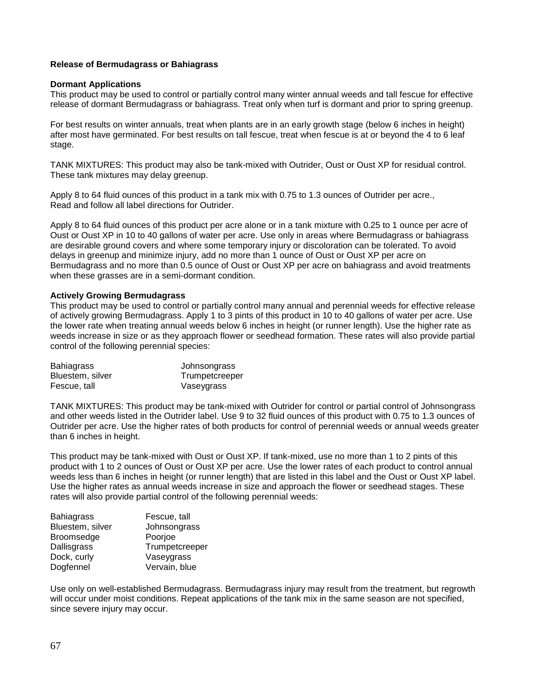# **Release of Bermudagrass or Bahiagrass**

#### **Dormant Applications**

This product may be used to control or partially control many winter annual weeds and tall fescue for effective release of dormant Bermudagrass or bahiagrass. Treat only when turf is dormant and prior to spring greenup.

For best results on winter annuals, treat when plants are in an early growth stage (below 6 inches in height) after most have germinated. For best results on tall fescue, treat when fescue is at or beyond the 4 to 6 leaf stage.

TANK MIXTURES: This product may also be tank-mixed with Outrider, Oust or Oust XP for residual control. These tank mixtures may delay greenup.

Apply 8 to 64 fluid ounces of this product in a tank mix with 0.75 to 1.3 ounces of Outrider per acre., Read and follow all label directions for Outrider.

Apply 8 to 64 fluid ounces of this product per acre alone or in a tank mixture with 0.25 to 1 ounce per acre of Oust or Oust XP in 10 to 40 gallons of water per acre. Use only in areas where Bermudagrass or bahiagrass are desirable ground covers and where some temporary injury or discoloration can be tolerated. To avoid delays in greenup and minimize injury, add no more than 1 ounce of Oust or Oust XP per acre on Bermudagrass and no more than 0.5 ounce of Oust or Oust XP per acre on bahiagrass and avoid treatments when these grasses are in a semi-dormant condition.

#### **Actively Growing Bermudagrass**

This product may be used to control or partially control many annual and perennial weeds for effective release of actively growing Bermudagrass. Apply 1 to 3 pints of this product in 10 to 40 gallons of water per acre. Use the lower rate when treating annual weeds below 6 inches in height (or runner length). Use the higher rate as weeds increase in size or as they approach flower or seedhead formation. These rates will also provide partial control of the following perennial species:

| <b>Bahiagrass</b> | Johnsongrass   |
|-------------------|----------------|
| Bluestem, silver  | Trumpetcreeper |
| Fescue, tall      | Vaseygrass     |

TANK MIXTURES: This product may be tank-mixed with Outrider for control or partial control of Johnsongrass and other weeds listed in the Outrider label. Use 9 to 32 fluid ounces of this product with 0.75 to 1.3 ounces of Outrider per acre. Use the higher rates of both products for control of perennial weeds or annual weeds greater than 6 inches in height.

This product may be tank-mixed with Oust or Oust XP. If tank-mixed, use no more than 1 to 2 pints of this product with 1 to 2 ounces of Oust or Oust XP per acre. Use the lower rates of each product to control annual weeds less than 6 inches in height (or runner length) that are listed in this label and the Oust or Oust XP label. Use the higher rates as annual weeds increase in size and approach the flower or seedhead stages. These rates will also provide partial control of the following perennial weeds:

| <b>Bahiagrass</b> | Fescue, tall   |
|-------------------|----------------|
| Bluestem, silver  | Johnsongrass   |
| <b>Broomsedge</b> | Poorjoe        |
| Dallisgrass       | Trumpetcreeper |
| Dock, curly       | Vaseygrass     |
| Dogfennel         | Vervain, blue  |

Use only on well-established Bermudagrass. Bermudagrass injury may result from the treatment, but regrowth will occur under moist conditions. Repeat applications of the tank mix in the same season are not specified, since severe injury may occur.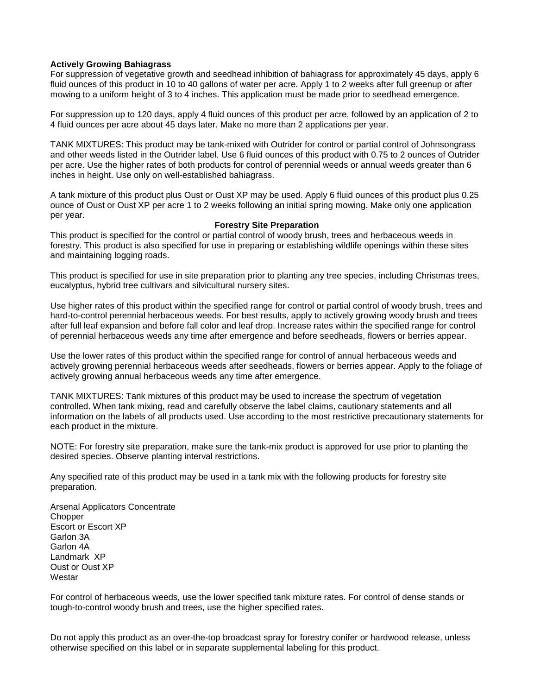# **Actively Growing Bahiagrass**

For suppression of vegetative growth and seedhead inhibition of bahiagrass for approximately 45 days, apply 6 fluid ounces of this product in 10 to 40 gallons of water per acre. Apply 1 to 2 weeks after full greenup or after mowing to a uniform height of 3 to 4 inches. This application must be made prior to seedhead emergence.

For suppression up to 120 days, apply 4 fluid ounces of this product per acre, followed by an application of 2 to 4 fluid ounces per acre about 45 days later. Make no more than 2 applications per year.

TANK MIXTURES: This product may be tank-mixed with Outrider for control or partial control of Johnsongrass and other weeds listed in the Outrider label. Use 6 fluid ounces of this product with 0.75 to 2 ounces of Outrider per acre. Use the higher rates of both products for control of perennial weeds or annual weeds greater than 6 inches in height. Use only on well-established bahiagrass.

A tank mixture of this product plus Oust or Oust XP may be used. Apply 6 fluid ounces of this product plus 0.25 ounce of Oust or Oust XP per acre 1 to 2 weeks following an initial spring mowing. Make only one application per year.

#### **Forestry Site Preparation**

This product is specified for the control or partial control of woody brush, trees and herbaceous weeds in forestry. This product is also specified for use in preparing or establishing wildlife openings within these sites and maintaining logging roads.

This product is specified for use in site preparation prior to planting any tree species, including Christmas trees, eucalyptus, hybrid tree cultivars and silvicultural nursery sites.

Use higher rates of this product within the specified range for control or partial control of woody brush, trees and hard-to-control perennial herbaceous weeds. For best results, apply to actively growing woody brush and trees after full leaf expansion and before fall color and leaf drop. Increase rates within the specified range for control of perennial herbaceous weeds any time after emergence and before seedheads, flowers or berries appear.

Use the lower rates of this product within the specified range for control of annual herbaceous weeds and actively growing perennial herbaceous weeds after seedheads, flowers or berries appear. Apply to the foliage of actively growing annual herbaceous weeds any time after emergence.

TANK MIXTURES: Tank mixtures of this product may be used to increase the spectrum of vegetation controlled. When tank mixing, read and carefully observe the label claims, cautionary statements and all information on the labels of all products used. Use according to the most restrictive precautionary statements for each product in the mixture.

NOTE: For forestry site preparation, make sure the tank-mix product is approved for use prior to planting the desired species. Observe planting interval restrictions.

Any specified rate of this product may be used in a tank mix with the following products for forestry site preparation.

Arsenal Applicators Concentrate **Chopper** Escort or Escort XP Garlon 3A Garlon 4A Landmark XP Oust or Oust XP **Westar** 

For control of herbaceous weeds, use the lower specified tank mixture rates. For control of dense stands or tough-to-control woody brush and trees, use the higher specified rates.

Do not apply this product as an over-the-top broadcast spray for forestry conifer or hardwood release, unless otherwise specified on this label or in separate supplemental labeling for this product.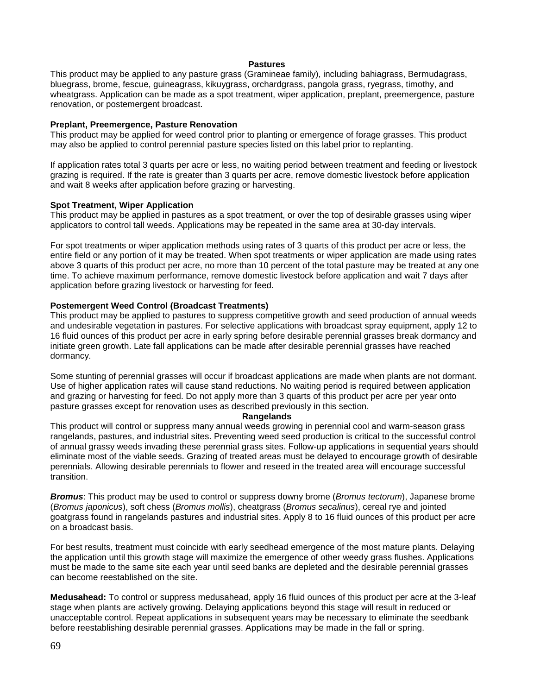#### **Pastures**

This product may be applied to any pasture grass (Gramineae family), including bahiagrass, Bermudagrass, bluegrass, brome, fescue, guineagrass, kikuygrass, orchardgrass, pangola grass, ryegrass, timothy, and wheatgrass. Application can be made as a spot treatment, wiper application, preplant, preemergence, pasture renovation, or postemergent broadcast.

# **Preplant, Preemergence, Pasture Renovation**

This product may be applied for weed control prior to planting or emergence of forage grasses. This product may also be applied to control perennial pasture species listed on this label prior to replanting.

If application rates total 3 quarts per acre or less, no waiting period between treatment and feeding or livestock grazing is required. If the rate is greater than 3 quarts per acre, remove domestic livestock before application and wait 8 weeks after application before grazing or harvesting.

# **Spot Treatment, Wiper Application**

This product may be applied in pastures as a spot treatment, or over the top of desirable grasses using wiper applicators to control tall weeds. Applications may be repeated in the same area at 30-day intervals.

For spot treatments or wiper application methods using rates of 3 quarts of this product per acre or less, the entire field or any portion of it may be treated. When spot treatments or wiper application are made using rates above 3 quarts of this product per acre, no more than 10 percent of the total pasture may be treated at any one time. To achieve maximum performance, remove domestic livestock before application and wait 7 days after application before grazing livestock or harvesting for feed.

# **Postemergent Weed Control (Broadcast Treatments)**

This product may be applied to pastures to suppress competitive growth and seed production of annual weeds and undesirable vegetation in pastures. For selective applications with broadcast spray equipment, apply 12 to 16 fluid ounces of this product per acre in early spring before desirable perennial grasses break dormancy and initiate green growth. Late fall applications can be made after desirable perennial grasses have reached dormancy.

Some stunting of perennial grasses will occur if broadcast applications are made when plants are not dormant. Use of higher application rates will cause stand reductions. No waiting period is required between application and grazing or harvesting for feed. Do not apply more than 3 quarts of this product per acre per year onto pasture grasses except for renovation uses as described previously in this section.

# **Rangelands**

This product will control or suppress many annual weeds growing in perennial cool and warm-season grass rangelands, pastures, and industrial sites. Preventing weed seed production is critical to the successful control of annual grassy weeds invading these perennial grass sites. Follow-up applications in sequential years should eliminate most of the viable seeds. Grazing of treated areas must be delayed to encourage growth of desirable perennials. Allowing desirable perennials to flower and reseed in the treated area will encourage successful transition.

*Bromus*: This product may be used to control or suppress downy brome (*Bromus tectorum*), Japanese brome (*Bromus japonicus*), soft chess (*Bromus mollis*), cheatgrass (*Bromus secalinus*), cereal rye and jointed goatgrass found in rangelands pastures and industrial sites. Apply 8 to 16 fluid ounces of this product per acre on a broadcast basis.

For best results, treatment must coincide with early seedhead emergence of the most mature plants. Delaying the application until this growth stage will maximize the emergence of other weedy grass flushes. Applications must be made to the same site each year until seed banks are depleted and the desirable perennial grasses can become reestablished on the site.

**Medusahead:** To control or suppress medusahead, apply 16 fluid ounces of this product per acre at the 3-leaf stage when plants are actively growing. Delaying applications beyond this stage will result in reduced or unacceptable control. Repeat applications in subsequent years may be necessary to eliminate the seedbank before reestablishing desirable perennial grasses. Applications may be made in the fall or spring.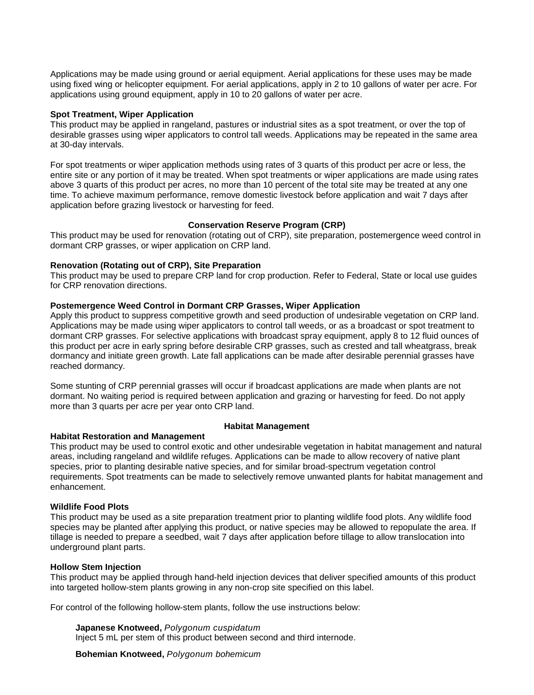Applications may be made using ground or aerial equipment. Aerial applications for these uses may be made using fixed wing or helicopter equipment. For aerial applications, apply in 2 to 10 gallons of water per acre. For applications using ground equipment, apply in 10 to 20 gallons of water per acre.

# **Spot Treatment, Wiper Application**

This product may be applied in rangeland, pastures or industrial sites as a spot treatment, or over the top of desirable grasses using wiper applicators to control tall weeds. Applications may be repeated in the same area at 30-day intervals.

For spot treatments or wiper application methods using rates of 3 quarts of this product per acre or less, the entire site or any portion of it may be treated. When spot treatments or wiper applications are made using rates above 3 quarts of this product per acres, no more than 10 percent of the total site may be treated at any one time. To achieve maximum performance, remove domestic livestock before application and wait 7 days after application before grazing livestock or harvesting for feed.

# **Conservation Reserve Program (CRP)**

This product may be used for renovation (rotating out of CRP), site preparation, postemergence weed control in dormant CRP grasses, or wiper application on CRP land.

# **Renovation (Rotating out of CRP), Site Preparation**

This product may be used to prepare CRP land for crop production. Refer to Federal, State or local use guides for CRP renovation directions.

# **Postemergence Weed Control in Dormant CRP Grasses, Wiper Application**

Apply this product to suppress competitive growth and seed production of undesirable vegetation on CRP land. Applications may be made using wiper applicators to control tall weeds, or as a broadcast or spot treatment to dormant CRP grasses. For selective applications with broadcast spray equipment, apply 8 to 12 fluid ounces of this product per acre in early spring before desirable CRP grasses, such as crested and tall wheatgrass, break dormancy and initiate green growth. Late fall applications can be made after desirable perennial grasses have reached dormancy.

Some stunting of CRP perennial grasses will occur if broadcast applications are made when plants are not dormant. No waiting period is required between application and grazing or harvesting for feed. Do not apply more than 3 quarts per acre per year onto CRP land.

# **Habitat Restoration and Management**

# **Habitat Management**

This product may be used to control exotic and other undesirable vegetation in habitat management and natural areas, including rangeland and wildlife refuges. Applications can be made to allow recovery of native plant species, prior to planting desirable native species, and for similar broad-spectrum vegetation control requirements. Spot treatments can be made to selectively remove unwanted plants for habitat management and enhancement.

# **Wildlife Food Plots**

This product may be used as a site preparation treatment prior to planting wildlife food plots. Any wildlife food species may be planted after applying this product, or native species may be allowed to repopulate the area. If tillage is needed to prepare a seedbed, wait 7 days after application before tillage to allow translocation into underground plant parts.

# **Hollow Stem Injection**

This product may be applied through hand-held injection devices that deliver specified amounts of this product into targeted hollow-stem plants growing in any non-crop site specified on this label.

For control of the following hollow-stem plants, follow the use instructions below:

**Japanese Knotweed,** *Polygonum cuspidatum* Inject 5 mL per stem of this product between second and third internode.

**Bohemian Knotweed,** *Polygonum bohemicum*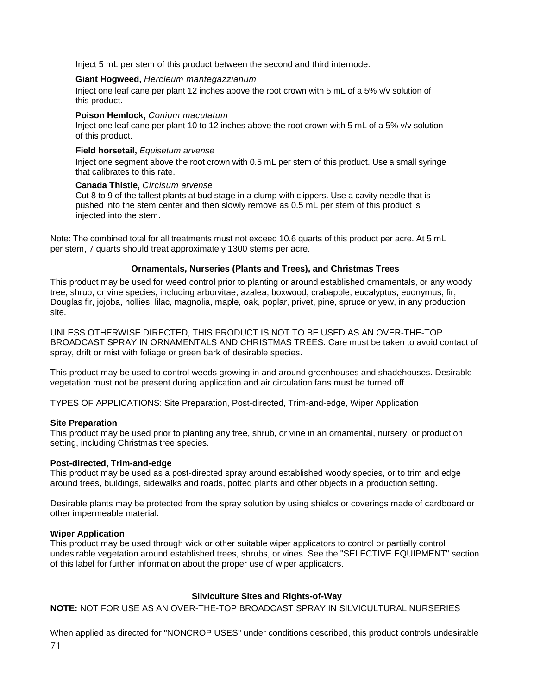Inject 5 mL per stem of this product between the second and third internode.

# **Giant Hogweed,** *Hercleum mantegazzianum*

Inject one leaf cane per plant 12 inches above the root crown with 5 mL of a 5% v/v solution of this product.

#### **Poison Hemlock,** *Conium maculatum*

Inject one leaf cane per plant 10 to 12 inches above the root crown with 5 mL of a 5% v/v solution of this product.

#### **Field horsetail,** *Equisetum arvense*

Inject one segment above the root crown with 0.5 mL per stem of this product. Use a small syringe that calibrates to this rate.

#### **Canada Thistle,** *Circisum arvense*

Cut 8 to 9 of the tallest plants at bud stage in a clump with clippers. Use a cavity needle that is pushed into the stem center and then slowly remove as 0.5 mL per stem of this product is injected into the stem.

Note: The combined total for all treatments must not exceed 10.6 quarts of this product per acre. At 5 mL per stem, 7 quarts should treat approximately 1300 stems per acre.

# **Ornamentals, Nurseries (Plants and Trees), and Christmas Trees**

This product may be used for weed control prior to planting or around established ornamentals, or any woody tree, shrub, or vine species, including arborvitae, azalea, boxwood, crabapple, eucalyptus, euonymus, fir, Douglas fir, jojoba, hollies, lilac, magnolia, maple, oak, poplar, privet, pine, spruce or yew, in any production site.

UNLESS OTHERWISE DIRECTED, THIS PRODUCT IS NOT TO BE USED AS AN OVER-THE-TOP BROADCAST SPRAY IN ORNAMENTALS AND CHRISTMAS TREES. Care must be taken to avoid contact of spray, drift or mist with foliage or green bark of desirable species.

This product may be used to control weeds growing in and around greenhouses and shadehouses. Desirable vegetation must not be present during application and air circulation fans must be turned off.

TYPES OF APPLICATIONS: Site Preparation, Post-directed, Trim-and-edge, Wiper Application

# **Site Preparation**

This product may be used prior to planting any tree, shrub, or vine in an ornamental, nursery, or production setting, including Christmas tree species.

# **Post-directed, Trim-and-edge**

This product may be used as a post-directed spray around established woody species, or to trim and edge around trees, buildings, sidewalks and roads, potted plants and other objects in a production setting.

Desirable plants may be protected from the spray solution by using shields or coverings made of cardboard or other impermeable material.

# **Wiper Application**

This product may be used through wick or other suitable wiper applicators to control or partially control undesirable vegetation around established trees, shrubs, or vines. See the "SELECTIVE EQUIPMENT" section of this label for further information about the proper use of wiper applicators.

# **Silviculture Sites and Rights-of-Way**

**NOTE:** NOT FOR USE AS AN OVER-THE-TOP BROADCAST SPRAY IN SILVICULTURAL NURSERIES

71 When applied as directed for "NONCROP USES" under conditions described, this product controls undesirable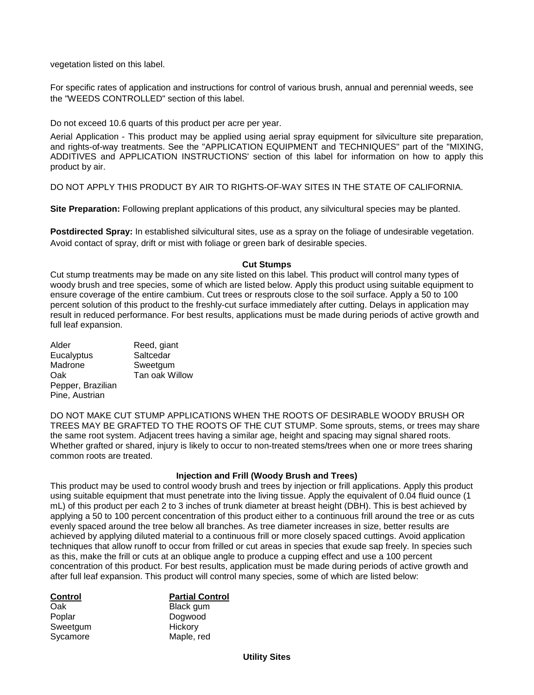vegetation listed on this label.

For specific rates of application and instructions for control of various brush, annual and perennial weeds, see the "WEEDS CONTROLLED" section of this label.

Do not exceed 10.6 quarts of this product per acre per year.

Aerial Application - This product may be applied using aerial spray equipment for silviculture site preparation, and rights-of-way treatments. See the "APPLICATION EQUIPMENT and TECHNIQUES" part of the "MIXING, ADDITIVES and APPLICATION INSTRUCTIONS' section of this label for information on how to apply this product by air.

DO NOT APPLY THIS PRODUCT BY AIR TO RIGHTS-OF-WAY SITES IN THE STATE OF CALIFORNIA.

**Site Preparation:** Following preplant applications of this product, any silvicultural species may be planted.

**Postdirected Spray:** In established silvicultural sites, use as a spray on the foliage of undesirable vegetation. Avoid contact of spray, drift or mist with foliage or green bark of desirable species.

# **Cut Stumps**

Cut stump treatments may be made on any site listed on this label. This product will control many types of woody brush and tree species, some of which are listed below. Apply this product using suitable equipment to ensure coverage of the entire cambium. Cut trees or resprouts close to the soil surface. Apply a 50 to 100 percent solution of this product to the freshly-cut surface immediately after cutting. Delays in application may result in reduced performance. For best results, applications must be made during periods of active growth and full leaf expansion.

| Alder             | Reed, giant    |
|-------------------|----------------|
| Eucalyptus        | Saltcedar      |
| Madrone           | Sweetgum       |
| Oak               | Tan oak Willow |
| Pepper, Brazilian |                |
| Pine, Austrian    |                |

DO NOT MAKE CUT STUMP APPLICATIONS WHEN THE ROOTS OF DESIRABLE WOODY BRUSH OR TREES MAY BE GRAFTED TO THE ROOTS OF THE CUT STUMP. Some sprouts, stems, or trees may share the same root system. Adjacent trees having a similar age, height and spacing may signal shared roots. Whether grafted or shared, injury is likely to occur to non-treated stems/trees when one or more trees sharing common roots are treated.

# **Injection and Frill (Woody Brush and Trees)**

This product may be used to control woody brush and trees by injection or frill applications. Apply this product using suitable equipment that must penetrate into the living tissue. Apply the equivalent of 0.04 fluid ounce (1 mL) of this product per each 2 to 3 inches of trunk diameter at breast height (DBH). This is best achieved by applying a 50 to 100 percent concentration of this product either to a continuous frill around the tree or as cuts evenly spaced around the tree below all branches. As tree diameter increases in size, better results are achieved by applying diluted material to a continuous frill or more closely spaced cuttings. Avoid application techniques that allow runoff to occur from frilled or cut areas in species that exude sap freely. In species such as this, make the frill or cuts at an oblique angle to produce a cupping effect and use a 100 percent concentration of this product. For best results, application must be made during periods of active growth and after full leaf expansion. This product will control many species, some of which are listed below:

| <b>Partial Control</b> |
|------------------------|
| Black gum              |
| Dogwood                |
| Hickory                |
| Maple, red             |
|                        |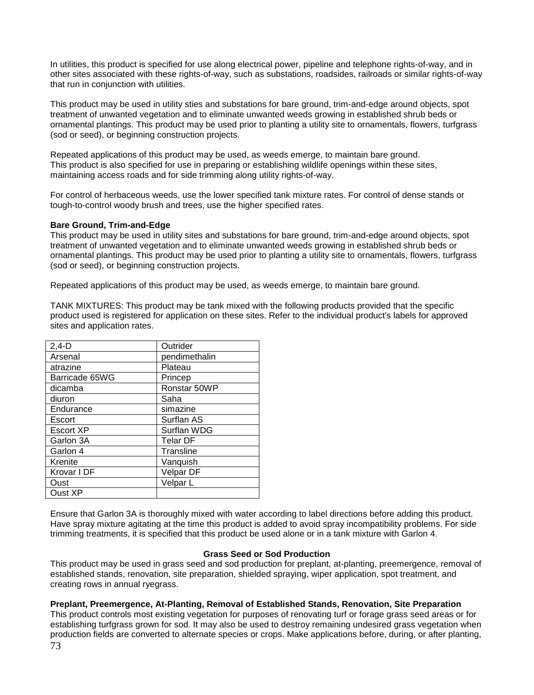In utilities, this product is specified for use along electrical power, pipeline and telephone rights-of-way, and in other sites associated with these rights-of-way, such as substations, roadsides, railroads or similar rights-of-way that run in conjunction with utilities.

This product may be used in utility sties and substations for bare ground, trim-and-edge around objects, spot treatment of unwanted vegetation and to eliminate unwanted weeds growing in established shrub beds or ornamental plantings. This product may be used prior to planting a utility site to ornamentals, flowers, turfgrass (sod or seed), or beginning construction projects.

Repeated applications of this product may be used, as weeds emerge, to maintain bare ground. This product is also specified for use in preparing or establishing wildlife openings within these sites, maintaining access roads and for side trimming along utility rights-of-way.

For control of herbaceous weeds, use the lower specified tank mixture rates. For control of dense stands or tough-to-control woody brush and trees, use the higher specified rates.

## **Bare Ground, Trim-and-Edge**

This product may be used in utility sites and substations for bare ground, trim-and-edge around objects, spot treatment of unwanted vegetation and to eliminate unwanted weeds growing in established shrub beds or ornamental plantings. This product may be used prior to planting a utility site to ornamentals, flowers, turfgrass (sod or seed), or beginning construction projects.

Repeated applications of this product may be used, as weeds emerge, to maintain bare ground.

TANK MIXTURES: This product may be tank mixed with the following products provided that the specific product used is registered for application on these sites. Refer to the individual product's labels for approved sites and application rates.

| $2,4-D$          | Outrider        |
|------------------|-----------------|
| Arsenal          | pendimethalin   |
| atrazine         | Plateau         |
| Barricade 65WG   | Princep         |
| dicamba          | Ronstar 50WP    |
| diuron           | Saha            |
| Endurance        | simazine        |
| Escort           | Surflan AS      |
| <b>Escort XP</b> | Surflan WDG     |
| Garlon 3A        | <b>Telar DF</b> |
| Garlon 4         | Transline       |
| Krenite          | Vanquish        |
| Krovar I DF      | Velpar DF       |
| Oust             | Velpar L        |
| Oust XP          |                 |

Ensure that Garlon 3A is thoroughly mixed with water according to label directions before adding this product. Have spray mixture agitating at the time this product is added to avoid spray incompatibility problems. For side trimming treatments, it is specified that this product be used alone or in a tank mixture with Garlon 4.

## **Grass Seed or Sod Production**

This product may be used in grass seed and sod production for preplant, at-planting, preemergence, removal of established stands, renovation, site preparation, shielded spraying, wiper application, spot treatment, and creating rows in annual ryegrass.

## **Preplant, Preemergence, At-Planting, Removal of Established Stands, Renovation, Site Preparation**

73 This product controls most existing vegetation for purposes of renovating turf or forage grass seed areas or for establishing turfgrass grown for sod. It may also be used to destroy remaining undesired grass vegetation when production fields are converted to alternate species or crops. Make applications before, during, or after planting,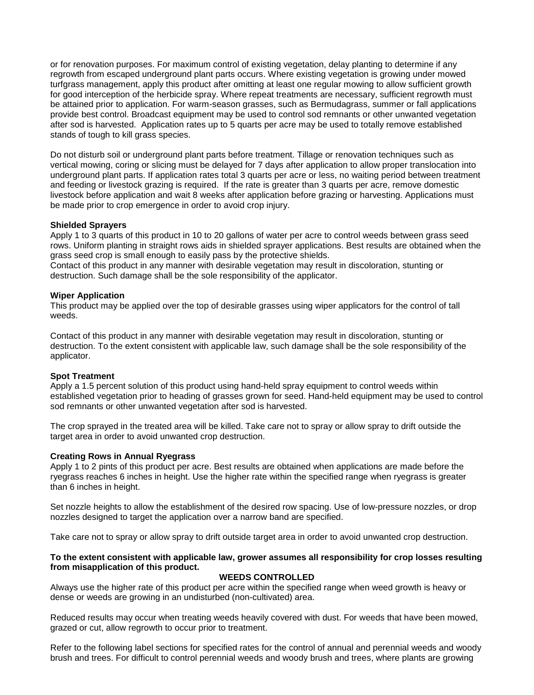or for renovation purposes. For maximum control of existing vegetation, delay planting to determine if any regrowth from escaped underground plant parts occurs. Where existing vegetation is growing under mowed turfgrass management, apply this product after omitting at least one regular mowing to allow sufficient growth for good interception of the herbicide spray. Where repeat treatments are necessary, sufficient regrowth must be attained prior to application. For warm-season grasses, such as Bermudagrass, summer or fall applications provide best control. Broadcast equipment may be used to control sod remnants or other unwanted vegetation after sod is harvested. Application rates up to 5 quarts per acre may be used to totally remove established stands of tough to kill grass species.

Do not disturb soil or underground plant parts before treatment. Tillage or renovation techniques such as vertical mowing, coring or slicing must be delayed for 7 days after application to allow proper translocation into underground plant parts. If application rates total 3 quarts per acre or less, no waiting period between treatment and feeding or livestock grazing is required. If the rate is greater than 3 quarts per acre, remove domestic livestock before application and wait 8 weeks after application before grazing or harvesting. Applications must be made prior to crop emergence in order to avoid crop injury.

## **Shielded Sprayers**

Apply 1 to 3 quarts of this product in 10 to 20 gallons of water per acre to control weeds between grass seed rows. Uniform planting in straight rows aids in shielded sprayer applications. Best results are obtained when the grass seed crop is small enough to easily pass by the protective shields.

Contact of this product in any manner with desirable vegetation may result in discoloration, stunting or destruction. Such damage shall be the sole responsibility of the applicator.

#### **Wiper Application**

This product may be applied over the top of desirable grasses using wiper applicators for the control of tall weeds.

Contact of this product in any manner with desirable vegetation may result in discoloration, stunting or destruction. To the extent consistent with applicable law, such damage shall be the sole responsibility of the applicator.

#### **Spot Treatment**

Apply a 1.5 percent solution of this product using hand-held spray equipment to control weeds within established vegetation prior to heading of grasses grown for seed. Hand-held equipment may be used to control sod remnants or other unwanted vegetation after sod is harvested.

The crop sprayed in the treated area will be killed. Take care not to spray or allow spray to drift outside the target area in order to avoid unwanted crop destruction.

#### **Creating Rows in Annual Ryegrass**

Apply 1 to 2 pints of this product per acre. Best results are obtained when applications are made before the ryegrass reaches 6 inches in height. Use the higher rate within the specified range when ryegrass is greater than 6 inches in height.

Set nozzle heights to allow the establishment of the desired row spacing. Use of low-pressure nozzles, or drop nozzles designed to target the application over a narrow band are specified.

Take care not to spray or allow spray to drift outside target area in order to avoid unwanted crop destruction.

## **To the extent consistent with applicable law, grower assumes all responsibility for crop losses resulting from misapplication of this product.**

#### **WEEDS CONTROLLED**

Always use the higher rate of this product per acre within the specified range when weed growth is heavy or dense or weeds are growing in an undisturbed (non-cultivated) area.

Reduced results may occur when treating weeds heavily covered with dust. For weeds that have been mowed, grazed or cut, allow regrowth to occur prior to treatment.

Refer to the following label sections for specified rates for the control of annual and perennial weeds and woody brush and trees. For difficult to control perennial weeds and woody brush and trees, where plants are growing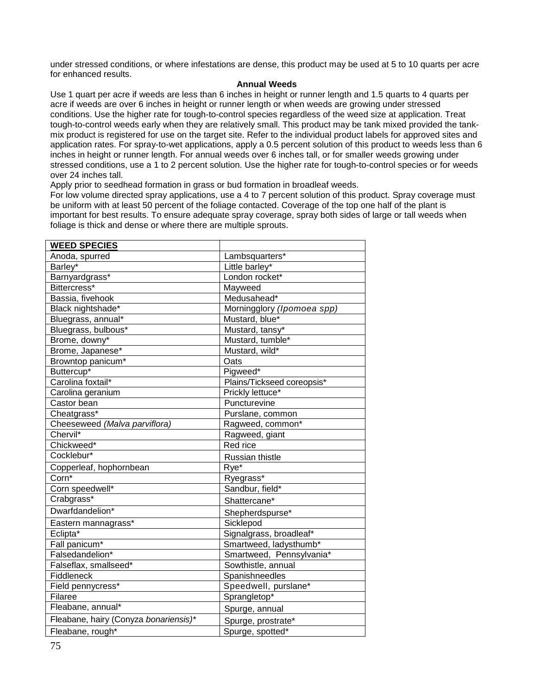under stressed conditions, or where infestations are dense, this product may be used at 5 to 10 quarts per acre for enhanced results.

#### **Annual Weeds**

Use 1 quart per acre if weeds are less than 6 inches in height or runner length and 1.5 quarts to 4 quarts per acre if weeds are over 6 inches in height or runner length or when weeds are growing under stressed conditions. Use the higher rate for tough-to-control species regardless of the weed size at application. Treat tough-to-control weeds early when they are relatively small. This product may be tank mixed provided the tankmix product is registered for use on the target site. Refer to the individual product labels for approved sites and application rates. For spray-to-wet applications, apply a 0.5 percent solution of this product to weeds less than 6 inches in height or runner length. For annual weeds over 6 inches tall, or for smaller weeds growing under stressed conditions, use a 1 to 2 percent solution. Use the higher rate for tough-to-control species or for weeds over 24 inches tall.

Apply prior to seedhead formation in grass or bud formation in broadleaf weeds.

For low volume directed spray applications, use a 4 to 7 percent solution of this product. Spray coverage must be uniform with at least 50 percent of the foliage contacted. Coverage of the top one half of the plant is important for best results. To ensure adequate spray coverage, spray both sides of large or tall weeds when foliage is thick and dense or where there are multiple sprouts.

| <b>WEED SPECIES</b>                   |                            |
|---------------------------------------|----------------------------|
| Anoda, spurred                        | Lambsquarters*             |
| Barley*                               | Little barley*             |
| Barnyardgrass*                        | London rocket*             |
| Bittercress*                          | Mayweed                    |
| Bassia, fivehook                      | Medusahead*                |
| Black nightshade*                     | Morningglory (Ipomoea spp) |
| Bluegrass, annual*                    | Mustard, blue*             |
| Bluegrass, bulbous*                   | Mustard, tansy*            |
| Brome, downy*                         | Mustard, tumble*           |
| Brome, Japanese*                      | Mustard, wild*             |
| Browntop panicum <sup>*</sup>         | Oats                       |
| Buttercup*                            | Pigweed <sup>*</sup>       |
| Carolina foxtail*                     | Plains/Tickseed coreopsis* |
| Carolina geranium                     | Prickly lettuce*           |
| Castor bean                           | Puncturevine               |
| Cheatgrass*                           | Purslane, common           |
| Cheeseweed (Malva parviflora)         | Ragweed, common*           |
| Chervil*                              | Ragweed, giant             |
| Chickweed*                            | Red rice                   |
| Cocklebur*                            | Russian thistle            |
| Copperleaf, hophornbean               | Rye*                       |
| $Corn^*$                              | Ryegrass*                  |
| Corn speedwell*                       | Sandbur, field*            |
| Crabgrass*                            | Shattercane*               |
| Dwarfdandelion*                       | Shepherdspurse*            |
| Eastern mannagrass*                   | Sicklepod                  |
| Eclipta <sup>*</sup>                  | Signalgrass, broadleaf*    |
| Fall panicum <sup>*</sup>             | Smartweed, ladysthumb*     |
| Falsedandelion*                       | Smartweed, Pennsylvania*   |
| Falseflax, smallseed*                 | Sowthistle, annual         |
| <b>Fiddleneck</b>                     | Spanishneedles             |
| Field pennycress*                     | Speedwell, purslane*       |
| Filaree                               | Sprangletop*               |
| Fleabane, annual*                     | Spurge, annual             |
| Fleabane, hairy (Conyza bonariensis)* | Spurge, prostrate*         |
| Fleabane, rough*                      | Spurge, spotted*           |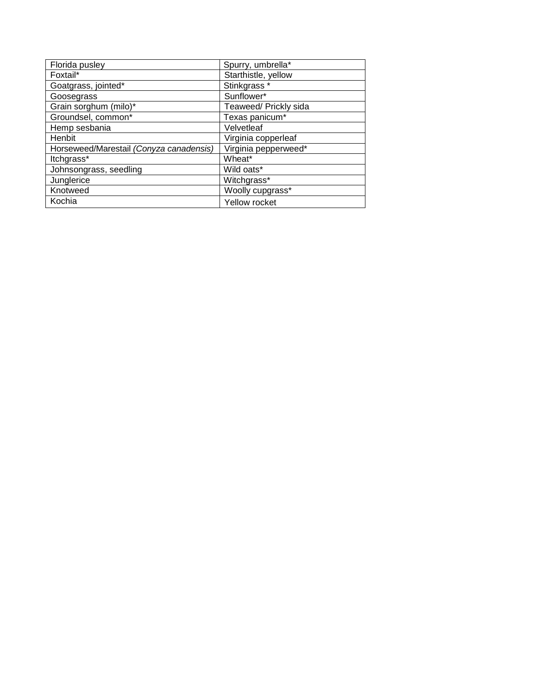| Florida pusley                          | Spurry, umbrella*     |
|-----------------------------------------|-----------------------|
| Foxtail*                                | Starthistle, yellow   |
| Goatgrass, jointed*                     | Stinkgrass *          |
| Goosegrass                              | Sunflower*            |
| Grain sorghum (milo)*                   | Teaweed/ Prickly sida |
| Groundsel, common*                      | Texas panicum*        |
| Hemp sesbania                           | Velvetleaf            |
| Henbit                                  | Virginia copperleaf   |
| Horseweed/Marestail (Conyza canadensis) | Virginia pepperweed*  |
| ltchgrass*                              | Wheat*                |
| Johnsongrass, seedling                  | Wild oats*            |
| Junglerice                              | Witchgrass*           |
| Knotweed                                | Woolly cupgrass*      |
| Kochia                                  | Yellow rocket         |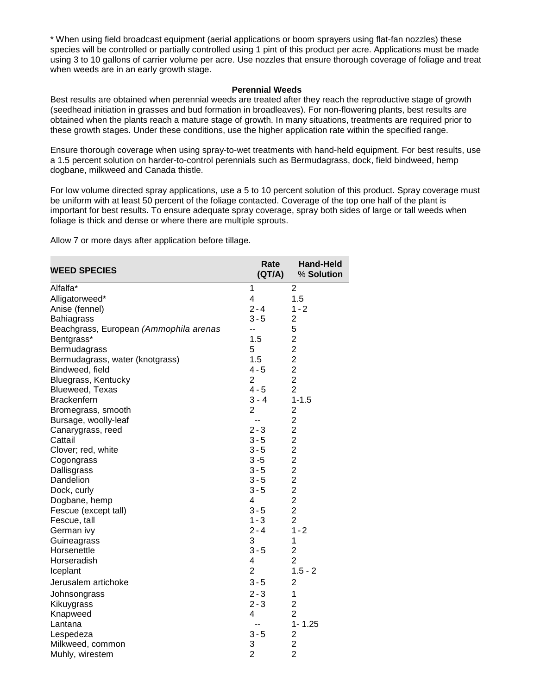\* When using field broadcast equipment (aerial applications or boom sprayers using flat-fan nozzles) these species will be controlled or partially controlled using 1 pint of this product per acre. Applications must be made using 3 to 10 gallons of carrier volume per acre. Use nozzles that ensure thorough coverage of foliage and treat when weeds are in an early growth stage.

#### **Perennial Weeds**

Best results are obtained when perennial weeds are treated after they reach the reproductive stage of growth (seedhead initiation in grasses and bud formation in broadleaves). For non-flowering plants, best results are obtained when the plants reach a mature stage of growth. In many situations, treatments are required prior to these growth stages. Under these conditions, use the higher application rate within the specified range.

Ensure thorough coverage when using spray-to-wet treatments with hand-held equipment. For best results, use a 1.5 percent solution on harder-to-control perennials such as Bermudagrass, dock, field bindweed, hemp dogbane, milkweed and Canada thistle.

For low volume directed spray applications, use a 5 to 10 percent solution of this product. Spray coverage must be uniform with at least 50 percent of the foliage contacted. Coverage of the top one half of the plant is important for best results. To ensure adequate spray coverage, spray both sides of large or tall weeds when foliage is thick and dense or where there are multiple sprouts.

Allow 7 or more days after application before tillage.

| <b>WEED SPECIES</b>                    | Rate<br>(QT/A) | <b>Hand-Held</b><br>% Solution             |
|----------------------------------------|----------------|--------------------------------------------|
| Alfalfa*                               | 1              | $\overline{2}$                             |
| Alligatorweed*                         | 4              | 1.5                                        |
| Anise (fennel)                         | $2 - 4$        | $1 - 2$                                    |
| Bahiagrass                             | $3 - 5$        | $\overline{c}$                             |
| Beachgrass, European (Ammophila arenas | --             | 5                                          |
| Bentgrass*                             | 1.5            | $\overline{2}$                             |
| Bermudagrass                           | 5              | $\overline{2}$                             |
| Bermudagrass, water (knotgrass)        | 1.5            | $\overline{2}$                             |
| Bindweed, field                        | $4 - 5$        | $\overline{c}$                             |
| Bluegrass, Kentucky                    | $\overline{2}$ | $\overline{2}$                             |
| Blueweed, Texas                        | $4 - 5$        | $\overline{2}$                             |
| <b>Brackenfern</b>                     | $3 - 4$        | $1 - 1.5$                                  |
| Bromegrass, smooth                     | $\overline{c}$ | $\overline{\mathbf{c}}$                    |
| Bursage, woolly-leaf                   | --             |                                            |
| Canarygrass, reed                      | $2 - 3$        | $\begin{array}{c} 2 \\ 2 \\ 2 \end{array}$ |
| Cattail                                | $3 - 5$        |                                            |
| Clover; red, white                     | $3 - 5$        | $\overline{c}$                             |
| Cogongrass                             | $3 - 5$        | $2222$<br>$222$                            |
| Dallisgrass                            | $3 - 5$        |                                            |
| Dandelion                              | $3 - 5$        |                                            |
| Dock, curly                            | $3 - 5$        |                                            |
| Dogbane, hemp                          | 4              |                                            |
| Fescue (except tall)                   | $3 - 5$        | $\overline{2}$                             |
| Fescue, tall                           | $1 - 3$        | $\overline{2}$                             |
| German ivy                             | $2 - 4$        | $1 - 2$                                    |
| Guineagrass                            | 3              | 1                                          |
| Horsenettle                            | $3 - 5$        | $\overline{c}$                             |
| Horseradish                            | 4              | $\overline{2}$                             |
| Iceplant                               | $\overline{2}$ | $1.5 - 2$                                  |
| Jerusalem artichoke                    | $3 - 5$        | 2                                          |
| Johnsongrass                           | $2 - 3$        | $\mathbf{1}$                               |
| Kikuygrass                             | $2 - 3$        | $\overline{2}$                             |
| Knapweed                               | 4              | $\overline{2}$                             |
| Lantana                                | --             | $1 - 1.25$                                 |
| Lespedeza                              | $3 - 5$        | $\frac{2}{2}$                              |
| Milkweed, common                       | 3              |                                            |
| Muhly, wirestem                        | $\overline{2}$ | $\overline{2}$                             |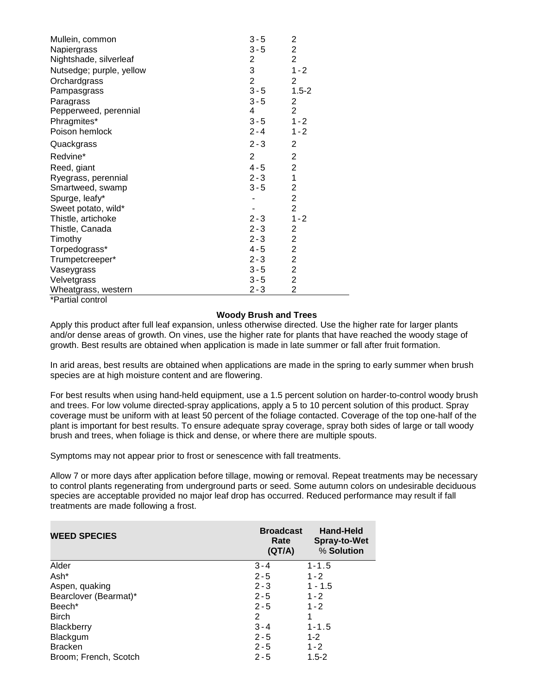| Mullein, common          | $3 - 5$        | 2                       |
|--------------------------|----------------|-------------------------|
| Napiergrass              | $3 - 5$        | 2                       |
| Nightshade, silverleaf   | $\overline{2}$ | $\overline{2}$          |
| Nutsedge; purple, yellow | 3              | $1 - 2$                 |
| Orchardgrass             | $\overline{2}$ | 2                       |
| Pampasgrass              | $3 - 5$        | $1.5 - 2$               |
| Paragrass                | $3 - 5$        | $\overline{\mathbf{c}}$ |
| Pepperweed, perennial    | 4              | $\overline{2}$          |
| Phragmites*              | $3 - 5$        | $1 - 2$                 |
| Poison hemlock           | $2 - 4$        | $1 - 2$                 |
| Quackgrass               | $2 - 3$        | $\overline{2}$          |
| Redvine*                 | $\overline{2}$ | 2                       |
| Reed, giant              | $4 - 5$        | $\mathbf{2}$            |
| Ryegrass, perennial      | $2 - 3$        | $\mathbf{1}$            |
| Smartweed, swamp         | $3 - 5$        | $\overline{2}$          |
| Spurge, leafy*           |                | $\overline{2}$          |
| Sweet potato, wild*      |                | $\overline{2}$          |
| Thistle, artichoke       | $2 - 3$        | $1 - 2$                 |
| Thistle, Canada          | $2 - 3$        | 2                       |
| Timothy                  | $2 - 3$        | $\overline{\mathbf{c}}$ |
| Torpedograss*            | 4 - 5          | $\overline{c}$          |
| Trumpetcreeper*          | $2 - 3$        | $\overline{2}$          |
| Vaseygrass               | $3 - 5$        | $\overline{2}$          |
| Velvetgrass              | $3 - 5$        | $\overline{\mathbf{c}}$ |
| Wheatgrass, western      | $2 - 3$        | $\overline{2}$          |
| *Partial control         |                |                         |

## **Woody Brush and Trees**

Apply this product after full leaf expansion, unless otherwise directed. Use the higher rate for larger plants and/or dense areas of growth. On vines, use the higher rate for plants that have reached the woody stage of growth. Best results are obtained when application is made in late summer or fall after fruit formation.

In arid areas, best results are obtained when applications are made in the spring to early summer when brush species are at high moisture content and are flowering.

For best results when using hand-held equipment, use a 1.5 percent solution on harder-to-control woody brush and trees. For low volume directed-spray applications, apply a 5 to 10 percent solution of this product. Spray coverage must be uniform with at least 50 percent of the foliage contacted. Coverage of the top one-half of the plant is important for best results. To ensure adequate spray coverage, spray both sides of large or tall woody brush and trees, when foliage is thick and dense, or where there are multiple spouts.

Symptoms may not appear prior to frost or senescence with fall treatments.

Allow 7 or more days after application before tillage, mowing or removal. Repeat treatments may be necessary to control plants regenerating from underground parts or seed. Some autumn colors on undesirable deciduous species are acceptable provided no major leaf drop has occurred. Reduced performance may result if fall treatments are made following a frost.

| <b>WEED SPECIES</b>   | <b>Broadcast</b><br>Rate<br>(QT/A) | <b>Hand-Held</b><br><b>Spray-to-Wet</b><br>% Solution |
|-----------------------|------------------------------------|-------------------------------------------------------|
| Alder                 | $3 - 4$                            | $1 - 1.5$                                             |
| Ash*                  | $2 - 5$                            | $1 - 2$                                               |
| Aspen, quaking        | $2 - 3$                            | $1 - 1.5$                                             |
| Bearclover (Bearmat)* | $2 - 5$                            | $1 - 2$                                               |
| Beech <sup>*</sup>    | $2 - 5$                            | $1 - 2$                                               |
| <b>Birch</b>          | 2                                  | 1                                                     |
| <b>Blackberry</b>     | $3 - 4$                            | $1 - 1.5$                                             |
| Blackgum              | $2 - 5$                            | $1 - 2$                                               |
| <b>Bracken</b>        | $2 - 5$                            | $1 - 2$                                               |
| Broom; French, Scotch | $2 - 5$                            | $1.5 - 2$                                             |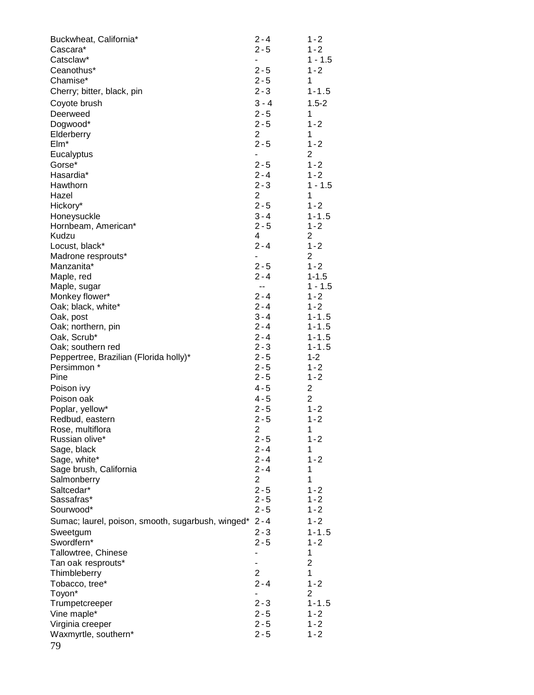| $1 - 2$<br>Cascara*<br>Catsclaw*<br>$1 - 1.5$<br>$\overline{\phantom{0}}$<br>$2 - 5$<br>$1 - 2$<br>Ceanothus*<br>$2 - 5$<br>1<br>Chamise*<br>$2 - 3$<br>Cherry; bitter, black, pin<br>$1 - 1.5$<br>$3 - 4$<br>$1.5 - 2$<br>Coyote brush<br>$2 - 5$<br>1<br>Deerweed<br>$2 - 5$<br>$1 - 2$<br>Dogwood*<br>$\overline{2}$<br>$\mathbf{1}$<br>Elderberry<br>$2 - 5$<br>$1 - 2$<br>$EIm*$<br>$\overline{2}$<br>Eucalyptus<br>$\overline{\phantom{0}}$<br>$1 - 2$<br>Gorse*<br>$2 - 5$<br>$2 - 4$<br>$1 - 2$<br>Hasardia*<br>$2 - 3$<br>Hawthorn<br>$1 - 1.5$<br>2<br>1<br>Hazel<br>$2 - 5$<br>Hickory*<br>$1 - 2$<br>$3 - 4$<br>$1 - 1.5$<br>Honeysuckle<br>$2 - 5$<br>$1 - 2$<br>Hornbeam, American*<br>4<br>2<br>Kudzu<br>$2 - 4$<br>$1 - 2$<br>Locust, black*<br>2<br>Madrone resprouts*<br>۰<br>$2 - 5$<br>$1 - 2$<br>Manzanita*<br>$2 - 4$<br>$1 - 1.5$<br>Maple, red<br>$1 - 1.5$<br>$\overline{\phantom{a}}$<br>Maple, sugar<br>$2 - 4$<br>$1 - 2$<br>Monkey flower*<br>$2 - 4$<br>$1 - 2$<br>Oak; black, white*<br>$3 - 4$<br>$1 - 1.5$<br>Oak, post<br>$2 - 4$<br>$1 - 1.5$<br>Oak; northern, pin<br>$2 - 4$<br>Oak, Scrub*<br>$1 - 1.5$<br>$2 - 3$<br>$1 - 1.5$<br>Oak; southern red<br>$2 - 5$<br>Peppertree, Brazilian (Florida holly)*<br>$1 - 2$<br>$2 - 5$<br>Persimmon *<br>$1 - 2$<br>Pine<br>$2 - 5$<br>$1 - 2$<br>2<br>Poison ivy<br>4 - 5<br>$\overline{2}$<br>$4 - 5$<br>Poison oak<br>$2 - 5$<br>Poplar, yellow*<br>$1 - 2$<br>$2 - 5$<br>$1 - 2$<br>Redbud, eastern<br>Rose, multiflora<br>2<br>1<br>$2 - 5$<br>$1 - 2$<br>Russian olive*<br>$2 - 4$<br>1<br>Sage, black<br>$2 - 4$<br>$1 - 2$<br>Sage, white*<br>$2 - 4$<br>1<br>Sage brush, California<br>$\overline{2}$<br>1<br>Salmonberry<br>$2 - 5$<br>Saltcedar*<br>$1 - 2$<br>Sassafras*<br>$2 - 5$<br>$1 - 2$<br>$2 - 5$<br>$1 - 2$<br>Sourwood*<br>$2 - 4$<br>$1 - 2$<br>Sumac; laurel, poison, smooth, sugarbush, winged*<br>$2 - 3$<br>$1 - 1.5$<br>Sweetgum<br>$2 - 5$<br>$1 - 2$<br>Swordfern*<br>Tallowtree, Chinese<br>1<br>$\overline{2}$<br>Tan oak resprouts*<br>٠<br>$\overline{2}$<br>1<br>Thimbleberry<br>$2 - 4$<br>$1 - 2$<br>Tobacco, tree*<br>Toyon*<br>2 | $2 - 3$<br>$1 - 1.5$<br>Trumpetcreeper<br>$2 - 5$<br>Vine maple*<br>$1 - 2$<br>$2 - 5$<br>Virginia creeper<br>$1 - 2$<br>Waxmyrtle, southern*<br>$2 - 5$<br>$1 - 2$ | Buckwheat, California* | $2 - 4$ | $1 - 2$ |
|--------------------------------------------------------------------------------------------------------------------------------------------------------------------------------------------------------------------------------------------------------------------------------------------------------------------------------------------------------------------------------------------------------------------------------------------------------------------------------------------------------------------------------------------------------------------------------------------------------------------------------------------------------------------------------------------------------------------------------------------------------------------------------------------------------------------------------------------------------------------------------------------------------------------------------------------------------------------------------------------------------------------------------------------------------------------------------------------------------------------------------------------------------------------------------------------------------------------------------------------------------------------------------------------------------------------------------------------------------------------------------------------------------------------------------------------------------------------------------------------------------------------------------------------------------------------------------------------------------------------------------------------------------------------------------------------------------------------------------------------------------------------------------------------------------------------------------------------------------------------------------------------------------------------------------------------------------------------------------------------------------------------------------------------------------------------------------------------------------------------------------------------------------|---------------------------------------------------------------------------------------------------------------------------------------------------------------------|------------------------|---------|---------|
|                                                                                                                                                                                                                                                                                                                                                                                                                                                                                                                                                                                                                                                                                                                                                                                                                                                                                                                                                                                                                                                                                                                                                                                                                                                                                                                                                                                                                                                                                                                                                                                                                                                                                                                                                                                                                                                                                                                                                                                                                                                                                                                                                        |                                                                                                                                                                     |                        | $2 - 5$ |         |
|                                                                                                                                                                                                                                                                                                                                                                                                                                                                                                                                                                                                                                                                                                                                                                                                                                                                                                                                                                                                                                                                                                                                                                                                                                                                                                                                                                                                                                                                                                                                                                                                                                                                                                                                                                                                                                                                                                                                                                                                                                                                                                                                                        |                                                                                                                                                                     |                        |         |         |
|                                                                                                                                                                                                                                                                                                                                                                                                                                                                                                                                                                                                                                                                                                                                                                                                                                                                                                                                                                                                                                                                                                                                                                                                                                                                                                                                                                                                                                                                                                                                                                                                                                                                                                                                                                                                                                                                                                                                                                                                                                                                                                                                                        |                                                                                                                                                                     |                        |         |         |
|                                                                                                                                                                                                                                                                                                                                                                                                                                                                                                                                                                                                                                                                                                                                                                                                                                                                                                                                                                                                                                                                                                                                                                                                                                                                                                                                                                                                                                                                                                                                                                                                                                                                                                                                                                                                                                                                                                                                                                                                                                                                                                                                                        |                                                                                                                                                                     |                        |         |         |
|                                                                                                                                                                                                                                                                                                                                                                                                                                                                                                                                                                                                                                                                                                                                                                                                                                                                                                                                                                                                                                                                                                                                                                                                                                                                                                                                                                                                                                                                                                                                                                                                                                                                                                                                                                                                                                                                                                                                                                                                                                                                                                                                                        |                                                                                                                                                                     |                        |         |         |
|                                                                                                                                                                                                                                                                                                                                                                                                                                                                                                                                                                                                                                                                                                                                                                                                                                                                                                                                                                                                                                                                                                                                                                                                                                                                                                                                                                                                                                                                                                                                                                                                                                                                                                                                                                                                                                                                                                                                                                                                                                                                                                                                                        |                                                                                                                                                                     |                        |         |         |
|                                                                                                                                                                                                                                                                                                                                                                                                                                                                                                                                                                                                                                                                                                                                                                                                                                                                                                                                                                                                                                                                                                                                                                                                                                                                                                                                                                                                                                                                                                                                                                                                                                                                                                                                                                                                                                                                                                                                                                                                                                                                                                                                                        |                                                                                                                                                                     |                        |         |         |
|                                                                                                                                                                                                                                                                                                                                                                                                                                                                                                                                                                                                                                                                                                                                                                                                                                                                                                                                                                                                                                                                                                                                                                                                                                                                                                                                                                                                                                                                                                                                                                                                                                                                                                                                                                                                                                                                                                                                                                                                                                                                                                                                                        |                                                                                                                                                                     |                        |         |         |
|                                                                                                                                                                                                                                                                                                                                                                                                                                                                                                                                                                                                                                                                                                                                                                                                                                                                                                                                                                                                                                                                                                                                                                                                                                                                                                                                                                                                                                                                                                                                                                                                                                                                                                                                                                                                                                                                                                                                                                                                                                                                                                                                                        |                                                                                                                                                                     |                        |         |         |
|                                                                                                                                                                                                                                                                                                                                                                                                                                                                                                                                                                                                                                                                                                                                                                                                                                                                                                                                                                                                                                                                                                                                                                                                                                                                                                                                                                                                                                                                                                                                                                                                                                                                                                                                                                                                                                                                                                                                                                                                                                                                                                                                                        |                                                                                                                                                                     |                        |         |         |
|                                                                                                                                                                                                                                                                                                                                                                                                                                                                                                                                                                                                                                                                                                                                                                                                                                                                                                                                                                                                                                                                                                                                                                                                                                                                                                                                                                                                                                                                                                                                                                                                                                                                                                                                                                                                                                                                                                                                                                                                                                                                                                                                                        |                                                                                                                                                                     |                        |         |         |
|                                                                                                                                                                                                                                                                                                                                                                                                                                                                                                                                                                                                                                                                                                                                                                                                                                                                                                                                                                                                                                                                                                                                                                                                                                                                                                                                                                                                                                                                                                                                                                                                                                                                                                                                                                                                                                                                                                                                                                                                                                                                                                                                                        |                                                                                                                                                                     |                        |         |         |
|                                                                                                                                                                                                                                                                                                                                                                                                                                                                                                                                                                                                                                                                                                                                                                                                                                                                                                                                                                                                                                                                                                                                                                                                                                                                                                                                                                                                                                                                                                                                                                                                                                                                                                                                                                                                                                                                                                                                                                                                                                                                                                                                                        |                                                                                                                                                                     |                        |         |         |
|                                                                                                                                                                                                                                                                                                                                                                                                                                                                                                                                                                                                                                                                                                                                                                                                                                                                                                                                                                                                                                                                                                                                                                                                                                                                                                                                                                                                                                                                                                                                                                                                                                                                                                                                                                                                                                                                                                                                                                                                                                                                                                                                                        |                                                                                                                                                                     |                        |         |         |
|                                                                                                                                                                                                                                                                                                                                                                                                                                                                                                                                                                                                                                                                                                                                                                                                                                                                                                                                                                                                                                                                                                                                                                                                                                                                                                                                                                                                                                                                                                                                                                                                                                                                                                                                                                                                                                                                                                                                                                                                                                                                                                                                                        |                                                                                                                                                                     |                        |         |         |
|                                                                                                                                                                                                                                                                                                                                                                                                                                                                                                                                                                                                                                                                                                                                                                                                                                                                                                                                                                                                                                                                                                                                                                                                                                                                                                                                                                                                                                                                                                                                                                                                                                                                                                                                                                                                                                                                                                                                                                                                                                                                                                                                                        |                                                                                                                                                                     |                        |         |         |
|                                                                                                                                                                                                                                                                                                                                                                                                                                                                                                                                                                                                                                                                                                                                                                                                                                                                                                                                                                                                                                                                                                                                                                                                                                                                                                                                                                                                                                                                                                                                                                                                                                                                                                                                                                                                                                                                                                                                                                                                                                                                                                                                                        |                                                                                                                                                                     |                        |         |         |
|                                                                                                                                                                                                                                                                                                                                                                                                                                                                                                                                                                                                                                                                                                                                                                                                                                                                                                                                                                                                                                                                                                                                                                                                                                                                                                                                                                                                                                                                                                                                                                                                                                                                                                                                                                                                                                                                                                                                                                                                                                                                                                                                                        |                                                                                                                                                                     |                        |         |         |
|                                                                                                                                                                                                                                                                                                                                                                                                                                                                                                                                                                                                                                                                                                                                                                                                                                                                                                                                                                                                                                                                                                                                                                                                                                                                                                                                                                                                                                                                                                                                                                                                                                                                                                                                                                                                                                                                                                                                                                                                                                                                                                                                                        |                                                                                                                                                                     |                        |         |         |
|                                                                                                                                                                                                                                                                                                                                                                                                                                                                                                                                                                                                                                                                                                                                                                                                                                                                                                                                                                                                                                                                                                                                                                                                                                                                                                                                                                                                                                                                                                                                                                                                                                                                                                                                                                                                                                                                                                                                                                                                                                                                                                                                                        |                                                                                                                                                                     |                        |         |         |
|                                                                                                                                                                                                                                                                                                                                                                                                                                                                                                                                                                                                                                                                                                                                                                                                                                                                                                                                                                                                                                                                                                                                                                                                                                                                                                                                                                                                                                                                                                                                                                                                                                                                                                                                                                                                                                                                                                                                                                                                                                                                                                                                                        |                                                                                                                                                                     |                        |         |         |
|                                                                                                                                                                                                                                                                                                                                                                                                                                                                                                                                                                                                                                                                                                                                                                                                                                                                                                                                                                                                                                                                                                                                                                                                                                                                                                                                                                                                                                                                                                                                                                                                                                                                                                                                                                                                                                                                                                                                                                                                                                                                                                                                                        |                                                                                                                                                                     |                        |         |         |
|                                                                                                                                                                                                                                                                                                                                                                                                                                                                                                                                                                                                                                                                                                                                                                                                                                                                                                                                                                                                                                                                                                                                                                                                                                                                                                                                                                                                                                                                                                                                                                                                                                                                                                                                                                                                                                                                                                                                                                                                                                                                                                                                                        |                                                                                                                                                                     |                        |         |         |
|                                                                                                                                                                                                                                                                                                                                                                                                                                                                                                                                                                                                                                                                                                                                                                                                                                                                                                                                                                                                                                                                                                                                                                                                                                                                                                                                                                                                                                                                                                                                                                                                                                                                                                                                                                                                                                                                                                                                                                                                                                                                                                                                                        |                                                                                                                                                                     |                        |         |         |
|                                                                                                                                                                                                                                                                                                                                                                                                                                                                                                                                                                                                                                                                                                                                                                                                                                                                                                                                                                                                                                                                                                                                                                                                                                                                                                                                                                                                                                                                                                                                                                                                                                                                                                                                                                                                                                                                                                                                                                                                                                                                                                                                                        |                                                                                                                                                                     |                        |         |         |
|                                                                                                                                                                                                                                                                                                                                                                                                                                                                                                                                                                                                                                                                                                                                                                                                                                                                                                                                                                                                                                                                                                                                                                                                                                                                                                                                                                                                                                                                                                                                                                                                                                                                                                                                                                                                                                                                                                                                                                                                                                                                                                                                                        |                                                                                                                                                                     |                        |         |         |
|                                                                                                                                                                                                                                                                                                                                                                                                                                                                                                                                                                                                                                                                                                                                                                                                                                                                                                                                                                                                                                                                                                                                                                                                                                                                                                                                                                                                                                                                                                                                                                                                                                                                                                                                                                                                                                                                                                                                                                                                                                                                                                                                                        |                                                                                                                                                                     |                        |         |         |
|                                                                                                                                                                                                                                                                                                                                                                                                                                                                                                                                                                                                                                                                                                                                                                                                                                                                                                                                                                                                                                                                                                                                                                                                                                                                                                                                                                                                                                                                                                                                                                                                                                                                                                                                                                                                                                                                                                                                                                                                                                                                                                                                                        |                                                                                                                                                                     |                        |         |         |
|                                                                                                                                                                                                                                                                                                                                                                                                                                                                                                                                                                                                                                                                                                                                                                                                                                                                                                                                                                                                                                                                                                                                                                                                                                                                                                                                                                                                                                                                                                                                                                                                                                                                                                                                                                                                                                                                                                                                                                                                                                                                                                                                                        |                                                                                                                                                                     |                        |         |         |
|                                                                                                                                                                                                                                                                                                                                                                                                                                                                                                                                                                                                                                                                                                                                                                                                                                                                                                                                                                                                                                                                                                                                                                                                                                                                                                                                                                                                                                                                                                                                                                                                                                                                                                                                                                                                                                                                                                                                                                                                                                                                                                                                                        |                                                                                                                                                                     |                        |         |         |
|                                                                                                                                                                                                                                                                                                                                                                                                                                                                                                                                                                                                                                                                                                                                                                                                                                                                                                                                                                                                                                                                                                                                                                                                                                                                                                                                                                                                                                                                                                                                                                                                                                                                                                                                                                                                                                                                                                                                                                                                                                                                                                                                                        |                                                                                                                                                                     |                        |         |         |
|                                                                                                                                                                                                                                                                                                                                                                                                                                                                                                                                                                                                                                                                                                                                                                                                                                                                                                                                                                                                                                                                                                                                                                                                                                                                                                                                                                                                                                                                                                                                                                                                                                                                                                                                                                                                                                                                                                                                                                                                                                                                                                                                                        |                                                                                                                                                                     |                        |         |         |
|                                                                                                                                                                                                                                                                                                                                                                                                                                                                                                                                                                                                                                                                                                                                                                                                                                                                                                                                                                                                                                                                                                                                                                                                                                                                                                                                                                                                                                                                                                                                                                                                                                                                                                                                                                                                                                                                                                                                                                                                                                                                                                                                                        |                                                                                                                                                                     |                        |         |         |
|                                                                                                                                                                                                                                                                                                                                                                                                                                                                                                                                                                                                                                                                                                                                                                                                                                                                                                                                                                                                                                                                                                                                                                                                                                                                                                                                                                                                                                                                                                                                                                                                                                                                                                                                                                                                                                                                                                                                                                                                                                                                                                                                                        |                                                                                                                                                                     |                        |         |         |
|                                                                                                                                                                                                                                                                                                                                                                                                                                                                                                                                                                                                                                                                                                                                                                                                                                                                                                                                                                                                                                                                                                                                                                                                                                                                                                                                                                                                                                                                                                                                                                                                                                                                                                                                                                                                                                                                                                                                                                                                                                                                                                                                                        |                                                                                                                                                                     |                        |         |         |
|                                                                                                                                                                                                                                                                                                                                                                                                                                                                                                                                                                                                                                                                                                                                                                                                                                                                                                                                                                                                                                                                                                                                                                                                                                                                                                                                                                                                                                                                                                                                                                                                                                                                                                                                                                                                                                                                                                                                                                                                                                                                                                                                                        |                                                                                                                                                                     |                        |         |         |
|                                                                                                                                                                                                                                                                                                                                                                                                                                                                                                                                                                                                                                                                                                                                                                                                                                                                                                                                                                                                                                                                                                                                                                                                                                                                                                                                                                                                                                                                                                                                                                                                                                                                                                                                                                                                                                                                                                                                                                                                                                                                                                                                                        |                                                                                                                                                                     |                        |         |         |
|                                                                                                                                                                                                                                                                                                                                                                                                                                                                                                                                                                                                                                                                                                                                                                                                                                                                                                                                                                                                                                                                                                                                                                                                                                                                                                                                                                                                                                                                                                                                                                                                                                                                                                                                                                                                                                                                                                                                                                                                                                                                                                                                                        |                                                                                                                                                                     |                        |         |         |
|                                                                                                                                                                                                                                                                                                                                                                                                                                                                                                                                                                                                                                                                                                                                                                                                                                                                                                                                                                                                                                                                                                                                                                                                                                                                                                                                                                                                                                                                                                                                                                                                                                                                                                                                                                                                                                                                                                                                                                                                                                                                                                                                                        |                                                                                                                                                                     |                        |         |         |
|                                                                                                                                                                                                                                                                                                                                                                                                                                                                                                                                                                                                                                                                                                                                                                                                                                                                                                                                                                                                                                                                                                                                                                                                                                                                                                                                                                                                                                                                                                                                                                                                                                                                                                                                                                                                                                                                                                                                                                                                                                                                                                                                                        |                                                                                                                                                                     |                        |         |         |
|                                                                                                                                                                                                                                                                                                                                                                                                                                                                                                                                                                                                                                                                                                                                                                                                                                                                                                                                                                                                                                                                                                                                                                                                                                                                                                                                                                                                                                                                                                                                                                                                                                                                                                                                                                                                                                                                                                                                                                                                                                                                                                                                                        |                                                                                                                                                                     |                        |         |         |
|                                                                                                                                                                                                                                                                                                                                                                                                                                                                                                                                                                                                                                                                                                                                                                                                                                                                                                                                                                                                                                                                                                                                                                                                                                                                                                                                                                                                                                                                                                                                                                                                                                                                                                                                                                                                                                                                                                                                                                                                                                                                                                                                                        |                                                                                                                                                                     |                        |         |         |
|                                                                                                                                                                                                                                                                                                                                                                                                                                                                                                                                                                                                                                                                                                                                                                                                                                                                                                                                                                                                                                                                                                                                                                                                                                                                                                                                                                                                                                                                                                                                                                                                                                                                                                                                                                                                                                                                                                                                                                                                                                                                                                                                                        |                                                                                                                                                                     |                        |         |         |
|                                                                                                                                                                                                                                                                                                                                                                                                                                                                                                                                                                                                                                                                                                                                                                                                                                                                                                                                                                                                                                                                                                                                                                                                                                                                                                                                                                                                                                                                                                                                                                                                                                                                                                                                                                                                                                                                                                                                                                                                                                                                                                                                                        |                                                                                                                                                                     |                        |         |         |
|                                                                                                                                                                                                                                                                                                                                                                                                                                                                                                                                                                                                                                                                                                                                                                                                                                                                                                                                                                                                                                                                                                                                                                                                                                                                                                                                                                                                                                                                                                                                                                                                                                                                                                                                                                                                                                                                                                                                                                                                                                                                                                                                                        |                                                                                                                                                                     |                        |         |         |
|                                                                                                                                                                                                                                                                                                                                                                                                                                                                                                                                                                                                                                                                                                                                                                                                                                                                                                                                                                                                                                                                                                                                                                                                                                                                                                                                                                                                                                                                                                                                                                                                                                                                                                                                                                                                                                                                                                                                                                                                                                                                                                                                                        |                                                                                                                                                                     |                        |         |         |
|                                                                                                                                                                                                                                                                                                                                                                                                                                                                                                                                                                                                                                                                                                                                                                                                                                                                                                                                                                                                                                                                                                                                                                                                                                                                                                                                                                                                                                                                                                                                                                                                                                                                                                                                                                                                                                                                                                                                                                                                                                                                                                                                                        |                                                                                                                                                                     |                        |         |         |
|                                                                                                                                                                                                                                                                                                                                                                                                                                                                                                                                                                                                                                                                                                                                                                                                                                                                                                                                                                                                                                                                                                                                                                                                                                                                                                                                                                                                                                                                                                                                                                                                                                                                                                                                                                                                                                                                                                                                                                                                                                                                                                                                                        |                                                                                                                                                                     |                        |         |         |
|                                                                                                                                                                                                                                                                                                                                                                                                                                                                                                                                                                                                                                                                                                                                                                                                                                                                                                                                                                                                                                                                                                                                                                                                                                                                                                                                                                                                                                                                                                                                                                                                                                                                                                                                                                                                                                                                                                                                                                                                                                                                                                                                                        |                                                                                                                                                                     |                        |         |         |
|                                                                                                                                                                                                                                                                                                                                                                                                                                                                                                                                                                                                                                                                                                                                                                                                                                                                                                                                                                                                                                                                                                                                                                                                                                                                                                                                                                                                                                                                                                                                                                                                                                                                                                                                                                                                                                                                                                                                                                                                                                                                                                                                                        |                                                                                                                                                                     |                        |         |         |
|                                                                                                                                                                                                                                                                                                                                                                                                                                                                                                                                                                                                                                                                                                                                                                                                                                                                                                                                                                                                                                                                                                                                                                                                                                                                                                                                                                                                                                                                                                                                                                                                                                                                                                                                                                                                                                                                                                                                                                                                                                                                                                                                                        |                                                                                                                                                                     |                        |         |         |
|                                                                                                                                                                                                                                                                                                                                                                                                                                                                                                                                                                                                                                                                                                                                                                                                                                                                                                                                                                                                                                                                                                                                                                                                                                                                                                                                                                                                                                                                                                                                                                                                                                                                                                                                                                                                                                                                                                                                                                                                                                                                                                                                                        |                                                                                                                                                                     |                        |         |         |
|                                                                                                                                                                                                                                                                                                                                                                                                                                                                                                                                                                                                                                                                                                                                                                                                                                                                                                                                                                                                                                                                                                                                                                                                                                                                                                                                                                                                                                                                                                                                                                                                                                                                                                                                                                                                                                                                                                                                                                                                                                                                                                                                                        |                                                                                                                                                                     |                        |         |         |
|                                                                                                                                                                                                                                                                                                                                                                                                                                                                                                                                                                                                                                                                                                                                                                                                                                                                                                                                                                                                                                                                                                                                                                                                                                                                                                                                                                                                                                                                                                                                                                                                                                                                                                                                                                                                                                                                                                                                                                                                                                                                                                                                                        |                                                                                                                                                                     |                        |         |         |
|                                                                                                                                                                                                                                                                                                                                                                                                                                                                                                                                                                                                                                                                                                                                                                                                                                                                                                                                                                                                                                                                                                                                                                                                                                                                                                                                                                                                                                                                                                                                                                                                                                                                                                                                                                                                                                                                                                                                                                                                                                                                                                                                                        |                                                                                                                                                                     |                        |         |         |
|                                                                                                                                                                                                                                                                                                                                                                                                                                                                                                                                                                                                                                                                                                                                                                                                                                                                                                                                                                                                                                                                                                                                                                                                                                                                                                                                                                                                                                                                                                                                                                                                                                                                                                                                                                                                                                                                                                                                                                                                                                                                                                                                                        |                                                                                                                                                                     |                        |         |         |
|                                                                                                                                                                                                                                                                                                                                                                                                                                                                                                                                                                                                                                                                                                                                                                                                                                                                                                                                                                                                                                                                                                                                                                                                                                                                                                                                                                                                                                                                                                                                                                                                                                                                                                                                                                                                                                                                                                                                                                                                                                                                                                                                                        |                                                                                                                                                                     |                        |         |         |
|                                                                                                                                                                                                                                                                                                                                                                                                                                                                                                                                                                                                                                                                                                                                                                                                                                                                                                                                                                                                                                                                                                                                                                                                                                                                                                                                                                                                                                                                                                                                                                                                                                                                                                                                                                                                                                                                                                                                                                                                                                                                                                                                                        |                                                                                                                                                                     |                        |         |         |
|                                                                                                                                                                                                                                                                                                                                                                                                                                                                                                                                                                                                                                                                                                                                                                                                                                                                                                                                                                                                                                                                                                                                                                                                                                                                                                                                                                                                                                                                                                                                                                                                                                                                                                                                                                                                                                                                                                                                                                                                                                                                                                                                                        |                                                                                                                                                                     |                        |         |         |
|                                                                                                                                                                                                                                                                                                                                                                                                                                                                                                                                                                                                                                                                                                                                                                                                                                                                                                                                                                                                                                                                                                                                                                                                                                                                                                                                                                                                                                                                                                                                                                                                                                                                                                                                                                                                                                                                                                                                                                                                                                                                                                                                                        |                                                                                                                                                                     | 79                     |         |         |
|                                                                                                                                                                                                                                                                                                                                                                                                                                                                                                                                                                                                                                                                                                                                                                                                                                                                                                                                                                                                                                                                                                                                                                                                                                                                                                                                                                                                                                                                                                                                                                                                                                                                                                                                                                                                                                                                                                                                                                                                                                                                                                                                                        |                                                                                                                                                                     |                        |         |         |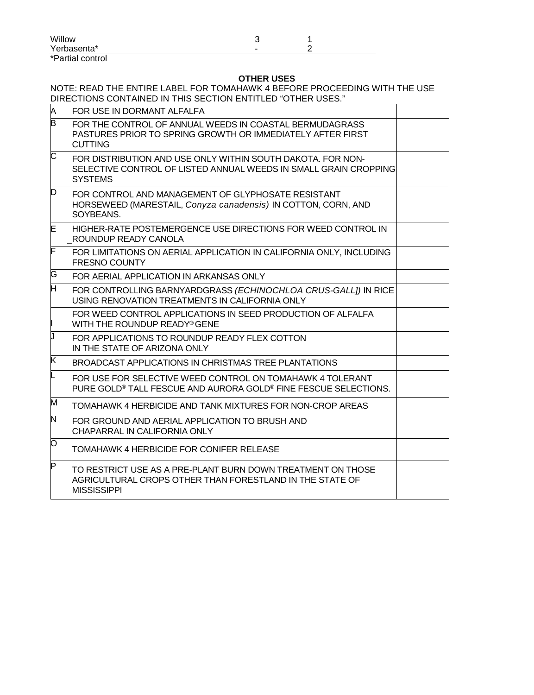| Willow           |   |  |
|------------------|---|--|
| Yerbasenta*      | - |  |
| *Partial control |   |  |

# **OTHER USES**

## NOTE: READ THE ENTIRE LABEL FOR TOMAHAWK 4 BEFORE PROCEEDING WITH THE USE DIRECTIONS CONTAINED IN THIS SECTION ENTITLED "OTHER USES."

| A  | FOR USE IN DORMANT ALFALFA                                                                                                                        |  |
|----|---------------------------------------------------------------------------------------------------------------------------------------------------|--|
| B  | FOR THE CONTROL OF ANNUAL WEEDS IN COASTAL BERMUDAGRASS<br>PASTURES PRIOR TO SPRING GROWTH OR IMMEDIATELY AFTER FIRST<br><b>CUTTING</b>           |  |
| C  | FOR DISTRIBUTION AND USE ONLY WITHIN SOUTH DAKOTA. FOR NON-<br>SELECTIVE CONTROL OF LISTED ANNUAL WEEDS IN SMALL GRAIN CROPPING<br><b>SYSTEMS</b> |  |
| D  | FOR CONTROL AND MANAGEMENT OF GLYPHOSATE RESISTANT<br>HORSEWEED (MARESTAIL, Conyza canadensis) IN COTTON, CORN, AND<br>SOYBEANS.                  |  |
| E  | HIGHER-RATE POSTEMERGENCE USE DIRECTIONS FOR WEED CONTROL IN<br><b>ROUNDUP READY CANOLA</b>                                                       |  |
| F  | FOR LIMITATIONS ON AERIAL APPLICATION IN CALIFORNIA ONLY, INCLUDING<br><b>FRESNO COUNTY</b>                                                       |  |
| G  | FOR AERIAL APPLICATION IN ARKANSAS ONLY                                                                                                           |  |
| H  | FOR CONTROLLING BARNYARDGRASS (ECHINOCHLOA CRUS-GALLI) IN RICE<br>USING RENOVATION TREATMENTS IN CALIFORNIA ONLY                                  |  |
|    | FOR WEED CONTROL APPLICATIONS IN SEED PRODUCTION OF ALFALFA<br><b>WITH THE ROUNDUP READY® GENE</b>                                                |  |
| IJ | FOR APPLICATIONS TO ROUNDUP READY FLEX COTTON<br>IN THE STATE OF ARIZONA ONLY                                                                     |  |
| Κ  | BROADCAST APPLICATIONS IN CHRISTMAS TREE PLANTATIONS                                                                                              |  |
|    | FOR USE FOR SELECTIVE WEED CONTROL ON TOMAHAWK 4 TOLERANT<br>PURE GOLD® TALL FESCUE AND AURORA GOLD® FINE FESCUE SELECTIONS.                      |  |
| M  | TOMAHAWK 4 HERBICIDE AND TANK MIXTURES FOR NON-CROP AREAS                                                                                         |  |
| N  | FOR GROUND AND AERIAL APPLICATION TO BRUSH AND<br>CHAPARRAL IN CALIFORNIA ONLY                                                                    |  |
| Ю  | <b>TOMAHAWK 4 HERBICIDE FOR CONIFER RELEASE</b>                                                                                                   |  |
| P  | ITO RESTRICT USE AS A PRE-PLANT BURN DOWN TREATMENT ON THOSE<br>AGRICULTURAL CROPS OTHER THAN FORESTLAND IN THE STATE OF<br><b>MISSISSIPPI</b>    |  |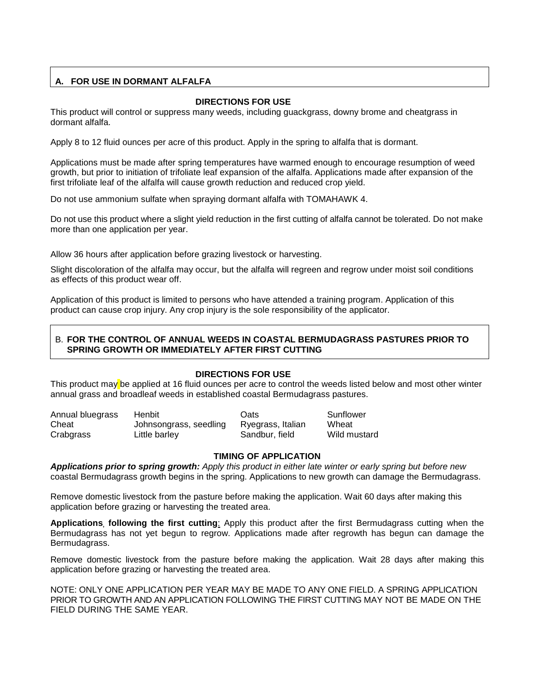# **A. FOR USE IN DORMANT ALFALFA**

## **DIRECTIONS FOR USE**

This product will control or suppress many weeds, including guackgrass, downy brome and cheatgrass in dormant alfalfa.

Apply 8 to 12 fluid ounces per acre of this product. Apply in the spring to alfalfa that is dormant.

Applications must be made after spring temperatures have warmed enough to encourage resumption of weed growth, but prior to initiation of trifoliate leaf expansion of the alfalfa. Applications made after expansion of the first trifoliate leaf of the alfalfa will cause growth reduction and reduced crop yield.

Do not use ammonium sulfate when spraying dormant alfalfa with TOMAHAWK 4.

Do not use this product where a slight yield reduction in the first cutting of alfalfa cannot be tolerated. Do not make more than one application per year.

Allow 36 hours after application before grazing livestock or harvesting.

Slight discoloration of the alfalfa may occur, but the alfalfa will regreen and regrow under moist soil conditions as effects of this product wear off.

Application of this product is limited to persons who have attended a training program. Application of this product can cause crop injury. Any crop injury is the sole responsibility of the applicator.

## B. **FOR THE CONTROL OF ANNUAL WEEDS IN COASTAL BERMUDAGRASS PASTURES PRIOR TO SPRING GROWTH OR IMMEDIATELY AFTER FIRST CUTTING**

## **DIRECTIONS FOR USE**

This product may be applied at 16 fluid ounces per acre to control the weeds listed below and most other winter annual grass and broadleaf weeds in established coastal Bermudagrass pastures.

| Annual bluegrass | Henbit                 | Oats              | Sunflower    |
|------------------|------------------------|-------------------|--------------|
| Cheat            | Johnsongrass, seedling | Ryegrass, Italian | Wheat        |
| Crabgrass        | Little barley          | Sandbur, field    | Wild mustard |

## **TIMING OF APPLICATION**

*Applications prior to spring growth: Apply this product in either late winter or early spring but before new* coastal Bermudagrass growth begins in the spring. Applications to new growth can damage the Bermudagrass.

Remove domestic livestock from the pasture before making the application. Wait 60 days after making this application before grazing or harvesting the treated area.

**Applications, following the first cutting**: Apply this product after the first Bermudagrass cutting when the Bermudagrass has not yet begun to regrow. Applications made after regrowth has begun can damage the Bermudagrass.

Remove domestic livestock from the pasture before making the application. Wait 28 days after making this application before grazing or harvesting the treated area.

NOTE: ONLY ONE APPLICATION PER YEAR MAY BE MADE TO ANY ONE FIELD. A SPRING APPLICATION PRIOR TO GROWTH AND AN APPLICATION FOLLOWING THE FIRST CUTTING MAY NOT BE MADE ON THE FIELD DURING THE SAME YEAR.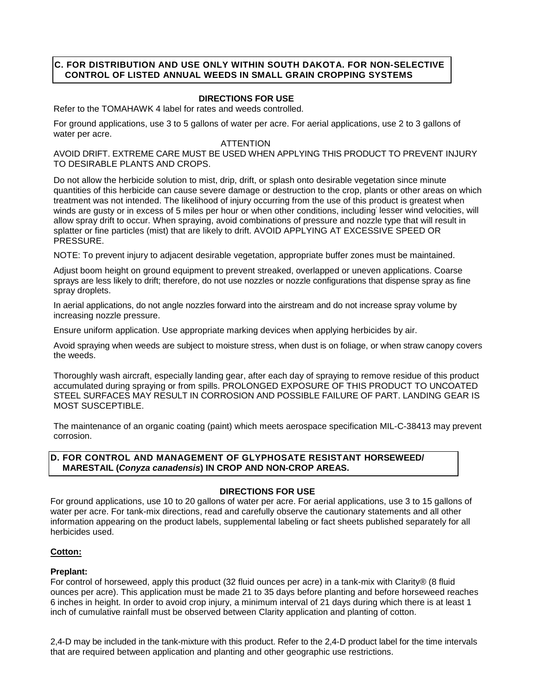## **C. FOR DISTRIBUTION AND USE ONLY WITHIN SOUTH DAKOTA. FOR NON-SELECTIVE CONTROL OF LISTED ANNUAL WEEDS IN SMALL GRAIN CROPPING SYSTEMS**

## **DIRECTIONS FOR USE**

Refer to the TOMAHAWK 4 label for rates and weeds controlled.

For ground applications, use 3 to 5 gallons of water per acre. For aerial applications, use 2 to 3 gallons of water per acre.

#### **ATTENTION**

AVOID DRIFT. EXTREME CARE MUST BE USED WHEN APPLYING THIS PRODUCT TO PREVENT INJURY TO DESIRABLE PLANTS AND CROPS.

Do not allow the herbicide solution to mist, drip, drift, or splash onto desirable vegetation since minute quantities of this herbicide can cause severe damage or destruction to the crop, plants or other areas on which treatment was not intended. The likelihood of injury occurring from the use of this product is greatest when winds are gusty or in excess of 5 miles per hour or when other conditions, including' lesser wind velocities, will allow spray drift to occur. When spraying, avoid combinations of pressure and nozzle type that will result in splatter or fine particles (mist) that are likely to drift. AVOID APPLYING AT EXCESSIVE SPEED OR PRESSURE.

NOTE: To prevent injury to adjacent desirable vegetation, appropriate buffer zones must be maintained.

Adjust boom height on ground equipment to prevent streaked, overlapped or uneven applications. Coarse sprays are less likely to drift; therefore, do not use nozzles or nozzle configurations that dispense spray as fine spray droplets.

In aerial applications, do not angle nozzles forward into the airstream and do not increase spray volume by increasing nozzle pressure.

Ensure uniform application. Use appropriate marking devices when applying herbicides by air.

Avoid spraying when weeds are subject to moisture stress, when dust is on foliage, or when straw canopy covers the weeds.

Thoroughly wash aircraft, especially landing gear, after each day of spraying to remove residue of this product accumulated during spraying or from spills. PROLONGED EXPOSURE OF THIS PRODUCT TO UNCOATED STEEL SURFACES MAY RESULT IN CORROSION AND POSSIBLE FAILURE OF PART. LANDING GEAR IS MOST SUSCEPTIBLE.

The maintenance of an organic coating (paint) which meets aerospace specification MIL-C-38413 may prevent corrosion.

## **D. FOR CONTROL AND MANAGEMENT OF GLYPHOSATE RESISTANT HORSEWEED/ MARESTAIL (***Conyza canadensis***) IN CROP AND NON-CROP AREAS.**

## **DIRECTIONS FOR USE**

For ground applications, use 10 to 20 gallons of water per acre. For aerial applications, use 3 to 15 gallons of water per acre. For tank-mix directions, read and carefully observe the cautionary statements and all other information appearing on the product labels, supplemental labeling or fact sheets published separately for all herbicides used.

## **Cotton:**

## **Preplant:**

For control of horseweed, apply this product (32 fluid ounces per acre) in a tank-mix with Clarity® (8 fluid ounces per acre). This application must be made 21 to 35 days before planting and before horseweed reaches 6 inches in height. In order to avoid crop injury, a minimum interval of 21 days during which there is at least 1 inch of cumulative rainfall must be observed between Clarity application and planting of cotton.

2,4-D may be included in the tank-mixture with this product. Refer to the 2,4-D product label for the time intervals that are required between application and planting and other geographic use restrictions.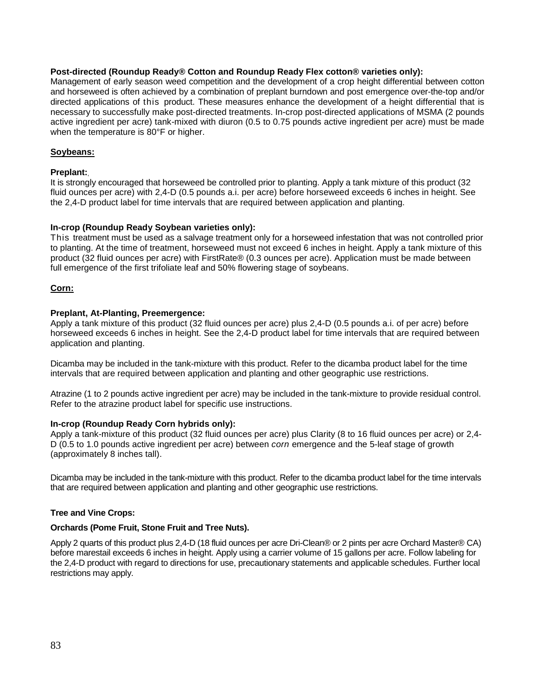## **Post-directed (Roundup Ready® Cotton and Roundup Ready Flex cotton® varieties only):**

Management of early season weed competition and the development of a crop height differential between cotton and horseweed is often achieved by a combination of preplant burndown and post emergence over-the-top and/or directed applications of this product. These measures enhance the development of a height differential that is necessary to successfully make post-directed treatments. In-crop post-directed applications of MSMA (2 pounds active ingredient per acre) tank-mixed with diuron (0.5 to 0.75 pounds active ingredient per acre) must be made when the temperature is 80°F or higher.

## **Soybeans:**

## **Preplant:**,

It is strongly encouraged that horseweed be controlled prior to planting. Apply a tank mixture of this product (32 fluid ounces per acre) with 2,4-D (0.5 pounds a.i. per acre) before horseweed exceeds 6 inches in height. See the 2,4-D product label for time intervals that are required between application and planting.

## **In-crop (Roundup Ready Soybean varieties only):**

This treatment must be used as a salvage treatment only for a horseweed infestation that was not controlled prior to planting. At the time of treatment, horseweed must not exceed 6 inches in height. Apply a tank mixture of this product (32 fluid ounces per acre) with FirstRate® (0.3 ounces per acre). Application must be made between full emergence of the first trifoliate leaf and 50% flowering stage of sovbeans.

## **Corn:**

## **Preplant, At-Planting, Preemergence:**

Apply a tank mixture of this product (32 fluid ounces per acre) plus 2,4-D (0.5 pounds a.i. of per acre) before horseweed exceeds 6 inches in height. See the 2,4-D product label for time intervals that are required between application and planting.

Dicamba may be included in the tank-mixture with this product. Refer to the dicamba product label for the time intervals that are required between application and planting and other geographic use restrictions.

Atrazine (1 to 2 pounds active ingredient per acre) may be included in the tank-mixture to provide residual control. Refer to the atrazine product label for specific use instructions.

## **In-crop (Roundup Ready Corn hybrids only):**

Apply a tank-mixture of this product (32 fluid ounces per acre) plus Clarity (8 to 16 fluid ounces per acre) or 2,4- D (0.5 to 1.0 pounds active ingredient per acre) between *corn* emergence and the 5-leaf stage of growth (approximately 8 inches tall).

Dicamba may be included in the tank-mixture with this product. Refer to the dicamba product label for the time intervals that are required between application and planting and other geographic use restrictions.

## **Tree and Vine Crops:**

## **Orchards (Pome Fruit, Stone Fruit and Tree Nuts).**

Apply 2 quarts of this product plus 2,4-D (18 fluid ounces per acre Dri-Clean® or 2 pints per acre Orchard Master® CA) before marestail exceeds 6 inches in height. Apply using a carrier volume of 15 gallons per acre. Follow labeling for the 2,4-D product with regard to directions for use, precautionary statements and applicable schedules. Further local restrictions may apply.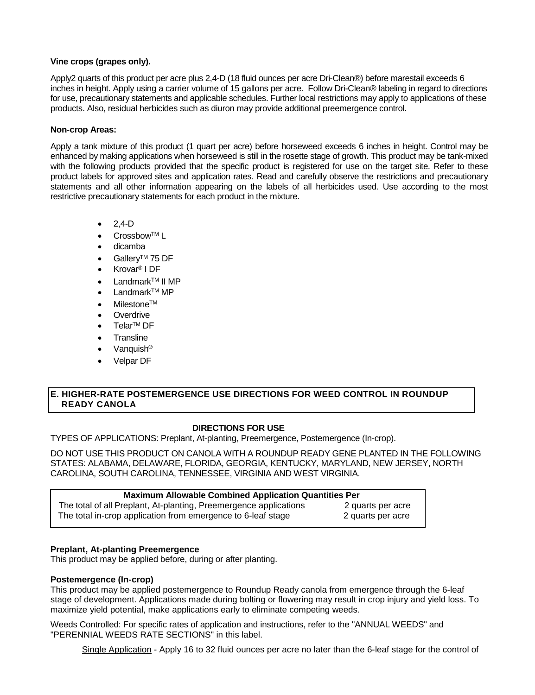## **Vine crops (grapes only).**

Apply2 quarts of this product per acre plus 2,4-D (18 fluid ounces per acre Dri-Clean®) before marestail exceeds 6 inches in height. Apply using a carrier volume of 15 gallons per acre. Follow Dri-Clean® labeling in regard to directions for use, precautionary statements and applicable schedules. Further local restrictions may apply to applications of these products. Also, residual herbicides such as diuron may provide additional preemergence control.

## **Non-crop Areas:**

Apply a tank mixture of this product (1 quart per acre) before horseweed exceeds 6 inches in height. Control may be enhanced by making applications when horseweed is still in the rosette stage of growth. This product may be tank-mixed with the following products provided that the specific product is registered for use on the target site. Refer to these product labels for approved sites and application rates. Read and carefully observe the restrictions and precautionary statements and all other information appearing on the labels of all herbicides used. Use according to the most restrictive precautionary statements for each product in the mixture.

- $2.4-D$
- Crossbow™ L
- dicamba
- Gallerv<sup>™</sup> 75 DF
- Krovar® I DF
- Landmark<sup>™</sup> II MP
- Landmark<sup>™</sup> MP
- **Milestone™**
- **Overdrive**
- Telar<sup>™</sup> DF
- **Transline**
- Vanquish<sup>®</sup>
- Velpar DF

## **E. HIGHER-RATE POSTEMERGENCE USE DIRECTIONS FOR WEED CONTROL IN ROUNDUP READY CANOLA**

## **DIRECTIONS FOR USE**

TYPES OF APPLICATIONS: Preplant, At-planting, Preemergence, Postemergence (In-crop).

DO NOT USE THIS PRODUCT ON CANOLA WITH A ROUNDUP READY GENE PLANTED IN THE FOLLOWING STATES: ALABAMA, DELAWARE, FLORIDA, GEORGIA, KENTUCKY, MARYLAND, NEW JERSEY, NORTH CAROLINA, SOUTH CAROLINA, TENNESSEE, VIRGINIA AND WEST VIRGINIA.

| <b>Maximum Allowable Combined Application Quantities Per</b>      |                   |  |
|-------------------------------------------------------------------|-------------------|--|
| The total of all Preplant, At-planting, Preemergence applications | 2 quarts per acre |  |
| The total in-crop application from emergence to 6-leaf stage      | 2 quarts per acre |  |

## **Preplant, At-planting Preemergence**

This product may be applied before, during or after planting.

## **Postemergence (In-crop)**

This product may be applied postemergence to Roundup Ready canola from emergence through the 6-leaf stage of development. Applications made during bolting or flowering may result in crop injury and yield loss. To maximize yield potential, make applications early to eliminate competing weeds.

Weeds Controlled: For specific rates of application and instructions, refer to the "ANNUAL WEEDS" and "PERENNIAL WEEDS RATE SECTIONS" in this label.

Single Application - Apply 16 to 32 fluid ounces per acre no later than the 6-leaf stage for the control of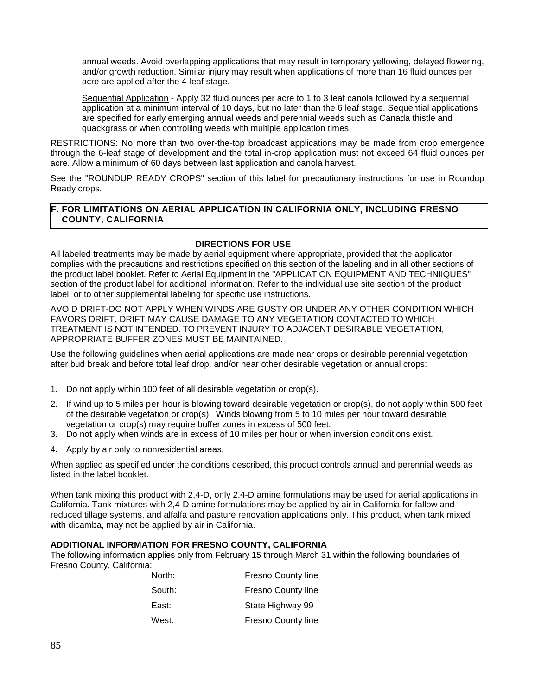annual weeds. Avoid overlapping applications that may result in temporary yellowing, delayed flowering, and/or growth reduction. Similar injury may result when applications of more than 16 fluid ounces per acre are applied after the 4-leaf stage.

Sequential Application - Apply 32 fluid ounces per acre to 1 to 3 leaf canola followed by a sequential application at a minimum interval of 10 days, but no later than the 6 leaf stage. Sequential applications are specified for early emerging annual weeds and perennial weeds such as Canada thistle and quackgrass or when controlling weeds with multiple application times.

RESTRICTIONS: No more than two over-the-top broadcast applications may be made from crop emergence through the 6-leaf stage of development and the total in-crop application must not exceed 64 fluid ounces per acre. Allow a minimum of 60 days between last application and canola harvest.

See the "ROUNDUP READY CROPS" section of this label for precautionary instructions for use in Roundup Ready crops.

## **F. FOR LIMITATIONS ON AERIAL APPLICATION IN CALIFORNIA ONLY, INCLUDING FRESNO COUNTY, CALIFORNIA**

## **DIRECTIONS FOR USE**

All labeled treatments may be made by aerial equipment where appropriate, provided that the applicator complies with the precautions and restrictions specified on this section of the labeling and in all other sections of the product label booklet. Refer to Aerial Equipment in the "APPLICATION EQUIPMENT AND TECHNIIQUES" section of the product label for additional information. Refer to the individual use site section of the product label, or to other supplemental labeling for specific use instructions.

AVOID DRIFT-DO NOT APPLY WHEN WINDS ARE GUSTY OR UNDER ANY OTHER CONDITION WHICH FAVORS DRIFT. DRIFT MAY CAUSE DAMAGE TO ANY VEGETATION CONTACTED TO WHICH TREATMENT IS NOT INTENDED. TO PREVENT INJURY TO ADJACENT DESIRABLE VEGETATION, APPROPRIATE BUFFER ZONES MUST BE MAINTAINED.

Use the following guidelines when aerial applications are made near crops or desirable perennial vegetation after bud break and before total leaf drop, and/or near other desirable vegetation or annual crops:

- 1. Do not apply within 100 feet of all desirable vegetation or crop(s).
- 2. If wind up to 5 miles per hour is blowing toward desirable vegetation or crop(s), do not apply within 500 feet of the desirable vegetation or crop(s). Winds blowing from 5 to 10 miles per hour toward desirable vegetation or crop(s) may require buffer zones in excess of 500 feet.
- 3. Do not apply when winds are in excess of 10 miles per hour or when inversion conditions exist.
- 4. Apply by air only to nonresidential areas.

When applied as specified under the conditions described, this product controls annual and perennial weeds as listed in the label booklet.

When tank mixing this product with 2,4-D, only 2,4-D amine formulations may be used for aerial applications in California. Tank mixtures with 2,4-D amine formulations may be applied by air in California for fallow and reduced tillage systems, and alfalfa and pasture renovation applications only. This product, when tank mixed with dicamba, may not be applied by air in California.

## **ADDITIONAL INFORMATION FOR FRESNO COUNTY, CALIFORNIA**

The following information applies only from February 15 through March 31 within the following boundaries of Fresno County, California:

| North: | <b>Fresno County line</b> |
|--------|---------------------------|
| South: | Fresno County line        |
| East:  | State Highway 99          |
| West:  | <b>Fresno County line</b> |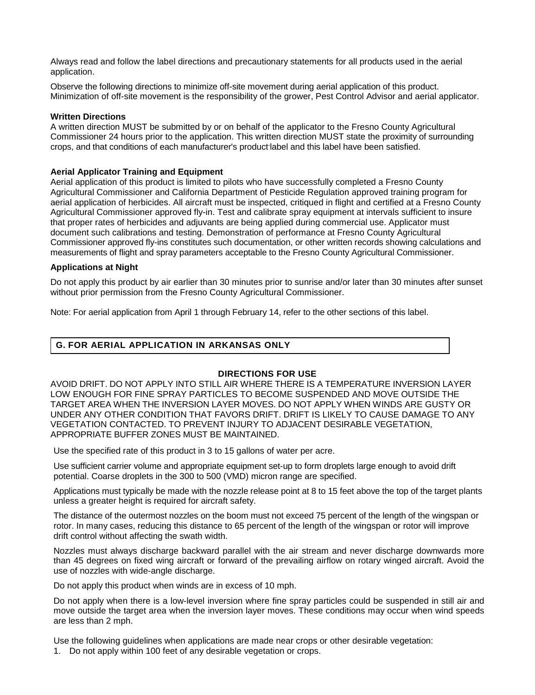Always read and follow the label directions and precautionary statements for all products used in the aerial application.

Observe the following directions to minimize off-site movement during aerial application of this product. Minimization of off-site movement is the responsibility of the grower, Pest Control Advisor and aerial applicator.

#### **Written Directions**

A written direction MUST be submitted by or on behalf of the applicator to the Fresno County Agricultural Commissioner 24 hours prior to the application. This written direction MUST state the proximity of surrounding crops, and that conditions of each manufacturer's product label and this label have been satisfied.

#### **Aerial Applicator Training and Equipment**

Aerial application of this product is limited to pilots who have successfully completed a Fresno County Agricultural Commissioner and California Department of Pesticide Regulation approved training program for aerial application of herbicides. All aircraft must be inspected, critiqued in flight and certified at a Fresno County Agricultural Commissioner approved fly-in. Test and calibrate spray equipment at intervals sufficient to insure that proper rates of herbicides and adjuvants are being applied during commercial use. Applicator must document such calibrations and testing. Demonstration of performance at Fresno County Agricultural Commissioner approved fly-ins constitutes such documentation, or other written records showing calculations and measurements of flight and spray parameters acceptable to the Fresno County Agricultural Commissioner.

#### **Applications at Night**

Do not apply this product by air earlier than 30 minutes prior to sunrise and/or later than 30 minutes after sunset without prior permission from the Fresno County Agricultural Commissioner.

Note: For aerial application from April 1 through February 14, refer to the other sections of this label.

## **G. FOR AERIAL APPLICATION IN ARKANSAS ONLY**

## **DIRECTIONS FOR USE**

AVOID DRIFT. DO NOT APPLY INTO STILL AIR WHERE THERE IS A TEMPERATURE INVERSION LAYER LOW ENOUGH FOR FINE SPRAY PARTICLES TO BECOME SUSPENDED AND MOVE OUTSIDE THE TARGET AREA WHEN THE INVERSION LAYER MOVES. DO NOT APPLY WHEN WINDS ARE GUSTY OR UNDER ANY OTHER CONDITION THAT FAVORS DRIFT. DRIFT IS LIKELY TO CAUSE DAMAGE TO ANY VEGETATION CONTACTED. TO PREVENT INJURY TO ADJACENT DESIRABLE VEGETATION, APPROPRIATE BUFFER ZONES MUST BE MAINTAINED.

Use the specified rate of this product in 3 to 15 gallons of water per acre.

Use sufficient carrier volume and appropriate equipment set-up to form droplets large enough to avoid drift potential. Coarse droplets in the 300 to 500 (VMD) micron range are specified.

Applications must typically be made with the nozzle release point at 8 to 15 feet above the top of the target plants unless a greater height is required for aircraft safety.

The distance of the outermost nozzles on the boom must not exceed 75 percent of the length of the wingspan or rotor. In many cases, reducing this distance to 65 percent of the length of the wingspan or rotor will improve drift control without affecting the swath width.

Nozzles must always discharge backward parallel with the air stream and never discharge downwards more than 45 degrees on fixed wing aircraft or forward of the prevailing airflow on rotary winged aircraft. Avoid the use of nozzles with wide-angle discharge.

Do not apply this product when winds are in excess of 10 mph.

Do not apply when there is a low-level inversion where fine spray particles could be suspended in still air and move outside the target area when the inversion layer moves. These conditions may occur when wind speeds are less than 2 mph.

Use the following guidelines when applications are made near crops or other desirable vegetation:

1. Do not apply within 100 feet of any desirable vegetation or crops.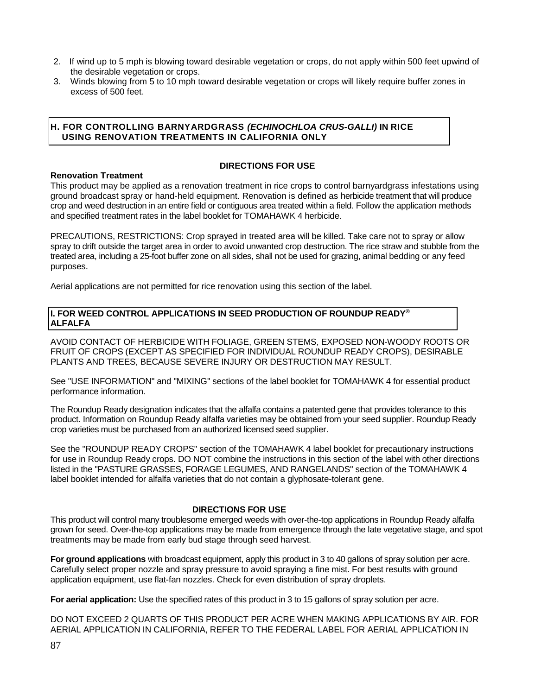- 2. If wind up to 5 mph is blowing toward desirable vegetation or crops, do not apply within 500 feet upwind of the desirable vegetation or crops.
- 3. Winds blowing from 5 to 10 mph toward desirable vegetation or crops will likely require buffer zones in excess of 500 feet.

## **H. FOR CONTROLLING BARNYARDGRASS** *(ECHINOCHLOA CRUS-GALLI)* **IN RICE USING RENOVATION TREATMENTS IN CALIFORNIA ONLY**

## **DIRECTIONS FOR USE**

**Renovation Treatment** This product may be applied as a renovation treatment in rice crops to control barnyardgrass infestations using ground broadcast spray or hand-held equipment. Renovation is defined as herbicide treatment that will produce crop and weed destruction in an entire field or contiguous area treated within a field. Follow the application methods and specified treatment rates in the label booklet for TOMAHAWK 4 herbicide.

PRECAUTIONS, RESTRICTIONS: Crop sprayed in treated area will be killed. Take care not to spray or allow spray to drift outside the target area in order to avoid unwanted crop destruction. The rice straw and stubble from the treated area, including a 25-foot buffer zone on all sides, shall not be used for grazing, animal bedding or any feed purposes.

Aerial applications are not permitted for rice renovation using this section of the label.

## **I. FOR WEED CONTROL APPLICATIONS IN SEED PRODUCTION OF ROUNDUP READY® ALFALFA**

AVOID CONTACT OF HERBICIDE WITH FOLIAGE, GREEN STEMS, EXPOSED NON-WOODY ROOTS OR FRUIT OF CROPS (EXCEPT AS SPECIFIED FOR INDIVIDUAL ROUNDUP READY CROPS), DESIRABLE PLANTS AND TREES, BECAUSE SEVERE INJURY OR DESTRUCTION MAY RESULT.

See "USE INFORMATION" and "MIXING" sections of the label booklet for TOMAHAWK 4 for essential product performance information.

The Roundup Ready designation indicates that the alfalfa contains a patented gene that provides tolerance to this product. Information on Roundup Ready alfalfa varieties may be obtained from your seed supplier. Roundup Ready crop varieties must be purchased from an authorized licensed seed supplier.

See the "ROUNDUP READY CROPS" section of the TOMAHAWK 4 label booklet for precautionary instructions for use in Roundup Ready crops. DO NOT combine the instructions in this section of the label with other directions listed in the "PASTURE GRASSES, FORAGE LEGUMES, AND RANGELANDS" section of the TOMAHAWK 4 label booklet intended for alfalfa varieties that do not contain a glyphosate-tolerant gene.

# **DIRECTIONS FOR USE**

This product will control many troublesome emerged weeds with over-the-top applications in Roundup Ready alfalfa grown for seed. Over-the-top applications may be made from emergence through the late vegetative stage, and spot treatments may be made from early bud stage through seed harvest.

**For ground applications** with broadcast equipment, apply this product in 3 to 40 gallons of spray solution per acre. Carefully select proper nozzle and spray pressure to avoid spraying a fine mist. For best results with ground application equipment, use flat-fan nozzles. Check for even distribution of spray droplets.

**For aerial application:** Use the specified rates of this product in 3 to 15 gallons of spray solution per acre.

DO NOT EXCEED 2 QUARTS OF THIS PRODUCT PER ACRE WHEN MAKING APPLICATIONS BY AIR. FOR AERIAL APPLICATION IN CALIFORNIA, REFER TO THE FEDERAL LABEL FOR AERIAL APPLICATION IN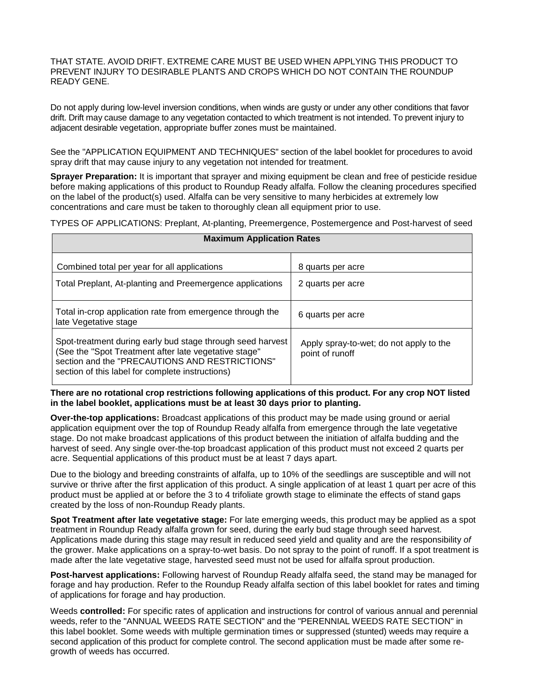THAT STATE. AVOID DRIFT. EXTREME CARE MUST BE USED WHEN APPLYING THIS PRODUCT TO PREVENT INJURY TO DESIRABLE PLANTS AND CROPS WHICH DO NOT CONTAIN THE ROUNDUP READY GENE.

Do not apply during low-level inversion conditions, when winds are gusty or under any other conditions that favor drift. Drift may cause damage to any vegetation contacted to which treatment is not intended. To prevent injury to adjacent desirable vegetation, appropriate buffer zones must be maintained.

See the "APPLICATION EQUIPMENT AND TECHNIQUES" section of the label booklet for procedures to avoid spray drift that may cause injury to any vegetation not intended for treatment.

**Sprayer Preparation:** It is important that sprayer and mixing equipment be clean and free of pesticide residue before making applications of this product to Roundup Ready alfalfa. Follow the cleaning procedures specified on the label of the product(s) used. Alfalfa can be very sensitive to many herbicides at extremely low concentrations and care must be taken to thoroughly clean all equipment prior to use.

TYPES OF APPLICATIONS: Preplant, At-planting, Preemergence, Postemergence and Post-harvest of seed

| <b>MARINING AND SHOWLOFT RATOO</b>                                                                                                                                                                                        |                                                            |  |
|---------------------------------------------------------------------------------------------------------------------------------------------------------------------------------------------------------------------------|------------------------------------------------------------|--|
| Combined total per year for all applications                                                                                                                                                                              | 8 quarts per acre                                          |  |
| Total Preplant, At-planting and Preemergence applications                                                                                                                                                                 | 2 quarts per acre                                          |  |
| Total in-crop application rate from emergence through the<br>late Vegetative stage                                                                                                                                        | 6 quarts per acre                                          |  |
| Spot-treatment during early bud stage through seed harvest<br>(See the "Spot Treatment after late vegetative stage"<br>section and the "PRECAUTIONS AND RESTRICTIONS"<br>section of this label for complete instructions) | Apply spray-to-wet; do not apply to the<br>point of runoff |  |

# **Maximum Application Rates**

 $\Box$ 

**There are no rotational crop restrictions following applications of this product. For any crop NOT listed in the label booklet, applications must be at least 30 days prior to planting.**

**Over-the-top applications:** Broadcast applications of this product may be made using ground or aerial application equipment over the top of Roundup Ready alfalfa from emergence through the late vegetative stage. Do not make broadcast applications of this product between the initiation of alfalfa budding and the harvest of seed. Any single over-the-top broadcast application of this product must not exceed 2 quarts per acre. Sequential applications of this product must be at least 7 days apart.

Due to the biology and breeding constraints of alfalfa, up to 10% of the seedlings are susceptible and will not survive or thrive after the first application of this product. A single application of at least 1 quart per acre of this product must be applied at or before the 3 to 4 trifoliate growth stage to eliminate the effects of stand gaps created by the loss of non-Roundup Ready plants.

**Spot Treatment after late vegetative stage:** For late emerging weeds, this product may be applied as a spot treatment in Roundup Ready alfalfa grown for seed, during the early bud stage through seed harvest. Applications made during this stage may result in reduced seed yield and quality and are the responsibility *of*  the grower. Make applications on a spray-to-wet basis. Do not spray to the point of runoff. If a spot treatment is made after the late vegetative stage, harvested seed must not be used for alfalfa sprout production.

**Post-harvest applications:** Following harvest of Roundup Ready alfalfa seed, the stand may be managed for forage and hay production. Refer to the Roundup Ready alfalfa section of this label booklet for rates and timing of applications for forage and hay production.

Weeds **controlled:** For specific rates of application and instructions for control of various annual and perennial weeds, refer to the "ANNUAL WEEDS RATE SECTION" and the "PERENNIAL WEEDS RATE SECTION" in this label booklet. Some weeds with multiple germination times or suppressed (stunted) weeds may require a second application of this product for complete control. The second application must be made after some regrowth of weeds has occurred.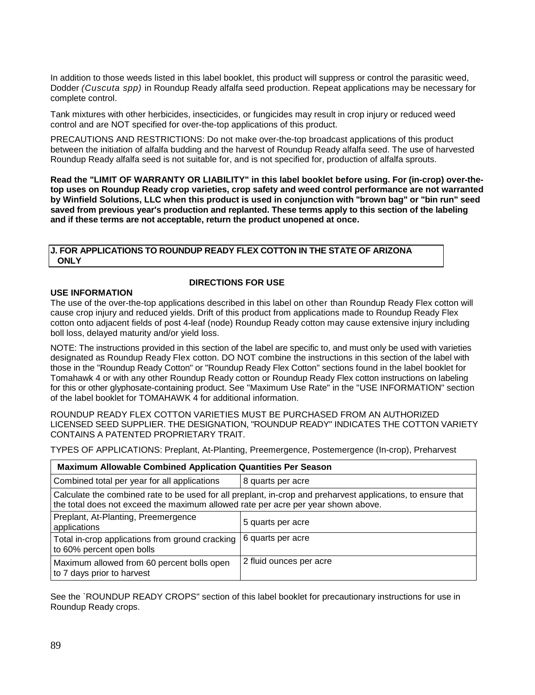In addition to those weeds listed in this label booklet, this product will suppress or control the parasitic weed, Dodder *(Cuscuta spp)* in Roundup Ready alfalfa seed production. Repeat applications may be necessary for complete control.

Tank mixtures with other herbicides, insecticides, or fungicides may result in crop injury or reduced weed control and are NOT specified for over-the-top applications of this product.

PRECAUTIONS AND RESTRICTIONS: Do not make over-the-top broadcast applications of this product between the initiation of alfalfa budding and the harvest of Roundup Ready alfalfa seed. The use of harvested Roundup Ready alfalfa seed is not suitable for, and is not specified for, production of alfalfa sprouts.

**Read the "LIMIT OF WARRANTY OR LIABILITY" in this label booklet before using. For (in-crop) over-thetop uses on Roundup Ready crop varieties, crop safety and weed control performance are not warranted by Winfield Solutions, LLC when this product is used in conjunction with "brown bag" or "bin run" seed saved from previous year's production and replanted. These terms apply to this section of the labeling and if these terms are not acceptable, return the product unopened at once.**

## **J. FOR APPLICATIONS TO ROUNDUP READY FLEX COTTON IN THE STATE OF ARIZONA ONLY**

## **USE INFORMATION**

## **DIRECTIONS FOR USE**

The use of the over-the-top applications described in this label on other than Roundup Ready Flex cotton will cause crop injury and reduced yields. Drift of this product from applications made to Roundup Ready Flex cotton onto adjacent fields of post 4-leaf (node) Roundup Ready cotton may cause extensive injury including boll loss, delayed maturity and/or yield loss.

NOTE: The instructions provided in this section of the label are specific to, and must only be used with varieties designated as Roundup Ready Flex cotton. DO NOT combine the instructions in this section of the label with those in the "Roundup Ready Cotton" or "Roundup Ready Flex Cotton" sections found in the label booklet for Tomahawk 4 or with any other Roundup Ready cotton or Roundup Ready Flex cotton instructions on labeling for this or other glyphosate-containing product. See "Maximum Use Rate" in the "USE INFORMATION" section of the label booklet for TOMAHAWK 4 for additional information.

ROUNDUP READY FLEX COTTON VARIETIES MUST BE PURCHASED FROM AN AUTHORIZED LICENSED SEED SUPPLIER. THE DESIGNATION, "ROUNDUP READY" INDICATES THE COTTON VARIETY CONTAINS A PATENTED PROPRIETARY TRAIT.

TYPES OF APPLICATIONS: Preplant, At-Planting, Preemergence, Postemergence (In-crop), Preharvest

| <b>Maximum Allowable Combined Application Quantities Per Season</b>                                                                                                                               |                         |  |
|---------------------------------------------------------------------------------------------------------------------------------------------------------------------------------------------------|-------------------------|--|
| Combined total per year for all applications                                                                                                                                                      | 8 quarts per acre       |  |
| Calculate the combined rate to be used for all preplant, in-crop and preharvest applications, to ensure that<br>the total does not exceed the maximum allowed rate per acre per year shown above. |                         |  |
| Preplant, At-Planting, Preemergence<br>applications                                                                                                                                               | 5 quarts per acre       |  |
| Total in-crop applications from ground cracking<br>to 60% percent open bolls                                                                                                                      | 6 quarts per acre       |  |
| Maximum allowed from 60 percent bolls open<br>to 7 days prior to harvest                                                                                                                          | 2 fluid ounces per acre |  |

See the `ROUNDUP READY CROPS" section of this label booklet for precautionary instructions for use in Roundup Ready crops.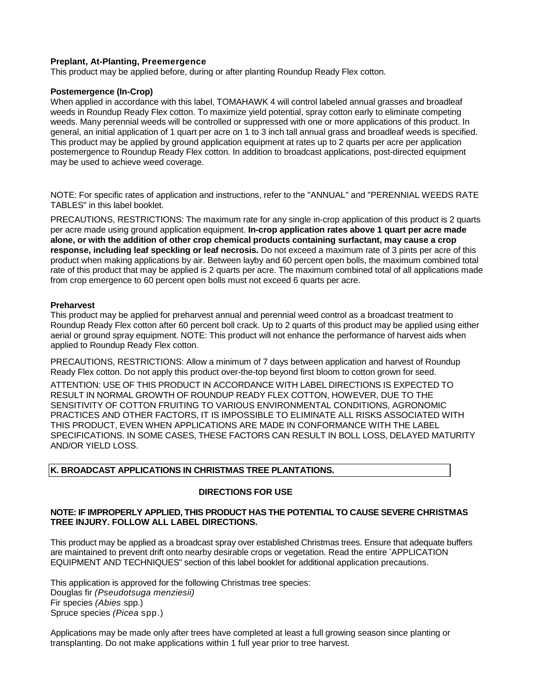## **Preplant, At-Planting, Preemergence**

This product may be applied before, during or after planting Roundup Ready Flex cotton.

## **Postemergence (In-Crop)**

When applied in accordance with this label, TOMAHAWK 4 will control labeled annual grasses and broadleaf weeds in Roundup Ready Flex cotton. To maximize yield potential, spray cotton early to eliminate competing weeds. Many perennial weeds will be controlled or suppressed with one or more applications of this product. In general, an initial application of 1 quart per acre on 1 to 3 inch tall annual grass and broadleaf weeds is specified. This product may be applied by ground application equipment at rates up to 2 quarts per acre per application postemergence to Roundup Ready Flex cotton. In addition to broadcast applications, post-directed equipment may be used to achieve weed coverage.

NOTE: For specific rates of application and instructions, refer to the "ANNUAL" and "PERENNIAL WEEDS RATE TABLES" in this label booklet.

PRECAUTIONS, RESTRICTIONS: The maximum rate for any single in-crop application of this product is 2 quarts per acre made using ground application equipment. **In-crop application rates above 1 quart per acre made alone, or with the addition of other crop chemical products containing surfactant, may cause a crop response, including leaf speckling or leaf necrosis.** Do not exceed a maximum rate of 3 pints per acre of this product when making applications by air. Between layby and 60 percent open bolls, the maximum combined total rate of this product that may be applied is 2 quarts per acre. The maximum combined total of all applications made from crop emergence to 60 percent open bolls must not exceed 6 quarts per acre.

## **Preharvest**

This product may be applied for preharvest annual and perennial weed control as a broadcast treatment to Roundup Ready Flex cotton after 60 percent boll crack. Up to 2 quarts of this product may be applied using either aerial or ground spray equipment. NOTE: This product will not enhance the performance of harvest aids when applied to Roundup Ready Flex cotton.

PRECAUTIONS, RESTRICTIONS: Allow a minimum of 7 days between application and harvest of Roundup Ready Flex cotton. Do not apply this product over-the-top beyond first bloom to cotton grown for seed.

ATTENTION: USE OF THIS PRODUCT IN ACCORDANCE WITH LABEL DIRECTIONS IS EXPECTED TO RESULT IN NORMAL GROWTH OF ROUNDUP READY FLEX COTTON, HOWEVER, DUE TO THE SENSITIVITY OF COTTON FRUITING TO VARIOUS ENVIRONMENTAL CONDITIONS, AGRONOMIC PRACTICES AND OTHER FACTORS, IT IS IMPOSSIBLE TO ELIMINATE ALL RISKS ASSOCIATED WITH THIS PRODUCT, EVEN WHEN APPLICATIONS ARE MADE IN CONFORMANCE WITH THE LABEL SPECIFICATIONS. IN SOME CASES, THESE FACTORS CAN RESULT IN BOLL LOSS, DELAYED MATURITY AND/OR YIELD LOSS.

## **K. BROADCAST APPLICATIONS IN CHRISTMAS TREE PLANTATIONS.**

## **DIRECTIONS FOR USE**

## **NOTE: IF IMPROPERLY APPLIED, THIS PRODUCT HAS THE POTENTIAL TO CAUSE SEVERE CHRISTMAS TREE INJURY. FOLLOW ALL LABEL DIRECTIONS.**

This product may be applied as a broadcast spray over established Christmas trees. Ensure that adequate buffers are maintained to prevent drift onto nearby desirable crops or vegetation. Read the entire " APPLICATION EQUIPMENT AND TECHNIQUES" section of this label booklet for additional application precautions.

This application is approved for the following Christmas tree species: Douglas fir *(Pseudotsuga menziesii)* Fir species *(Abies* spp.) Spruce species *(Picea* spp.)

Applications may be made only after trees have completed at least a full growing season since planting or transplanting. Do not make applications within 1 full year prior to tree harvest.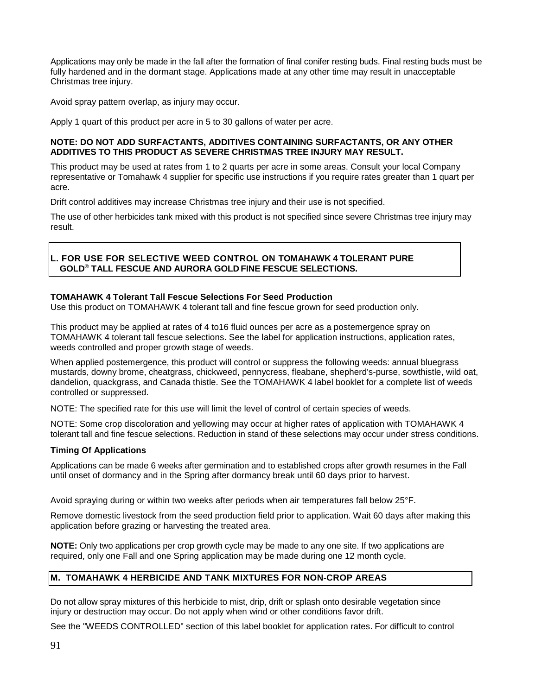Applications may only be made in the fall after the formation of final conifer resting buds. Final resting buds must be fully hardened and in the dormant stage. Applications made at any other time may result in unacceptable Christmas tree injury.

Avoid spray pattern overlap, as injury may occur.

Apply 1 quart of this product per acre in 5 to 30 gallons of water per acre.

## **NOTE: DO NOT ADD SURFACTANTS, ADDITIVES CONTAINING SURFACTANTS, OR ANY OTHER ADDITIVES TO THIS PRODUCT AS SEVERE CHRISTMAS TREE INJURY MAY RESULT.**

This product may be used at rates from 1 to 2 quarts per acre in some areas. Consult your local Company representative or Tomahawk 4 supplier for specific use instructions if you require rates greater than 1 quart per acre.

Drift control additives may increase Christmas tree injury and their use is not specified.

The use of other herbicides tank mixed with this product is not specified since severe Christmas tree injury may result.

## **L. FOR USE FOR SELECTIVE WEED CONTROL ON TOMAHAWK 4 TOLERANT PURE GOLD® TALL FESCUE AND AURORA GOLD FINE FESCUE SELECTIONS.**

## **TOMAHAWK 4 Tolerant Tall Fescue Selections For Seed Production**

Use this product on TOMAHAWK 4 tolerant tall and fine fescue grown for seed production only.

This product may be applied at rates of 4 to16 fluid ounces per acre as a postemergence spray on TOMAHAWK 4 tolerant tall fescue selections. See the label for application instructions, application rates, weeds controlled and proper growth stage of weeds.

When applied postemergence, this product will control or suppress the following weeds: annual bluegrass mustards, downy brome, cheatgrass, chickweed, pennycress, fleabane, shepherd's-purse, sowthistle, wild oat, dandelion, quackgrass, and Canada thistle. See the TOMAHAWK 4 label booklet for a complete list of weeds controlled or suppressed.

NOTE: The specified rate for this use will limit the level of control of certain species of weeds.

NOTE: Some crop discoloration and yellowing may occur at higher rates of application with TOMAHAWK 4 tolerant tall and fine fescue selections. Reduction in stand of these selections may occur under stress conditions.

## **Timing Of Applications**

Applications can be made 6 weeks after germination and to established crops after growth resumes in the Fall until onset of dormancy and in the Spring after dormancy break until 60 days prior to harvest.

Avoid spraying during or within two weeks after periods when air temperatures fall below 25°F.

Remove domestic livestock from the seed production field prior to application. Wait 60 days after making this application before grazing or harvesting the treated area.

**NOTE:** Only two applications per crop growth cycle may be made to any one site. If two applications are required, only one Fall and one Spring application may be made during one 12 month cycle.

# **M. TOMAHAWK 4 HERBICIDE AND TANK MIXTURES FOR NON-CROP AREAS**

Do not allow spray mixtures of this herbicide to mist, drip, drift or splash onto desirable vegetation since injury or destruction may occur. Do not apply when wind or other conditions favor drift.

See the "WEEDS CONTROLLED" section of this label booklet for application rates. For difficult to control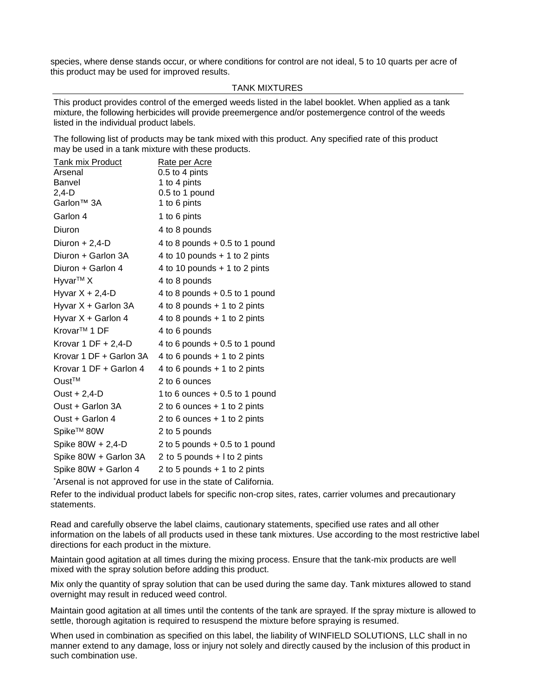species, where dense stands occur, or where conditions for control are not ideal, 5 to 10 quarts per acre of this product may be used for improved results.

#### TANK MIXTURES

This product provides control of the emerged weeds listed in the label booklet. When applied as a tank mixture, the following herbicides will provide preemergence and/or postemergence control of the weeds listed in the individual product labels.

The following list of products may be tank mixed with this product. Any specified rate of this product may be used in a tank mixture with these products.

| <b>Tank mix Product</b>  | Rate per Acre                   |
|--------------------------|---------------------------------|
| Arsenal                  | 0.5 to 4 pints                  |
| Banvel                   | 1 to 4 pints                    |
| $2,4-D$                  | 0.5 to 1 pound                  |
| Garlon <sup>™</sup> 3A   | 1 to 6 pints                    |
| Garlon 4                 | 1 to 6 pints                    |
| Diuron                   | 4 to 8 pounds                   |
| Diuron $+ 2,4$ -D        | 4 to 8 pounds $+0.5$ to 1 pound |
| Diuron + Garlon 3A       | 4 to 10 pounds $+$ 1 to 2 pints |
| Diuron + Garlon 4        | 4 to 10 pounds $+$ 1 to 2 pints |
| Hyvar <sup>™</sup> X     | 4 to 8 pounds                   |
| Hyvar $X + 2,4$ -D       | 4 to 8 pounds $+0.5$ to 1 pound |
| Hyvar X + Garlon 3A      | 4 to 8 pounds $+$ 1 to 2 pints  |
| Hyvar X + Garlon 4       | 4 to 8 pounds $+$ 1 to 2 pints  |
| Krovar <sup>™</sup> 1 DF | 4 to 6 pounds                   |
| Krovar 1 DF $+ 2,4$ -D   | 4 to 6 pounds $+0.5$ to 1 pound |
| Krovar 1 DF + Garlon 3A  | 4 to 6 pounds $+$ 1 to 2 pints  |
| Krovar 1 DF + Garlon 4   | 4 to 6 pounds $+$ 1 to 2 pints  |
| Oust <sup>™</sup>        | 2 to 6 ounces                   |
| Oust $+ 2,4$ -D          | 1 to 6 ounces $+0.5$ to 1 pound |
| Oust + Garlon 3A         | 2 to 6 ounces $+$ 1 to 2 pints  |
| Oust + Garlon 4          | 2 to 6 ounces $+1$ to 2 pints   |
| Spike <sup>™</sup> 80W   | 2 to 5 pounds                   |
| Spike 80W + 2,4-D        | 2 to 5 pounds $+0.5$ to 1 pound |
| Spike 80W + Garlon 3A    | 2 to 5 pounds + I to 2 pints    |
| Spike 80W + Garlon 4     | 2 to 5 pounds $+$ 1 to 2 pints  |

\* Arsenal is not approved for use in the state of California.

Refer to the individual product labels for specific non-crop sites, rates, carrier volumes and precautionary statements.

Read and carefully observe the label claims, cautionary statements, specified use rates and all other information on the labels of all products used in these tank mixtures. Use according to the most restrictive label directions for each product in the mixture.

Maintain good agitation at all times during the mixing process. Ensure that the tank-mix products are well mixed with the spray solution before adding this product.

Mix only the quantity of spray solution that can be used during the same day. Tank mixtures allowed to stand overnight may result in reduced weed control.

Maintain good agitation at all times until the contents of the tank are sprayed. If the spray mixture is allowed to settle, thorough agitation is required to resuspend the mixture before spraying is resumed.

When used in combination as specified on this label, the liability of WINFIELD SOLUTIONS, LLC shall in no manner extend to any damage, loss or injury not solely and directly caused by the inclusion of this product in such combination use.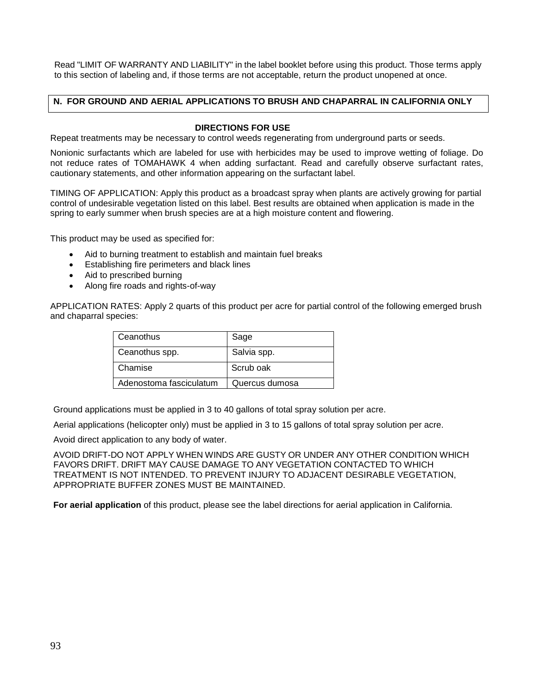Read "LIMIT OF WARRANTY AND LIABILITY" in the label booklet before using this product. Those terms apply to this section of labeling and, if those terms are not acceptable, return the product unopened at once.

## **N. FOR GROUND AND AERIAL APPLICATIONS TO BRUSH AND CHAPARRAL IN CALIFORNIA ONLY**

## **DIRECTIONS FOR USE**

Repeat treatments may be necessary to control weeds regenerating from underground parts or seeds.

Nonionic surfactants which are labeled for use with herbicides may be used to improve wetting of foliage. Do not reduce rates of TOMAHAWK 4 when adding surfactant. Read and carefully observe surfactant rates, cautionary statements, and other information appearing on the surfactant label.

TIMING OF APPLICATION: Apply this product as a broadcast spray when plants are actively growing for partial control of undesirable vegetation listed on this label. Best results are obtained when application is made in the spring to early summer when brush species are at a high moisture content and flowering.

This product may be used as specified for:

- Aid to burning treatment to establish and maintain fuel breaks
- Establishing fire perimeters and black lines
- Aid to prescribed burning
- Along fire roads and rights-of-way

APPLICATION RATES: Apply 2 quarts of this product per acre for partial control of the following emerged brush and chaparral species:

| Ceanothus               | Sage           |
|-------------------------|----------------|
| Ceanothus spp.          | Salvia spp.    |
| Chamise                 | Scrub oak      |
| Adenostoma fasciculatum | Quercus dumosa |

Ground applications must be applied in 3 to 40 gallons of total spray solution per acre.

Aerial applications (helicopter only) must be applied in 3 to 15 gallons of total spray solution per acre.

Avoid direct application to any body of water.

AVOID DRIFT-DO NOT APPLY WHEN WINDS ARE GUSTY OR UNDER ANY OTHER CONDITION WHICH FAVORS DRIFT. DRIFT MAY CAUSE DAMAGE TO ANY VEGETATION CONTACTED TO WHICH TREATMENT IS NOT INTENDED. TO PREVENT INJURY TO ADJACENT DESIRABLE VEGETATION, APPROPRIATE BUFFER ZONES MUST BE MAINTAINED.

**For aerial application** of this product, please see the label directions for aerial application in California.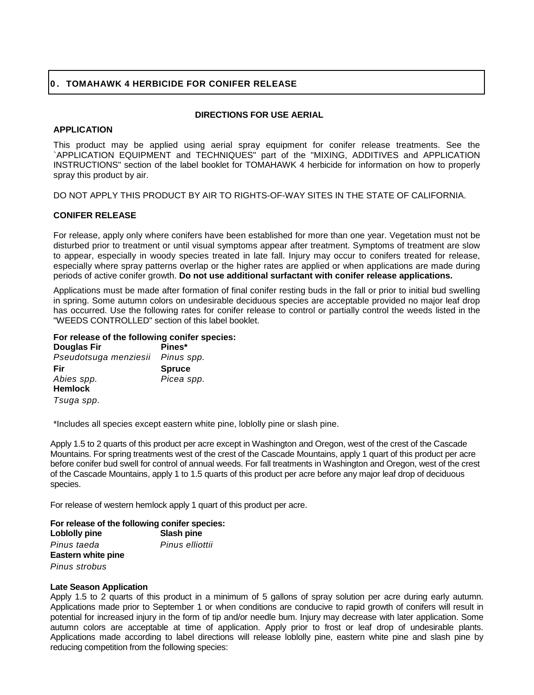## **0 . TOMAHAWK 4 HERBICIDE FOR CONIFER RELEASE**

## **DIRECTIONS FOR USE AERIAL**

## **APPLICATION**

This product may be applied using aerial spray equipment for conifer release treatments. See the `APPLICATION EQUIPMENT and TECHNIQUES" part of the "MIXING, ADDITIVES and APPLICATION INSTRUCTIONS" section of the label booklet for TOMAHAWK 4 herbicide for information on how to properly spray this product by air.

DO NOT APPLY THIS PRODUCT BY AIR TO RIGHTS-OF-WAY SITES IN THE STATE OF CALIFORNIA.

## **CONIFER RELEASE**

For release, apply only where conifers have been established for more than one year. Vegetation must not be disturbed prior to treatment or until visual symptoms appear after treatment. Symptoms of treatment are slow to appear, especially in woody species treated in late fall. Injury may occur to conifers treated for release, especially where spray patterns overlap or the higher rates are applied or when applications are made during periods of active conifer growth. **Do not use additional surfactant with conifer release applications.**

Applications must be made after formation of final conifer resting buds in the fall or prior to initial bud swelling in spring. Some autumn colors on undesirable deciduous species are acceptable provided no major leaf drop has occurred. Use the following rates for conifer release to control or partially control the weeds listed in the "WEEDS CONTROLLED" section of this label booklet.

## **For release of the following conifer species:**

| <b>Douglas Fir</b>    | Pines*        |
|-----------------------|---------------|
| Pseudotsuga menziesii | Pinus spp.    |
| Fir                   | <b>Spruce</b> |
| Abies spp.            | Picea spp.    |
| <b>Hemlock</b>        |               |
| Tsuga spp.            |               |

\*Includes all species except eastern white pine, loblolly pine or slash pine.

Apply 1.5 to 2 quarts of this product per acre except in Washington and Oregon, west of the crest of the Cascade Mountains. For spring treatments west of the crest of the Cascade Mountains, apply 1 quart of this product per acre before conifer bud swell for control of annual weeds. For fall treatments in Washington and Oregon, west of the crest of the Cascade Mountains, apply 1 to 1.5 quarts of this product per acre before any major leaf drop of deciduous species.

For release of western hemlock apply 1 quart of this product per acre.

## **For release of the following conifer species:**

| Loblolly pine      | Slash pine      |
|--------------------|-----------------|
| Pinus taeda        | Pinus elliottii |
| Eastern white pine |                 |
| Pinus strobus      |                 |

## **Late Season Application**

Apply 1.5 to 2 quarts of this product in a minimum of 5 gallons of spray solution per acre during early autumn. Applications made prior to September 1 or when conditions are conducive to rapid growth of conifers will result in potential for increased injury in the form of tip and/or needle bum. Injury may decrease with later application. Some autumn colors are acceptable at time of application. Apply prior to frost or leaf drop of undesirable plants. Applications made according to label directions will release loblolly pine, eastern white pine and slash pine by reducing competition from the following species: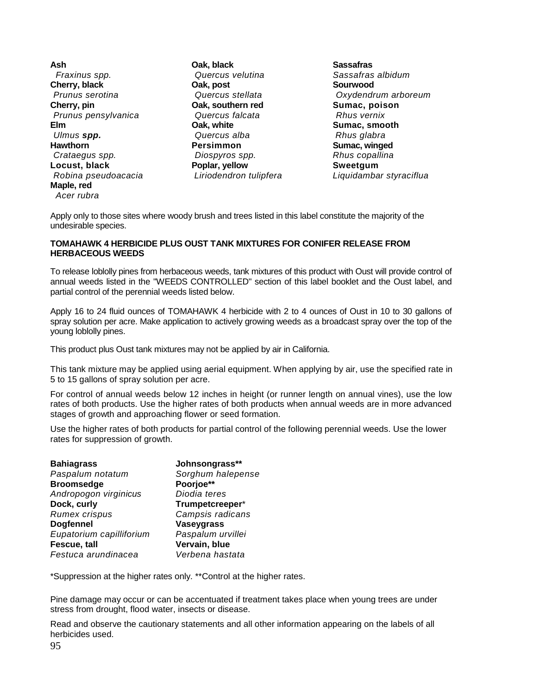**Ash**  *Fraxinus spp.*  **Cherry, black** *Prunus serotina*  **Cherry, pin** *Prunus pensylvanica* **Elm** *Ulmus spp.*  **Hawthorn** *Crataegus spp.*  **Locust, black** *Robina pseudoacacia*  **Maple, red**  *Acer rubra*

**Oak, black** *Quercus velutina*  **Oak, post** *Quercus stellata*  **Oak, southern red**  *Quercus falcata* **Oak, white** *Quercus alba*  **Persimmon** *Diospyros spp.*  **Poplar, yellow**  *Liriodendron tulipfera* 

**Sassafras** *Sassafras albidum*  **Sourwood** *Oxydendrum arboreum*  **Sumac, poison** *Rhus vernix* **Sumac, smooth**  *Rhus glabra* **Sumac, winged**  *Rhus copallina*  **Sweetgum** *Liquidambar styraciflua*

Apply only to those sites where woody brush and trees listed in this label constitute the majority of the undesirable species.

## **TOMAHAWK 4 HERBICIDE PLUS OUST TANK MIXTURES FOR CONIFER RELEASE FROM HERBACEOUS WEEDS**

To release loblolly pines from herbaceous weeds, tank mixtures of this product with Oust will provide control of annual weeds listed in the "WEEDS CONTROLLED" section of this label booklet and the Oust label, and partial control of the perennial weeds listed below.

Apply 16 to 24 fluid ounces of TOMAHAWK 4 herbicide with 2 to 4 ounces of Oust in 10 to 30 gallons of spray solution per acre. Make application to actively growing weeds as a broadcast spray over the top of the young loblolly pines.

This product plus Oust tank mixtures may not be applied by air in California.

This tank mixture may be applied using aerial equipment. When applying by air, use the specified rate in 5 to 15 gallons of spray solution per acre.

For control of annual weeds below 12 inches in height (or runner length on annual vines), use the low rates of both products. Use the higher rates of both products when annual weeds are in more advanced stages of growth and approaching flower or seed formation.

Use the higher rates of both products for partial control of the following perennial weeds. Use the lower rates for suppression of growth.

| <b>Bahiagrass</b>        | Johnsongrass**    |
|--------------------------|-------------------|
| Paspalum notatum         | Sorghum halepense |
| <b>Broomsedge</b>        | Poorjoe**         |
| Andropogon virginicus    | Diodia teres      |
| Dock, curly              | Trumpetcreeper*   |
| <b>Rumex crispus</b>     | Campsis radicans  |
| <b>Dogfennel</b>         | <b>Vaseygrass</b> |
| Eupatorium capilliforium | Paspalum urvillei |
| Fescue, tall             | Vervain, blue     |
| Festuca arundinacea      | Verbena hastata   |

\*Suppression at the higher rates only. \*\*Control at the higher rates.

Pine damage may occur or can be accentuated if treatment takes place when young trees are under stress from drought, flood water, insects or disease.

Read and observe the cautionary statements and all other information appearing on the labels of all herbicides used.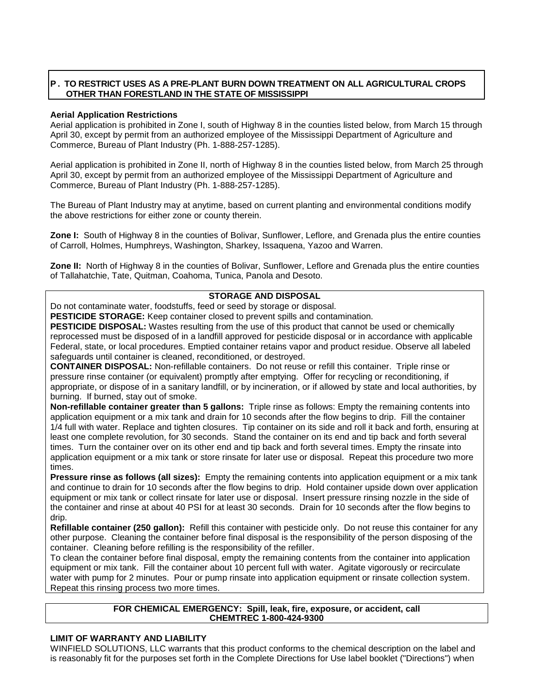# **P . TO RESTRICT USES AS A PRE-PLANT BURN DOWN TREATMENT ON ALL AGRICULTURAL CROPS OTHER THAN FORESTLAND IN THE STATE OF MISSISSIPPI**

### **Aerial Application Restrictions**

Aerial application is prohibited in Zone I, south of Highway 8 in the counties listed below, from March 15 through April 30, except by permit from an authorized employee of the Mississippi Department of Agriculture and Commerce, Bureau of Plant Industry (Ph. 1-888-257-1285).

Aerial application is prohibited in Zone II, north of Highway 8 in the counties listed below, from March 25 through April 30, except by permit from an authorized employee of the Mississippi Department of Agriculture and Commerce, Bureau of Plant Industry (Ph. 1-888-257-1285).

The Bureau of Plant Industry may at anytime, based on current planting and environmental conditions modify the above restrictions for either zone or county therein.

**Zone I:** South of Highway 8 in the counties of Bolivar, Sunflower, Leflore, and Grenada plus the entire counties of Carroll, Holmes, Humphreys, Washington, Sharkey, Issaquena, Yazoo and Warren.

**Zone II:** North of Highway 8 in the counties of Bolivar, Sunflower, Leflore and Grenada plus the entire counties of Tallahatchie, Tate, Quitman, Coahoma, Tunica, Panola and Desoto.

## **STORAGE AND DISPOSAL**

Do not contaminate water, foodstuffs, feed or seed by storage or disposal.

**PESTICIDE STORAGE:** Keep container closed to prevent spills and contamination.

**PESTICIDE DISPOSAL:** Wastes resulting from the use of this product that cannot be used or chemically reprocessed must be disposed of in a landfill approved for pesticide disposal or in accordance with applicable Federal, state, or local procedures. Emptied container retains vapor and product residue. Observe all labeled safeguards until container is cleaned, reconditioned, or destroyed.

**CONTAINER DISPOSAL:** Non-refillable containers. Do not reuse or refill this container. Triple rinse or pressure rinse container (or equivalent) promptly after emptying. Offer for recycling or reconditioning, if appropriate, or dispose of in a sanitary landfill, or by incineration, or if allowed by state and local authorities, by burning. If burned, stay out of smoke.

**Non-refillable container greater than 5 gallons:** Triple rinse as follows: Empty the remaining contents into application equipment or a mix tank and drain for 10 seconds after the flow begins to drip. Fill the container 1/4 full with water. Replace and tighten closures. Tip container on its side and roll it back and forth, ensuring at least one complete revolution, for 30 seconds. Stand the container on its end and tip back and forth several times. Turn the container over on its other end and tip back and forth several times. Empty the rinsate into application equipment or a mix tank or store rinsate for later use or disposal. Repeat this procedure two more times.

**Pressure rinse as follows (all sizes):** Empty the remaining contents into application equipment or a mix tank and continue to drain for 10 seconds after the flow begins to drip. Hold container upside down over application equipment or mix tank or collect rinsate for later use or disposal. Insert pressure rinsing nozzle in the side of the container and rinse at about 40 PSI for at least 30 seconds. Drain for 10 seconds after the flow begins to drip.

**Refillable container (250 gallon):** Refill this container with pesticide only. Do not reuse this container for any other purpose. Cleaning the container before final disposal is the responsibility of the person disposing of the container. Cleaning before refilling is the responsibility of the refiller.

To clean the container before final disposal, empty the remaining contents from the container into application equipment or mix tank. Fill the container about 10 percent full with water. Agitate vigorously or recirculate water with pump for 2 minutes. Pour or pump rinsate into application equipment or rinsate collection system. Repeat this rinsing process two more times.

## **FOR CHEMICAL EMERGENCY: Spill, leak, fire, exposure, or accident, call CHEMTREC 1-800-424-9300**

## **LIMIT OF WARRANTY AND LIABILITY**

WINFIELD SOLUTIONS, LLC warrants that this product conforms to the chemical description on the label and is reasonably fit for the purposes set forth in the Complete Directions for Use label booklet ("Directions") when